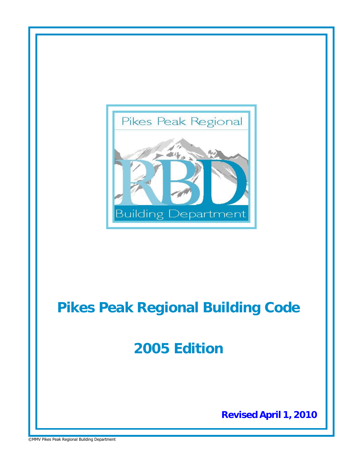

# **Pikes Peak Regional Building Code**

# **2005 Edition**

**Revised April 1, 2010**

©MMV Pikes Peak Regional Building Department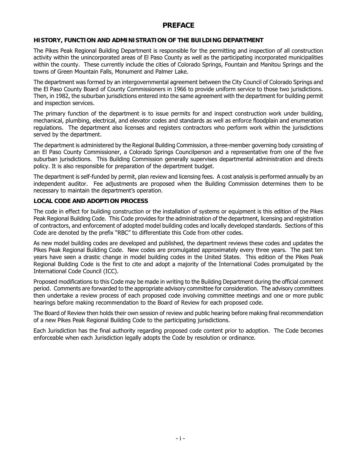# **PREFACE**

# **HISTORY, FUNCTION AND ADMINISTRATION OF THE BUILDING DEPARTMENT**

The Pikes Peak Regional Building Department is responsible for the permitting and inspection of all construction activity within the unincorporated areas of El Paso County as well as the participating incorporated municipalities within the county. These currently include the cities of Colorado Springs, Fountain and Manitou Springs and the towns of Green Mountain Falls, Monument and Palmer Lake.

The department was formed by an intergovernmental agreement between the City Council of Colorado Springs and the El Paso County Board of County Commissioners in 1966 to provide uniform service to those two jurisdictions. Then, in 1982, the suburban jurisdictions entered into the same agreement with the department for building permit and inspection services.

The primary function of the department is to issue permits for and inspect construction work under building, mechanical, plumbing, electrical, and elevator codes and standards as well as enforce floodplain and enumeration regulations. The department also licenses and registers contractors who perform work within the jurisdictions served by the department.

The department is administered by the Regional Building Commission, a three-member governing body consisting of an El Paso County Commissioner, a Colorado Springs Councilperson and a representative from one of the five suburban jurisdictions. This Building Commission generally supervises departmental administration and directs policy. It is also responsible for preparation of the department budget.

The department is self-funded by permit, plan review and licensing fees. A cost analysis is performed annually by an independent auditor. Fee adjustments are proposed when the Building Commission determines them to be necessary to maintain the department's operation.

# **LOCAL CODE AND ADOPTION PROCESS**

The code in effect for building construction or the installation of systems or equipment is this edition of the Pikes Peak Regional Building Code. This Code provides for the administration of the department, licensing and registration of contractors, and enforcement of adopted model building codes and locally developed standards. Sections of this Code are denoted by the prefix "RBC" to differentiate this Code from other codes.

As new model building codes are developed and published, the department reviews these codes and updates the Pikes Peak Regional Building Code. New codes are promulgated approximately every three years. The past ten years have seen a drastic change in model building codes in the United States. This edition of the Pikes Peak Regional Building Code is the first to cite and adopt a majority of the International Codes promulgated by the International Code Council (ICC).

Proposed modifications to this Code may be made in writing to the Building Department during the official comment period. Comments are forwarded to the appropriate advisory committee for consideration. The advisory committees then undertake a review process of each proposed code involving committee meetings and one or more public hearings before making recommendation to the Board of Review for each proposed code.

The Board of Review then holds their own session of review and public hearing before making final recommendation of a new Pikes Peak Regional Building Code to the participating jurisdictions.

Each Jurisdiction has the final authority regarding proposed code content prior to adoption. The Code becomes enforceable when each Jurisdiction legally adopts the Code by resolution or ordinance.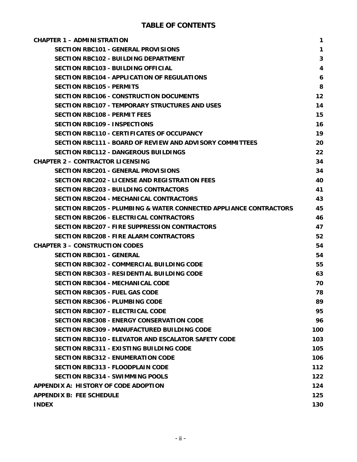| <b>CHAPTER 1 - ADMINISTRATION</b>                                 | 1            |
|-------------------------------------------------------------------|--------------|
| <b>SECTION RBC101 - GENERAL PROVISIONS</b>                        | $\mathbf{1}$ |
| <b>SECTION RBC102 - BUILDING DEPARTMENT</b>                       | $\mathbf{3}$ |
| SECTION RBC103 - BUILDING OFFICIAL                                | 4            |
| SECTION RBC104 - APPLICATION OF REGULATIONS                       | 6            |
| <b>SECTION RBC105 - PERMITS</b>                                   | 8            |
| <b>SECTION RBC106 - CONSTRUCTION DOCUMENTS</b>                    | 12           |
| <b>SECTION RBC107 - TEMPORARY STRUCTURES AND USES</b>             | 14           |
| <b>SECTION RBC108 - PERMIT FEES</b>                               | 15           |
| <b>SECTION RBC109 - INSPECTIONS</b>                               | 16           |
| SECTION RBC110 - CERTIFICATES OF OCCUPANCY                        | 19           |
| SECTION RBC111 - BOARD OF REVIEW AND ADVISORY COMMITTEES          | 20           |
| <b>SECTION RBC112 - DANGEROUS BUILDINGS</b>                       | 22           |
| <b>CHAPTER 2 - CONTRACTOR LICENSING</b>                           | 34           |
| <b>SECTION RBC201 - GENERAL PROVISIONS</b>                        | 34           |
| <b>SECTION RBC202 - LICENSE AND REGISTRATION FEES</b>             | 40           |
| <b>SECTION RBC203 - BUILDING CONTRACTORS</b>                      | 41           |
| <b>SECTION RBC204 - MECHANICAL CONTRACTORS</b>                    | 43           |
| SECTION RBC205 - PLUMBING & WATER CONNECTED APPLIANCE CONTRACTORS | 45           |
| <b>SECTION RBC206 - ELECTRICAL CONTRACTORS</b>                    | 46           |
| SECTION RBC207 - FIRE SUPPRESSION CONTRACTORS                     | 47           |
| <b>SECTION RBC208 - FIRE ALARM CONTRACTORS</b>                    | 52           |
| <b>CHAPTER 3 - CONSTRUCTION CODES</b>                             | 54           |
| <b>SECTION RBC301 - GENERAL</b>                                   | 54           |
| <b>SECTION RBC302 - COMMERCIAL BUILDING CODE</b>                  | 55           |
| <b>SECTION RBC303 - RESIDENTIAL BUILDING CODE</b>                 | 63           |
| <b>SECTION RBC304 - MECHANICAL CODE</b>                           | 70           |
| <b>SECTION RBC305 - FUEL GAS CODE</b>                             | 78           |
| <b>SECTION RBC306 - PLUMBING CODE</b>                             | 89           |
| SECTION RBC307 - ELECTRICAL CODE                                  | 95           |
| <b>SECTION RBC308 - ENERGY CONSERVATION CODE</b>                  | 96           |
| <b>SECTION RBC309 - MANUFACTURED BUILDING CODE</b>                | 100          |
| <b>SECTION RBC310 - ELEVATOR AND ESCALATOR SAFETY CODE</b>        | 103          |
| <b>SECTION RBC311 - EXISTING BUILDING CODE</b>                    | 105          |
| <b>SECTION RBC312 - ENUMERATION CODE</b>                          | 106          |
| <b>SECTION RBC313 - FLOODPLAIN CODE</b>                           | 112          |
| <b>SECTION RBC314 - SWIMMING POOLS</b>                            | $122$        |
| APPENDIX A: HISTORY OF CODE ADOPTION                              | 124          |
| <b>APPENDIX B: FEE SCHEDULE</b>                                   | 125          |
| <b>INDEX</b>                                                      | 130          |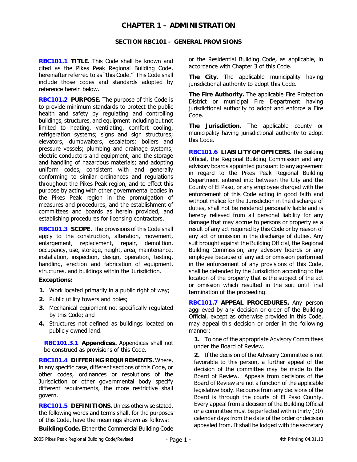# **CHAPTER 1 – ADMINISTRATION**

## **SECTION RBC101 - GENERAL PROVISIONS**

**RBC101.1 TITLE.** This Code shall be known and cited as the Pikes Peak Regional Building Code, hereinafter referred to as "this Code." This Code shall include those codes and standards adopted by reference herein below.

**RBC101.2 PURPOSE.** The purpose of this Code is to provide minimum standards to protect the public health and safety by regulating and controlling buildings, structures, and equipment including but not limited to heating, ventilating, comfort cooling, refrigeration systems; signs and sign structures; elevators, dumbwaiters, escalators; boilers and pressure vessels; plumbing and drainage systems; electric conductors and equipment; and the storage and handling of hazardous materials; and adopting uniform codes, consistent with and generally conforming to similar ordinances and regulations throughout the Pikes Peak region, and to effect this purpose by acting with other governmental bodies in the Pikes Peak region in the promulgation of measures and procedures, and the establishment of committees and boards as herein provided, and establishing procedures for licensing contractors.

**RBC101.3 SCOPE.** The provisions of this Code shall apply to the construction, alteration, movement, enlargement, replacement, repair, demolition, occupancy, use, storage, height, area, maintenance, installation, inspection, design, operation, testing, handling, erection and fabrication of equipment, structures, and buildings within the Jurisdiction.

## **Exceptions:**

- **1.** Work located primarily in a public right of way;
- **2.** Public utility towers and poles;
- **3.** Mechanical equipment not specifically regulated by this Code; and
- **4.** Structures not defined as buildings located on publicly owned land.

**RBC101.3.1 Appendices.** Appendices shall not be construed as provisions of this Code.

**RBC101.4 DIFFERING REQUIREMENTS.** Where, in any specific case, different sections of this Code, or other codes, ordinances or resolutions of the Jurisdiction or other governmental body specify different requirements, the more restrictive shall govern.

**RBC101.5 DEFINITIONS.** Unless otherwise stated, the following words and terms shall, for the purposes of this Code, have the meanings shown as follows:

**Building Code.** Either the Commercial Building Code

or the Residential Building Code, as applicable, in accordance with Chapter 3 of this Code.

**The City.** The applicable municipality having jurisdictional authority to adopt this Code.

**The Fire Authority.** The applicable Fire Protection District or municipal Fire Department having jurisdictional authority to adopt and enforce a Fire Code.

**The Jurisdiction.** The applicable county or municipality having jurisdictional authority to adopt this Code.

**RBC101.6 LIABILITY OF OFFICERS.** The Building Official, the Regional Building Commission and any advisory boards appointed pursuant to any agreement in regard to the Pikes Peak Regional Building Department entered into between the City and the County of El Paso, or any employee charged with the enforcement of this Code acting in good faith and without malice for the Jurisdiction in the discharge of duties, shall not be rendered personally liable and is hereby relieved from all personal liability for any damage that may accrue to persons or property as a result of any act required by this Code or by reason of any act or omission in the discharge of duties. Any suit brought against the Building Official, the Regional Building Commission, any advisory boards or any employee because of any act or omission performed in the enforcement of any provisions of this Code, shall be defended by the Jurisdiction according to the location of the property that is the subject of the act or omission which resulted in the suit until final termination of the proceeding.

**RBC101.7 APPEAL PROCEDURES.** Any person aggrieved by any decision or order of the Building Official, except as otherwise provided in this Code, may appeal this decision or order in the following manner:

**1.** To one of the appropriate Advisory Committees under the Board of Review.

**2.** If the decision of the Advisory Committee is not favorable to this person, a further appeal of the decision of the committee may be made to the Board of Review. Appeals from decisions of the Board of Review are not a function of the applicable legislative body. Recourse from any decisions of the Board is through the courts of El Paso County. Every appeal from a decision of the Building Official or a committee must be perfected within thirty (30) calendar days from the date of the order or decision appealed from. It shall be lodged with the secretary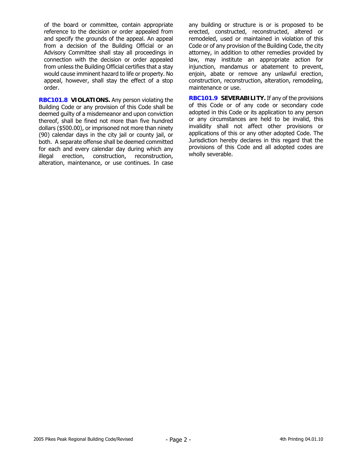of the board or committee, contain appropriate reference to the decision or order appealed from and specify the grounds of the appeal. An appeal from a decision of the Building Official or an Advisory Committee shall stay all proceedings in connection with the decision or order appealed from unless the Building Official certifies that a stay would cause imminent hazard to life or property. No appeal, however, shall stay the effect of a stop order.

**RBC101.8 VIOLATIONS.** Any person violating the Building Code or any provision of this Code shall be deemed guilty of a misdemeanor and upon conviction thereof, shall be fined not more than five hundred dollars (\$500.00), or imprisoned not more than ninety (90) calendar days in the city jail or county jail, or both. A separate offense shall be deemed committed for each and every calendar day during which any illegal erection, construction, reconstruction, alteration, maintenance, or use continues. In case

any building or structure is or is proposed to be erected, constructed, reconstructed, altered or remodeled, used or maintained in violation of this Code or of any provision of the Building Code, the city attorney, in addition to other remedies provided by law, may institute an appropriate action for injunction, mandamus or abatement to prevent, enjoin, abate or remove any unlawful erection, construction, reconstruction, alteration, remodeling, maintenance or use.

**RBC101.9 SEVERABILITY.** If any of the provisions of this Code or of any code or secondary code adopted in this Code or its application to any person or any circumstances are held to be invalid, this invalidity shall not affect other provisions or applications of this or any other adopted Code. The Jurisdiction hereby declares in this regard that the provisions of this Code and all adopted codes are wholly severable.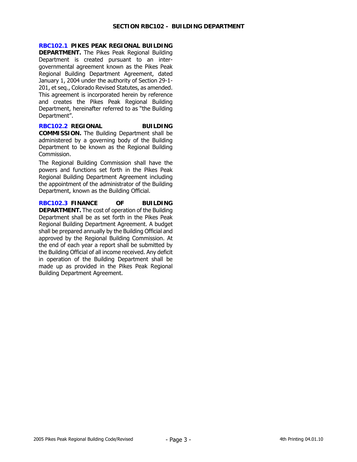# **RBC102.1 PIKES PEAK REGIONAL BUILDING**

**DEPARTMENT.** The Pikes Peak Regional Building Department is created pursuant to an intergovernmental agreement known as the Pikes Peak Regional Building Department Agreement, dated January 1, 2004 under the authority of Section 29-1- 201, et seq., Colorado Revised Statutes, as amended. This agreement is incorporated herein by reference and creates the Pikes Peak Regional Building Department, hereinafter referred to as "the Building Department".

## **RBC102.2 REGIONAL BUILDING COMMISSION.** The Building Department shall be administered by a governing body of the Building Department to be known as the Regional Building Commission.

The Regional Building Commission shall have the powers and functions set forth in the Pikes Peak Regional Building Department Agreement including the appointment of the administrator of the Building Department, known as the Building Official.

**RBC102.3 FINANCE OF BUILDING DEPARTMENT.** The cost of operation of the Building Department shall be as set forth in the Pikes Peak Regional Building Department Agreement. A budget shall be prepared annually by the Building Official and approved by the Regional Building Commission. At the end of each year a report shall be submitted by the Building Official of all income received. Any deficit in operation of the Building Department shall be made up as provided in the Pikes Peak Regional Building Department Agreement.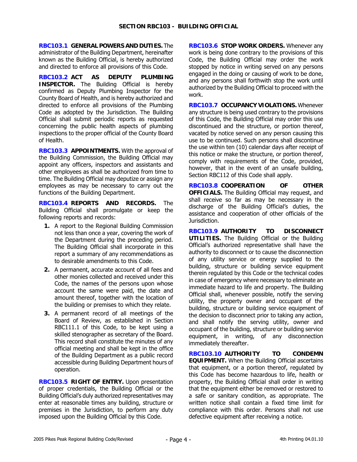**RBC103.1 GENERAL POWERS AND DUTIES.** The administrator of the Building Department, hereinafter known as the Building Official, is hereby authorized and directed to enforce all provisions of this Code.

**RBC103.2 ACT AS DEPUTY PLUMBING INSPECTOR.** The Building Official is hereby confirmed as Deputy Plumbing Inspector for the County Board of Health, and is hereby authorized and directed to enforce all provisions of the Plumbing Code as adopted by the Jurisdiction. The Building Official shall submit periodic reports as requested concerning the public health aspects of plumbing inspections to the proper official of the County Board of Health.

**RBC103.3 APPOINTMENTS.** With the approval of the Building Commission, the Building Official may appoint any officers, inspectors and assistants and other employees as shall be authorized from time to time. The Building Official may deputize or assign any employees as may be necessary to carry out the functions of the Building Department.

**RBC103.4 REPORTS AND RECORDS.** The Building Official shall promulgate or keep the following reports and records:

- **1.** A report to the Regional Building Commission not less than once a year, covering the work of the Department during the preceding period. The Building Official shall incorporate in this report a summary of any recommendations as to desirable amendments to this Code.
- **2.** A permanent, accurate account of all fees and other monies collected and received under this Code, the names of the persons upon whose account the same were paid, the date and amount thereof, together with the location of the building or premises to which they relate.
- **3.** A permanent record of all meetings of the Board of Review, as established in Section RBC111.1 of this Code, to be kept using a skilled stenographer as secretary of the Board. This record shall constitute the minutes of any official meeting and shall be kept in the office of the Building Department as a public record accessible during Building Department hours of operation.

**RBC103.5 RIGHT OF ENTRY.** Upon presentation of proper credentials, the Building Official or the Building Official's duly authorized representatives may enter at reasonable times any building, structure or premises in the Jurisdiction, to perform any duty imposed upon the Building Official by this Code.

**RBC103.6 STOP WORK ORDERS.** Whenever any work is being done contrary to the provisions of this Code, the Building Official may order the work stopped by notice in writing served on any persons engaged in the doing or causing of work to be done, and any persons shall forthwith stop the work until authorized by the Building Official to proceed with the work.

**RBC103.7 OCCUPANCY VIOLATIONS.** Whenever any structure is being used contrary to the provisions of this Code, the Building Official may order this use discontinued and the structure, or portion thereof, vacated by notice served on any person causing this use to be continued. Such persons shall discontinue the use within ten (10) calendar days after receipt of this notice or make the structure, or portion thereof, comply with requirements of the Code, provided, however, that in the event of an unsafe building, Section RBC112 of this Code shall apply.

**RBC103.8 COOPERATION OF OTHER OFFICIALS.** The Building Official may request, and shall receive so far as may be necessary in the discharge of the Building Official's duties, the assistance and cooperation of other officials of the Jurisdiction.

**RBC103.9 AUTHORITY TO DISCONNECT UTILITIES.** The Building Official or the Building Official's authorized representative shall have the authority to disconnect or to cause the disconnection of any utility service or energy supplied to the building, structure or building service equipment therein regulated by this Code or the technical codes in case of emergency where necessary to eliminate an immediate hazard to life and property. The Building Official shall, whenever possible, notify the serving utility, the property owner and occupant of the building, structure or building service equipment of the decision to disconnect prior to taking any action, and shall notify the serving utility, owner and occupant of the building, structure or building service equipment, in writing, of any disconnection immediately thereafter.

**RBC103.10 AUTHORITY TO CONDEMN EQUIPMENT.** When the Building Official ascertains that equipment, or a portion thereof, regulated by this Code has become hazardous to life, health or property, the Building Official shall order in writing that the equipment either be removed or restored to a safe or sanitary condition, as appropriate. The written notice shall contain a fixed time limit for compliance with this order. Persons shall not use defective equipment after receiving a notice.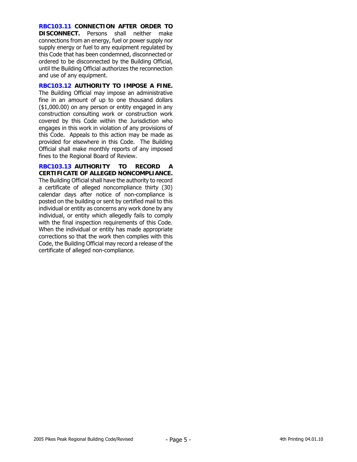**RBC103.11 CONNECTION AFTER ORDER TO DISCONNECT.** Persons shall neither make connections from an energy, fuel or power supply nor supply energy or fuel to any equipment regulated by this Code that has been condemned, disconnected or ordered to be disconnected by the Building Official, until the Building Official authorizes the reconnection and use of any equipment.

**RBC103.12 AUTHORITY TO IMPOSE A FINE.**  The Building Official may impose an administrative fine in an amount of up to one thousand dollars (\$1,000.00) on any person or entity engaged in any construction consulting work or construction work covered by this Code within the Jurisdiction who engages in this work in violation of any provisions of this Code. Appeals to this action may be made as provided for elsewhere in this Code. The Building Official shall make monthly reports of any imposed fines to the Regional Board of Review.

**RBC103.13 AUTHORITY TO RECORD A CERTIFICATE OF ALLEGED NONCOMPLIANCE.**  The Building Official shall have the authority to record a certificate of alleged noncompliance thirty (30) calendar days after notice of non-compliance is posted on the building or sent by certified mail to this individual or entity as concerns any work done by any individual, or entity which allegedly fails to comply with the final inspection requirements of this Code. When the individual or entity has made appropriate corrections so that the work then complies with this Code, the Building Official may record a release of the certificate of alleged non-compliance.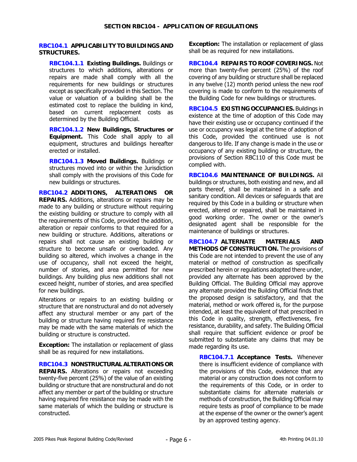## **RBC104.1 APPLICABILITY TO BUILDINGS AND STRUCTURES.**

**RBC104.1.1 Existing Buildings.** Buildings or structures to which additions, alterations or repairs are made shall comply with all the requirements for new buildings or structures except as specifically provided in this Section. The value or valuation of a building shall be the estimated cost to replace the building in kind, based on current replacement costs as determined by the Building Official.

**RBC104.1.2 New Buildings, Structures or Equipment.** This Code shall apply to all equipment, structures and buildings hereafter erected or installed.

**RBC104.1.3 Moved Buildings.** Buildings or structures moved into or within the Jurisdiction shall comply with the provisions of this Code for new buildings or structures.

**RBC104.2 ADDITIONS, ALTERATIONS OR REPAIRS.** Additions, alterations or repairs may be made to any building or structure without requiring the existing building or structure to comply with all the requirements of this Code, provided the addition, alteration or repair conforms to that required for a new building or structure. Additions, alterations or repairs shall not cause an existing building or structure to become unsafe or overloaded. Any building so altered, which involves a change in the use of occupancy, shall not exceed the height, number of stories, and area permitted for new buildings. Any building plus new additions shall not exceed height, number of stories, and area specified for new buildings.

Alterations or repairs to an existing building or structure that are nonstructural and do not adversely affect any structural member or any part of the building or structure having required fire resistance may be made with the same materials of which the building or structure is constructed.

**Exception:** The installation or replacement of glass shall be as required for new installations.

**RBC104.3 NONSTRUCTURAL ALTERATIONS OR REPAIRS.** Alterations or repairs not exceeding twenty-five percent (25%) of the value of an existing building or structure that are nonstructural and do not affect any member or part of the building or structure having required fire resistance may be made with the same materials of which the building or structure is constructed.

**Exception:** The installation or replacement of glass shall be as required for new installations.

**RBC104.4 REPAIRS TO ROOF COVERINGS.** Not more than twenty-five percent (25%) of the roof covering of any building or structure shall be replaced in any twelve (12) month period unless the new roof covering is made to conform to the requirements of the Building Code for new buildings or structures.

**RBC104.5 EXISTING OCCUPANCIES.** Buildings in existence at the time of adoption of this Code may have their existing use or occupancy continued if the use or occupancy was legal at the time of adoption of this Code, provided the continued use is not dangerous to life. If any change is made in the use or occupancy of any existing building or structure, the provisions of Section RBC110 of this Code must be complied with.

**RBC104.6 MAINTENANCE OF BUILDINGS.** All buildings or structures, both existing and new, and all parts thereof, shall be maintained in a safe and sanitary condition. All devices or safeguards that are required by this Code in a building or structure when erected, altered or repaired, shall be maintained in good working order. The owner or the owner's designated agent shall be responsible for the maintenance of buildings or structures.

**RBC104.7 ALTERNATE MATERIALS AND METHODS OF CONSTRUCTION.** The provisions of this Code are not intended to prevent the use of any material or method of construction as specifically prescribed herein or regulations adopted there under, provided any alternate has been approved by the Building Official. The Building Official may approve any alternate provided the Building Official finds that the proposed design is satisfactory, and that the material, method or work offered is, for the purpose intended, at least the equivalent of that prescribed in this Code in quality, strength, effectiveness, fire resistance, durability, and safety. The Building Official shall require that sufficient evidence or proof be submitted to substantiate any claims that may be made regarding its use.

**RBC104.7.1 Acceptance Tests.** Whenever there is insufficient evidence of compliance with the provisions of this Code, evidence that any material or any construction does not conform to the requirements of this Code, or in order to substantiate claims for alternate materials or methods of construction, the Building Official may require tests as proof of compliance to be made at the expense of the owner or the owner's agent by an approved testing agency.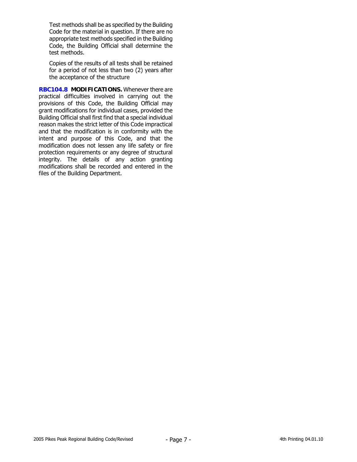Test methods shall be as specified by the Building Code for the material in question. If there are no appropriate test methods specified in the Building Code, the Building Official shall determine the test methods.

Copies of the results of all tests shall be retained for a period of not less than two (2) years after the acceptance of the structure

**RBC104.8 MODIFICATIONS.** Whenever there are practical difficulties involved in carrying out the provisions of this Code, the Building Official may grant modifications for individual cases, provided the Building Official shall first find that a special individual reason makes the strict letter of this Code impractical and that the modification is in conformity with the intent and purpose of this Code, and that the modification does not lessen any life safety or fire protection requirements or any degree of structural integrity. The details of any action granting modifications shall be recorded and entered in the files of the Building Department.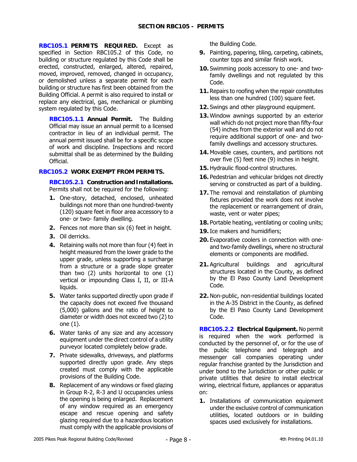**RBC105.1 PERMITS REQUIRED.** Except as specified in Section RBC105.2 of this Code, no building or structure regulated by this Code shall be erected, constructed, enlarged, altered, repaired, moved, improved, removed, changed in occupancy, or demolished unless a separate permit for each building or structure has first been obtained from the Building Official. A permit is also required to install or replace any electrical, gas, mechanical or plumbing system regulated by this Code.

**RBC105.1.1 Annual Permit.** The Building Official may issue an annual permit to a licensed contractor in lieu of an individual permit. The annual permit issued shall be for a specific scope of work and discipline. Inspections and record submittal shall be as determined by the Building Official.

## **RBC105.2 WORK EXEMPT FROM PERMITS.**

**RBC105.2.1 Construction and Installations.** Permits shall not be required for the following:

- **1.** One-story, detached, enclosed, unheated buildings not more than one hundred-twenty (120) square feet in floor area accessory to a one- or two- family dwelling.
- **2.** Fences not more than six (6) feet in height.
- **3.** Oil derricks.
- **4.** Retaining walls not more than four (4) feet in height measured from the lower grade to the upper grade, unless supporting a surcharge from a structure or a grade slope greater than two (2) units horizontal to one (1) vertical or impounding Class I, II, or III-A liquids.
- **5.** Water tanks supported directly upon grade if the capacity does not exceed five thousand (5,000) gallons and the ratio of height to diameter or width does not exceed two (2) to one (1).
- **6.** Water tanks of any size and any accessory equipment under the direct control of a utility purveyor located completely below grade.
- **7.** Private sidewalks, driveways, and platforms supported directly upon grade. Any steps created must comply with the applicable provisions of the Building Code.
- **8.** Replacement of any windows or fixed glazing in Group R-2, R-3 and U occupancies unless the opening is being enlarged. Replacement of any window required as an emergency escape and rescue opening and safety glazing required due to a hazardous location must comply with the applicable provisions of

the Building Code.

- **9.** Painting, papering, tiling, carpeting, cabinets, counter tops and similar finish work.
- **10.** Swimming pools accessory to one- and twofamily dwellings and not regulated by this Code.
- **11.** Repairs to roofing when the repair constitutes less than one hundred (100) square feet.
- **12.** Swings and other playground equipment.
- **13.** Window awnings supported by an exterior wall which do not project more than fifty-four (54) inches from the exterior wall and do not require additional support of one- and twofamily dwellings and accessory structures.
- **14.** Movable cases, counters, and partitions not over five (5) feet nine (9) inches in height.
- **15.** Hydraulic flood-control structures.
- **16.** Pedestrian and vehicular bridges not directly serving or constructed as part of a building.
- **17.** The removal and reinstallation of plumbing fixtures provided the work does not involve the replacement or rearrangement of drain, waste, vent or water pipes;
- **18.** Portable heating, ventilating or cooling units;
- **19.** Ice makers and humidifiers;
- **20.** Evaporative coolers in connection with oneand two-family dwellings, where no structural elements or components are modified.
- **21.** Agricultural buildings and agricultural structures located in the County, as defined by the El Paso County Land Development Code.
- **22.** Non-public, non-residential buildings located in the A-35 District in the County, as defined by the El Paso County Land Development Code.

**RBC105.2.2 Electrical Equipment.** No permit is required when the work performed is conducted by the personnel of, or for the use of the public telephone and telegraph and messenger call companies operating under regular franchise granted by the Jurisdiction and under bond to the Jurisdiction or other public or private utilities that desire to install electrical wiring, electrical fixture, appliances or apparatus on:

**1.** Installations of communication equipment under the exclusive control of communication utilities, located outdoors or in building spaces used exclusively for installations.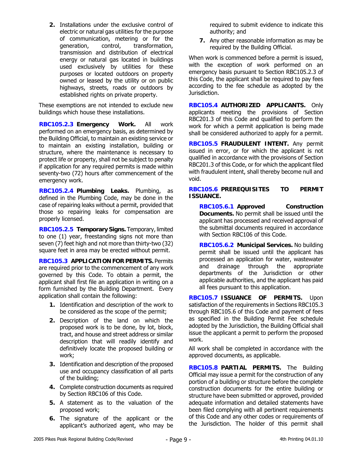**2.** Installations under the exclusive control of electric or natural gas utilities for the purpose of communication, metering or for the generation, control, transformation, transmission and distribution of electrical energy or natural gas located in buildings used exclusively by utilities for these purposes or located outdoors on property owned or leased by the utility or on public highways, streets, roads or outdoors by established rights on private property.

These exemptions are not intended to exclude new buildings which house these installations.

**RBC105.2.3 Emergency Work.** All work performed on an emergency basis, as determined by the Building Official, to maintain an existing service or to maintain an existing installation, building or structure, where the maintenance is necessary to protect life or property, shall not be subject to penalty if application for any required permits is made within seventy-two (72) hours after commencement of the emergency work.

**RBC105.2.4 Plumbing Leaks.** Plumbing, as defined in the Plumbing Code, may be done in the case of repairing leaks without a permit, provided that those so repairing leaks for compensation are properly licensed.

**RBC105.2.5 Temporary Signs.** Temporary, limited to one (1) year, freestanding signs not more than seven (7) feet high and not more than thirty-two (32) square feet in area may be erected without permit.

**RBC105.3 APPLICATION FOR PERMITS.** Permits are required prior to the commencement of any work governed by this Code. To obtain a permit, the applicant shall first file an application in writing on a form furnished by the Building Department. Every application shall contain the following:

- **1.** Identification and description of the work to be considered as the scope of the permit;
- **2.** Description of the land on which the proposed work is to be done, by lot, block, tract, and house and street address or similar description that will readily identify and definitively locate the proposed building or work;
- **3.** Identification and description of the proposed use and occupancy classification of all parts of the building;
- **4.** Complete construction documents as required by Section RBC106 of this Code.
- **5.** A statement as to the valuation of the proposed work;
- **6.** The signature of the applicant or the applicant's authorized agent, who may be

required to submit evidence to indicate this authority; and

**7.** Any other reasonable information as may be required by the Building Official.

When work is commenced before a permit is issued, with the exception of work performed on an emergency basis pursuant to Section RBC105.2.3 of this Code, the applicant shall be required to pay fees according to the fee schedule as adopted by the Jurisdiction.

**RBC105.4 AUTHORIZED APPLICANTS.** Only applicants meeting the provisions of Section RBC201.3 of this Code and qualified to perform the work for which a permit application is being made shall be considered authorized to apply for a permit.

**RBC105.5 FRAUDULENT INTENT.** Any permit issued in error, or for which the applicant is not qualified in accordance with the provisions of Section RBC201.3 of this Code, or for which the applicant filed with fraudulent intent, shall thereby become null and void.

# **RBC105.6 PREREQUISITES TO PERMIT ISSUANCE.**

**RBC105.6.1 Approved Construction Documents.** No permit shall be issued until the applicant has processed and received approval of the submittal documents required in accordance with Section RBC106 of this Code.

**RBC105.6.2 Municipal Services.** No building permit shall be issued until the applicant has processed an application for water, wastewater and drainage through the appropriate departments of the Jurisdiction or other applicable authorities, and the applicant has paid all fees pursuant to this application.

**RBC105.7 ISSUANCE OF PERMITS.** Upon satisfaction of the requirements in Sections RBC105.3 through RBC105.6 of this Code and payment of fees as specified in the Building Permit Fee schedule adopted by the Jurisdiction, the Building Official shall issue the applicant a permit to perform the proposed work.

All work shall be completed in accordance with the approved documents, as applicable.

**RBC105.8 PARTIAL PERMITS.** The Building Official may issue a permit for the construction of any portion of a building or structure before the complete construction documents for the entire building or structure have been submitted or approved, provided adequate information and detailed statements have been filed complying with all pertinent requirements of this Code and any other codes or requirements of the Jurisdiction. The holder of this permit shall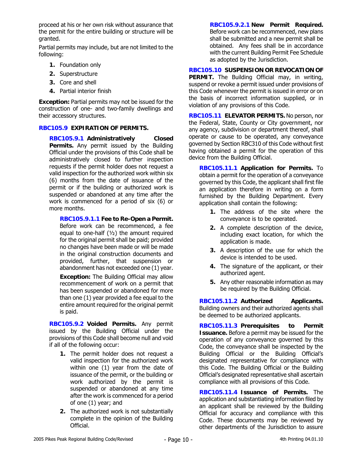proceed at his or her own risk without assurance that the permit for the entire building or structure will be granted.

Partial permits may include, but are not limited to the following:

- **1.** Foundation only
- **2.** Superstructure
- **3.** Core and shell
- **4.** Partial interior finish

**Exception:** Partial permits may not be issued for the construction of one- and two-family dwellings and their accessory structures.

# **RBC105.9 EXPIRATION OF PERMITS.**

**RBC105.9.1 Administratively Closed Permits.** Any permit issued by the Building Official under the provisions of this Code shall be administratively closed to further inspection requests if the permit holder does not request a valid inspection for the authorized work within six (6) months from the date of issuance of the permit or if the building or authorized work is suspended or abandoned at any time after the work is commenced for a period of six (6) or more months.

**RBC105.9.1.1 Fee to Re-Open a Permit.** Before work can be recommenced, a fee equal to one-half  $(1/2)$  the amount required for the original permit shall be paid; provided no changes have been made or will be made in the original construction documents and provided, further, that suspension or abandonment has not exceeded one (1) year.

**Exception:** The Building Official may allow recommencement of work on a permit that has been suspended or abandoned for more than one (1) year provided a fee equal to the entire amount required for the original permit is paid.

**RBC105.9.2 Voided Permits.** Any permit issued by the Building Official under the provisions of this Code shall become null and void if all of the following occur:

- **1.** The permit holder does not request a valid inspection for the authorized work within one (1) year from the date of issuance of the permit, or the building or work authorized by the permit is suspended or abandoned at any time after the work is commenced for a period of one (1) year; and
- **2.** The authorized work is not substantially complete in the opinion of the Building Official.

**RBC105.9.2.1 New Permit Required.** Before work can be recommenced, new plans shall be submitted and a new permit shall be obtained. Any fees shall be in accordance with the current Building Permit Fee Schedule as adopted by the Jurisdiction.

**RBC105.10 SUSPENSION OR REVOCATION OF PERMIT.** The Building Official may, in writing, suspend or revoke a permit issued under provisions of this Code whenever the permit is issued in error or on the basis of incorrect information supplied, or in violation of any provisions of this Code.

**RBC105.11 ELEVATOR PERMITS.** No person, nor the Federal, State, County or City government, nor any agency, subdivision or department thereof, shall operate or cause to be operated, any conveyance governed by Section RBC310 of this Code without first having obtained a permit for the operation of this device from the Building Official.

**RBC105.11.1 Application for Permits.** To obtain a permit for the operation of a conveyance governed by this Code, the applicant shall first file an application therefore in writing on a form furnished by the Building Department. Every application shall contain the following:

- **1.** The address of the site where the conveyance is to be operated.
- **2.** A complete description of the device, including exact location, for which the application is made.
- **3.** A description of the use for which the device is intended to be used.
- **4.** The signature of the applicant, or their authorized agent.
- **5.** Any other reasonable information as may be required by the Building Official.

**RBC105.11.2 Authorized Applicants.** Building owners and their authorized agents shall be deemed to be authorized applicants.

**RBC105.11.3 Prerequisites to Permit Issuance.** Before a permit may be issued for the operation of any conveyance governed by this Code, the conveyance shall be inspected by the Building Official or the Building Official's designated representative for compliance with this Code. The Building Official or the Building Official's designated representative shall ascertain compliance with all provisions of this Code.

**RBC105.11.4 Issuance of Permits.** The application and substantiating information filed by an applicant shall be reviewed by the Building Official for accuracy and compliance with this Code. These documents may be reviewed by other departments of the Jurisdiction to assure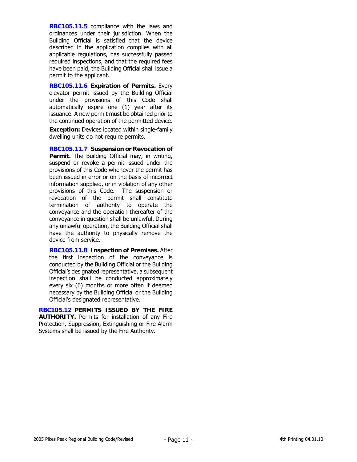**RBC105.11.5** compliance with the laws and ordinances under their jurisdiction. When the Building Official is satisfied that the device described in the application complies with all applicable regulations, has successfully passed required inspections, and that the required fees have been paid, the Building Official shall issue a permit to the applicant.

**RBC105.11.6 Expiration of Permits.** Every elevator permit issued by the Building Official under the provisions of this Code shall automatically expire one (1) year after its issuance. A new permit must be obtained prior to the continued operation of the permitted device.

**Exception:** Devices located within single-family dwelling units do not require permits.

**RBC105.11.7 Suspension or Revocation of Permit.** The Building Official may, in writing, suspend or revoke a permit issued under the provisions of this Code whenever the permit has been issued in error or on the basis of incorrect information supplied, or in violation of any other provisions of this Code. The suspension or revocation of the permit shall constitute termination of authority to operate the conveyance and the operation thereafter of the conveyance in question shall be unlawful. During any unlawful operation, the Building Official shall have the authority to physically remove the device from service.

**RBC105.11.8 Inspection of Premises.** After the first inspection of the conveyance is conducted by the Building Official or the Building Official's designated representative, a subsequent inspection shall be conducted approximately every six (6) months or more often if deemed necessary by the Building Official or the Building Official's designated representative.

**RBC105.12 PERMITS ISSUED BY THE FIRE AUTHORITY.** Permits for installation of any Fire Protection, Suppression, Extinguishing or Fire Alarm Systems shall be issued by the Fire Authority.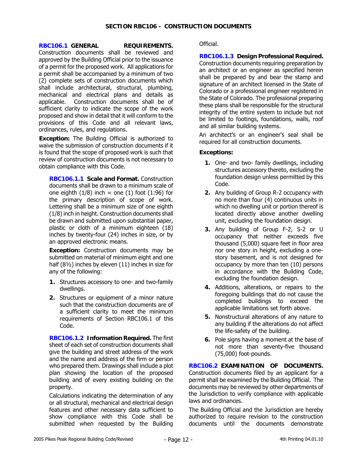## **RBC106.1 GENERAL REQUIREMENTS.**

Construction documents shall be reviewed and approved by the Building Official prior to the issuance of a permit for the proposed work. All applications for a permit shall be accompanied by a minimum of two (2) complete sets of construction documents which shall include architectural, structural, plumbing, mechanical and electrical plans and details as applicable. Construction documents shall be of sufficient clarity to indicate the scope of the work proposed and show in detail that it will conform to the provisions of this Code and all relevant laws, ordinances, rules, and regulations.

**Exception:** The Building Official is authorized to waive the submission of construction documents if it is found that the scope of proposed work is such that review of construction documents is not necessary to obtain compliance with this Code.

**RBC106.1.1 Scale and Format.** Construction documents shall be drawn to a minimum scale of one eighth  $(1/8)$  inch = one  $(1)$  foot  $(1:96)$  for the primary description of scope of work. Lettering shall be a minimum size of one eighth (1/8) inch in height. Construction documents shall be drawn and submitted upon substantial paper, plastic or cloth of a minimum eighteen (18) inches by twenty-four (24) inches in size, or by an approved electronic means.

**Exception:** Construction documents may be submitted on material of minimum eight and one half (8½) inches by eleven (11) inches in size for any of the following:

- **1.** Structures accessory to one- and two-family dwellings.
- **2.** Structures or equipment of a minor nature such that the construction documents are of a sufficient clarity to meet the minimum requirements of Section RBC106.1 of this Code.

**RBC106.1.2 Information Required.** The first sheet of each set of construction documents shall give the building and street address of the work and the name and address of the firm or person who prepared them. Drawings shall include a plot plan showing the location of the proposed building and of every existing building on the property.

Calculations indicating the determination of any or all structural, mechanical and electrical design features and other necessary data sufficient to show compliance with this Code shall be submitted when requested by the Building Official.

**RBC106.1.3 Design Professional Required.** Construction documents requiring preparation by an architect or an engineer as specified herein shall be prepared by and bear the stamp and signature of an architect licensed in the State of Colorado or a professional engineer registered in the State of Colorado. The professional preparing these plans shall be responsible for the structural integrity of the entire system to include but not be limited to footings, foundations, walls, roof and all similar building systems.

An architect's or an engineer's seal shall be required for all construction documents.

## **Exceptions:**

- **1.** One- and two- family dwellings, including structures accessory thereto, excluding the foundation design unless permitted by this Code.
- **2.** Any building of Group R-2 occupancy with no more than four (4) continuous units in which no dwelling unit or portion thereof is located directly above another dwelling unit, excluding the foundation design.
- **3.** Any building of Group F-2, S-2 or U occupancy that neither exceeds five thousand (5,000) square feet in floor area nor one story in height, excluding a onestory basement, and is not designed for occupancy by more than ten (10) persons in accordance with the Building Code, excluding the foundation design.
- **4.** Additions, alterations, or repairs to the foregoing buildings that do not cause the completed buildings to exceed the applicable limitations set forth above.
- **5.** Nonstructural alterations of any nature to any building if the alterations do not affect the life-safety of the building.
- **6.** Pole signs having a moment at the base of not more than seventy-five thousand (75,000) foot-pounds.

**RBC106.2 EXAMINATION OF DOCUMENTS.** Construction documents filed by an applicant for a permit shall be examined by the Building Official. The documents may be reviewed by other departments of the Jurisdiction to verify compliance with applicable laws and ordinances.

The Building Official and the Jurisdiction are hereby authorized to require revision to the construction documents until the documents demonstrate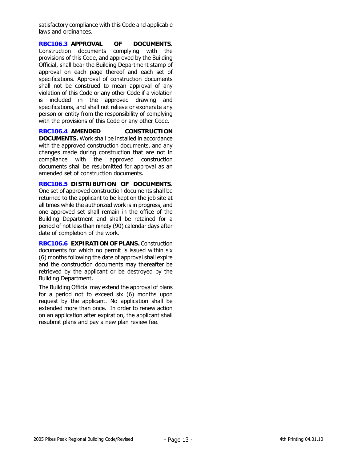satisfactory compliance with this Code and applicable laws and ordinances.

**RBC106.3 APPROVAL OF DOCUMENTS.** Construction documents complying with the provisions of this Code, and approved by the Building Official, shall bear the Building Department stamp of approval on each page thereof and each set of specifications. Approval of construction documents shall not be construed to mean approval of any violation of this Code or any other Code if a violation is included in the approved drawing and specifications, and shall not relieve or exonerate any person or entity from the responsibility of complying with the provisions of this Code or any other Code.

**RBC106.4 AMENDED CONSTRUCTION DOCUMENTS.** Work shall be installed in accordance with the approved construction documents, and any changes made during construction that are not in compliance with the approved construction documents shall be resubmitted for approval as an amended set of construction documents.

**RBC106.5 DISTRIBUTION OF DOCUMENTS.** One set of approved construction documents shall be returned to the applicant to be kept on the job site at all times while the authorized work is in progress, and one approved set shall remain in the office of the Building Department and shall be retained for a period of not less than ninety (90) calendar days after date of completion of the work.

**RBC106.6 EXPIRATION OF PLANS.** Construction documents for which no permit is issued within six (6) months following the date of approval shall expire and the construction documents may thereafter be retrieved by the applicant or be destroyed by the Building Department.

The Building Official may extend the approval of plans for a period not to exceed six (6) months upon request by the applicant. No application shall be extended more than once. In order to renew action on an application after expiration, the applicant shall resubmit plans and pay a new plan review fee.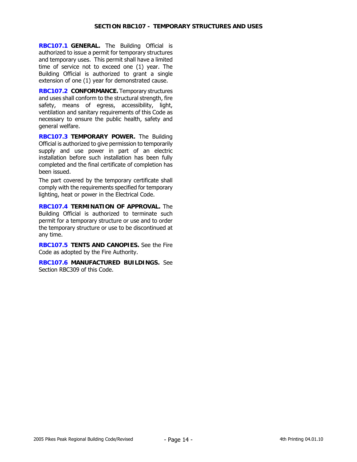**RBC107.1 GENERAL.** The Building Official is authorized to issue a permit for temporary structures and temporary uses. This permit shall have a limited time of service not to exceed one (1) year. The Building Official is authorized to grant a single extension of one (1) year for demonstrated cause.

**RBC107.2 CONFORMANCE.** Temporary structures and uses shall conform to the structural strength, fire safety, means of egress, accessibility, light, ventilation and sanitary requirements of this Code as necessary to ensure the public health, safety and general welfare.

**RBC107.3 TEMPORARY POWER.** The Building Official is authorized to give permission to temporarily supply and use power in part of an electric installation before such installation has been fully completed and the final certificate of completion has been issued.

The part covered by the temporary certificate shall comply with the requirements specified for temporary lighting, heat or power in the Electrical Code.

**RBC107.4 TERMINATION OF APPROVAL.** The Building Official is authorized to terminate such permit for a temporary structure or use and to order the temporary structure or use to be discontinued at any time.

**RBC107.5 TENTS AND CANOPIES.** See the Fire Code as adopted by the Fire Authority.

**RBC107.6 MANUFACTURED BUILDINGS.** See Section RBC309 of this Code.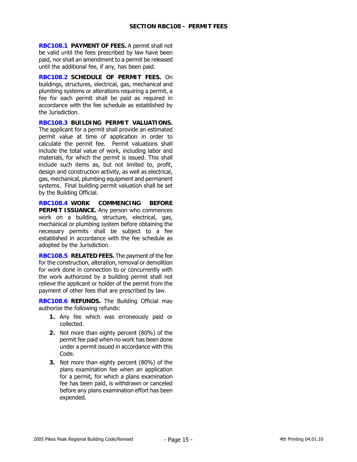**RBC108.1 PAYMENT OF FEES.** A permit shall not be valid until the fees prescribed by law have been paid, nor shall an amendment to a permit be released until the additional fee, if any, has been paid.

**RBC108.2 SCHEDULE OF PERMIT FEES.** On buildings, structures, electrical, gas, mechanical and plumbing systems or alterations requiring a permit, a fee for each permit shall be paid as required in accordance with the fee schedule as established by the Jurisdiction.

**RBC108.3 BUILDING PERMIT VALUATIONS.**  The applicant for a permit shall provide an estimated permit value at time of application in order to calculate the permit fee. Permit valuations shall include the total value of work, including labor and materials, for which the permit is issued. This shall include such items as, but not limited to, profit, design and construction activity, as well as electrical, gas, mechanical, plumbing equipment and permanent systems. Final building permit valuation shall be set by the Building Official.

**RBC108.4 WORK COMMENCING BEFORE PERMIT ISSUANCE.** Any person who commences work on a building, structure, electrical, gas, mechanical or plumbing system before obtaining the necessary permits shall be subject to a fee established in accordance with the fee schedule as adopted by the Jurisdiction.

**RBC108.5 RELATED FEES.** The payment of the fee for the construction, alteration, removal or demolition for work done in connection to or concurrently with the work authorized by a building permit shall not relieve the applicant or holder of the permit from the payment of other fees that are prescribed by law.

**RBC108.6 REFUNDS.** The Building Official may authorize the following refunds:

- **1.** Any fee which was erroneously paid or collected.
- **2.** Not more than eighty percent (80%) of the permit fee paid when no work has been done under a permit issued in accordance with this Code.
- **3.** Not more than eighty percent (80%) of the plans examination fee when an application for a permit, for which a plans examination fee has been paid, is withdrawn or canceled before any plans examination effort has been expended.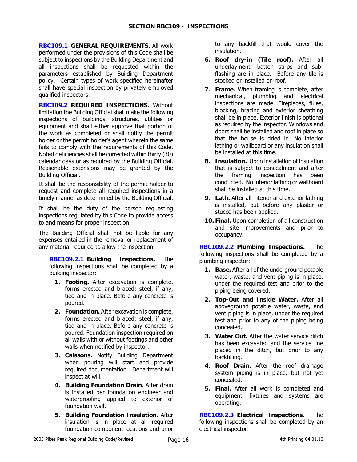**RBC109.1 GENERAL REQUIREMENTS.** All work performed under the provisions of this Code shall be subject to inspections by the Building Department and all inspections shall be requested within the parameters established by Building Department policy. Certain types of work specified hereinafter shall have special inspection by privately employed qualified inspectors.

**RBC109.2 REQUIRED INSPECTIONS.** Without limitation the Building Official shall make the following inspections of buildings, structures, utilities or equipment and shall either approve that portion of the work as completed or shall notify the permit holder or the permit holder's agent wherein the same fails to comply with the requirements of this Code. Noted deficiencies shall be corrected within thirty (30) calendar days or as required by the Building Official. Reasonable extensions may be granted by the Building Official.

It shall be the responsibility of the permit holder to request and complete all required inspections in a timely manner as determined by the Building Official.

It shall be the duty of the person requesting inspections regulated by this Code to provide access to and means for proper inspection.

The Building Official shall not be liable for any expenses entailed in the removal or replacement of any material required to allow the inspection.

**RBC109.2.1 Building Inspections.** The following inspections shall be completed by a building inspector:

- **1. Footing.** After excavation is complete, forms erected and braced; steel, if any, tied and in place. Before any concrete is poured.
- **2. Foundation.** After excavation is complete, forms erected and braced; steel, if any, tied and in place. Before any concrete is poured. Foundation inspection required on all walls with or without footings and other walls when notified by inspector.
- **3. Caissons.** Notify Building Department when pouring will start and provide required documentation. Department will inspect at will.
- **4. Building Foundation Drain.** After drain is installed per foundation engineer and waterproofing applied to exterior of foundation wall.
- **5. Building Foundation Insulation.** After insulation is in place at all required foundation component locations and prior

to any backfill that would cover the insulation.

- **6. Roof dry-in (Tile roof).** After all underlayment, batten strips and subflashing are in place. Before any tile is stocked or installed on roof.
- **7. Frame.** When framing is complete, after mechanical, plumbing and electrical inspections are made. Fireplaces, flues, blocking, bracing and exterior sheathing shall be in place. Exterior finish is optional as required by the inspector. Windows and doors shall be installed and roof in place so that the house is dried in. No interior lathing or wallboard or any insulation shall be installed at this time.
- **8. Insulation.** Upon installation of insulation that is subject to concealment and after the framing inspection has been conducted. No interior lathing or wallboard shall be installed at this time.
- **9. Lath.** After all interior and exterior lathing is installed, but before any plaster or stucco has been applied.
- **10. Final.** Upon completion of all construction and site improvements and prior to occupancy.

**RBC109.2.2 Plumbing Inspections.** The following inspections shall be completed by a plumbing inspector:

- **1. Base.** After all of the underground potable water, waste, and vent piping is in place, under the required test and prior to the piping being covered.
- **2. Top-Out and Inside Water.** After all aboveground potable water, waste, and vent piping is in place, under the required test and prior to any of the piping being concealed.
- **3. Water Out.** After the water service ditch has been excavated and the service line placed in the ditch, but prior to any backfilling.
- **4. Roof Drain.** After the roof drainage system piping is in place, but not yet concealed.
- **5. Final.** After all work is completed and equipment, fixtures and systems are operating.

**RBC109.2.3 Electrical Inspections.** The following inspections shall be completed by an electrical inspector: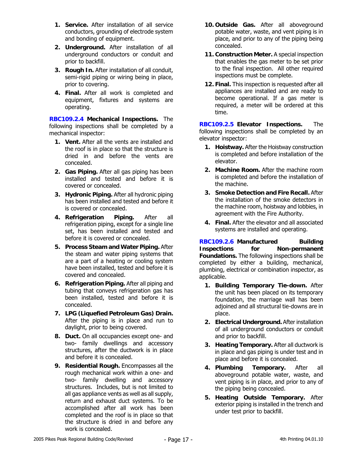- **1. Service.** After installation of all service conductors, grounding of electrode system and bonding of equipment.
- **2. Underground.** After installation of all underground conductors or conduit and prior to backfill.
- **3. Rough In.** After installation of all conduit, semi-rigid piping or wiring being in place, prior to covering.
- **4. Final.** After all work is completed and equipment, fixtures and systems are operating.

**RBC109.2.4 Mechanical Inspections.** The following inspections shall be completed by a mechanical inspector:

- **1. Vent.** After all the vents are installed and the roof is in place so that the structure is dried in and before the vents are concealed.
- **2. Gas Piping.** After all gas piping has been installed and tested and before it is covered or concealed.
- **3. Hydronic Piping.** After all hydronic piping has been installed and tested and before it is covered or concealed.
- **4. Refrigeration Piping.** After all refrigeration piping, except for a single line set, has been installed and tested and before it is covered or concealed.
- **5. Process Steam and Water Piping.** After the steam and water piping systems that are a part of a heating or cooling system have been installed, tested and before it is covered and concealed.
- **6. Refrigeration Piping.** After all piping and tubing that conveys refrigeration gas has been installed, tested and before it is concealed.
- **7. LPG (Liquefied Petroleum Gas) Drain.** After the piping is in place and run to daylight, prior to being covered.
- **8. Duct.** On all occupancies except one- and two- family dwellings and accessory structures, after the ductwork is in place and before it is concealed.
- **9. Residential Rough.** Encompasses all the rough mechanical work within a one- and two- family dwelling and accessory structures. Includes, but is not limited to all gas appliance vents as well as all supply, return and exhaust duct systems. To be accomplished after all work has been completed and the roof is in place so that the structure is dried in and before any work is concealed.
- **10. Outside Gas.** After all aboveground potable water, waste, and vent piping is in place, and prior to any of the piping being concealed.
- **11. Construction Meter.** A special inspection that enables the gas meter to be set prior to the final inspection. All other required inspections must be complete.
- **12. Final.** This inspection is requested after all appliances are installed and are ready to become operational. If a gas meter is required, a meter will be ordered at this time.

**RBC109.2.5 Elevator Inspections.** The following inspections shall be completed by an elevator inspector:

- **1. Hoistway.** After the Hoistway construction is completed and before installation of the elevator.
- **2. Machine Room.** After the machine room is completed and before the installation of the machine.
- **3. Smoke Detection and Fire Recall.** After the installation of the smoke detectors in the machine room, hoistway and lobbies, in agreement with the Fire Authority.
- **4. Final.** After the elevator and all associated systems are installed and operating.

**RBC109.2.6 Manufactured Building Inspections for Non-permanent Foundations.** The following inspections shall be completed by either a building, mechanical, plumbing, electrical or combination inspector, as applicable.

- **1. Building Temporary Tie-down.** After the unit has been placed on its temporary foundation, the marriage wall has been adjoined and all structural tie-downs are in place.
- **2. Electrical Underground.** After installation of all underground conductors or conduit and prior to backfill.
- **3. Heating Temporary.** After all ductwork is in place and gas piping is under test and in place and before it is concealed.
- **4. Plumbing Temporary.** After all aboveground potable water, waste, and vent piping is in place, and prior to any of the piping being concealed.
- **5. Heating Outside Temporary.** After exterior piping is installed in the trench and under test prior to backfill.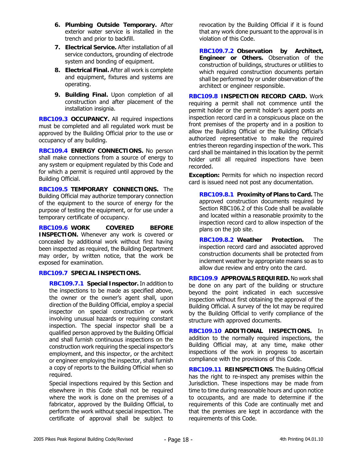- **6. Plumbing Outside Temporary.** After exterior water service is installed in the trench and prior to backfill.
- **7. Electrical Service.** After installation of all service conductors, grounding of electrode system and bonding of equipment.
- **8. Electrical Final.** After all work is complete and equipment, fixtures and systems are operating.
- **9. Building Final.** Upon completion of all construction and after placement of the installation insignia.

**RBC109.3 OCCUPANCY.** All required inspections must be completed and all regulated work must be approved by the Building Official prior to the use or occupancy of any building.

**RBC109.4 ENERGY CONNECTIONS.** No person shall make connections from a source of energy to any system or equipment regulated by this Code and for which a permit is required until approved by the Building Official.

**RBC109.5 TEMPORARY CONNECTIONS.** The Building Official may authorize temporary connection of the equipment to the source of energy for the purpose of testing the equipment, or for use under a temporary certificate of occupancy.

**RBC109.6 WORK COVERED BEFORE INSPECTION.** Whenever any work is covered or concealed by additional work without first having been inspected as required, the Building Department may order, by written notice, that the work be exposed for examination.

# **RBC109.7 SPECIAL INSPECTIONS.**

**RBC109.7.1 Special Inspector.** In addition to the inspections to be made as specified above, the owner or the owner's agent shall, upon direction of the Building Official, employ a special inspector on special construction or work involving unusual hazards or requiring constant inspection. The special inspector shall be a qualified person approved by the Building Official and shall furnish continuous inspections on the construction work requiring the special inspector's employment, and this inspector, or the architect or engineer employing the inspector, shall furnish a copy of reports to the Building Official when so required.

Special inspections required by this Section and elsewhere in this Code shall not be required where the work is done on the premises of a fabricator, approved by the Building Official, to perform the work without special inspection. The certificate of approval shall be subject to revocation by the Building Official if it is found that any work done pursuant to the approval is in violation of this Code.

**RBC109.7.2 Observation by Architect, Engineer or Others.** Observation of the construction of buildings, structures or utilities to which required construction documents pertain shall be performed by or under observation of the architect or engineer responsible.

**RBC109.8 INSPECTION RECORD CARD.** Work requiring a permit shall not commence until the permit holder or the permit holder's agent posts an inspection record card in a conspicuous place on the front premises of the property and in a position to allow the Building Official or the Building Official's authorized representative to make the required entries thereon regarding inspection of the work. This card shall be maintained in this location by the permit holder until all required inspections have been recorded.

**Exception:** Permits for which no inspection record card is issued need not post any documentation.

**RBC109.8.1 Proximity of Plans to Card.** The approved construction documents required by Section RBC106.2 of this Code shall be available and located within a reasonable proximity to the inspection record card to allow inspection of the plans on the job site.

**RBC109.8.2 Weather Protection.** The inspection record card and associated approved construction documents shall be protected from inclement weather by appropriate means so as to allow due review and entry onto the card.

**RBC109.9 APPROVALS REQUIRED.** No work shall be done on any part of the building or structure beyond the point indicated in each successive inspection without first obtaining the approval of the Building Official. A survey of the lot may be required by the Building Official to verify compliance of the structure with approved documents.

**RBC109.10 ADDITIONAL INSPECTIONS.** In addition to the normally required inspections, the Building Official may, at any time, make other inspections of the work in progress to ascertain compliance with the provisions of this Code.

**RBC109.11 REINSPECTIONS**. The Building Official has the right to re-inspect any premises within the Jurisdiction. These inspections may be made from time to time during reasonable hours and upon notice to occupants, and are made to determine if the requirements of this Code are continually met and that the premises are kept in accordance with the requirements of this Code.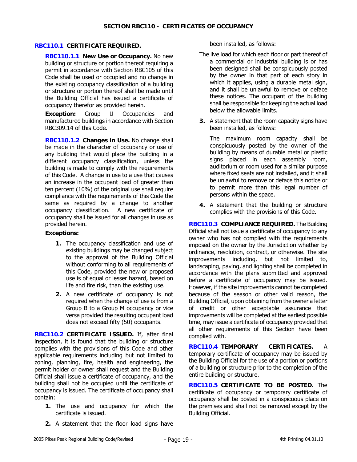## **RBC110.1 CERTIFICATE REQUIRED.**

**RBC110.1.1 New Use or Occupancy.** No new building or structure or portion thereof requiring a permit in accordance with Section RBC105 of this Code shall be used or occupied and no change in the existing occupancy classification of a building or structure or portion thereof shall be made until the Building Official has issued a certificate of occupancy therefor as provided herein.

**Exception:** Group U Occupancies and manufactured buildings in accordance with Section RBC309.14 of this Code.

**RBC110.1.2 Changes in Use.** No change shall be made in the character of occupancy or use of any building that would place the building in a different occupancy classification, unless the building is made to comply with the requirements of this Code. A change in use to a use that causes an increase in the occupant load of greater than ten percent (10%) of the original use shall require compliance with the requirements of this Code the same as required by a change to another occupancy classification. A new certificate of occupancy shall be issued for all changes in use as provided herein.

## **Exceptions:**

- **1.** The occupancy classification and use of existing buildings may be changed subject to the approval of the Building Official without conforming to all requirements of this Code, provided the new or proposed use is of equal or lesser hazard, based on life and fire risk, than the existing use.
- **2.** A new certificate of occupancy is not required when the change of use is from a Group B to a Group M occupancy or vice versa provided the resulting occupant load does not exceed fifty (50) occupants.

**RBC110.2 CERTIFICATE ISSUED.** If, after final inspection, it is found that the building or structure complies with the provisions of this Code and other applicable requirements including but not limited to zoning, planning, fire, health and engineering, the permit holder or owner shall request and the Building Official shall issue a certificate of occupancy, and the building shall not be occupied until the certificate of occupancy is issued. The certificate of occupancy shall contain:

- **1.** The use and occupancy for which the certificate is issued.
- **2.** A statement that the floor load signs have

been installed, as follows:

- The live load for which each floor or part thereof of a commercial or industrial building is or has been designed shall be conspicuously posted by the owner in that part of each story in which it applies, using a durable metal sign, and it shall be unlawful to remove or deface these notices. The occupant of the building shall be responsible for keeping the actual load below the allowable limits.
- **3.** A statement that the room capacity signs have been installed, as follows:

The maximum room capacity shall be conspicuously posted by the owner of the building by means of durable metal or plastic signs placed in each assembly room, auditorium or room used for a similar purpose where fixed seats are not installed, and it shall be unlawful to remove or deface this notice or to permit more than this legal number of persons within the space.

**4.** A statement that the building or structure complies with the provisions of this Code.

**RBC110.3 COMPLIANCE REQUIRED.** The Building Official shall not issue a certificate of occupancy to any owner who has not complied with the requirements imposed on the owner by the Jurisdiction whether by ordinance, resolution, contract, or otherwise. The site improvements including, but not limited to, landscaping, paving, and lighting shall be completed in accordance with the plans submitted and approved before a certificate of occupancy may be issued. However, if the site improvements cannot be completed because of the season or other valid reason, the Building Official, upon obtaining from the owner a letter of credit or other acceptable assurance that improvements will be completed at the earliest possible time, may issue a certificate of occupancy provided that all other requirements of this Section have been complied with.

**RBC110.4 TEMPORARY CERTIFICATES.** A temporary certificate of occupancy may be issued by the Building Official for the use of a portion or portions of a building or structure prior to the completion of the entire building or structure.

**RBC110.5 CERTIFICATE TO BE POSTED.** The certificate of occupancy or temporary certificate of occupancy shall be posted in a conspicuous place on the premises and shall not be removed except by the Building Official.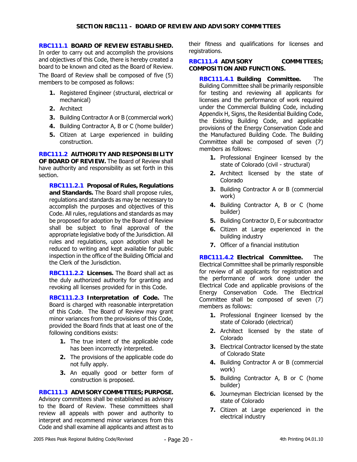#### **RBC111.1 BOARD OF REVIEW ESTABLISHED.**  In order to carry out and accomplish the provisions and objectives of this Code, there is hereby created a board to be known and cited as the Board of Review.

The Board of Review shall be composed of five (5) members to be composed as follows:

- **1.** Registered Engineer (structural, electrical or mechanical)
- **2.** Architect
- **3.** Building Contractor A or B (commercial work)
- **4.** Building Contractor A, B or C (home builder)
- **5.** Citizen at Large experienced in building construction.

**RBC111.2 AUTHORITY AND RESPONSIBILITY OF BOARD OF REVIEW.** The Board of Review shall have authority and responsibility as set forth in this section.

**RBC111.2.1 Proposal of Rules, Regulations and Standards.** The Board shall propose rules, regulations and standards as may be necessary to accomplish the purposes and objectives of this Code. All rules, regulations and standards as may be proposed for adoption by the Board of Review shall be subject to final approval of the appropriate legislative body of the Jurisdiction. All rules and regulations, upon adoption shall be reduced to writing and kept available for public inspection in the office of the Building Official and the Clerk of the Jurisdiction.

**RBC111.2.2 Licenses.** The Board shall act as the duly authorized authority for granting and revoking all licenses provided for in this Code.

**RBC111.2.3 Interpretation of Code.** The Board is charged with reasonable interpretation of this Code. The Board of Review may grant minor variances from the provisions of this Code, provided the Board finds that at least one of the following conditions exists:

- **1.** The true intent of the applicable code has been incorrectly interpreted.
- **2.** The provisions of the applicable code do not fully apply.
- **3.** An equally good or better form of construction is proposed.

## **RBC111.3 ADVISORY COMMITTEES; PURPOSE.**

Advisory committees shall be established as advisory to the Board of Review. These committees shall review all appeals with power and authority to interpret and recommend minor variances from this Code and shall examine all applicants and attest as to

their fitness and qualifications for licenses and registrations.

## **RBC111.4 ADVISORY COMMITTEES; COMPOSITION AND FUNCTIONS.**

**RBC111.4.1 Building Committee.** The Building Committee shall be primarily responsible for testing and reviewing all applicants for licenses and the performance of work required under the Commercial Building Code, including Appendix H, Signs, the Residential Building Code, the Existing Building Code, and applicable provisions of the Energy Conservation Code and the Manufactured Building Code. The Building Committee shall be composed of seven (7) members as follows:

- **1.** Professional Engineer licensed by the state of Colorado (civil - structural)
- **2.** Architect licensed by the state of Colorado
- **3.** Building Contractor A or B (commercial work)
- **4.** Building Contractor A, B or C (home builder)
- **5.** Building Contractor D, E or subcontractor
- **6.** Citizen at Large experienced in the building industry
- **7.** Officer of a financial institution

**RBC111.4.2 Electrical Committee.** The Electrical Committee shall be primarily responsible for review of all applicants for registration and the performance of work done under the Electrical Code and applicable provisions of the Energy Conservation Code. The Electrical Committee shall be composed of seven (7) members as follows:

- **1.** Professional Engineer licensed by the state of Colorado (electrical)
- **2.** Architect licensed by the state of Colorado
- **3.** Electrical Contractor licensed by the state of Colorado State
- **4.** Building Contractor A or B (commercial work)
- **5.** Building Contractor A, B or C (home builder)
- **6.** Journeyman Electrician licensed by the state of Colorado
- **7.** Citizen at Large experienced in the electrical industry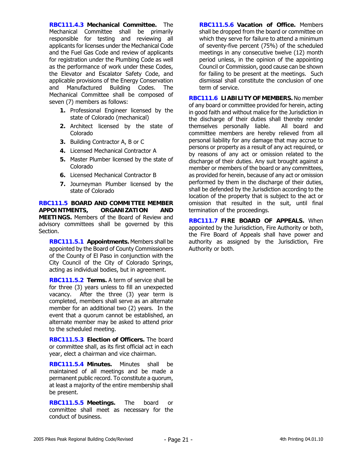**RBC111.4.3 Mechanical Committee.** The Mechanical Committee shall be primarily responsible for testing and reviewing all applicants for licenses under the Mechanical Code and the Fuel Gas Code and review of applicants for registration under the Plumbing Code as well as the performance of work under these Codes, the Elevator and Escalator Safety Code, and applicable provisions of the Energy Conservation and Manufactured Building Codes. The Mechanical Committee shall be composed of seven (7) members as follows:

- **1.** Professional Engineer licensed by the state of Colorado (mechanical)
- **2.** Architect licensed by the state of Colorado
- **3.** Building Contractor A, B or C
- **4.** Licensed Mechanical Contractor A
- **5.** Master Plumber licensed by the state of Colorado
- **6.** Licensed Mechanical Contractor B
- **7.** Journeyman Plumber licensed by the state of Colorado

**RBC111.5 BOARD AND COMMITTEE MEMBER APPOINTMENTS, ORGANIZATION AND MEETINGS.** Members of the Board of Review and advisory committees shall be governed by this Section.

**RBC111.5.1 Appointments.** Members shall be appointed by the Board of County Commissioners of the County of El Paso in conjunction with the City Council of the City of Colorado Springs, acting as individual bodies, but in agreement.

**RBC111.5.2 Terms.** A term of service shall be for three (3) years unless to fill an unexpected vacancy. After the three (3) year term is completed, members shall serve as an alternate member for an additional two (2) years. In the event that a quorum cannot be established, an alternate member may be asked to attend prior to the scheduled meeting.

**RBC111.5.3 Election of Officers.** The board or committee shall, as its first official act in each year, elect a chairman and vice chairman.

**RBC111.5.4 Minutes.** Minutes shall be maintained of all meetings and be made a permanent public record. To constitute a quorum, at least a majority of the entire membership shall be present.

**RBC111.5.5 Meetings.** The board or committee shall meet as necessary for the conduct of business.

**RBC111.5.6 Vacation of Office.** Members shall be dropped from the board or committee on which they serve for failure to attend a minimum of seventy-five percent (75%) of the scheduled meetings in any consecutive twelve (12) month period unless, in the opinion of the appointing Council or Commission, good cause can be shown for failing to be present at the meetings. Such dismissal shall constitute the conclusion of one term of service.

**RBC111.6 LIABILITY OF MEMBERS.** No member of any board or committee provided for herein, acting in good faith and without malice for the Jurisdiction in the discharge of their duties shall thereby render themselves personally liable. All board and committee members are hereby relieved from all personal liability for any damage that may accrue to persons or property as a result of any act required, or by reasons of any act or omission related to the discharge of their duties. Any suit brought against a member or members of the board or any committees, as provided for herein, because of any act or omission performed by them in the discharge of their duties, shall be defended by the Jurisdiction according to the location of the property that is subject to the act or omission that resulted in the suit, until final termination of the proceedings.

**RBC111.7 FIRE BOARD OF APPEALS.** When appointed by the Jurisdiction, Fire Authority or both, the Fire Board of Appeals shall have power and authority as assigned by the Jurisdiction, Fire Authority or both.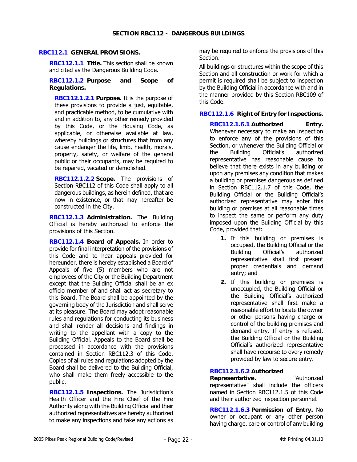## **RBC112.1 GENERAL PROVISIONS.**

**RBC112.1.1 Title.** This section shall be known and cited as the Dangerous Building Code.

#### **RBC112.1.2 Purpose and Scope of Regulations.**

**RBC112.1.2.1 Purpose.** It is the purpose of these provisions to provide a just, equitable, and practicable method, to be cumulative with and in addition to, any other remedy provided by this Code, or the Housing Code, as applicable, or otherwise available at law, whereby buildings or structures that from any cause endanger the life, limb, health, morals, property, safety, or welfare of the general public or their occupants, may be required to be repaired, vacated or demolished.

**RBC112.1.2.2 Scope.** The provisions of Section RBC112 of this Code shall apply to all dangerous buildings, as herein defined, that are now in existence, or that may hereafter be constructed in the City.

**RBC112.1.3 Administration.** The Building Official is hereby authorized to enforce the provisions of this Section.

**RBC112.1.4 Board of Appeals.** In order to provide for final interpretation of the provisions of this Code and to hear appeals provided for hereunder, there is hereby established a Board of Appeals of five (5) members who are not employees of the City or the Building Department except that the Building Official shall be an ex officio member of and shall act as secretary to this Board. The Board shall be appointed by the governing body of the Jurisdiction and shall serve at its pleasure. The Board may adopt reasonable rules and regulations for conducting its business and shall render all decisions and findings in writing to the appellant with a copy to the Building Official. Appeals to the Board shall be processed in accordance with the provisions contained in Section RBC112.3 of this Code. Copies of all rules and regulations adopted by the Board shall be delivered to the Building Official, who shall make them freely accessible to the public.

**RBC112.1.5 Inspections.** The Jurisdiction's Health Officer and the Fire Chief of the Fire Authority along with the Building Official and their authorized representatives are hereby authorized to make any inspections and take any actions as

may be required to enforce the provisions of this Section.

All buildings or structures within the scope of this Section and all construction or work for which a permit is required shall be subject to inspection by the Building Official in accordance with and in the manner provided by this Section RBC109 of this Code.

## **RBC112.1.6 Right of Entry for Inspections.**

**RBC112.1.6.1 Authorized Entry.** Whenever necessary to make an inspection to enforce any of the provisions of this Section, or whenever the Building Official or the Building Official's authorized representative has reasonable cause to believe that there exists in any building or upon any premises any condition that makes a building or premises dangerous as defined in Section RBC112.1.7 of this Code, the Building Official or the Building Official's authorized representative may enter this building or premises at all reasonable times to inspect the same or perform any duty imposed upon the Building Official by this Code, provided that:

- **1.** If this building or premises is occupied, the Building Official or the Building Official's authorized representative shall first present proper credentials and demand entry; and
- **2.** If this building or premises is unoccupied, the Building Official or the Building Official's authorized representative shall first make a reasonable effort to locate the owner or other persons having charge or control of the building premises and demand entry. If entry is refused, the Building Official or the Building Official's authorized representative shall have recourse to every remedy provided by law to secure entry.

## **RBC112.1.6.2 Authorized**

**Representative.** "Authorized representative" shall include the officers named in Section RBC112.1.5 of this Code and their authorized inspection personnel.

**RBC112.1.6.3 Permission of Entry.** No owner or occupant or any other person having charge, care or control of any building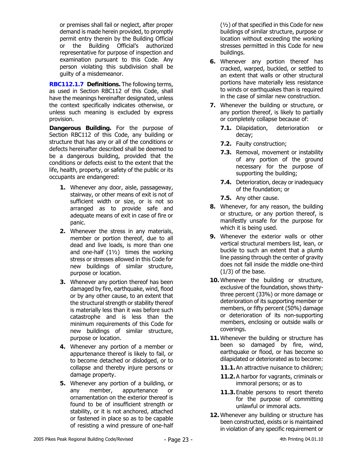or premises shall fail or neglect, after proper demand is made herein provided, to promptly permit entry therein by the Building Official or the Building Official's authorized representative for purpose of inspection and examination pursuant to this Code. Any person violating this subdivision shall be guilty of a misdemeanor.

**RBC112.1.7 Definitions.** The following terms, as used in Section RBC112 of this Code, shall have the meanings hereinafter designated, unless the context specifically indicates otherwise, or unless such meaning is excluded by express provision.

**Dangerous Building.** For the purpose of Section RBC112 of this Code, any building or structure that has any or all of the conditions or defects hereinafter described shall be deemed to be a dangerous building, provided that the conditions or defects exist to the extent that the life, health, property, or safety of the public or its occupants are endangered:

- **1.** Whenever any door, aisle, passageway, stairway, or other means of exit is not of sufficient width or size, or is not so arranged as to provide safe and adequate means of exit in case of fire or panic.
- **2.** Whenever the stress in any materials, member or portion thereof, due to all dead and live loads, is more than one and one-half  $(1\frac{1}{2})$  times the working stress or stresses allowed in this Code for new buildings of similar structure, purpose or location.
- **3.** Whenever any portion thereof has been damaged by fire, earthquake, wind, flood or by any other cause, to an extent that the structural strength or stability thereof is materially less than it was before such catastrophe and is less than the minimum requirements of this Code for new buildings of similar structure, purpose or location.
- **4.** Whenever any portion of a member or appurtenance thereof is likely to fail, or to become detached or dislodged, or to collapse and thereby injure persons or damage property.
- **5.** Whenever any portion of a building, or any member, appurtenance or ornamentation on the exterior thereof is found to be of insufficient strength or stability, or it is not anchored, attached or fastened in place so as to be capable of resisting a wind pressure of one-half

(½) of that specified in this Code for new buildings of similar structure, purpose or location without exceeding the working stresses permitted in this Code for new buildings.

- **6.** Whenever any portion thereof has cracked, warped, buckled, or settled to an extent that walls or other structural portions have materially less resistance to winds or earthquakes than is required in the case of similar new construction.
- **7.** Whenever the building or structure, or any portion thereof, is likely to partially or completely collapse because of:
	- **7.1.** Dilapidation, deterioration or decay;
	- **7.2.** Faulty construction;
	- **7.3.** Removal, movement or instability of any portion of the ground necessary for the purpose of supporting the building;
	- **7.4.** Deterioration, decay or inadequacy of the foundation; or
	- **7.5.** Any other cause.
- **8.** Whenever, for any reason, the building or structure, or any portion thereof, is manifestly unsafe for the purpose for which it is being used.
- **9.** Whenever the exterior walls or other vertical structural members list, lean, or buckle to such an extent that a plumb line passing through the center of gravity does not fall inside the middle one-third (1/3) of the base.
- **10.** Whenever the building or structure, exclusive of the foundation, shows thirtythree percent (33%) or more damage or deterioration of its supporting member or members, or fifty percent (50%) damage or deterioration of its non-supporting members, enclosing or outside walls or coverings.
- **11.** Whenever the building or structure has been so damaged by fire, wind, earthquake or flood, or has become so dilapidated or deteriorated as to become:
	- **11.1.** An attractive nuisance to children;
	- **11.2.** A harbor for vagrants, criminals or immoral persons; or as to
	- **11.3.** Enable persons to resort thereto for the purpose of committing unlawful or immoral acts.
- **12.** Whenever any building or structure has been constructed, exists or is maintained in violation of any specific requirement or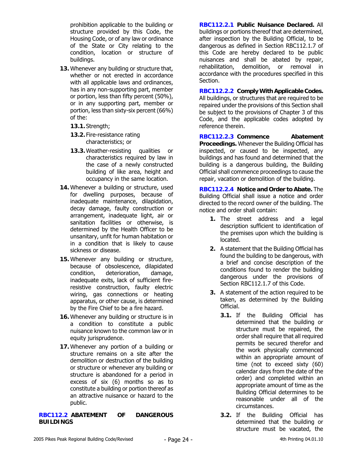prohibition applicable to the building or structure provided by this Code, the Housing Code, or of any law or ordinance of the State or City relating to the condition, location or structure of buildings.

- **13.** Whenever any building or structure that, whether or not erected in accordance with all applicable laws and ordinances, has in any non-supporting part, member or portion, less than fifty percent (50%), or in any supporting part, member or portion, less than sixty-six percent (66%) of the:
	- **13.1.** Strength;
	- **13.2.** Fire-resistance rating characteristics; or
	- **13.3.** Weather-resisting qualities or characteristics required by law in the case of a newly constructed building of like area, height and occupancy in the same location.
- **14.** Whenever a building or structure, used for dwelling purposes, because of inadequate maintenance, dilapidation, decay damage, faulty construction or arrangement, inadequate light, air or sanitation facilities or otherwise, is determined by the Health Officer to be unsanitary, unfit for human habitation or in a condition that is likely to cause sickness or disease.
- **15.** Whenever any building or structure, because of obsolescence, dilapidated condition, deterioration, damage, inadequate exits, lack of sufficient fireresistive construction, faulty electric wiring, gas connections or heating apparatus, or other cause, is determined by the Fire Chief to be a fire hazard.
- **16.** Whenever any building or structure is in a condition to constitute a public nuisance known to the common law or in equity jurisprudence.
- **17.** Whenever any portion of a building or structure remains on a site after the demolition or destruction of the building or structure or whenever any building or structure is abandoned for a period in excess of six (6) months so as to constitute a building or portion thereof as an attractive nuisance or hazard to the public.

**RBC112.2 ABATEMENT OF DANGEROUS BUILDINGS** 

**RBC112.2.1 Public Nuisance Declared.** All buildings or portions thereof that are determined, after inspection by the Building Official, to be dangerous as defined in Section RBC112.1.7 of this Code are hereby declared to be public nuisances and shall be abated by repair, rehabilitation, demolition, or removal in accordance with the procedures specified in this Section.

**RBC112.2.2 Comply With Applicable Codes.** All buildings, or structures that are required to be repaired under the provisions of this Section shall be subject to the provisions of Chapter 3 of this Code, and the applicable codes adopted by reference therein.

**RBC112.2.3 Commence Abatement Proceedings.** Whenever the Building Official has inspected, or caused to be inspected, any buildings and has found and determined that the building is a dangerous building, the Building Official shall commence proceedings to cause the repair, vacation or demolition of the building.

**RBC112.2.4 Notice and Order to Abate.** The Building Official shall issue a notice and order directed to the record owner of the building. The notice and order shall contain:

- **1.** The street address and a legal description sufficient to identification of the premises upon which the building is located.
- **2.** A statement that the Building Official has found the building to be dangerous, with a brief and concise description of the conditions found to render the building dangerous under the provisions of Section RBC112.1.7 of this Code.
- **3.** A statement of the action required to be taken, as determined by the Building Official.
	- **3.1.** If the Building Official has determined that the building or structure must be repaired, the order shall require that all required permits be secured therefor and the work physically commenced within an appropriate amount of time (not to exceed sixty (60) calendar days from the date of the order) and completed within an appropriate amount of time as the Building Official determines to be reasonable under all of the circumstances.
	- **3.2.** If the Building Official has determined that the building or structure must be vacated, the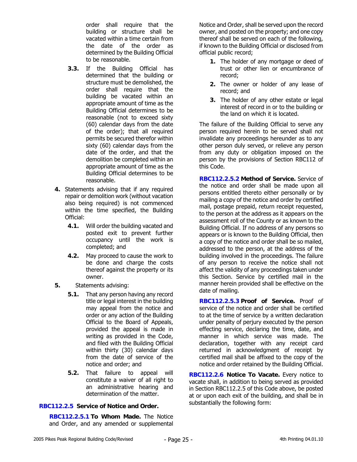order shall require that the building or structure shall be vacated within a time certain from the date of the order as determined by the Building Official to be reasonable.

- **3.3.** If the Building Official has determined that the building or structure must be demolished, the order shall require that the building be vacated within an appropriate amount of time as the Building Official determines to be reasonable (not to exceed sixty (60) calendar days from the date of the order); that all required permits be secured therefor within sixty (60) calendar days from the date of the order, and that the demolition be completed within an appropriate amount of time as the Building Official determines to be reasonable.
- **4.** Statements advising that if any required repair or demolition work (without vacation also being required) is not commenced within the time specified, the Building Official:
	- **4.1.** Will order the building vacated and posted exit to prevent further occupancy until the work is completed; and
	- **4.2.** May proceed to cause the work to be done and charge the costs thereof against the property or its owner.
- **5.** Statements advising:
	- **5.1.** That any person having any record title or legal interest in the building may appeal from the notice and order or any action of the Building Official to the Board of Appeals, provided the appeal is made in writing as provided in the Code, and filed with the Building Official within thirty (30) calendar days from the date of service of the notice and order; and
	- **5.2.** That failure to appeal will constitute a waiver of all right to an administrative hearing and determination of the matter.

# **RBC112.2.5 Service of Notice and Order.**

**RBC112.2.5.1 To Whom Made.** The Notice and Order, and any amended or supplemental

Notice and Order, shall be served upon the record owner, and posted on the property; and one copy thereof shall be served on each of the following, if known to the Building Official or disclosed from official public record;

- **1.** The holder of any mortgage or deed of trust or other lien or encumbrance of record;
- **2.** The owner or holder of any lease of record; and
- **3.** The holder of any other estate or legal interest of record in or to the building or the land on which it is located.

The failure of the Building Official to serve any person required herein to be served shall not invalidate any proceedings hereunder as to any other person duly served, or relieve any person from any duty or obligation imposed on the person by the provisions of Section RBC112 of this Code.

**RBC112.2.5.2 Method of Service.** Service of the notice and order shall be made upon all persons entitled thereto either personally or by mailing a copy of the notice and order by certified mail, postage prepaid, return receipt requested, to the person at the address as it appears on the assessment roll of the County or as known to the Building Official. If no address of any persons so appears or is known to the Building Official, then a copy of the notice and order shall be so mailed, addressed to the person, at the address of the building involved in the proceedings. The failure of any person to receive the notice shall not affect the validity of any proceedings taken under this Section. Service by certified mail in the manner herein provided shall be effective on the date of mailing.

**RBC112.2.5.3 Proof of Service.** Proof of service of the notice and order shall be certified to at the time of service by a written declaration under penalty of perjury executed by the person effecting service, declaring the time, date, and manner in which service was made. The declaration, together with any receipt card returned in acknowledgment of receipt by certified mail shall be affixed to the copy of the notice and order retained by the Building Official.

**RBC112.2.6 Notice To Vacate.** Every notice to vacate shall, in addition to being served as provided in Section RBC112.2.5 of this Code above, be posted at or upon each exit of the building, and shall be in substantially the following form: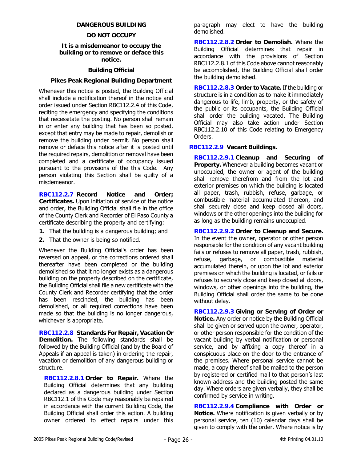## **DANGEROUS BUILDING**

## **DO NOT OCCUPY**

## **It is a misdemeanor to occupy the building or to remove or deface this notice.**

## **Building Official**

## **Pikes Peak Regional Building Department**

Whenever this notice is posted, the Building Official shall include a notification thereof in the notice and order issued under Section RBC112.2.4 of this Code, reciting the emergency and specifying the conditions that necessitate the posting. No person shall remain in or enter any building that has been so posted, except that entry may be made to repair, demolish or remove the building under permit. No person shall remove or deface this notice after it is posted until the required repairs, demolition or removal have been completed and a certificate of occupancy issued pursuant to the provisions of the this Code. Any person violating this Section shall be guilty of a misdemeanor.

**RBC112.2.7 Record Notice and Order; Certificates.** Upon initiation of service of the notice and order, the Building Official shall file in the office of the County Clerk and Recorder of El Paso County a certificate describing the property and certifying:

- **1.** That the building is a dangerous building; and
- **2.** That the owner is being so notified.

Whenever the Building Official's order has been reversed on appeal, or the corrections ordered shall thereafter have been completed or the building demolished so that it no longer exists as a dangerous building on the property described on the certificate, the Building Official shall file a new certificate with the County Clerk and Recorder certifying that the order has been rescinded, the building has been demolished, or all required corrections have been made so that the building is no longer dangerous, whichever is appropriate.

**RBC112.2.8 Standards For Repair, Vacation Or Demolition.** The following standards shall be followed by the Building Official (and by the Board of Appeals if an appeal is taken) in ordering the repair, vacation or demolition of any dangerous building or structure.

**RBC112.2.8.1 Order to Repair.** Where the Building Official determines that any building declared as a dangerous building under Section RBC112.1 of this Code may reasonably be repaired in accordance with the current Building Code, the Building Official shall order this action. A building owner ordered to effect repairs under this paragraph may elect to have the building demolished.

**RBC112.2.8.2 Order to Demolish.** Where the Building Official determines that repair in accordance with the provisions of Section RBC112.2.8.1 of this Code above cannot reasonably be accomplished, the Building Official shall order the building demolished.

**RBC112.2.8.3 Order to Vacate.** If the building or structure is in a condition as to make it immediately dangerous to life, limb, property, or the safety of the public or its occupants, the Building Official shall order the building vacated. The Building Official may also take action under Section RBC112.2.10 of this Code relating to Emergency Orders.

## **RBC112.2.9 Vacant Buildings.**

**RBC112.2.9.1 Cleanup and Securing of Property.** Whenever a building becomes vacant or unoccupied, the owner or agent of the building shall remove therefrom and from the lot and exterior premises on which the building is located all paper, trash, rubbish, refuse, garbage, or combustible material accumulated thereon, and shall securely close and keep closed all doors, windows or the other openings into the building for as long as the building remains unoccupied.

**RBC112.2.9.2 Order to Cleanup and Secure.** In the event the owner, operator or other person responsible for the condition of any vacant building fails or refuses to remove all paper, trash, rubbish, refuse, garbage, or combustible material accumulated therein, or upon the lot and exterior premises on which the building is located, or fails or refuses to securely close and keep closed all doors, windows, or other openings into the building, the Building Official shall order the same to be done without delay.

**RBC112.2.9.3 Giving or Serving of Order or Notice.** Any order or notice by the Building Official shall be given or served upon the owner, operator, or other person responsible for the condition of the vacant building by verbal notification or personal service, and by affixing a copy thereof in a conspicuous place on the door to the entrance of the premises. Where personal service cannot be made, a copy thereof shall be mailed to the person by registered or certified mail to that person's last known address and the building posted the same day. Where orders are given verbally, they shall be confirmed by service in writing.

**RBC112.2.9.4 Compliance with Order or Notice.** Where notification is given verbally or by personal service, ten (10) calendar days shall be given to comply with the order. Where notice is by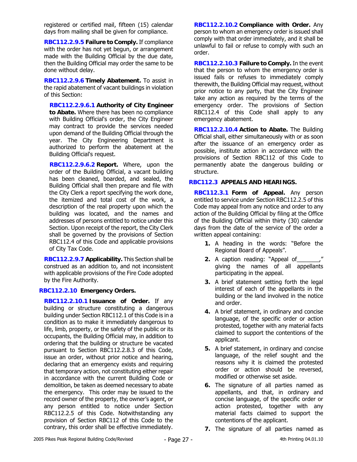registered or certified mail, fifteen (15) calendar days from mailing shall be given for compliance.

**RBC112.2.9.5 Failure to Comply.** If compliance with the order has not yet begun, or arrangement made with the Building Official by the due date, then the Building Official may order the same to be done without delay.

**RBC112.2.9.6 Timely Abatement.** To assist in the rapid abatement of vacant buildings in violation of this Section:

**RBC112.2.9.6.1 Authority of City Engineer to Abate.** Where there has been no compliance with Building Official's order, the City Engineer may contract to provide the services needed upon demand of the Building Official through the year. The City Engineering Department is authorized to perform the abatement at the Building Official's request.

**RBC112.2.9.6.2 Report.** Where, upon the order of the Building Official, a vacant building has been cleaned, boarded, and sealed, the Building Official shall then prepare and file with the City Clerk a report specifying the work done, the itemized and total cost of the work, a description of the real property upon which the building was located, and the names and addresses of persons entitled to notice under this Section. Upon receipt of the report, the City Clerk shall be governed by the provisions of Section RBC112.4 of this Code and applicable provisions of City Tax Code.

**RBC112.2.9.7 Applicability.** This Section shall be construed as an addition to, and not inconsistent with applicable provisions of the Fire Code adopted by the Fire Authority.

# **RBC112.2.10 Emergency Orders.**

**RBC112.2.10.1 Issuance of Order.** If any building or structure constituting a dangerous building under Section RBC112.1 of this Code is in a condition as to make it immediately dangerous to life, limb, property, or the safety of the public or its occupants, the Building Official may, in addition to ordering that the building or structure be vacated pursuant to Section RBC112.2.8.3 of this Code, issue an order, without prior notice and hearing, declaring that an emergency exists and requiring that temporary action, not constituting either repair in accordance with the current Building Code or demolition, be taken as deemed necessary to abate the emergency. This order may be issued to the record owner of the property, the owner's agent, or any person entitled to notice under Section RBC112.2.5 of this Code. Notwithstanding any provision of Section RBC112 of this Code to the contrary, this order shall be effective immediately.

**RBC112.2.10.2 Compliance with Order.** Any person to whom an emergency order is issued shall comply with that order immediately, and it shall be unlawful to fail or refuse to comply with such an order.

**RBC112.2.10.3 Failure to Comply.** In the event that the person to whom the emergency order is issued fails or refuses to immediately comply therewith, the Building Official may request, without prior notice to any party, that the City Engineer take any action as required by the terms of the emergency order. The provisions of Section RBC112.4 of this Code shall apply to any emergency abatement.

**RBC112.2.10.4 Action to Abate.** The Building Official shall, either simultaneously with or as soon after the issuance of an emergency order as possible, institute action in accordance with the provisions of Section RBC112 of this Code to permanently abate the dangerous building or structure.

## **RBC112.3 APPEALS AND HEARINGS.**

**RBC112.3.1 Form of Appeal.** Any person entitled to service under Section RBC112.2.5 of this Code may appeal from any notice and order to any action of the Building Official by filing at the Office of the Building Official within thirty (30) calendar days from the date of the service of the order a written appeal containing:

- **1.** A heading in the words: "Before the Regional Board of Appeals".
- 2. A caption reading: "Appeal of\_ giving the names of all appellants participating in the appeal.
- **3.** A brief statement setting forth the legal interest of each of the appellants in the building or the land involved in the notice and order.
- **4.** A brief statement, in ordinary and concise language, of the specific order or action protested, together with any material facts claimed to support the contentions of the applicant.
- **5.** A brief statement, in ordinary and concise language, of the relief sought and the reasons why it is claimed the protested order or action should be reversed, modified or otherwise set aside.
- **6.** The signature of all parties named as appellants, and that, in ordinary and concise language, of the specific order or action protested, together with any material facts claimed to support the contentions of the applicant.
- **7.** The signature of all parties named as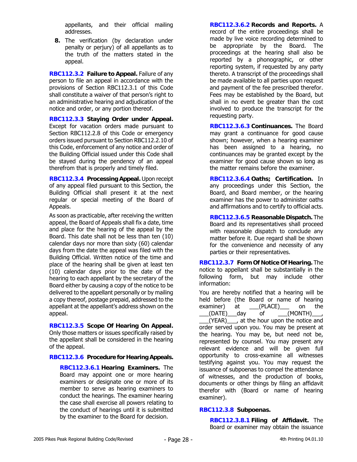appellants, and their official mailing addresses.

**8.** The verification (by declaration under penalty or perjury) of all appellants as to the truth of the matters stated in the appeal.

**RBC112.3.2 Failure to Appeal.** Failure of any person to file an appeal in accordance with the provisions of Section RBC112.3.1 of this Code shall constitute a waiver of that person's right to an administrative hearing and adjudication of the notice and order, or any portion thereof.

**RBC112.3.3 Staying Order under Appeal.** Except for vacation orders made pursuant to Section RBC112.2.8 of this Code or emergency orders issued pursuant to Section RBC112.2.10 of this Code, enforcement of any notice and order of the Building Official issued under this Code shall be stayed during the pendency of an appeal therefrom that is properly and timely filed.

**RBC112.3.4 Processing Appeal.** Upon receipt of any appeal filed pursuant to this Section, the Building Official shall present it at the next regular or special meeting of the Board of Appeals.

As soon as practicable, after receiving the written appeal, the Board of Appeals shall fix a date, time and place for the hearing of the appeal by the Board. This date shall not be less than ten (10) calendar days nor more than sixty (60) calendar days from the date the appeal was filed with the Building Official. Written notice of the time and place of the hearing shall be given at least ten (10) calendar days prior to the date of the hearing to each appellant by the secretary of the Board either by causing a copy of the notice to be delivered to the appellant personally or by mailing a copy thereof, postage prepaid, addressed to the appellant at the appellant's address shown on the appeal.

**RBC112.3.5 Scope Of Hearing On Appeal.** Only those matters or issues specifically raised by the appellant shall be considered in the hearing of the appeal.

**RBC112.3.6 Procedure for Hearing Appeals.** 

**RBC112.3.6.1 Hearing Examiners.** The Board may appoint one or more hearing examiners or designate one or more of its member to serve as hearing examiners to conduct the hearings. The examiner hearing the case shall exercise all powers relating to the conduct of hearings until it is submitted by the examiner to the Board for decision.

**RBC112.3.6.2 Records and Reports.** A record of the entire proceedings shall be made by live voice recording determined to be appropriate by the Board. The proceedings at the hearing shall also be reported by a phonographic, or other reporting system, if requested by any party thereto. A transcript of the proceedings shall be made available to all parties upon request and payment of the fee prescribed therefor. Fees may be established by the Board, but shall in no event be greater than the cost involved to produce the transcript for the requesting party.

**RBC112.3.6.3 Continuances.** The Board may grant a continuance for good cause shown; however, when a hearing examiner has been assigned to a hearing, no continuances may be granted except by the examiner for good cause shown so long as the matter remains before the examiner.

**RBC112.3.6.4 Oaths; Certification.** In any proceedings under this Section, the Board, and Board member, or the hearing examiner has the power to administer oaths and affirmations and to certify to official acts.

**RBC112.3.6.5 Reasonable Dispatch.** The Board and its representatives shall proceed with reasonable dispatch to conclude any matter before it. Due regard shall be shown for the convenience and necessity of any parties or their representatives.

**RBC112.3.7 Form Of Notice Of Hearing.** The notice to appellant shall be substantially in the following form, but may include other information:

You are hereby notified that a hearing will be held before (the Board or name of hearing examiner) at (PLACE) on the  $(DATE)$  day of  $(MONTH)$ 

\_\_\_(YEAR)\_\_\_, at the hour upon the notice and order served upon you. You may be present at the hearing. You may be, but need not be, represented by counsel. You may present any relevant evidence and will be given full opportunity to cross-examine all witnesses testifying against you. You may request the issuance of subpoenas to compel the attendance of witnesses, and the production of books, documents or other things by filing an affidavit therefor with (Board or name of hearing examiner).

# **RBC112.3.8 Subpoenas.**

**RBC112.3.8.1 Filing of Affidavit.** The Board or examiner may obtain the issuance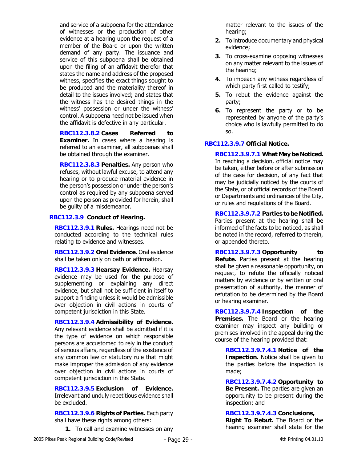and service of a subpoena for the attendance of witnesses or the production of other evidence at a hearing upon the request of a member of the Board or upon the written demand of any party. The issuance and service of this subpoena shall be obtained upon the filing of an affidavit therefor that states the name and address of the proposed witness, specifies the exact things sought to be produced and the materiality thereof in detail to the issues involved; and states that the witness has the desired things in the witness' possession or under the witness' control. A subpoena need not be issued when the affidavit is defective in any particular.

**RBC112.3.8.2 Cases Referred to Examiner.** In cases where a hearing is referred to an examiner, all subpoenas shall be obtained through the examiner.

**RBC112.3.8.3 Penalties.** Any person who refuses, without lawful excuse, to attend any hearing or to produce material evidence in the person's possession or under the person's control as required by any subpoena served upon the person as provided for herein, shall be guilty of a misdemeanor.

## **RBC112.3.9 Conduct of Hearing.**

**RBC112.3.9.1 Rules.** Hearings need not be conducted according to the technical rules relating to evidence and witnesses.

**RBC112.3.9.2 Oral Evidence.** Oral evidence shall be taken only on oath or affirmation.

**RBC112.3.9.3 Hearsay Evidence.** Hearsay evidence may be used for the purpose of supplementing or explaining any direct evidence, but shall not be sufficient in itself to support a finding unless it would be admissible over objection in civil actions in courts of competent jurisdiction in this State.

**RBC112.3.9.4 Admissibility of Evidence.** Any relevant evidence shall be admitted if it is the type of evidence on which responsible persons are accustomed to rely in the conduct of serious affairs, regardless of the existence of any common law or statutory rule that might make improper the admission of any evidence over objection in civil actions in courts of competent jurisdiction in this State.

**RBC112.3.9.5 Exclusion of Evidence.** Irrelevant and unduly repetitious evidence shall be excluded.

**RBC112.3.9.6 Rights of Parties.** Each party shall have these rights among others:

**1.** To call and examine witnesses on any

matter relevant to the issues of the hearing;

- **2.** To introduce documentary and physical evidence;
- **3.** To cross-examine opposing witnesses on any matter relevant to the issues of the hearing;
- **4.** To impeach any witness regardless of which party first called to testify;
- **5.** To rebut the evidence against the party;
- **6.** To represent the party or to be represented by anyone of the party's choice who is lawfully permitted to do so.

## **RBC112.3.9.7 Official Notice.**

**RBC112.3.9.7.1 What May be Noticed.** In reaching a decision, official notice may be taken, either before or after submission of the case for decision, of any fact that may be judicially noticed by the courts of the State, or of official records of the Board or Departments and ordinances of the City, or rules and regulations of the Board.

**RBC112.3.9.7.2 Parties to be Notified.** Parties present at the hearing shall be informed of the facts to be noticed, as shall be noted in the record, referred to therein, or appended thereto.

**RBC112.3.9.7.3 Opportunity to Refute.** Parties present at the hearing shall be given a reasonable opportunity, on request, to refute the officially noticed matters by evidence or by written or oral presentation of authority, the manner of refutation to be determined by the Board or hearing examiner.

**RBC112.3.9.7.4 Inspection of the Premises.** The Board or the hearing examiner may inspect any building or premises involved in the appeal during the course of the hearing provided that:

**RBC112.3.9.7.4.1 Notice of the Inspection.** Notice shall be given to the parties before the inspection is made;

**RBC112.3.9.7.4.2 Opportunity to Be Present.** The parties are given an opportunity to be present during the inspection; and

**RBC112.3.9.7.4.3 Conclusions, Right To Rebut.** The Board or the hearing examiner shall state for the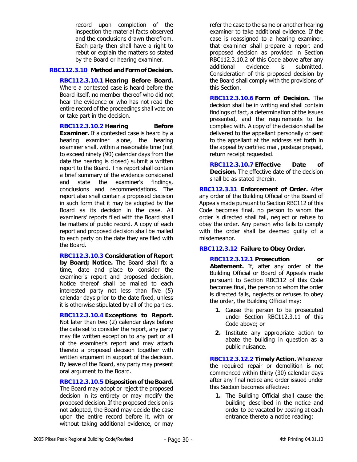record upon completion of the inspection the material facts observed and the conclusions drawn therefrom. Each party then shall have a right to rebut or explain the matters so stated by the Board or hearing examiner.

## **RBC112.3.10 Method and Form of Decision.**

**RBC112.3.10.1 Hearing Before Board.** Where a contested case is heard before the Board itself, no member thereof who did not hear the evidence or who has not read the entire record of the proceedings shall vote on or take part in the decision.

## **RBC112.3.10.2 Hearing Before**

**Examiner.** If a contested case is heard by a hearing examiner alone, the hearing examiner shall, within a reasonable time (not to exceed ninety (90) calendar days from the date the hearing is closed) submit a written report to the Board. This report shall contain a brief summary of the evidence considered and state the examiner's findings, conclusions and recommendations. The report also shall contain a proposed decision in such form that it may be adopted by the Board as its decision in the case. All examiners' reports filed with the Board shall be matters of public record. A copy of each report and proposed decision shall be mailed to each party on the date they are filed with the Board.

**RBC112.3.10.3 Consideration of Report by Board; Notice.** The Board shall fix a time, date and place to consider the examiner's report and proposed decision. Notice thereof shall be mailed to each interested party not less than five (5) calendar days prior to the date fixed, unless it is otherwise stipulated by all of the parties.

**RBC112.3.10.4 Exceptions to Report.** Not later than two (2) calendar days before the date set to consider the report, any party may file written exception to any part or all of the examiner's report and may attach thereto a proposed decision together with written argument in support of the decision. By leave of the Board, any party may present oral argument to the Board.

**RBC112.3.10.5 Disposition of the Board.** The Board may adopt or reject the proposed decision in its entirety or may modify the proposed decision. If the proposed decision is not adopted, the Board may decide the case upon the entire record before it, with or without taking additional evidence, or may

refer the case to the same or another hearing examiner to take additional evidence. If the case is reassigned to a hearing examiner, that examiner shall prepare a report and proposed decision as provided in Section RBC112.3.10.2 of this Code above after any additional evidence is submitted. Consideration of this proposed decision by the Board shall comply with the provisions of this Section.

**RBC112.3.10.6 Form of Decision.** The decision shall be in writing and shall contain findings of fact, a determination of the issues presented, and the requirements to be complied with. A copy of the decision shall be delivered to the appellant personally or sent to the appellant at the address set forth in the appeal by certified mail, postage prepaid, return receipt requested.

**RBC112.3.10.7 Effective Date of Decision.** The effective date of the decision shall be as stated therein.

**RBC112.3.11 Enforcement of Order.** After any order of the Building Official or the Board of Appeals made pursuant to Section RBC112 of this Code becomes final, no person to whom the order is directed shall fail, neglect or refuse to obey the order. Any person who fails to comply with the order shall be deemed guilty of a misdemeanor.

# **RBC112.3.12 Failure to Obey Order.**

**RBC112.3.12.1 Prosecution or Abatement.** If, after any order of the Building Official or Board of Appeals made pursuant to Section RBC112 of this Code becomes final, the person to whom the order is directed fails, neglects or refuses to obey the order, the Building Official may:

- **1.** Cause the person to be prosecuted under Section RBC112.3.11 of this Code above; or
- **2.** Institute any appropriate action to abate the building in question as a public nuisance.

**RBC112.3.12.2 Timely Action.** Whenever the required repair or demolition is not commenced within thirty (30) calendar days after any final notice and order issued under this Section becomes effective:

**1.** The Building Official shall cause the building described in the notice and order to be vacated by posting at each entrance thereto a notice reading: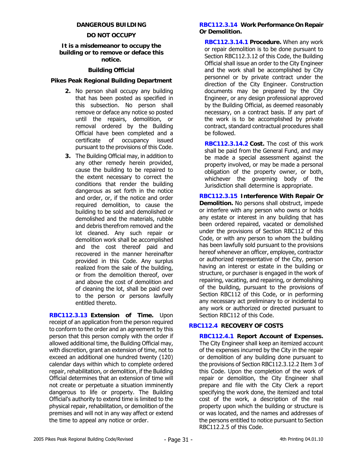## **DANGEROUS BUILDING**

## **DO NOT OCCUPY**

#### **It is a misdemeanor to occupy the building or to remove or deface this notice.**

## **Building Official**

## **Pikes Peak Regional Building Department**

- **2.** No person shall occupy any building that has been posted as specified in this subsection. No person shall remove or deface any notice so posted until the repairs, demolition, or removal ordered by the Building Official have been completed and a certificate of occupancy issued pursuant to the provisions of this Code.
- **3.** The Building Official may, in addition to any other remedy herein provided, cause the building to be repaired to the extent necessary to correct the conditions that render the building dangerous as set forth in the notice and order, or, if the notice and order required demolition, to cause the building to be sold and demolished or demolished and the materials, rubble and debris therefrom removed and the lot cleaned. Any such repair or demolition work shall be accomplished and the cost thereof paid and recovered in the manner hereinafter provided in this Code. Any surplus realized from the sale of the building, or from the demolition thereof, over and above the cost of demolition and of cleaning the lot, shall be paid over to the person or persons lawfully entitled thereto.

**RBC112.3.13 Extension of Time.** Upon receipt of an application from the person required to conform to the order and an agreement by this person that this person comply with the order if allowed additional time, the Building Official may, with discretion, grant an extension of time, not to exceed an additional one hundred twenty (120) calendar days within which to complete ordered repair, rehabilitation, or demolition, if the Building Official determines that an extension of time will not create or perpetuate a situation imminently dangerous to life or property. The Building Official's authority to extend time is limited to the physical repair, rehabilitation, or demolition of the premises and will not in any way affect or extend the time to appeal any notice or order.

## **RBC112.3.14 Work Performance On Repair Or Demolition.**

**RBC112.3.14.1 Procedure.** When any work or repair demolition is to be done pursuant to Section RBC112.3.12 of this Code, the Building Official shall issue an order to the City Engineer and the work shall be accomplished by City personnel or by private contract under the direction of the City Engineer. Construction documents may be prepared by the City Engineer, or any design professional approved by the Building Official, as deemed reasonably necessary, on a contract basis. If any part of the work is to be accomplished by private contract, standard contractual procedures shall be followed.

**RBC112.3.14.2 Cost.** The cost of this work shall be paid from the General Fund, and may be made a special assessment against the property involved, or may be made a personal obligation of the property owner, or both, whichever the governing body of the Jurisdiction shall determine is appropriate.

**RBC112.3.15 Interference With Repair Or Demolition.** No persons shall obstruct, impede or interfere with any person who owns or holds any estate or interest in any building that has been ordered repaired, vacated or demolished under the provisions of Section RBC112 of this Code, or with any person to whom the building has been lawfully sold pursuant to the provisions hereof whenever an officer, employee, contractor or authorized representative of the City, person having an interest or estate in the building or structure, or purchaser is engaged in the work of repairing, vacating, and repairing, or demolishing of the building, pursuant to the provisions of Section RBC112 of this Code, or in performing any necessary act preliminary to or incidental to any work or authorized or directed pursuant to Section RBC112 of this Code.

# **RBC112.4 RECOVERY OF COSTS**

**RBC112.4.1 Report Account of Expenses.** The City Engineer shall keep an itemized account of the expenses incurred by the City in the repair or demolition of any building done pursuant to the provisions of Section RBC112.3.12.2 Item 3 of this Code. Upon the completion of the work of repair or demolition, the City Engineer shall prepare and file with the City Clerk a report specifying the work done, the itemized and total cost of the work, a description of the real property upon which the building or structure is or was located, and the names and addresses of the persons entitled to notice pursuant to Section RBC112.2.5 of this Code.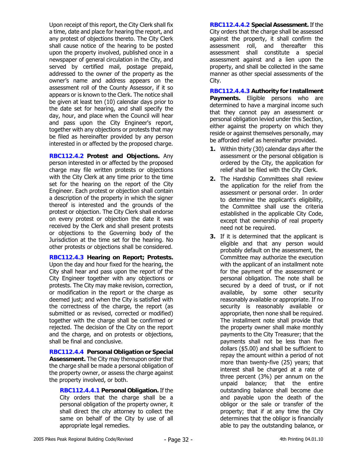Upon receipt of this report, the City Clerk shall fix a time, date and place for hearing the report, and any protest of objections thereto. The City Clerk shall cause notice of the hearing to be posted upon the property involved, published once in a newspaper of general circulation in the City, and served by certified mail, postage prepaid, addressed to the owner of the property as the owner's name and address appears on the assessment roll of the County Assessor, if it so appears or is known to the Clerk. The notice shall be given at least ten (10) calendar days prior to the date set for hearing, and shall specify the day, hour, and place when the Council will hear and pass upon the City Engineer's report, together with any objections or protests that may be filed as hereinafter provided by any person interested in or affected by the proposed charge.

**RBC112.4.2 Protest and Objections.** Any person interested in or affected by the proposed charge may file written protests or objections with the City Clerk at any time prior to the time set for the hearing on the report of the City Engineer. Each protest or objection shall contain a description of the property in which the signer thereof is interested and the grounds of the protest or objection. The City Clerk shall endorse on every protest or objection the date it was received by the Clerk and shall present protests or objections to the Governing body of the Jurisdiction at the time set for the hearing. No other protests or objections shall be considered.

**RBC112.4.3 Hearing on Report; Protests.** Upon the day and hour fixed for the hearing, the City shall hear and pass upon the report of the City Engineer together with any objections or protests. The City may make revision, correction, or modification in the report or the charge as deemed just; and when the City is satisfied with the correctness of the charge, the report (as submitted or as revised, corrected or modified) together with the charge shall be confirmed or rejected. The decision of the City on the report and the charge, and on protests or objections, shall be final and conclusive.

**RBC112.4.4 Personal Obligation or Special Assessment.** The City may thereupon order that the charge shall be made a personal obligation of the property owner, or assess the charge against the property involved, or both.

**RBC112.4.4.1 Personal Obligation.** If the City orders that the charge shall be a personal obligation of the property owner, it shall direct the city attorney to collect the same on behalf of the City by use of all appropriate legal remedies.

**RBC112.4.4.2 Special Assessment.** If the City orders that the charge shall be assessed against the property, it shall confirm the assessment roll, and thereafter this assessment shall constitute a special assessment against and a lien upon the property, and shall be collected in the same manner as other special assessments of the City.

**RBC112.4.4.3 Authority for Installment Payments.** Eligible persons who are determined to have a marginal income such that they cannot pay an assessment or personal obligation levied under this Section, either against the property on which they reside or against themselves personally, may be afforded relief as hereinafter provided.

- **1.** Within thirty (30) calendar days after the assessment or the personal obligation is ordered by the City, the application for relief shall be filed with the City Clerk.
- **2.** The Hardship Committees shall review the application for the relief from the assessment or personal order. In order to determine the applicant's eligibility, the Committee shall use the criteria established in the applicable City Code, except that ownership of real property need not be required.
- **3.** If it is determined that the applicant is eligible and that any person would probably default on the assessment, the Committee may authorize the execution with the applicant of an installment note for the payment of the assessment or personal obligation. The note shall be secured by a deed of trust, or if not available, by some other security reasonably available or appropriate. If no security is reasonably available or appropriate, then none shall be required. The installment note shall provide that the property owner shall make monthly payments to the City Treasurer; that the payments shall not be less than five dollars (\$5.00) and shall be sufficient to repay the amount within a period of not more than twenty-five (25) years; that interest shall be charged at a rate of three percent (3%) per annum on the unpaid balance; that the entire outstanding balance shall become due and payable upon the death of the obligor or the sale or transfer of the property; that if at any time the City determines that the obligor is financially able to pay the outstanding balance, or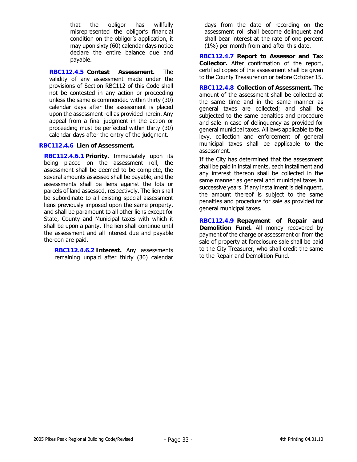that the obligor has willfully misrepresented the obligor's financial condition on the obligor's application, it may upon sixty (60) calendar days notice declare the entire balance due and payable.

**RBC112.4.5 Contest Assessment.** The validity of any assessment made under the provisions of Section RBC112 of this Code shall not be contested in any action or proceeding unless the same is commended within thirty (30) calendar days after the assessment is placed upon the assessment roll as provided herein. Any appeal from a final judgment in the action or proceeding must be perfected within thirty (30) calendar days after the entry of the judgment.

## **RBC112.4.6 Lien of Assessment.**

**RBC112.4.6.1 Priority.** Immediately upon its being placed on the assessment roll, the assessment shall be deemed to be complete, the several amounts assessed shall be payable, and the assessments shall be liens against the lots or parcels of land assessed, respectively. The lien shall be subordinate to all existing special assessment liens previously imposed upon the same property, and shall be paramount to all other liens except for State, County and Municipal taxes with which it shall be upon a parity. The lien shall continue until the assessment and all interest due and payable thereon are paid.

**RBC112.4.6.2 Interest.** Any assessments remaining unpaid after thirty (30) calendar

days from the date of recording on the assessment roll shall become delinquent and shall bear interest at the rate of one percent (1%) per month from and after this date.

**RBC112.4.7 Report to Assessor and Tax Collector.** After confirmation of the report, certified copies of the assessment shall be given to the County Treasurer on or before October 15.

**RBC112.4.8 Collection of Assessment.** The amount of the assessment shall be collected at the same time and in the same manner as general taxes are collected; and shall be subjected to the same penalties and procedure and sale in case of delinquency as provided for general municipal taxes. All laws applicable to the levy, collection and enforcement of general municipal taxes shall be applicable to the assessment.

If the City has determined that the assessment shall be paid in installments, each installment and any interest thereon shall be collected in the same manner as general and municipal taxes in successive years. If any installment is delinquent, the amount thereof is subject to the same penalties and procedure for sale as provided for general municipal taxes.

**RBC112.4.9 Repayment of Repair and Demolition Fund.** All money recovered by payment of the charge or assessment or from the sale of property at foreclosure sale shall be paid to the City Treasurer, who shall credit the same to the Repair and Demolition Fund.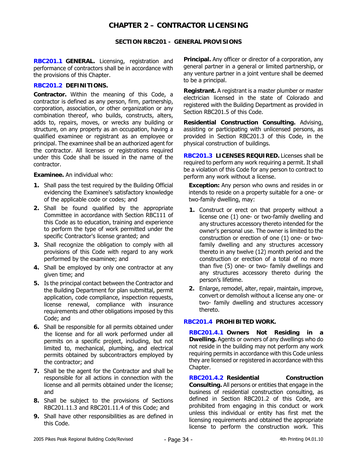# **CHAPTER 2 – CONTRACTOR LICENSING**

## **SECTION RBC201 - GENERAL PROVISIONS**

**RBC201.1 GENERAL.** Licensing, registration and performance of contractors shall be in accordance with the provisions of this Chapter.

## **RBC201.2 DEFINITIONS.**

**Contractor.** Within the meaning of this Code, a contractor is defined as any person, firm, partnership, corporation, association, or other organization or any combination thereof, who builds, constructs, alters, adds to, repairs, moves, or wrecks any building or structure, on any property as an occupation, having a qualified examinee or registrant as an employee or principal. The examinee shall be an authorized agent for the contractor. All licenses or registrations required under this Code shall be issued in the name of the contractor.

**Examinee.** An individual who:

- **1.** Shall pass the test required by the Building Official evidencing the Examinee's satisfactory knowledge of the applicable code or codes; and
- **2.** Shall be found qualified by the appropriate Committee in accordance with Section RBC111 of this Code as to education, training and experience to perform the type of work permitted under the specific Contractor's license granted; and
- **3.** Shall recognize the obligation to comply with all provisions of this Code with regard to any work performed by the examinee; and
- **4.** Shall be employed by only one contractor at any given time; and
- **5.** Is the principal contact between the Contractor and the Building Department for plan submittal, permit application, code compliance, inspection requests, license renewal, compliance with insurance requirements and other obligations imposed by this Code; and
- **6.** Shall be responsible for all permits obtained under the license and for all work performed under all permits on a specific project, including, but not limited to, mechanical, plumbing, and electrical permits obtained by subcontractors employed by the contractor; and
- **7.** Shall be the agent for the Contractor and shall be responsible for all actions in connection with the license and all permits obtained under the license; and
- **8.** Shall be subject to the provisions of Sections RBC201.11.3 and RBC201.11.4 of this Code; and
- **9.** Shall have other responsibilities as are defined in this Code.

**Principal.** Any officer or director of a corporation, any general partner in a general or limited partnership, or any venture partner in a joint venture shall be deemed to be a principal.

**Registrant.** A registrant is a master plumber or master electrician licensed in the state of Colorado and registered with the Building Department as provided in Section RBC201.5 of this Code.

**Residential Construction Consulting.** Advising, assisting or participating with unlicensed persons, as provided in Section RBC201.3 of this Code, in the physical construction of buildings.

**RBC201.3 LICENSES REQUIRED.** Licenses shall be required to perform any work requiring a permit. It shall be a violation of this Code for any person to contract to perform any work without a license.

**Exception:** Any person who owns and resides in or intends to reside on a property suitable for a one- or two-family dwelling, may:

- **1.** Construct or erect on that property without a license one (1) one- or two-family dwelling and any structures accessory thereto intended for the owner's personal use. The owner is limited to the construction or erection of one (1) one- or twofamily dwelling and any structures accessory thereto in any twelve (12) month period and the construction or erection of a total of no more than five (5) one- or two- family dwellings and any structures accessory thereto during the person's lifetime.
- **2.** Enlarge, remodel, alter, repair, maintain, improve, convert or demolish without a license any one- or two- family dwelling and structures accessory thereto.

# **RBC201.4 PROHIBITED WORK.**

**RBC201.4.1 Owners Not Residing in a Dwelling.** Agents or owners of any dwellings who do not reside in the building may not perform any work requiring permits in accordance with this Code unless they are licensed or registered in accordance with this Chapter.

**RBC201.4.2 Residential Construction Consulting.** All persons or entities that engage in the business of residential construction consulting, as defined in Section RBC201.2 of this Code, are prohibited from engaging in this conduct or work unless this individual or entity has first met the licensing requirements and obtained the appropriate license to perform the construction work. This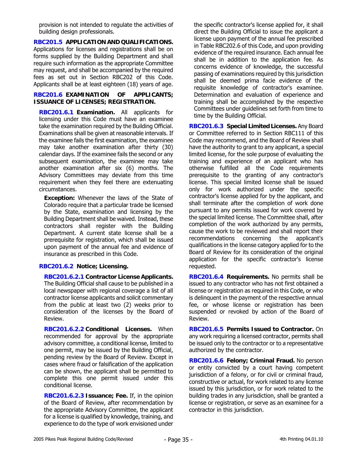provision is not intended to regulate the activities of building design professionals.

**RBC201.5 APPLICATION AND QUALIFICATIONS.**  Applications for licenses and registrations shall be on forms supplied by the Building Department and shall require such information as the appropriate Committee may request, and shall be accompanied by the required fees as set out in Section RBC202 of this Code. Applicants shall be at least eighteen (18) years of age.

## **RBC201.6 EXAMINATION OF APPLICANTS; ISSUANCE OF LICENSES; REGISTRATION.**

**RBC201.6.1 Examination.** All applicants for licensing under this Code must have an examinee take the examination required by the Building Official. Examinations shall be given at reasonable intervals. If the examinee fails the first examination, the examinee may take another examination after thirty (30) calendar days. If the examinee fails the second or any subsequent examination, the examinee may take another examination after six (6) months. The Advisory Committees may deviate from this time requirement when they feel there are extenuating circumstances.

**Exception:** Whenever the laws of the State of Colorado require that a particular trade be licensed by the State, examination and licensing by the Building Department shall be waived. Instead, these contractors shall register with the Building Department. A current state license shall be a prerequisite for registration, which shall be issued upon payment of the annual fee and evidence of insurance as prescribed in this Code.

# **RBC201.6.2 Notice; Licensing.**

**RBC201.6.2.1 Contractor License Applicants.**  The Building Official shall cause to be published in a local newspaper with regional coverage a list of all contractor license applicants and solicit commentary from the public at least two (2) weeks prior to consideration of the licenses by the Board of Review.

**RBC201.6.2.2 Conditional Licenses.** When recommended for approval by the appropriate advisory committee, a conditional license, limited to one permit, may be issued by the Building Official, pending review by the Board of Review. Except in cases where fraud or falsification of the application can be shown, the applicant shall be permitted to complete this one permit issued under this conditional license.

**RBC201.6.2.3 Issuance; Fee.** If, in the opinion of the Board of Review, after recommendation by the appropriate Advisory Committee, the applicant for a license is qualified by knowledge, training, and experience to do the type of work envisioned under the specific contractor's license applied for, it shall direct the Building Official to issue the applicant a license upon payment of the annual fee prescribed in Table RBC202.6 of this Code, and upon providing evidence of the required insurance. Each annual fee shall be in addition to the application fee. As concerns evidence of knowledge, the successful passing of examinations required by this jurisdiction shall be deemed prima facie evidence of the requisite knowledge of contractor's examinee. Determination and evaluation of experience and training shall be accomplished by the respective Committees under guidelines set forth from time to time by the Building Official.

**RBC201.6.3 Special Limited Licenses.** Any Board or Committee referred to in Section RBC111 of this Code may recommend, and the Board of Review shall have the authority to grant to any applicant, a special limited license, for the sole purpose of evaluating the training and experience of an applicant who has otherwise fulfilled all the Code requirements prerequisite to the granting of any contractor's license. This special limited license shall be issued only for work authorized under the specific contractor's license applied for by the applicant, and shall terminate after the completion of work done pursuant to any permits issued for work covered by the special limited license. The Committee shall, after completion of the work authorized by any permits, cause the work to be reviewed and shall report their recommendations concerning the applicant's qualifications in the license category applied for to the Board of Review for its consideration of the original application for the specific contractor's license requested.

**RBC201.6.4 Requirements.** No permits shall be issued to any contractor who has not first obtained a license or registration as required in this Code, or who is delinquent in the payment of the respective annual fee, or whose license or registration has been suspended or revoked by action of the Board of Review.

**RBC201.6.5 Permits Issued to Contractor.** On any work requiring a licensed contractor, permits shall be issued only to the contractor or to a representative authorized by the contractor.

**RBC201.6.6 Felony; Criminal Fraud.** No person or entity convicted by a court having competent jurisdiction of a felony, or for civil or criminal fraud, constructive or actual, for work related to any license issued by this jurisdiction, or for work related to the building trades in any jurisdiction, shall be granted a license or registration, or serve as an examinee for a contractor in this jurisdiction.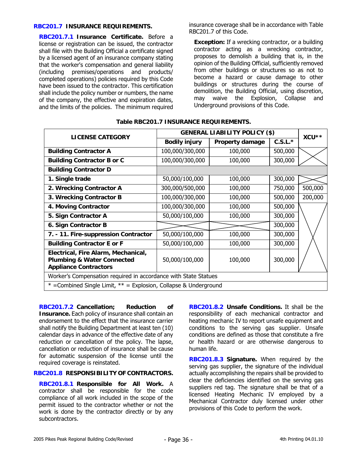#### **RBC201.7 INSURANCE REQUIREMENTS.**

**RBC201.7.1 Insurance Certificate.** Before a license or registration can be issued, the contractor shall file with the Building Official a certificate signed by a licensed agent of an insurance company stating that the worker's compensation and general liability (including premises/operations and products/ completed operations) policies required by this Code have been issued to the contractor. This certification shall include the policy number or numbers, the name of the company, the effective and expiration dates, and the limits of the policies. The minimum required insurance coverage shall be in accordance with Table RBC201.7 of this Code.

**Exception:** If a wrecking contractor, or a building contractor acting as a wrecking contractor, proposes to demolish a building that is, in the opinion of the Building Official, sufficiently removed from other buildings or structures so as not to become a hazard or cause damage to other buildings or structures during the course of demolition, the Building Official, using discretion, may waive the Explosion, Collapse and Underground provisions of this Code.

| <b>LICENSE CATEGORY</b>                                                                                      | <b>GENERAL LIABILITY POLICY (\$)</b> | XCU**                  |           |         |  |  |
|--------------------------------------------------------------------------------------------------------------|--------------------------------------|------------------------|-----------|---------|--|--|
|                                                                                                              | <b>Bodily injury</b>                 | <b>Property damage</b> | $C.S.L.*$ |         |  |  |
| <b>Building Contractor A</b>                                                                                 | 100,000/300,000                      | 100,000                | 500,000   |         |  |  |
| <b>Building Contractor B or C</b>                                                                            | 100,000/300,000                      | 100,000                | 300,000   |         |  |  |
| <b>Building Contractor D</b>                                                                                 |                                      |                        |           |         |  |  |
| 1. Single trade                                                                                              | 50,000/100,000                       | 100,000                | 300,000   |         |  |  |
| 2. Wrecking Contractor A                                                                                     | 300,000/500,000                      | 100,000                | 750,000   | 500,000 |  |  |
| 3. Wrecking Contractor B                                                                                     | 100,000/300,000                      | 100,000                | 500,000   | 200,000 |  |  |
| 4. Moving Contractor                                                                                         | 100,000/300,000                      | 100,000                | 500,000   |         |  |  |
| 5. Sign Contractor A                                                                                         | 50,000/100,000                       | 100,000                | 300,000   |         |  |  |
| 6. Sign Contractor B                                                                                         |                                      |                        | 300,000   |         |  |  |
| 7. - 11. Fire-suppression Contractor                                                                         | 50,000/100,000                       | 100,000                | 300,000   |         |  |  |
| <b>Building Contractor E or F</b>                                                                            | 50,000/100,000                       | 100,000                | 300,000   |         |  |  |
| Electrical, Fire Alarm, Mechanical,<br><b>Plumbing &amp; Water Connected</b><br><b>Appliance Contractors</b> | 50,000/100,000                       | 100,000                | 300,000   |         |  |  |
| Worker's Compensation required in accordance with State Statues                                              |                                      |                        |           |         |  |  |
| $*$ =Combined Single Limit, $**$ = Explosion, Collapse & Underground                                         |                                      |                        |           |         |  |  |

#### **Table RBC201.7 INSURANCE REQUIREMENTS.**

**RBC201.7.2 Cancellation; Reduction of Insurance.** Each policy of insurance shall contain an endorsement to the effect that the insurance carrier shall notify the Building Department at least ten (10) calendar days in advance of the effective date of any reduction or cancellation of the policy. The lapse, cancellation or reduction of insurance shall be cause for automatic suspension of the license until the required coverage is reinstated.

# **RBC201.8 RESPONSIBILITY OF CONTRACTORS.**

**RBC201.8.1 Responsible for All Work.** A contractor shall be responsible for the code compliance of all work included in the scope of the permit issued to the contractor whether or not the work is done by the contractor directly or by any subcontractors.

**RBC201.8.2 Unsafe Conditions.** It shall be the responsibility of each mechanical contractor and heating mechanic IV to report unsafe equipment and conditions to the serving gas supplier. Unsafe conditions are defined as those that constitute a fire or health hazard or are otherwise dangerous to human life.

**RBC201.8.3 Signature.** When required by the serving gas supplier, the signature of the individual actually accomplishing the repairs shall be provided to clear the deficiencies identified on the serving gas suppliers red tag. The signature shall be that of a licensed Heating Mechanic IV employed by a Mechanical Contractor duly licensed under other provisions of this Code to perform the work.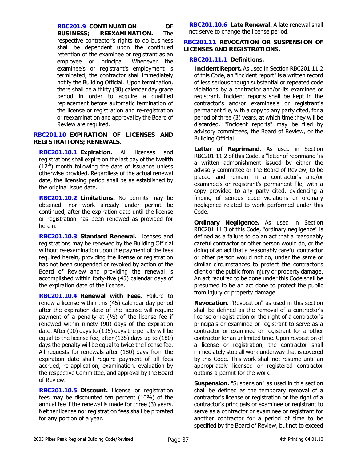**RBC201.9 CONTINUATION OF BUSINESS; REEXAMINATION.** The respective contractor's rights to do business shall be dependent upon the continued retention of the examinee or registrant as an employee or principal. Whenever the examinee's or registrant's employment is terminated, the contractor shall immediately notify the Building Official. Upon termination, there shall be a thirty (30) calendar day grace period in order to acquire a qualified replacement before automatic termination of the license or registration and re-registration or reexamination and approval by the Board of Review are required.

# **RBC201.10 EXPIRATION OF LICENSES AND REGISTRATIONS; RENEWALS.**

**RBC201.10.1 Expiration.** All licenses and registrations shall expire on the last day of the twelfth  $(12<sup>th</sup>)$  month following the date of issuance unless otherwise provided. Regardless of the actual renewal date, the licensing period shall be as established by the original issue date.

**RBC201.10.2 Limitations.** No permits may be obtained, nor work already under permit be continued, after the expiration date until the license or registration has been renewed as provided for herein.

**RBC201.10.3 Standard Renewal.** Licenses and registrations may be renewed by the Building Official without re-examination upon the payment of the fees required herein, providing the license or registration has not been suspended or revoked by action of the Board of Review and providing the renewal is accomplished within forty-five (45) calendar days of the expiration date of the license.

**RBC201.10.4 Renewal with Fees.** Failure to renew a license within this (45) calendar day period after the expiration date of the license will require payment of a penalty at  $(\frac{1}{2})$  of the license fee if renewed within ninety (90) days of the expiration date. After (90) days to (135) days the penalty will be equal to the license fee, after (135) days up to (180) days the penalty will be equal to twice the license fee. All requests for renewals after (180) days from the expiration date shall require payment of all fees accrued, re-application, examination, evaluation by the respective Committee, and approval by the Board of Review.

**RBC201.10.5 Discount.** License or registration fees may be discounted ten percent (10%) of the annual fee if the renewal is made for three (3) years. Neither license nor registration fees shall be prorated for any portion of a year.

**RBC201.10.6 Late Renewal.** A late renewal shall not serve to change the license period.

## **RBC201.11 REVOCATION OR SUSPENSION OF LICENSES AND REGISTRATIONS.**

# **RBC201.11.1 Definitions.**

**Incident Report.** As used in Section RBC201.11.2 of this Code, an "incident report" is a written record of less serious though substantial or repeated code violations by a contractor and/or its examinee or registrant. Incident reports shall be kept in the contractor's and/or examinee's or registrant's permanent file, with a copy to any party cited, for a period of three (3) years, at which time they will be discarded. "Incident reports" may be filed by advisory committees, the Board of Review, or the Building Official.

**Letter of Reprimand.** As used in Section RBC201.11.2 of this Code, a "letter of reprimand" is a written admonishment issued by either the advisory committee or the Board of Review, to be placed and remain in a contractor's and/or examinee's or registrant's permanent file, with a copy provided to any party cited, evidencing a finding of serious code violations or ordinary negligence related to work performed under this Code.

**Ordinary Negligence.** As used in Section RBC201.11.3 of this Code, "ordinary negligence" is defined as a failure to do an act that a reasonably careful contractor or other person would do, or the doing of an act that a reasonably careful contractor or other person would not do, under the same or similar circumstances to protect the contractor's client or the public from injury or property damage. An act required to be done under this Code shall be presumed to be an act done to protect the public from injury or property damage.

**Revocation.** "Revocation" as used in this section shall be defined as the removal of a contractor's license or registration or the right of a contractor's principals or examinee or registrant to serve as a contractor or examinee or registrant for another contractor for an unlimited time. Upon revocation of a license or registration, the contractor shall immediately stop all work underway that is covered by this Code. This work shall not resume until an appropriately licensed or registered contractor obtains a permit for the work.

**Suspension.** "Suspension" as used in this section shall be defined as the temporary removal of a contractor's license or registration or the right of a contractor's principals or examinee or registrant to serve as a contractor or examinee or registrant for another contractor for a period of time to be specified by the Board of Review, but not to exceed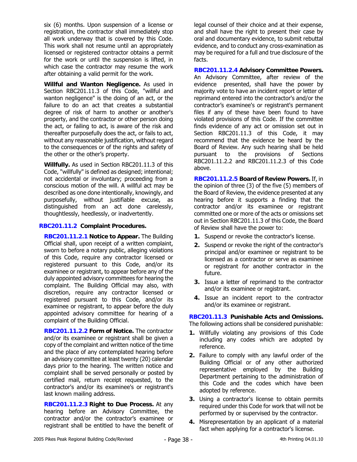six (6) months. Upon suspension of a license or registration, the contractor shall immediately stop all work underway that is covered by this Code. This work shall not resume until an appropriately licensed or registered contractor obtains a permit for the work or until the suspension is lifted, in which case the contractor may resume the work after obtaining a valid permit for the work.

**Willful and Wanton Negligence.** As used in Section RBC201.11.3 of this Code, "willful and wanton negligence" is the doing of an act, or the failure to do an act that creates a substantial degree of risk of harm to another or another's property, and the contractor or other person doing the act, or failing to act, is aware of the risk and thereafter purposefully does the act, or fails to act, without any reasonable justification, without regard to the consequences or of the rights and safety of the other or the other's property.

**Willfully.** As used in Section RBC201.11.3 of this Code, "willfully" is defined as designed; intentional; not accidental or involuntary; proceeding from a conscious motion of the will. A willful act may be described as one done intentionally, knowingly, and purposefully, without justifiable excuse, as distinguished from an act done carelessly, thoughtlessly, heedlessly, or inadvertently.

## **RBC201.11.2 Complaint Procedures.**

**RBC201.11.2.1 Notice to Appear.** The Building Official shall, upon receipt of a written complaint, sworn to before a notary public, alleging violations of this Code, require any contractor licensed or registered pursuant to this Code, and/or its examinee or registrant, to appear before any of the duly appointed advisory committees for hearing the complaint. The Building Official may also, with discretion, require any contractor licensed or registered pursuant to this Code, and/or its examinee or registrant, to appear before the duly appointed advisory committee for hearing of a complaint of the Building Official.

**RBC201.11.2.2 Form of Notice.** The contractor and/or its examinee or registrant shall be given a copy of the complaint and written notice of the time and the place of any contemplated hearing before an advisory committee at least twenty (20) calendar days prior to the hearing. The written notice and complaint shall be served personally or posted by certified mail, return receipt requested, to the contractor's and/or its examinee's or registrant's last known mailing address.

**RBC201.11.2.3 Right to Due Process.** At any hearing before an Advisory Committee, the contractor and/or the contractor's examinee or registrant shall be entitled to have the benefit of legal counsel of their choice and at their expense, and shall have the right to present their case by oral and documentary evidence, to submit rebuttal evidence, and to conduct any cross-examination as may be required for a full and true disclosure of the facts.

**RBC201.11.2.4 Advisory Committee Powers.** An Advisory Committee, after review of the evidence presented, shall have the power by majority vote to have an incident report or letter of reprimand entered into the contractor's and/or the contractor's examinee's or registrant's permanent files if any of these have been found to have violated provisions of this Code. If the committee finds evidence of any act or omission set out in Section RBC201.11.3 of this Code, it may recommend that the evidence be heard by the Board of Review. Any such hearing shall be held pursuant to the provisions of Sections RBC201.11.2.2 and RBC201.11.2.3 of this Code above.

**RBC201.11.2.5 Board of Review Powers.** If, in the opinion of three (3) of the five (5) members of the Board of Review, the evidence presented at any hearing before it supports a finding that the contractor and/or its examinee or registrant committed one or more of the acts or omissions set out in Section RBC201.11.3 of this Code, the Board of Review shall have the power to:

- **1.** Suspend or revoke the contractor's license.
- **2.** Suspend or revoke the right of the contractor's principal and/or examinee or registrant to be licensed as a contractor or serve as examinee or registrant for another contractor in the future.
- **3.** Issue a letter of reprimand to the contractor and/or its examinee or registrant.
- **4.** Issue an incident report to the contractor and/or its examinee or registrant.

**RBC201.11.3 Punishable Acts and Omissions.**  The following actions shall be considered punishable:

- **1.** Willfully violating any provisions of this Code including any codes which are adopted by reference.
- **2.** Failure to comply with any lawful order of the Building Official or of any other authorized representative employed by the Building Department pertaining to the administration of this Code and the codes which have been adopted by reference.
- **3.** Using a contractor's license to obtain permits required under this Code for work that will not be performed by or supervised by the contractor.
- **4.** Misrepresentation by an applicant of a material fact when applying for a contractor's license.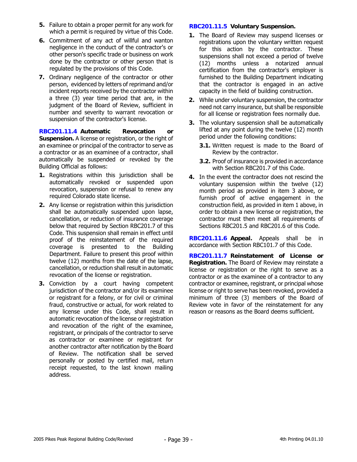- **5.** Failure to obtain a proper permit for any work for which a permit is required by virtue of this Code.
- **6.** Commitment of any act of willful and wanton negligence in the conduct of the contractor's or other person's specific trade or business on work done by the contractor or other person that is regulated by the provisions of this Code.
- **7.** Ordinary negligence of the contractor or other person, evidenced by letters of reprimand and/or incident reports received by the contractor within a three (3) year time period that are, in the judgment of the Board of Review, sufficient in number and severity to warrant revocation or suspension of the contractor's license.

**RBC201.11.4 Automatic Revocation or Suspension.** A license or registration, or the right of an examinee or principal of the contractor to serve as a contractor or as an examinee of a contractor, shall automatically be suspended or revoked by the Building Official as follows:

- **1.** Registrations within this jurisdiction shall be automatically revoked or suspended upon revocation, suspension or refusal to renew any required Colorado state license.
- **2.** Any license or registration within this jurisdiction shall be automatically suspended upon lapse, cancellation, or reduction of insurance coverage below that required by Section RBC201.7 of this Code. This suspension shall remain in effect until proof of the reinstatement of the required coverage is presented to the Building Department. Failure to present this proof within twelve (12) months from the date of the lapse, cancellation, or reduction shall result in automatic revocation of the license or registration.
- **3.** Conviction by a court having competent jurisdiction of the contractor and/or its examinee or registrant for a felony, or for civil or criminal fraud, constructive or actual, for work related to any license under this Code, shall result in automatic revocation of the license or registration and revocation of the right of the examinee, registrant, or principals of the contractor to serve as contractor or examinee or registrant for another contractor after notification by the Board of Review. The notification shall be served personally or posted by certified mail, return receipt requested, to the last known mailing address.

# **RBC201.11.5 Voluntary Suspension.**

- **1.** The Board of Review may suspend licenses or registrations upon the voluntary written request for this action by the contractor. These suspensions shall not exceed a period of twelve (12) months unless a notarized annual certification from the contractor's employer is furnished to the Building Department indicating that the contractor is engaged in an active capacity in the field of building construction.
- **2.** While under voluntary suspension, the contractor need not carry insurance, but shall be responsible for all license or registration fees normally due.
- **3.** The voluntary suspension shall be automatically lifted at any point during the twelve (12) month period under the following conditions:
	- **3.1.** Written request is made to the Board of Review by the contractor.
	- **3.2.** Proof of insurance is provided in accordance with Section RBC201.7 of this Code.
- **4.** In the event the contractor does not rescind the voluntary suspension within the twelve (12) month period as provided in item 3 above, or furnish proof of active engagement in the construction field, as provided in item 1 above, in order to obtain a new license or registration, the contractor must then meet all requirements of Sections RBC201.5 and RBC201.6 of this Code.

**RBC201.11.6 Appeal.** Appeals shall be in accordance with Section RBC101.7 of this Code.

**RBC201.11.7 Reinstatement of License or Registration.** The Board of Review may reinstate a license or registration or the right to serve as a contractor or as the examinee of a contractor to any contractor or examinee, registrant, or principal whose license or right to serve has been revoked, provided a minimum of three (3) members of the Board of Review vote in favor of the reinstatement for any reason or reasons as the Board deems sufficient.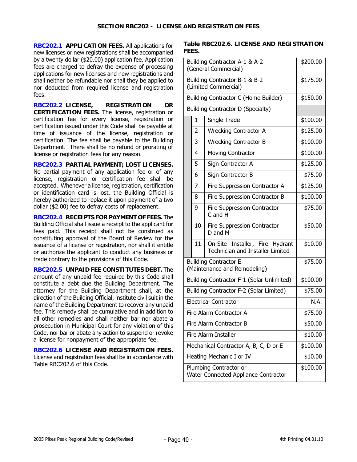**RBC202.1 APPLICATION FEES.** All applications for new licenses or new registrations shall be accompanied by a twenty dollar (\$20.00) application fee. Application fees are charged to defray the expense of processing applications for new licenses and new registrations and shall neither be refundable nor shall they be applied to nor deducted from required license and registration fees.

**RBC202.2 LICENSE, REGISTRATION OR CERTIFICATION FEES.** The license, registration or certification fee for every license, registration or certification issued under this Code shall be payable at time of issuance of the license, registration or certification. The fee shall be payable to the Building Department. There shall be no refund or prorating of license or registration fees for any reason.

**RBC202.3 PARTIAL PAYMENT; LOST LICENSES.**  No partial payment of any application fee or of any license, registration or certification fee shall be accepted. Whenever a license, registration, certification or identification card is lost, the Building Official is hereby authorized to replace it upon payment of a two dollar (\$2.00) fee to defray costs of replacement.

**RBC202.4 RECEIPTS FOR PAYMENT OF FEES.** The Building Official shall issue a receipt to the applicant for fees paid. This receipt shall not be construed as constituting approval of the Board of Review for the issuance of a license or registration, nor shall it entitle or authorize the applicant to conduct any business or trade contrary to the provisions of this Code.

**RBC202.5 UNPAID FEE CONSTITUTES DEBT.** The amount of any unpaid fee required by this Code shall constitute a debt due the Building Department. The attorney for the Building Department shall, at the direction of the Building Official, institute civil suit in the name of the Building Department to recover any unpaid fee. This remedy shall be cumulative and in addition to all other remedies and shall neither bar nor abate a prosecution in Municipal Court for any violation of this Code, nor bar or abate any action to suspend or revoke a license for nonpayment of the appropriate fee.

**RBC202.6 LICENSE AND REGISTRATION FEES.** License and registration fees shall be in accordance with Table RBC202.6 of this Code.

**Table RBC202.6. LICENSE AND REGISTRATION FEES.** 

| Building Contractor A-1 & A-2<br>(General Commercial) | \$200.00                                                       |                                                                            |          |  |  |
|-------------------------------------------------------|----------------------------------------------------------------|----------------------------------------------------------------------------|----------|--|--|
|                                                       | Building Contractor B-1 & B-2<br>(Limited Commercial)          | \$175.00                                                                   |          |  |  |
|                                                       | Building Contractor C (Home Builder)                           | \$150.00                                                                   |          |  |  |
|                                                       |                                                                | Building Contractor D (Specialty)                                          |          |  |  |
|                                                       | $\mathbf{1}$                                                   | Single Trade                                                               | \$100.00 |  |  |
|                                                       | $\overline{2}$                                                 | <b>Wrecking Contractor A</b>                                               | \$125.00 |  |  |
|                                                       | 3                                                              | <b>Wrecking Contractor B</b>                                               | \$100.00 |  |  |
|                                                       | 4                                                              | <b>Moving Contractor</b>                                                   | \$100.00 |  |  |
|                                                       | 5                                                              | Sign Contractor A                                                          | \$125.00 |  |  |
|                                                       | 6                                                              | Sign Contractor B                                                          | \$75.00  |  |  |
|                                                       | 7                                                              | Fire Suppression Contractor A                                              | \$125.00 |  |  |
|                                                       | 8                                                              | Fire Suppression Contractor B                                              | \$100.00 |  |  |
|                                                       | 9                                                              | \$75.00                                                                    |          |  |  |
|                                                       | 10                                                             | \$50.00                                                                    |          |  |  |
|                                                       | 11                                                             | On-Site Installer, Fire Hydrant<br><b>Technician and Installer Limited</b> | \$10.00  |  |  |
|                                                       | <b>Building Contractor E</b><br>(Maintenance and Remodeling)   | \$75.00                                                                    |          |  |  |
|                                                       | Building Contractor F-1 (Solar Unlimited)                      | \$100.00                                                                   |          |  |  |
|                                                       | Building Contractor F-2 (Solar Limited)                        | \$75.00                                                                    |          |  |  |
|                                                       | <b>Electrical Contractor</b>                                   | N.A.                                                                       |          |  |  |
|                                                       | Fire Alarm Contractor A                                        | \$75.00                                                                    |          |  |  |
|                                                       | Fire Alarm Contractor B                                        | \$50.00                                                                    |          |  |  |
|                                                       | Fire Alarm Installer                                           | \$10.00                                                                    |          |  |  |
|                                                       | Mechanical Contractor A, B, C, D or E                          | \$100.00                                                                   |          |  |  |
|                                                       | Heating Mechanic I or IV                                       | \$10.00                                                                    |          |  |  |
|                                                       | Plumbing Contractor or<br>Water Connected Appliance Contractor | \$100.00                                                                   |          |  |  |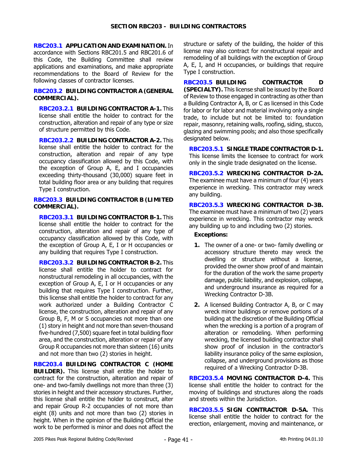**RBC203.1 APPLICATION AND EXAMINATION.** In accordance with Sections RBC201.5 and RBC201.6 of this Code, the Building Committee shall review applications and examinations, and make appropriate recommendations to the Board of Review for the following classes of contractor licenses.

#### **RBC203.2 BUILDING CONTRACTOR A (GENERAL COMMERCIAL).**

**RBC203.2.1 BUILDING CONTRACTOR A-1.** This license shall entitle the holder to contract for the construction, alteration and repair of any type or size of structure permitted by this Code.

**RBC203.2.2 BUILDING CONTRACTOR A-2.** This license shall entitle the holder to contract for the construction, alteration and repair of any type occupancy classification allowed by this Code, with the exception of Group A, E, and I occupancies exceeding thirty-thousand (30,000) square feet in total building floor area or any building that requires Type I construction.

#### **RBC203.3 BUILDING CONTRACTOR B (LIMITED COMMERCIAL).**

**RBC203.3.1 BUILDING CONTRACTOR B-1.** This license shall entitle the holder to contract for the construction, alteration and repair of any type of occupancy classification allowed by this Code, with the exception of Group A, E, I or H occupancies or any building that requires Type I construction.

**RBC203.3.2 BUILDING CONTRACTOR B-2.** This license shall entitle the holder to contract for nonstructural remodeling in all occupancies, with the exception of Group A, E, I or H occupancies or any building that requires Type I construction. Further, this license shall entitle the holder to contract for any work authorized under a Building Contractor C license, the construction, alteration and repair of any Group B, F, M or S occupancies not more than one (1) story in height and not more than seven-thousand five-hundred (7,500) square feet in total building floor area, and the construction, alteration or repair of any Group R occupancies not more than sixteen (16) units and not more than two (2) stories in height.

**RBC203.4 BUILDING CONTRACTOR C (HOME BUILDER).** This license shall entitle the holder to contract for the construction, alteration and repair of one- and two-family dwellings not more than three (3) stories in height and their accessory structures. Further, this license shall entitle the holder to construct, alter and repair Group R-2 occupancies of not more than eight (8) units and not more than two (2) stories in height. When in the opinion of the Building Official the work to be performed is minor and does not affect the structure or safety of the building, the holder of this license may also contract for nonstructural repair and remodeling of all buildings with the exception of Group A, E, I, and H occupancies, or buildings that require Type I construction.

**RBC203.5 BUILDING CONTRACTOR D (SPECIALTY).** This license shall be issued by the Board of Review to those engaged in contracting as other than a Building Contractor A, B, or C as licensed in this Code for labor or for labor and material involving only a single trade, to include but not be limited to: foundation repair, masonry, retaining walls, roofing, siding, stucco, glazing and swimming pools; and also those specifically designated below.

**RBC203.5.1 SINGLE TRADE CONTRACTOR D-1.** This license limits the licensee to contract for work only in the single trade designated on the license.

**RBC203.5.2 WRECKING CONTRACTOR D-2A.** The examinee must have a minimum of four (4) years experience in wrecking. This contractor may wreck any building.

**RBC203.5.3 WRECKING CONTRACTOR D-3B.** The examinee must have a minimum of two (2) years experience in wrecking. This contractor may wreck any building up to and including two (2) stories.

## **Exceptions:**

- **1.** The owner of a one- or two- family dwelling or accessory structure thereto may wreck the dwelling or structure without a license, provided the owner show proof of and maintain for the duration of the work the same property damage, public liability, and explosion, collapse, and underground insurance as required for a Wrecking Contractor D-3B.
- **2.** A licensed Building Contractor A, B, or C may wreck minor buildings or remove portions of a building at the discretion of the Building Official when the wrecking is a portion of a program of alteration or remodeling. When performing wrecking, the licensed building contractor shall show proof of inclusion in the contractor's liability insurance policy of the same explosion, collapse, and underground provisions as those required of a Wrecking Contractor D-3B.

**RBC203.5.4 MOVING CONTRACTOR D-4.** This license shall entitle the holder to contract for the moving of buildings and structures along the roads and streets within the Jurisdiction.

**RBC203.5.5 SIGN CONTRACTOR D-5A.** This license shall entitle the holder to contract for the erection, enlargement, moving and maintenance, or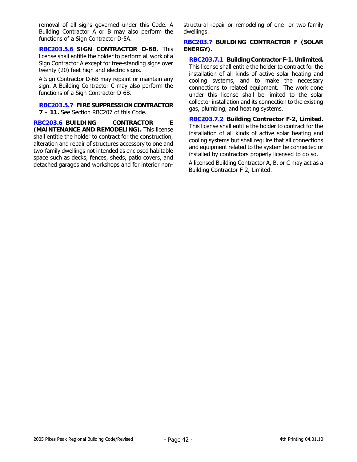removal of all signs governed under this Code. A Building Contractor A or B may also perform the functions of a Sign Contractor D-5A.

**RBC203.5.6 SIGN CONTRACTOR D-6B.** This license shall entitle the holder to perform all work of a Sign Contractor A except for free-standing signs over twenty (20) feet high and electric signs.

A Sign Contractor D-6B may repaint or maintain any sign. A Building Contractor C may also perform the functions of a Sign Contractor D-6B.

**RBC203.5.7 FIRE SUPPRESSION CONTRACTOR 7 – 11.** See Section RBC207 of this Code.

**RBC203.6 BUILDING CONTRACTOR E (MAINTENANCE AND REMODELING).** This license shall entitle the holder to contract for the construction, alteration and repair of structures accessory to one and two-family dwellings not intended as enclosed habitable space such as decks, fences, sheds, patio covers, and detached garages and workshops and for interior nonstructural repair or remodeling of one- or two-family dwellings.

## **RBC203.7 BUILDING CONTRACTOR F (SOLAR ENERGY).**

**RBC203.7.1 Building Contractor F-1, Unlimited.** This license shall entitle the holder to contract for the installation of all kinds of active solar heating and cooling systems, and to make the necessary connections to related equipment. The work done under this license shall be limited to the solar collector installation and its connection to the existing gas, plumbing, and heating systems.

**RBC203.7.2 Building Contractor F-2, Limited.** This license shall entitle the holder to contract for the installation of all kinds of active solar heating and cooling systems but shall require that all connections and equipment related to the system be connected or installed by contractors properly licensed to do so.

A licensed Building Contractor A, B, or C may act as a Building Contractor F-2, Limited.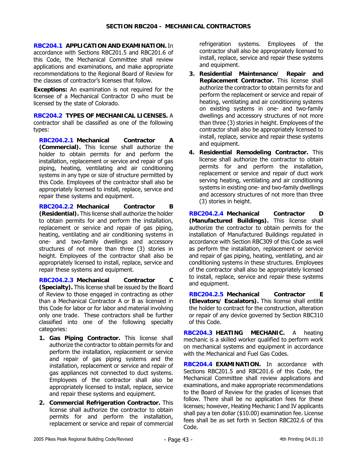**RBC204.1 APPLICATION AND EXAMINATION.** In accordance with Sections RBC201.5 and RBC201.6 of this Code, the Mechanical Committee shall review applications and examinations, and make appropriate recommendations to the Regional Board of Review for the classes of contractor's licenses that follow.

**Exceptions:** An examination is not required for the licensee of a Mechanical Contractor D who must be licensed by the state of Colorado.

**RBC204.2 TYPES OF MECHANICAL LICENSES.** A contractor shall be classified as one of the following types:

**RBC204.2.1 Mechanical Contractor A (Commercial).** This license shall authorize the holder to obtain permits for and perform the installation, replacement or service and repair of gas piping, heating, ventilating and air conditioning systems in any type or size of structure permitted by this Code. Employees of the contractor shall also be appropriately licensed to install, replace, service and repair these systems and equipment.

**RBC204.2.2 Mechanical Contractor B (Residential).** This license shall authorize the holder to obtain permits for and perform the installation, replacement or service and repair of gas piping, heating, ventilating and air conditioning systems in one- and two-family dwellings and accessory structures of not more than three (3) stories in height. Employees of the contractor shall also be appropriately licensed to install, replace, service and repair these systems and equipment.

**RBC204.2.3 Mechanical Contractor C (Specialty).** This license shall be issued by the Board of Review to those engaged in contracting as other than a Mechanical Contractor A or B as licensed in this Code for labor or for labor and material involving only one trade. These contractors shall be further classified into one of the following specialty categories:

- **1. Gas Piping Contractor.** This license shall authorize the contractor to obtain permits for and perform the installation, replacement or service and repair of gas piping systems and the installation, replacement or service and repair of gas appliances not connected to duct systems. Employees of the contractor shall also be appropriately licensed to install, replace, service and repair these systems and equipment.
- **2. Commercial Refrigeration Contractor.** This license shall authorize the contractor to obtain permits for and perform the installation, replacement or service and repair of commercial

refrigeration systems. Employees of the contractor shall also be appropriately licensed to install, replace, service and repair these systems and equipment.

- **3. Residential Maintenance/ Repair and Replacement Contractor.** This license shall authorize the contractor to obtain permits for and perform the replacement or service and repair of heating, ventilating and air conditioning systems on existing systems in one- and two-family dwellings and accessory structures of not more than three (3) stories in height. Employees of the contractor shall also be appropriately licensed to install, replace, service and repair these systems and equipment.
- **4. Residential Remodeling Contractor.** This license shall authorize the contractor to obtain permits for and perform the installation, replacement or service and repair of duct work serving heating, ventilating and air conditioning systems in existing one- and two-family dwellings and accessory structures of not more than three (3) stories in height.

**RBC204.2.4 Mechanical Contractor D (Manufactured Buildings).** This license shall authorize the contractor to obtain permits for the installation of Manufactured Buildings regulated in accordance with Section RBC309 of this Code as well as perform the installation, replacement or service and repair of gas piping, heating, ventilating, and air conditioning systems in these structures. Employees of the contractor shall also be appropriately licensed to install, replace, service and repair these systems and equipment.

**RBC204.2.5 Mechanical Contractor E (Elevators/ Escalators).** This license shall entitle the holder to contract for the construction, alteration or repair of any device governed by Section RBC310 of this Code.

**RBC204.3 HEATING MECHANIC.** A heating mechanic is a skilled worker qualified to perform work on mechanical systems and equipment in accordance with the Mechanical and Fuel Gas Codes.

**RBC204.4 EXAMINATION.** In accordance with Sections RBC201.5 and RBC201.6 of this Code, the Mechanical Committee shall review applications and examinations, and make appropriate recommendations to the Board of Review for the grades of licenses that follow. There shall be no application fees for these licenses; however, Heating Mechanic I and IV applicants shall pay a ten dollar (\$10.00) examination fee. License fees shall be as set forth in Section RBC202.6 of this Code.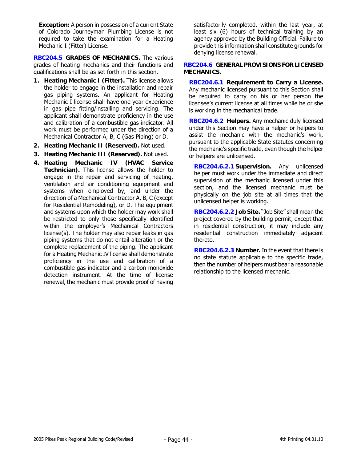**Exception:** A person in possession of a current State of Colorado Journeyman Plumbing License is not required to take the examination for a Heating Mechanic I (Fitter) License.

**RBC204.5 GRADES OF MECHANICS.** The various grades of heating mechanics and their functions and qualifications shall be as set forth in this section.

- **1. Heating Mechanic I (Fitter).** This license allows the holder to engage in the installation and repair gas piping systems. An applicant for Heating Mechanic I license shall have one year experience in gas pipe fitting/installing and servicing. The applicant shall demonstrate proficiency in the use and calibration of a combustible gas indicator. All work must be performed under the direction of a Mechanical Contractor A, B, C (Gas Piping) or D.
- **2. Heating Mechanic II (Reserved).** Not used.
- **3. Heating Mechanic III (Reserved).** Not used.
- **4. Heating Mechanic IV (HVAC Service Technician).** This license allows the holder to engage in the repair and servicing of heating, ventilation and air conditioning equipment and systems when employed by, and under the direction of a Mechanical Contractor A, B, C (except for Residential Remodeling), or D. The equipment and systems upon which the holder may work shall be restricted to only those specifically identified within the employer's Mechanical Contractors license(s). The holder may also repair leaks in gas piping systems that do not entail alteration or the complete replacement of the piping. The applicant for a Heating Mechanic IV license shall demonstrate proficiency in the use and calibration of a combustible gas indicator and a carbon monoxide detection instrument. At the time of license renewal, the mechanic must provide proof of having

satisfactorily completed, within the last year, at least six (6) hours of technical training by an agency approved by the Building Official. Failure to provide this information shall constitute grounds for denying license renewal.

## **RBC204.6 GENERAL PROVISIONS FOR LICENSED MECHANICS.**

**RBC204.6.1 Requirement to Carry a License.** Any mechanic licensed pursuant to this Section shall be required to carry on his or her person the licensee's current license at all times while he or she is working in the mechanical trade.

**RBC204.6.2 Helpers.** Any mechanic duly licensed under this Section may have a helper or helpers to assist the mechanic with the mechanic's work, pursuant to the applicable State statutes concerning the mechanic's specific trade, even though the helper or helpers are unlicensed.

**RBC204.6.2.1 Supervision.** Any unlicensed helper must work under the immediate and direct supervision of the mechanic licensed under this section, and the licensed mechanic must be physically on the job site at all times that the unlicensed helper is working.

**RBC204.6.2.2 Job Site.** "Job Site" shall mean the project covered by the building permit, except that in residential construction, it may include any residential construction immediately adjacent thereto.

**RBC204.6.2.3 Number.** In the event that there is no state statute applicable to the specific trade, then the number of helpers must bear a reasonable relationship to the licensed mechanic.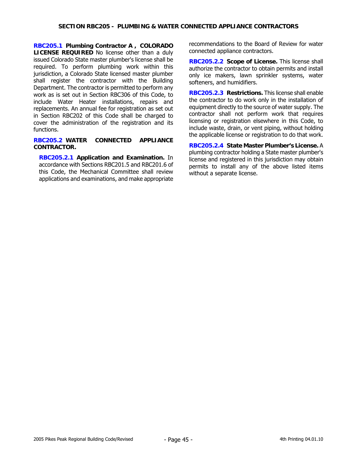**RBC205.1 Plumbing Contractor A , COLORADO LICENSE REQUIRED** No license other than a duly issued Colorado State master plumber's license shall be required. To perform plumbing work within this jurisdiction, a Colorado State licensed master plumber shall register the contractor with the Building Department. The contractor is permitted to perform any work as is set out in Section RBC306 of this Code, to include Water Heater installations, repairs and replacements. An annual fee for registration as set out in Section RBC202 of this Code shall be charged to cover the administration of the registration and its functions.

#### **RBC205.2 WATER CONNECTED APPLIANCE CONTRACTOR.**

**RBC205.2.1 Application and Examination.** In accordance with Sections RBC201.5 and RBC201.6 of this Code, the Mechanical Committee shall review applications and examinations, and make appropriate recommendations to the Board of Review for water connected appliance contractors.

**RBC205.2.2 Scope of License.** This license shall authorize the contractor to obtain permits and install only ice makers, lawn sprinkler systems, water softeners, and humidifiers.

**RBC205.2.3 Restrictions.** This license shall enable the contractor to do work only in the installation of equipment directly to the source of water supply. The contractor shall not perform work that requires licensing or registration elsewhere in this Code, to include waste, drain, or vent piping, without holding the applicable license or registration to do that work.

**RBC205.2.4 State Master Plumber's License.** A plumbing contractor holding a State master plumber's license and registered in this jurisdiction may obtain permits to install any of the above listed items without a separate license.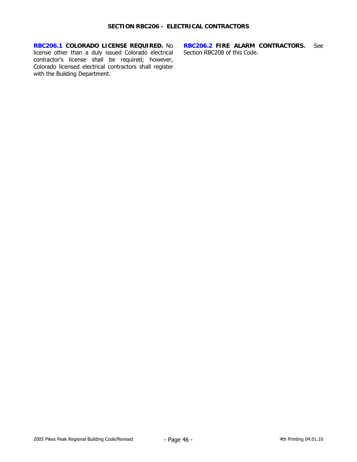**RBC206.1 COLORADO LICENSE REQUIRED.** No license other than a duly issued Colorado electrical contractor's license shall be required; however, Colorado licensed electrical contractors shall register with the Building Department.

**RBC206.2 FIRE ALARM CONTRACTORS.** See Section RBC208 of this Code.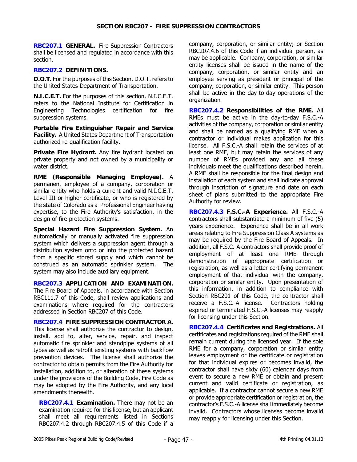**RBC207.1 GENERAL.** Fire Suppression Contractors shall be licensed and regulated in accordance with this section.

## **RBC207.2 DEFINITIONS.**

**D.O.T.** For the purposes of this Section, D.O.T. refers to the United States Department of Transportation.

**N.I.C.E.T.** For the purposes of this section, N.I.C.E.T. refers to the National Institute for Certification in Engineering Technologies certification for fire suppression systems.

**Portable Fire Extinguisher Repair and Service Facility.** A United States Department of Transportation authorized re-qualification facility.

**Private Fire Hydrant.** Any fire hydrant located on private property and not owned by a municipality or water district.

**RME (Responsible Managing Employee).** A permanent employee of a company, corporation or similar entity who holds a current and valid N.I.C.E.T. Level III or higher certificate, or who is registered by the state of Colorado as a Professional Engineer having expertise, to the Fire Authority's satisfaction, in the design of fire protection systems.

**Special Hazard Fire Suppression System.** An automatically or manually activated fire suppression system which delivers a suppression agent through a distribution system onto or into the protected hazard from a specific stored supply and which cannot be construed as an automatic sprinkler system. The system may also include auxiliary equipment.

**RBC207.3 APPLICATION AND EXAMINATION.** The Fire Board of Appeals, in accordance with Section RBC111.7 of this Code, shall review applications and examinations where required for the contractors addressed in Section RBC207 of this Code.

**RBC207.4 FIRE SUPPRESSION CONTRACTOR A.** This license shall authorize the contractor to design, install, add to, alter, service, repair, and inspect automatic fire sprinkler and standpipe systems of all types as well as retrofit existing systems with backflow prevention devices. The license shall authorize the contractor to obtain permits from the Fire Authority for installation, addition to, or alteration of these systems under the provisions of the Building Code, Fire Code as may be adopted by the Fire Authority, and any local amendments therewith.

**RBC207.4.1 Examination.** There may not be an examination required for this license, but an applicant shall meet all requirements listed in Sections RBC207.4.2 through RBC207.4.5 of this Code if a

company, corporation, or similar entity; or Section RBC207.4.6 of this Code if an individual person, as may be applicable. Company, corporation, or similar entity licenses shall be issued in the name of the company, corporation, or similar entity and an employee serving as president or principal of the company, corporation, or similar entity. This person shall be active in the day-to-day operations of the organization

**RBC207.4.2 Responsibilities of the RME.** All RMEs must be active in the day-to-day F.S.C.-A activities of the company, corporation or similar entity and shall be named as a qualifying RME when a contractor or individual makes application for this license. All F.S.C.-A shall retain the services of at least one RME, but may retain the services of any number of RMEs provided any and all these individuals meet the qualifications described herein. A RME shall be responsible for the final design and installation of each system and shall indicate approval through inscription of signature and date on each sheet of plans submitted to the appropriate Fire Authority for review.

**RBC207.4.3 F.S.C.-A Experience.** All F.S.C.-A contractors shall substantiate a minimum of five (5) years experience. Experience shall be in all work areas relating to Fire Suppression Class A systems as may be required by the Fire Board of Appeals. In addition, all F.S.C.-A contractors shall provide proof of employment of at least one RME through demonstration of appropriate certification or registration, as well as a letter certifying permanent employment of that individual with the company, corporation or similar entity. Upon presentation of this information, in addition to compliance with Section RBC201 of this Code, the contractor shall receive a F.S.C.-A license. Contractors holding expired or terminated F.S.C.-A licenses may reapply for licensing under this Section.

**RBC207.4.4 Certificates and Registrations.** All certificates and registrations required of the RME shall remain current during the licensed year. If the sole RME for a company, corporation or similar entity leaves employment or the certificate or registration for that individual expires or becomes invalid, the contractor shall have sixty (60) calendar days from event to secure a new RME or obtain and present current and valid certificate or registration, as applicable. If a contractor cannot secure a new RME or provide appropriate certification or registration, the contractor's F.S.C.-A license shall immediately become invalid. Contractors whose licenses become invalid may reapply for licensing under this Section.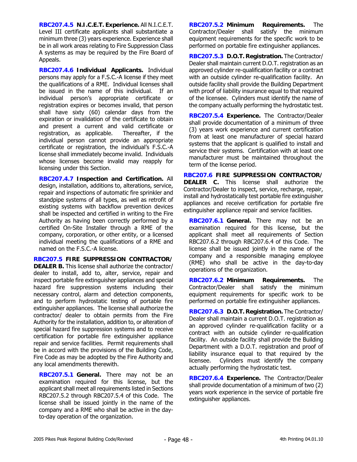**RBC207.4.5 N.I.C.E.T. Experience.** All N.I.C.E.T. Level III certificate applicants shall substantiate a minimum three (3) years experience. Experience shall be in all work areas relating to Fire Suppression Class A systems as may be required by the Fire Board of Appeals.

**RBC207.4.6 Individual Applicants.** Individual persons may apply for a F.S.C.-A license if they meet the qualifications of a RME. Individual licenses shall be issued in the name of this individual. If an individual person's appropriate certificate or registration expires or becomes invalid, that person shall have sixty (60) calendar days from the expiration or invalidation of the certificate to obtain and present a current and valid certificate or registration, as applicable. Thereafter, if the individual person cannot provide an appropriate certificate or registration, the individual's F.S.C.-A license shall immediately become invalid. Individuals whose licenses become invalid may reapply for licensing under this Section.

**RBC207.4.7 Inspection and Certification.** All design, installation, additions to, alterations, service, repair and inspections of automatic fire sprinkler and standpipe systems of all types, as well as retrofit of existing systems with backflow prevention devices shall be inspected and certified in writing to the Fire Authority as having been correctly performed by a certified On-Site Installer through a RME of the company, corporation, or other entity, or a licensed individual meeting the qualifications of a RME and named on the F.S.C.-A license.

**RBC207.5 FIRE SUPPRESSION CONTRACTOR/ DEALER B.** This license shall authorize the contractor/ dealer to install, add to, alter, service, repair and inspect portable fire extinguisher appliances and special hazard fire suppression systems including their necessary control, alarm and detection components, and to perform hydrostatic testing of portable fire extinguisher appliances. The license shall authorize the contractor/ dealer to obtain permits from the Fire Authority for the installation, addition to, or alteration of special hazard fire suppression systems and to receive certification for portable fire extinguisher appliance repair and service facilities. Permit requirements shall be in accord with the provisions of the Building Code, Fire Code as may be adopted by the Fire Authority and any local amendments therewith.

**RBC207.5.1 General.** There may not be an examination required for this license, but the applicant shall meet all requirements listed in Sections RBC207.5.2 through RBC207.5.4 of this Code. The license shall be issued jointly in the name of the company and a RME who shall be active in the dayto-day operation of the organization.

**RBC207.5.2 Minimum Requirements.** The Contractor/Dealer shall satisfy the minimum equipment requirements for the specific work to be performed on portable fire extinguisher appliances.

**RBC207.5.3 D.O.T. Registration.** The Contractor/ Dealer shall maintain current D.O.T. registration as an approved cylinder re-qualification facility or a contract with an outside cylinder re-qualification facility. An outside facility shall provide the Building Department with proof of liability insurance equal to that required of the licensee. Cylinders must identify the name of the company actually performing the hydrostatic test.

**RBC207.5.4 Experience.** The Contractor/Dealer shall provide documentation of a minimum of three (3) years work experience and current certification from at least one manufacturer of special hazard systems that the applicant is qualified to install and service their systems. Certification with at least one manufacturer must be maintained throughout the term of the license period.

**RBC207.6 FIRE SUPPRESSION CONTRACTOR/ DEALER C.** This license shall authorize the Contractor/Dealer to inspect, service, recharge, repair, install and hydrostatically test portable fire extinguisher appliances and receive certification for portable fire extinguisher appliance repair and service facilities.

**RBC207.6.1 General.** There may not be an examination required for this license, but the applicant shall meet all requirements of Section RBC207.6.2 through RBC207.6.4 of this Code. The license shall be issued jointly in the name of the company and a responsible managing employee (RME) who shall be active in the day-to-day operations of the organization.

**RBC207.6.2 Minimum Requirements.** The Contractor/Dealer shall satisfy the minimum equipment requirements for specific work to be performed on portable fire extinguisher appliances.

**RBC207.6.3 D.O.T. Registration.** The Contractor/ Dealer shall maintain a current D.O.T. registration as an approved cylinder re-qualification facility or a contract with an outside cylinder re-qualification facility. An outside facility shall provide the Building Department with a D.O.T. registration and proof of liability insurance equal to that required by the licensee. Cylinders must identify the company actually performing the hydrostatic test.

**RBC207.6.4 Experience.** The Contractor/Dealer shall provide documentation of a minimum of two (2) years work experience in the service of portable fire extinguisher appliances.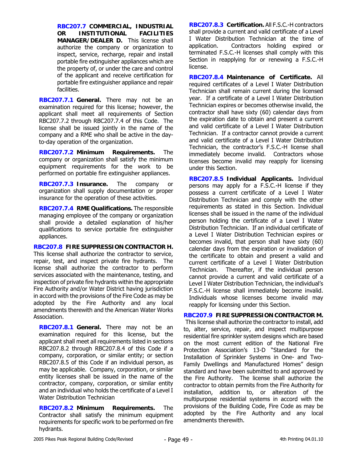**RBC207.7 COMMERCIAL, INDUSTRIAL OR INSTITUTIONAL FACILITIES MANAGER/DEALER D.** This license shall authorize the company or organization to inspect, service, recharge, repair and install portable fire extinguisher appliances which are the property of, or under the care and control of the applicant and receive certification for portable fire extinguisher appliance and repair facilities.

**RBC207.7.1 General.** There may not be an examination required for this license; however, the applicant shall meet all requirements of Section RBC207.7.2 through RBC207.7.4 of this Code. The license shall be issued jointly in the name of the company and a RME who shall be active in the dayto-day operation of the organization.

**RBC207.7.2 Minimum Requirements.** The company or organization shall satisfy the minimum equipment requirements for the work to be performed on portable fire extinguisher appliances.

**RBC207.7.3 Insurance.** The company or organization shall supply documentation or proper insurance for the operation of these activities.

**RBC207.7.4 RME Qualifications.** The responsible managing employee of the company or organization shall provide a detailed explanation of his/her qualifications to service portable fire extinguisher appliances.

**RBC207.8 FIRE SUPPRESSION CONTRACTOR H.** This license shall authorize the contractor to service, repair, test, and inspect private fire hydrants. The license shall authorize the contractor to perform services associated with the maintenance, testing, and inspection of private fire hydrants within the appropriate Fire Authority and/or Water District having jurisdiction in accord with the provisions of the Fire Code as may be adopted by the Fire Authority and any local amendments therewith and the American Water Works Association.

**RBC207.8.1 General.** There may not be an examination required for this license, but the applicant shall meet all requirements listed in sections RBC207.8.2 through RBC207.8.4 of this Code if a company, corporation, or similar entity; or section RBC207.8.5 of this Code if an individual person, as may be applicable. Company, corporation, or similar entity licenses shall be issued in the name of the contractor, company, corporation, or similar entity and an individual who holds the certificate of a Level I Water Distribution Technician

**RBC207.8.2 Minimum Requirements.** The Contractor shall satisfy the minimum equipment requirements for specific work to be performed on fire hydrants.

**RBC207.8.3 Certification.** All F.S.C.-H contractors shall provide a current and valid certificate of a Level I Water Distribution Technician at the time of application. Contractors holding expired or terminated F.S.C.-H licenses shall comply with this Section in reapplying for or renewing a F.S.C.-H license.

**RBC207.8.4 Maintenance of Certificate.** All required certificates of a Level I Water Distribution Technician shall remain current during the licensed year. If a certificate of a Level I Water Distribution Technician expires or becomes otherwise invalid, the contractor shall have sixty (60) calendar days from the expiration date to obtain and present a current and valid certificate of a Level I Water Distribution Technician. If a contractor cannot provide a current and valid certificate of a Level I Water Distribution Technician, the contractor's F.S.C.-H license shall immediately become invalid. Contractors whose licenses become invalid may reapply for licensing under this Section.

**RBC207.8.5 Individual Applicants.** Individual persons may apply for a F.S.C.-H license if they possess a current certificate of a Level I Water Distribution Technician and comply with the other requirements as stated in this Section. Individual licenses shall be issued in the name of the individual person holding the certificate of a Level I Water Distribution Technician. If an individual certificate of a Level I Water Distribution Technician expires or becomes invalid, that person shall have sixty (60) calendar days from the expiration or invalidation of the certificate to obtain and present a valid and current certificate of a Level I Water Distribution Technician. Thereafter, if the individual person cannot provide a current and valid certificate of a Level I Water Distribution Technician, the individual's F.S.C.-H license shall immediately become invalid. Individuals whose licenses become invalid may reapply for licensing under this Section.

# **RBC207.9 FIRE SUPPRESSION CONTRACTOR M.**

 This license shall authorize the contractor to install, add to, alter, service, repair, and inspect multipurpose residential fire sprinkler system designs which are based on the most current edition of the National Fire Protection Association's 13-D "Standard for the Installation of Sprinkler Systems in One- and Two-Family Dwellings and Manufactured Homes" design standard and have been submitted to and approved by the Fire Authority. The license shall authorize the contractor to obtain permits from the Fire Authority for installation, addition to, or alteration of the multipurpose residential systems in accord with the provisions of the Building Code, Fire Code as may be adopted by the Fire Authority and any local amendments therewith.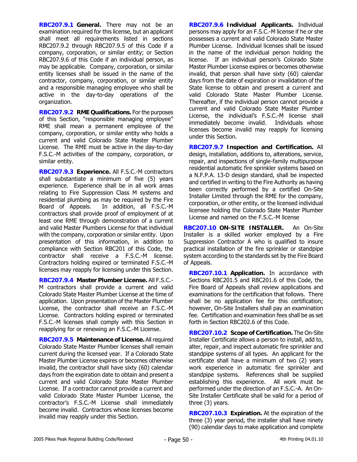**RBC207.9.1 General.** There may not be an examination required for this license, but an applicant shall meet all requirements listed in sections RBC207.9.2 through RBC207.9.5 of this Code if a company, corporation, or similar entity; or Section RBC207.9.6 of this Code if an individual person, as may be applicable. Company, corporation, or similar entity licenses shall be issued in the name of the contractor, company, corporation, or similar entity and a responsible managing employee who shall be active in the day-to-day operations of the organization.

**RBC207.9.2 RME Qualifications.** For the purposes of this Section, "responsible managing employee" RME shall mean a permanent employee of the company, corporation, or similar entity who holds a current and valid Colorado State Master Plumber License. The RME must be active in the day-to-day F.S.C.-M activities of the company, corporation, or similar entity.

**RBC207.9.3 Experience.** All F.S.C.-M contractors shall substantiate a minimum of five (5) years experience. Experience shall be in all work areas relating to Fire Suppression Class M systems and residential plumbing as may be required by the Fire Board of Appeals. In addition, all F.S.C.-M contractors shall provide proof of employment of at least one RME through demonstration of a current and valid Master Plumbers License for that individual with the company, corporation or similar entity. Upon presentation of this information, in addition to compliance with Section RBC201 of this Code, the contractor shall receive a F.S.C.-M license. Contractors holding expired or terminated F.S.C.-M licenses may reapply for licensing under this Section.

**RBC207.9.4 Master Plumber License.** All F.S.C.- M contractors shall provide a current and valid Colorado State Master Plumber License at the time of application. Upon presentation of the Master Plumber License, the contractor shall receive an F.S.C.-M License. Contractors holding expired or terminated F.S.C.-M licenses shall comply with this Section in reapplying for or renewing an F.S.C.-M License.

**RBC207.9.5 Maintenance of License.** All required Colorado State Master Plumber licenses shall remain current during the licensed year. If a Colorado State Master Plumber License expires or becomes otherwise invalid, the contractor shall have sixty (60) calendar days from the expiration date to obtain and present a current and valid Colorado State Master Plumber License. If a contractor cannot provide a current and valid Colorado State Master Plumber License, the contractor's F.S.C.-M License shall immediately become invalid. Contractors whose licenses become invalid may reapply under this Section.

**RBC207.9.6 Individual Applicants.** Individual persons may apply for an F.S.C.-M license if he or she possesses a current and valid Colorado State Master Plumber License. Individual licenses shall be issued in the name of the individual person holding the license. If an individual person's Colorado State Master Plumber License expires or becomes otherwise invalid, that person shall have sixty (60) calendar days from the date of expiration or invalidation of the State license to obtain and present a current and valid Colorado State Master Plumber License. Thereafter, if the individual person cannot provide a current and valid Colorado State Master Plumber License, the individual's F.S.C.-M license shall immediately become invalid. Individuals whose licenses become invalid may reapply for licensing under this Section.

**RBC207.9.7 Inspection and Certification.** All design, installation, additions to, alterations, service, repair, and inspections of single-family multipurpose residential automatic fire sprinkler systems based on a N.F.P.A. 13-D design standard, shall be inspected and certified in writing to the Fire Authority as having been correctly performed by a certified On-Site Installer Limited through the RME for the company, corporation, or other entity, or the licensed individual licensee holding the Colorado State Master Plumber License and named on the F.S.C.-M license

**RBC207.10 ON-SITE INSTALLER.** An On-Site Installer is a skilled worker employed by a Fire Suppression Contractor A who is qualified to insure practical installation of the fire sprinkler or standpipe system according to the standards set by the Fire Board of Appeals.

**RBC207.10.1 Application.** In accordance with Sections RBC201.5 and RBC201.6 of this Code, the Fire Board of Appeals shall review applications and examinations for the certification that follows. There shall be no application fee for this certification; however, On-Site Installers shall pay an examination fee. Certification and examination fees shall be as set forth in Section RBC202.6 of this Code.

**RBC207.10.2 Scope of Certification.** The On-Site Installer Certificate allows a person to install, add to, alter, repair, and inspect automatic fire sprinkler and standpipe systems of all types. An applicant for the certificate shall have a minimum of two (2) years work experience in automatic fire sprinkler and standpipe systems. References shall be supplied establishing this experience. All work must be performed under the direction of an F.S.C.-A. An On-Site Installer Certificate shall be valid for a period of three (3) years.

**RBC207.10.3 Expiration.** At the expiration of the three (3) year period, the installer shall have ninety (90) calendar days to make application and complete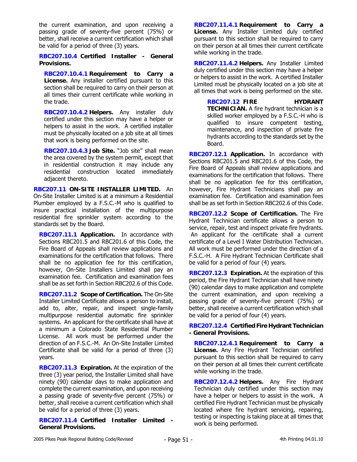the current examination, and upon receiving a passing grade of seventy-five percent (75%) or better, shall receive a current certification which shall be valid for a period of three (3) years.

**RBC207.10.4 Certified Installer - General Provisions.** 

**RBC207.10.4.1 Requirement to Carry a License.** Any installer certified pursuant to this section shall be required to carry on their person at all times their current certificate while working in the trade.

**RBC207.10.4.2 Helpers.** Any installer duly certified under this section may have a helper or helpers to assist in the work. A certified installer must be physically located on a job site at all times that work is being performed on the site.

**RBC207.10.4.3 Job Site.** "Job site" shall mean the area covered by the system permit, except that in residential construction it may include any residential construction located immediately adjacent thereto.

**RBC207.11 ON-SITE INSTALLER LIMITED.** An On-Site Installer Limited is at a minimum a Residential Plumber employed by a F.S.C.-M who is qualified to insure practical installation of the multipurpose residential fire sprinkler system according to the standards set by the Board.

**RBC207.11.1 Application.** In accordance with Sections RBC201.5 and RBC201.6 of this Code, the Fire Board of Appeals shall review applications and examinations for the certification that follows. There shall be no application fee for this certification, however, On-Site Installers Limited shall pay an examination fee. Certification and examination fees shall be as set forth in Section RBC202.6 of this Code.

**RBC207.11.2 Scope of Certification.** The On-Site Installer Limited Certificate allows a person to install, add to, alter, repair, and inspect single-family multipurpose residential automatic fire sprinkler systems. An applicant for the certificate shall have at a minimum a Colorado State Residential Plumber License. All work must be performed under the direction of an F.S.C.-M. An On-Site Installer Limited Certificate shall be valid for a period of three (3) years.

**RBC207.11.3 Expiration.** At the expiration of the three (3) year period, the Installer Limited shall have ninety (90) calendar days to make application and complete the current examination, and upon receiving a passing grade of seventy-five percent (75%) or better, shall receive a current certification which shall be valid for a period of three (3) years.

**RBC207.11.4 Certified Installer Limited - General Provisions.** 

**RBC207.11.4.1 Requirement to Carry a License.** Any Installer Limited duly certified pursuant to this section shall be required to carry on their person at all times their current certificate while working in the trade.

**RBC207.11.4.2 Helpers.** Any Installer Limited duly certified under this section may have a helper or helpers to assist in the work. A certified Installer Limited must be physically located on a job site at all times that work is being performed on the site.

**RBC207.12 FIRE HYDRANT TECHNICIAN.** A fire hydrant technician is a skilled worker employed by a F.S.C.-H who is qualified to insure competent testing, maintenance, and inspection of private fire hydrants according to the standards set by the Board.

**RBC207.12.1 Application.** In accordance with Sections RBC201.5 and RBC201.6 of this Code, the Fire Board of Appeals shall review applications and examinations for the certification that follows. There shall be no application fee for this certification, however, Fire Hydrant Technicians shall pay an examination fee. Certification and examination fees shall be as set forth in Section RBC202.6 of this Code.

**RBC207.12.2 Scope of Certification.** The Fire Hydrant Technician certificate allows a person to service, repair, test and inspect private fire hydrants. An applicant for the certificate shall a current certificate of a Level I Water Distribution Technician. All work must be performed under the direction of a F.S.C.-H. A Fire Hydrant Technician Certificate shall be valid for a period of four (4) years.

**RBC207.12.3 Expiration.** At the expiration of this period, the Fire Hydrant Technician shall have ninety (90) calendar days to make application and complete the current examination, and upon receiving a passing grade of seventy-five percent (75%) or better, shall receive a current certification which shall be valid for a period of four (4) years.

**RBC207.12.4 Certified Fire Hydrant Technician - General Provisions.** 

**RBC207.12.4.1 Requirement to Carry a License.** Any Fire Hydrant Technician certified pursuant to this section shall be required to carry on their person at all times their current certificate while working in the trade.

**RBC207.12.4.2 Helpers.** Any Fire Hydrant Technician duly certified under this section may have a helper or helpers to assist in the work. A certified Fire Hydrant Technician must be physically located where fire hydrant servicing, repairing, testing or inspecting is taking place at all times that work is being performed.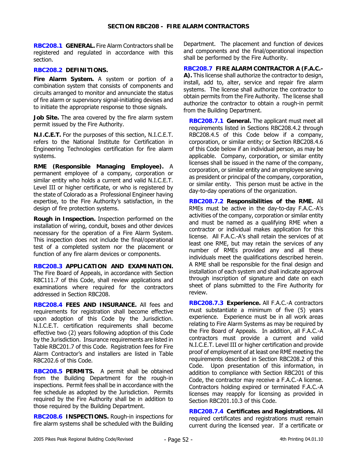**RBC208.1 GENERAL.** Fire Alarm Contractors shall be registered and regulated in accordance with this section.

### **RBC208.2 DEFINITIONS.**

**Fire Alarm System.** A system or portion of a combination system that consists of components and circuits arranged to monitor and annunciate the status of fire alarm or supervisory signal-initiating devises and to initiate the appropriate response to those signals.

**Job Site.** The area covered by the fire alarm system permit issued by the Fire Authority.

**N.I.C.E.T.** For the purposes of this section, N.I.C.E.T. refers to the National Institute for Certification in Engineering Technologies certification for fire alarm systems.

**RME (Responsible Managing Employee).** A permanent employee of a company, corporation or similar entity who holds a current and valid N.I.C.E.T. Level III or higher certificate, or who is registered by the state of Colorado as a Professional Engineer having expertise, to the Fire Authority's satisfaction, in the design of fire protection systems.

**Rough in Inspection.** Inspection performed on the installation of wiring, conduit, boxes and other devices necessary for the operation of a Fire Alarm System. This inspection does not include the final/operational test of a completed system nor the placement or function of any fire alarm devices or components.

**RBC208.3 APPLICATION AND EXAMINATION.** The Fire Board of Appeals, in accordance with Section RBC111.7 of this Code, shall review applications and examinations where required for the contractors addressed in Section RBC208.

**RBC208.4 FEES AND INSURANCE.** All fees and requirements for registration shall become effective upon adoption of this Code by the Jurisdiction. N.I.C.E.T. certification requirements shall become effective two (2) years following adoption of this Code by the Jurisdiction. Insurance requirements are listed in Table RBC201.7 of this Code. Registration fees for Fire Alarm Contractor's and installers are listed in Table RBC202.6 of this Code.

**RBC208.5 PERMITS.** A permit shall be obtained from the Building Department for the rough-in inspections. Permit fees shall be in accordance with the fee schedule as adopted by the Jurisdiction. Permits required by the Fire Authority shall be in addition to those required by the Building Department.

**RBC208.6 INSPECTIONS.** Rough-in inspections for fire alarm systems shall be scheduled with the Building Department. The placement and function of devices and components and the final/operational inspection shall be performed by the Fire Authority.

**RBC208.7 FIRE ALARM CONTRACTOR A (F.A.C.- A).** This license shall authorize the contractor to design, install, add to, alter, service and repair fire alarm systems. The license shall authorize the contractor to obtain permits from the Fire Authority. The license shall authorize the contractor to obtain a rough-in permit from the Building Department.

**RBC208.7.1 General.** The applicant must meet all requirements listed in Sections RBC208.4.2 through RBC208.4.5 of this Code below if a company, corporation, or similar entity; or Section RBC208.4.6 of this Code below if an individual person, as may be applicable. Company, corporation, or similar entity licenses shall be issued in the name of the company, corporation, or similar entity and an employee serving as president or principal of the company, corporation, or similar entity. This person must be active in the day-to-day operations of the organization.

**RBC208.7.2 Responsibilities of the RME.** All RMEs must be active in the day-to-day F.A.C.-A's activities of the company, corporation or similar entity and must be named as a qualifying RME when a contractor or individual makes application for this license. All F.A.C.-A's shall retain the services of at least one RME, but may retain the services of any number of RMEs provided any and all these individuals meet the qualifications described herein. A RME shall be responsible for the final design and installation of each system and shall indicate approval through inscription of signature and date on each sheet of plans submitted to the Fire Authority for review.

**RBC208.7.3 Experience.** All F.A.C.-A contractors must substantiate a minimum of five (5) years experience. Experience must be in all work areas relating to Fire Alarm Systems as may be required by the Fire Board of Appeals. In addition, all F.A.C.-A contractors must provide a current and valid N.I.C.E.T. Level III or higher certification and provide proof of employment of at least one RME meeting the requirements described in Section RBC208.2 of this Code. Upon presentation of this information, in addition to compliance with Section RBC201 of this Code, the contractor may receive a F.A.C.-A license. Contractors holding expired or terminated F.A.C.-A licenses may reapply for licensing as provided in Section RBC201.10.3 of this Code.

**RBC208.7.4 Certificates and Registrations.** All required certificates and registrations must remain current during the licensed year. If a certificate or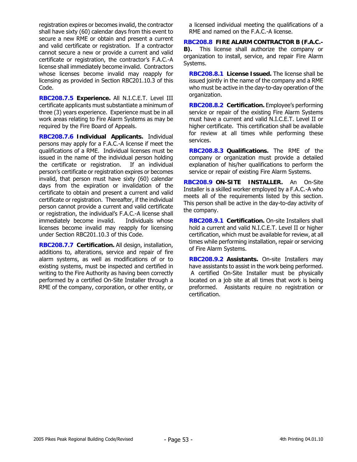registration expires or becomes invalid, the contractor shall have sixty (60) calendar days from this event to secure a new RME or obtain and present a current and valid certificate or registration. If a contractor cannot secure a new or provide a current and valid certificate or registration, the contractor's F.A.C.-A license shall immediately become invalid. Contractors whose licenses become invalid may reapply for licensing as provided in Section RBC201.10.3 of this Code.

**RBC208.7.5 Experience.** All N.I.C.E.T. Level III certificate applicants must substantiate a minimum of three (3) years experience. Experience must be in all work areas relating to Fire Alarm Systems as may be required by the Fire Board of Appeals.

**RBC208.7.6 Individual Applicants.** Individual persons may apply for a F.A.C.-A license if meet the qualifications of a RME. Individual licenses must be issued in the name of the individual person holding the certificate or registration. If an individual person's certificate or registration expires or becomes invalid, that person must have sixty (60) calendar days from the expiration or invalidation of the certificate to obtain and present a current and valid certificate or registration. Thereafter, if the individual person cannot provide a current and valid certificate or registration, the individual's F.A.C.-A license shall immediately become invalid. Individuals whose licenses become invalid may reapply for licensing under Section RBC201.10.3 of this Code.

**RBC208.7.7 Certification.** All design, installation, additions to, alterations, service and repair of fire alarm systems, as well as modifications of or to existing systems, must be inspected and certified in writing to the Fire Authority as having been correctly performed by a certified On-Site Installer through a RME of the company, corporation, or other entity, or

a licensed individual meeting the qualifications of a RME and named on the F.A.C.-A license.

**RBC208.8 FIRE ALARM CONTRACTOR B (F.A.C.- B).** This license shall authorize the company or organization to install, service, and repair Fire Alarm Systems.

**RBC208.8.1 License Issued.** The license shall be issued jointly in the name of the company and a RME who must be active in the day-to-day operation of the organization.

**RBC208.8.2 Certification.** Employee's performing service or repair of the existing Fire Alarm Systems must have a current and valid N.I.C.E.T. Level II or higher certificate. This certification shall be available for review at all times while performing these services.

**RBC208.8.3 Qualifications.** The RME of the company or organization must provide a detailed explanation of his/her qualifications to perform the service or repair of existing Fire Alarm Systems.

**RBC208.9 ON-SITE INSTALLER.** An On-Site Installer is a skilled worker employed by a F.A.C.-A who meets all of the requirements listed by this section. This person shall be active in the day-to-day activity of the company.

**RBC208.9.1 Certification.** On-site Installers shall hold a current and valid N.I.C.E.T. Level II or higher certification, which must be available for review, at all times while performing installation, repair or servicing of Fire Alarm Systems.

**RBC208.9.2 Assistants.** On-site Installers may have assistants to assist in the work being performed. A certified On-Site Installer must be physically located on a job site at all times that work is being preformed. Assistants require no registration or certification.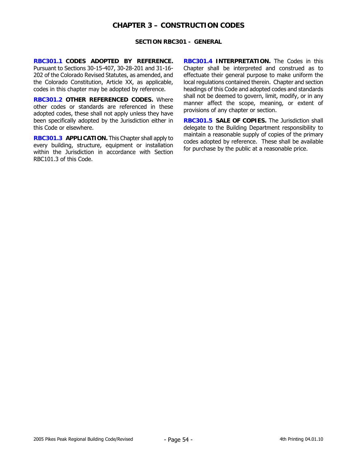# **CHAPTER 3 – CONSTRUCTION CODES**

#### **SECTION RBC301 - GENERAL**

**RBC301.1 CODES ADOPTED BY REFERENCE.**  Pursuant to Sections 30-15-407, 30-28-201 and 31-16- 202 of the Colorado Revised Statutes, as amended, and the Colorado Constitution, Article XX, as applicable, codes in this chapter may be adopted by reference.

**RBC301.2 OTHER REFERENCED CODES.** Where other codes or standards are referenced in these adopted codes, these shall not apply unless they have been specifically adopted by the Jurisdiction either in this Code or elsewhere.

**RBC301.3 APPLICATION.** This Chapter shall apply to every building, structure, equipment or installation within the Jurisdiction in accordance with Section RBC101.3 of this Code.

**RBC301.4 INTERPRETATION.** The Codes in this Chapter shall be interpreted and construed as to effectuate their general purpose to make uniform the local regulations contained therein. Chapter and section headings of this Code and adopted codes and standards shall not be deemed to govern, limit, modify, or in any manner affect the scope, meaning, or extent of provisions of any chapter or section.

**RBC301.5 SALE OF COPIES.** The Jurisdiction shall delegate to the Building Department responsibility to maintain a reasonable supply of copies of the primary codes adopted by reference. These shall be available for purchase by the public at a reasonable price.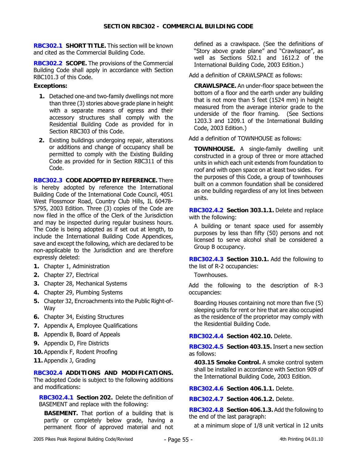**RBC302.1 SHORT TITLE.** This section will be known and cited as the Commercial Building Code.

**RBC302.2 SCOPE.** The provisions of the Commercial Building Code shall apply in accordance with Section RBC101.3 of this Code.

### **Exceptions:**

- **1.** Detached one-and two-family dwellings not more than three (3) stories above grade plane in height with a separate means of egress and their accessory structures shall comply with the Residential Building Code as provided for in Section RBC303 of this Code.
- **2.** Existing buildings undergoing repair, alterations or additions and change of occupancy shall be permitted to comply with the Existing Building Code as provided for in Section RBC311 of this Code.

**RBC302.3 CODE ADOPTED BY REFERENCE.** There is hereby adopted by reference the International Building Code of the International Code Council, 4051 West Flossmoor Road, Country Club Hills, IL 60478- 5795, 2003 Edition. Three (3) copies of the Code are now filed in the office of the Clerk of the Jurisdiction and may be inspected during regular business hours. The Code is being adopted as if set out at length, to include the International Building Code Appendices, save and except the following, which are declared to be non-applicable to the Jurisdiction and are therefore expressly deleted:

- **1.** Chapter 1, Administration
- **2.** Chapter 27, Electrical
- **3.** Chapter 28, Mechanical Systems
- **4.** Chapter 29, Plumbing Systems
- **5.** Chapter 32, Encroachments into the Public Right-of-Way
- **6.** Chapter 34, Existing Structures
- **7.** Appendix A, Employee Qualifications
- **8.** Appendix B, Board of Appeals
- **9.** Appendix D, Fire Districts
- **10.** Appendix F, Rodent Proofing
- **11.** Appendix J, Grading

## **RBC302.4 ADDITIONS AND MODIFICATIONS.**

The adopted Code is subject to the following additions and modifications:

**RBC302.4.1 Section 202.** Delete the definition of BASEMENT and replace with the following:

**BASEMENT.** That portion of a building that is partly or completely below grade, having a permanent floor of approved material and not defined as a crawlspace. (See the definitions of "Story above grade plane" and "Crawlspace", as well as Sections 502.1 and 1612.2 of the International Building Code, 2003 Edition.)

Add a definition of CRAWLSPACE as follows:

**CRAWLSPACE.** An under-floor space between the bottom of a floor and the earth under any building that is not more than 5 feet (1524 mm) in height measured from the average interior grade to the underside of the floor framing. (See Sections 1203.3 and 1209.1 of the International Building Code, 2003 Edition.)

Add a definition of TOWNHOUSE as follows:

**TOWNHOUSE.** A single-family dwelling unit constructed in a group of three or more attached units in which each unit extends from foundation to roof and with open space on at least two sides. For the purposes of this Code, a group of townhouses built on a common foundation shall be considered as one building regardless of any lot lines between units.

**RBC302.4.2 Section 303.1.1.** Delete and replace with the following:

A building or tenant space used for assembly purposes by less than fifty (50) persons and not licensed to serve alcohol shall be considered a Group B occupancy.

**RBC302.4.3 Section 310.1.** Add the following to the list of R-2 occupancies:

Townhouses.

Add the following to the description of R-3 occupancies:

Boarding Houses containing not more than five (5) sleeping units for rent or hire that are also occupied as the residence of the proprietor may comply with the Residential Building Code.

#### **RBC302.4.4 Section 402.10.** Delete.

**RBC302.4.5 Section 403.15.** Insert a new section as follows:

**403.15 Smoke Control.** A smoke control system shall be installed in accordance with Section 909 of the International Building Code, 2003 Edition.

**RBC302.4.6 Section 406.1.1.** Delete.

**RBC302.4.7 Section 406.1.2.** Delete.

**RBC302.4.8 Section 406.1.3.** Add the following to the end of the last paragraph:

at a minimum slope of 1/8 unit vertical in 12 units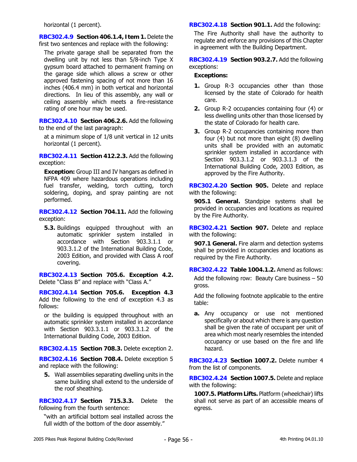horizontal (1 percent).

**RBC302.4.9 Section 406.1.4, Item 1.** Delete the first two sentences and replace with the following:

The private garage shall be separated from the dwelling unit by not less than 5/8-inch Type X gypsum board attached to permanent framing on the garage side which allows a screw or other approved fastening spacing of not more than 16 inches (406.4 mm) in both vertical and horizontal directions. In lieu of this assembly, any wall or ceiling assembly which meets a fire-resistance rating of one hour may be used.

**RBC302.4.10 Section 406.2.6.** Add the following to the end of the last paragraph:

at a minimum slope of 1/8 unit vertical in 12 units horizontal (1 percent).

**RBC302.4.11 Section 412.2.3.** Add the following exception:

**Exception:** Group III and IV hangars as defined in NFPA 409 where hazardous operations including fuel transfer, welding, torch cutting, torch soldering, doping, and spray painting are not performed.

**RBC302.4.12 Section 704.11.** Add the following exception:

**5.3.** Buildings equipped throughout with an automatic sprinkler system installed in accordance with Section 903.3.1.1 or 903.3.1.2 of the International Building Code, 2003 Edition, and provided with Class A roof covering.

**RBC302.4.13 Section 705.6. Exception 4.2.** Delete "Class B" and replace with "Class A."

**RBC302.4.14 Section 705.6. Exception 4.3** Add the following to the end of exception 4.3 as follows:

or the building is equipped throughout with an automatic sprinkler system installed in accordance with Section 903.3.1.1 or 903.3.1.2 of the International Building Code, 2003 Edition.

**RBC302.4.15 Section 708.3.** Delete exception 2.

**RBC302.4.16 Section 708.4.** Delete exception 5 and replace with the following:

**5.** Wall assemblies separating dwelling units in the same building shall extend to the underside of the roof sheathing.

**RBC302.4.17 Section 715.3.3.** Delete the following from the fourth sentence:

"with an artificial bottom seal installed across the full width of the bottom of the door assembly."

**RBC302.4.18 Section 901.1.** Add the following:

The Fire Authority shall have the authority to regulate and enforce any provisions of this Chapter in agreement with the Building Department.

**RBC302.4.19 Section 903.2.7.** Add the following exceptions:

## **Exceptions:**

- **1.** Group R-3 occupancies other than those licensed by the state of Colorado for health care.
- **2.** Group R-2 occupancies containing four (4) or less dwelling units other than those licensed by the state of Colorado for health care.
- **3.** Group R-2 occupancies containing more than four (4) but not more than eight (8) dwelling units shall be provided with an automatic sprinkler system installed in accordance with Section 903.3.1.2 or 903.3.1.3 of the International Building Code, 2003 Edition, as approved by the Fire Authority.

**RBC302.4.20 Section 905.** Delete and replace with the following:

**905.1 General.** Standpipe systems shall be provided in occupancies and locations as required by the Fire Authority.

**RBC302.4.21 Section 907.** Delete and replace with the following:

**907.1 General.** Fire alarm and detection systems shall be provided in occupancies and locations as required by the Fire Authority.

**RBC302.4.22 Table 1004.1.2.** Amend as follows:

Add the following row: Beauty Care business – 50 gross.

Add the following footnote applicable to the entire table:

**a.** Any occupancy or use not mentioned specifically or about which there is any question shall be given the rate of occupant per unit of area which most nearly resembles the intended occupancy or use based on the fire and life hazard.

**RBC302.4.23 Section 1007.2.** Delete number 4 from the list of components.

**RBC302.4.24 Section 1007.5.** Delete and replace with the following:

**1007.5. Platform Lifts.** Platform (wheelchair) lifts shall not serve as part of an accessible means of egress.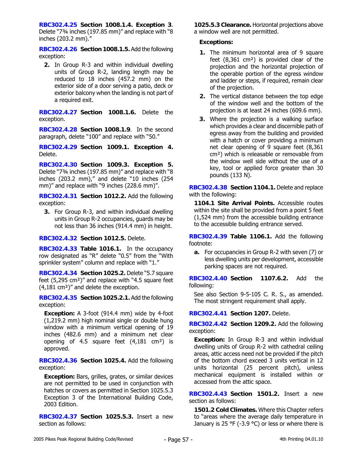**RBC302.4.25 Section 1008.1.4. Exception 3**. Delete "7¾ inches (197.85 mm)" and replace with "8 inches (203.2 mm)."

**RBC302.4.26 Section 1008.1.5.** Add the following exception:

**2.** In Group R-3 and within individual dwelling units of Group R-2, landing length may be reduced to 18 inches (457.2 mm) on the exterior side of a door serving a patio, deck or exterior balcony when the landing is not part of a required exit.

**RBC302.4.27 Section 1008.1.6.** Delete the exception.

**RBC302.4.28 Section 1008.1.9**. In the second paragraph, delete "100" and replace with "50."

**RBC302.4.29 Section 1009.1. Exception 4.** Delete.

**RBC302.4.30 Section 1009.3. Exception 5.** Delete "7¾ inches (197.85 mm)" and replace with "8 inches (203.2 mm)," and delete "10 inches (254 mm)" and replace with "9 inches (228.6 mm)".

**RBC302.4.31 Section 1012.2.** Add the following exception:

**3.** For Group R-3, and within individual dwelling units in Group R-2 occupancies, guards may be not less than 36 inches (914.4 mm) in height.

**RBC302.4.32 Section 1012.5.** Delete.

**RBC302.4.33 Table 1016.1.** In the occupancy row designated as "R" delete "0.5" from the "With sprinkler system" column and replace with "1."

**RBC302.4.34 Section 1025.2.** Delete "5.7 square feet (5,295 cm²)" and replace with "4.5 square feet (4,181 cm²)" and delete the exception.

**RBC302.4.35 Section 1025.2.1.** Add the following exception:

**Exception:** A 3-foot (914.4 mm) wide by 4-foot (1,219.2 mm) high nominal single or double hung window with a minimum vertical opening of 19 inches (482.6 mm) and a minimum net clear opening of 4.5 square feet (4,181 cm²) is approved.

**RBC302.4.36 Section 1025.4.** Add the following exception:

**Exception:** Bars, grilles, grates, or similar devices are not permitted to be used in conjunction with hatches or covers as permitted in Section 1025.5.3 Exception 3 of the International Building Code, 2003 Edition.

**RBC302.4.37 Section 1025.5.3.** Insert a new section as follows:

**1025.5.3 Clearance.** Horizontal projections above a window well are not permitted.

# **Exceptions:**

- **1.** The minimum horizontal area of 9 square feet (8,361 cm²) is provided clear of the projection and the horizontal projection of the operable portion of the egress window and ladder or steps, if required, remain clear of the projection.
- **2.** The vertical distance between the top edge of the window well and the bottom of the projection is at least 24 inches (609.6 mm).
- **3.** Where the projection is a walking surface which provides a clear and discernible path of egress away from the building and provided with a hatch or cover providing a minimum net clear opening of 9 square feet (8,361 cm²) which is releasable or removable from the window well side without the use of a key, tool or applied force greater than 30 pounds (133 N).

**RBC302.4.38 Section 1104.1.** Delete and replace with the following:

**1104.1 Site Arrival Points.** Accessible routes within the site shall be provided from a point 5 feet (1,524 mm) from the accessible building entrance to the accessible building entrance served.

**RBC302.4.39 Table 1106.1.** Add the following footnote:

**a.** For occupancies in Group R-2 with seven (7) or less dwelling units per development, accessible parking spaces are not required.

**RBC302.4.40 Section 1107.6.2.** Add the following:

See also Section 9-5-105 C. R. S., as amended. The most stringent requirement shall apply.

**RBC302.4.41 Section 1207.** Delete.

**RBC302.4.42 Section 1209.2.** Add the following exception:

**Exception:** In Group R-3 and within individual dwelling units of Group R-2 with cathedral ceiling areas, attic access need not be provided if the pitch of the bottom chord exceed 3 units vertical in 12 units horizontal (25 percent pitch), unless mechanical equipment is installed within or accessed from the attic space.

**RBC302.4.43 Section 1501.2.** Insert a new section as follows:

**1501.2 Cold Climates.** Where this Chapter refers to "areas where the average daily temperature in January is 25 °F (-3.9 °C) or less or where there is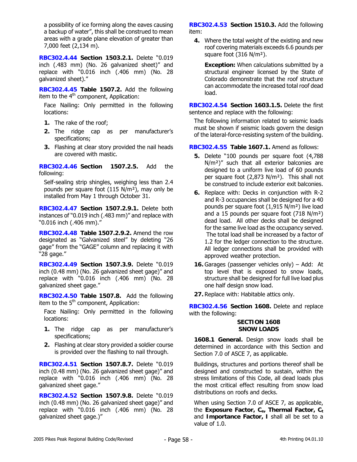a possibility of ice forming along the eaves causing a backup of water", this shall be construed to mean areas with a grade plane elevation of greater than 7,000 feet (2,134 m).

**RBC302.4.44 Section 1503.2.1.** Delete "0.019 inch (.483 mm) (No. 26 galvanized sheet)" and replace with "0.016 inch (.406 mm) (No. 28 galvanized sheet)."

**RBC302.4.45 Table 1507.2.** Add the following item to the  $4<sup>th</sup>$  component, Application:

Face Nailing: Only permitted in the following locations:

- **1.** The rake of the roof;
- **2.** The ridge cap as per manufacturer's specifications;
- **3.** Flashing at clear story provided the nail heads are covered with mastic.

**RBC302.4.46 Section 1507.2.5.** Add the following:

Self-sealing strip shingles, weighing less than 2.4 pounds per square foot (115 N/m²), may only be installed from May 1 through October 31.

**RBC302.4.47 Section 1507.2.9.1.** Delete both instances of "0.019 inch (.483 mm)" and replace with "0.016 inch (.406 mm)."

**RBC302.4.48 Table 1507.2.9.2.** Amend the row designated as "Galvanized steel" by deleting "26 gage" from the "GAGE" column and replacing it with "28 gage."

**RBC302.4.49 Section 1507.3.9.** Delete "0.019 inch (0.48 mm) (No. 26 galvanized sheet gage)" and replace with "0.016 inch (.406 mm) (No. 28 galvanized sheet gage."

**RBC302.4.50 Table 1507.8.** Add the following item to the  $5<sup>th</sup>$  component, Application:

Face Nailing: Only permitted in the following locations:

- **1.** The ridge cap as per manufacturer's specifications;
- **2.** Flashing at clear story provided a soldier course is provided over the flashing to nail through.

**RBC302.4.51 Section 1507.8.7.** Delete "0.019 inch (0.48 mm) (No. 26 galvanized sheet gage)" and replace with "0.016 inch (.406 mm) (No. 28 galvanized sheet gage."

**RBC302.4.52 Section 1507.9.8.** Delete "0.019 inch (0.48 mm) (No. 26 galvanized sheet gage)" and replace with "0.016 inch (.406 mm) (No. 28 galvanized sheet gage.)"

**RBC302.4.53 Section 1510.3.** Add the following item:

**4.** Where the total weight of the existing and new roof covering materials exceeds 6.6 pounds per square foot (316 N/m²).

**Exception:** When calculations submitted by a structural engineer licensed by the State of Colorado demonstrate that the roof structure can accommodate the increased total roof dead load.

**RBC302.4.54 Section 1603.1.5.** Delete the first sentence and replace with the following:

The following information related to seismic loads must be shown if seismic loads govern the design of the lateral-force-resisting system of the building.

# **RBC302.4.55 Table 1607.1.** Amend as follows:

- **5.** Delete "100 pounds per square foot (4,788 N/m<sup>2</sup>)" such that all exterior balconies are designed to a uniform live load of 60 pounds per square foot (2,873 N/m²). This shall not be construed to include exterior exit balconies.
- **6.** Replace with: Decks in conjunction with R-2 and R-3 occupancies shall be designed for a 40 pounds per square foot (1,915 N/m²) live load and a 15 pounds per square foot (718 N/m²) dead load. All other decks shall be designed for the same live load as the occupancy served. The total load shall be increased by a factor of 1.2 for the ledger connection to the structure. All ledger connections shall be provided with approved weather protection.
- **16.** Garages (passenger vehicles only) Add: At top level that is exposed to snow loads, structure shall be designed for full live load plus one half design snow load.
- **27.** Replace with: Habitable attics only.

**RBC302.4.56 Section 1608.** Delete and replace with the following:

## **SECTION 1608 SNOW LOADS**

**1608.1 General.** Design snow loads shall be determined in accordance with this Section and Section 7.0 of ASCE 7, as applicable.

Buildings, structures and portions thereof shall be designed and constructed to sustain, within the stress limitations of this Code, all dead loads plus the most critical effect resulting from snow load distributions on roofs and decks.

When using Section 7.0 of ASCE 7, as applicable, the **Exposure Factor, C<sub>e</sub>, Thermal Factor, C<sub>t</sub>** and **Importance Factor, I** shall all be set to a value of 1.0.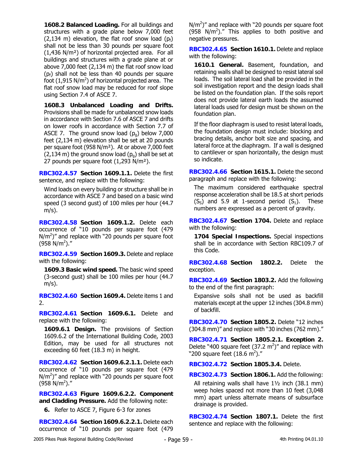**1608.2 Balanced Loading.** For all buildings and structures with a grade plane below 7,000 feet (2,134 m) elevation, the flat roof snow load  $(p_f)$ shall not be less than 30 pounds per square foot (1,436 N/m²) of horizontal projected area. For all buildings and structures with a grade plane at or above 7,000 feet (2,134 m) the flat roof snow load  $(p_f)$  shall not be less than 40 pounds per square foot (1,915 N/ $m<sup>2</sup>$ ) of horizontal projected area. The flat roof snow load may be reduced for roof slope using Section 7.4 of ASCE 7.

**1608.3 Unbalanced Loading and Drifts.**  Provisions shall be made for unbalanced snow loads in accordance with Section 7.6 of ASCE 7 and drifts on lower roofs in accordance with Section 7.7 of ASCE 7. The ground snow load  $(p<sub>q</sub>)$  below 7,000 feet (2,134 m) elevation shall be set at 20 pounds per square foot (958 N/m²). At or above 7,000 feet  $(2,134 \text{ m})$  the ground snow load  $(p<sub>q</sub>)$  shall be set at 27 pounds per square foot (1,293 N/m²).

**RBC302.4.57 Section 1609.1.1.** Delete the first sentence, and replace with the following:

Wind loads on every building or structure shall be in accordance with ASCE 7 and based on a basic wind speed (3 second gust) of 100 miles per hour (44.7  $m/s$ ).

**RBC302.4.58 Section 1609.1.2.** Delete each occurrence of "10 pounds per square foot (479  $N/m<sup>2</sup>$ )" and replace with "20 pounds per square foot  $(958 \text{ N/m}^2)$ ."

**RBC302.4.59 Section 1609.3.** Delete and replace with the following:

**1609.3 Basic wind speed.** The basic wind speed (3-second gust) shall be 100 miles per hour (44.7  $m/s$ ).

**RBC302.4.60 Section 1609.4.** Delete items 1 and 2.

**RBC302.4.61 Section 1609.6.1.** Delete and replace with the following:

**1609.6.1 Design.** The provisions of Section 1609.6.2 of the International Building Code, 2003 Edition, may be used for all structures not exceeding 60 feet (18.3 m) in height.

**RBC302.4.62 Section 1609.6.2.1.1.** Delete each occurrence of "10 pounds per square foot (479  $N/m<sup>2</sup>$ )" and replace with "20 pounds per square foot  $(958 \text{ N/m}^2)$ ."

**RBC302.4.63 Figure 1609.6.2.2. Component and Cladding Pressure.** Add the following note:

**6.** Refer to ASCE 7, Figure 6-3 for zones

**RBC302.4.64 Section 1609.6.2.2.1.** Delete each occurrence of "10 pounds per square foot (479

 $N/m<sup>2</sup>$ )" and replace with "20 pounds per square foot (958 N/m<sup>2</sup>)." This applies to both positive and negative pressures.

**RBC302.4.65 Section 1610.1.** Delete and replace with the following:

**1610.1 General.** Basement, foundation, and retaining walls shall be designed to resist lateral soil loads. The soil lateral load shall be provided in the soil investigation report and the design loads shall be listed on the foundation plan. If the soils report does not provide lateral earth loads the assumed lateral loads used for design must be shown on the foundation plan.

If the floor diaphragm is used to resist lateral loads, the foundation design must include: blocking and bracing details, anchor bolt size and spacing, and lateral force at the diaphragm. If a wall is designed to cantilever or span horizontally, the design must so indicate.

**RBC302.4.66 Section 1615.1.** Delete the second paragraph and replace with the following:

The maximum considered earthquake spectral response acceleration shall be 18.5 at short periods  $(S<sub>s</sub>)$  and 5.9 at 1-second period  $(S<sub>1</sub>)$ . These numbers are expressed as a percent of gravity.

**RBC302.4.67 Section 1704.** Delete and replace with the following:

**1704 Special Inspections.** Special inspections shall be in accordance with Section RBC109.7 of this Code.

**RBC302.4.68 Section 1802.2.** Delete the exception.

**RBC302.4.69 Section 1803.2.** Add the following to the end of the first paragraph:

Expansive soils shall not be used as backfill materials except at the upper 12 inches (304.8 mm) of backfill.

**RBC302.4.70 Section 1805.2.** Delete "12 inches (304.8 mm)" and replace with "30 inches (762 mm)."

**RBC302.4.71 Section 1805.2.1. Exception 2.** Delete "400 square feet  $(37.2 \text{ m}^2)$ " and replace with "200 square feet (18.6 m<sup>2</sup>)."

**RBC302.4.72 Section 1805.3.4.** Delete.

**RBC302.4.73 Section 1806.1.** Add the following: All retaining walls shall have 1½ inch (38.1 mm)

weep holes spaced not more than 10 feet (3,048 mm) apart unless alternate means of subsurface drainage is provided.

**RBC302.4.74 Section 1807.1.** Delete the first sentence and replace with the following: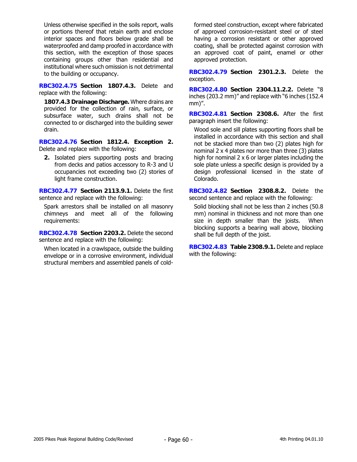Unless otherwise specified in the soils report, walls or portions thereof that retain earth and enclose interior spaces and floors below grade shall be waterproofed and damp proofed in accordance with this section, with the exception of those spaces containing groups other than residential and institutional where such omission is not detrimental to the building or occupancy.

**RBC302.4.75 Section 1807.4.3.** Delete and replace with the following:

**1807.4.3 Drainage Discharge.** Where drains are provided for the collection of rain, surface, or subsurface water, such drains shall not be connected to or discharged into the building sewer drain.

**RBC302.4.76 Section 1812.4. Exception 2.** Delete and replace with the following:

**2.** Isolated piers supporting posts and bracing from decks and patios accessory to R-3 and U occupancies not exceeding two (2) stories of light frame construction.

**RBC302.4.77 Section 2113.9.1.** Delete the first sentence and replace with the following:

Spark arrestors shall be installed on all masonry chimneys and meet all of the following requirements:

**RBC302.4.78 Section 2203.2.** Delete the second sentence and replace with the following:

When located in a crawlspace, outside the building envelope or in a corrosive environment, individual structural members and assembled panels of coldformed steel construction, except where fabricated of approved corrosion-resistant steel or of steel having a corrosion resistant or other approved coating, shall be protected against corrosion with an approved coat of paint, enamel or other approved protection.

**RBC302.4.79 Section 2301.2.3.** Delete the exception.

**RBC302.4.80 Section 2304.11.2.2.** Delete "8 inches (203.2 mm)" and replace with "6 inches (152.4 mm)".

**RBC302.4.81 Section 2308.6.** After the first paragraph insert the following:

Wood sole and sill plates supporting floors shall be installed in accordance with this section and shall not be stacked more than two (2) plates high for nominal 2 x 4 plates nor more than three (3) plates high for nominal 2 x 6 or larger plates including the sole plate unless a specific design is provided by a design professional licensed in the state of Colorado.

**RBC302.4.82 Section 2308.8.2.** Delete the second sentence and replace with the following:

Solid blocking shall not be less than 2 inches (50.8 mm) nominal in thickness and not more than one size in depth smaller than the joists. When blocking supports a bearing wall above, blocking shall be full depth of the joist.

**RBC302.4.83 Table 2308.9.1.** Delete and replace with the following: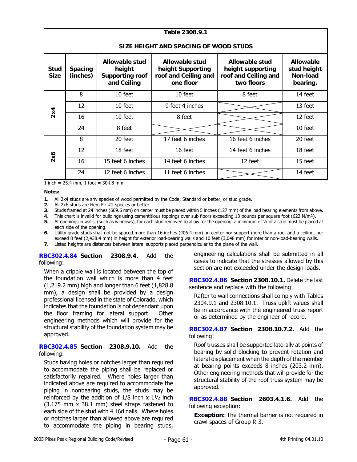| Table 2308.9.1                                                                                                                                                                                                   |    |                                                                                                                                             |                  |                  |         |  |  |  |
|------------------------------------------------------------------------------------------------------------------------------------------------------------------------------------------------------------------|----|---------------------------------------------------------------------------------------------------------------------------------------------|------------------|------------------|---------|--|--|--|
| SIZE HEIGHT AND SPACING OF WOOD STUDS                                                                                                                                                                            |    |                                                                                                                                             |                  |                  |         |  |  |  |
| <b>Allowable stud</b><br>Allowable stud<br>height Supporting<br><b>Stud</b><br><b>Spacing</b><br>height<br><b>Size</b><br>(inches)<br>roof and Ceiling and<br><b>Supporting roof</b><br>and Ceiling<br>one floor |    | <b>Allowable stud</b><br><b>Allowable</b><br>height supporting<br>stud height<br>Non-load<br>roof and Ceiling and<br>two floors<br>bearing. |                  |                  |         |  |  |  |
|                                                                                                                                                                                                                  | 8  | 10 feet                                                                                                                                     | 10 feet          | 8 feet           | 14 feet |  |  |  |
|                                                                                                                                                                                                                  | 12 | 10 feet                                                                                                                                     | 9 feet 4 inches  |                  | 13 feet |  |  |  |
| 2x4                                                                                                                                                                                                              | 16 | 10 feet                                                                                                                                     | 8 feet           |                  | 12 feet |  |  |  |
|                                                                                                                                                                                                                  | 24 | 8 feet                                                                                                                                      |                  |                  | 10 feet |  |  |  |
|                                                                                                                                                                                                                  | 8  | 20 feet                                                                                                                                     | 17 feet 6 inches | 16 feet 6 inches | 20 feet |  |  |  |
|                                                                                                                                                                                                                  | 12 | 18 feet                                                                                                                                     | 16 feet          | 14 feet 6 inches | 18 feet |  |  |  |
| 2x6                                                                                                                                                                                                              | 16 | 15 feet 6 inches                                                                                                                            | 14 feet 6 inches | 12 feet          | 15 feet |  |  |  |
|                                                                                                                                                                                                                  | 24 | 12 feet 6 inches                                                                                                                            | 11 feet 6 inches |                  | 14 feet |  |  |  |

1 inch = 25.4 mm, 1 foot = 304.8 mm.

**Notes:** 

- **1.** All 2x4 studs are any species of wood permitted by the Code; Standard or better, or stud grade.
- **2.** All 2x6 studs are Hem Fir #2 species or better.
- **3.** Studs framed at 24 inches (609.6 mm) on center must be placed within 5 inches (127 mm) of the load bearing elements from above.
- **4.** This chart is invalid for buildings using cementitious toppings over sub floors exceeding 13 pounds per square foot (622 N/m²).
- **5.** At openings in walls, (such as windows), for each stud removed to allow for the opening, a minimum of ½ of a stud must be placed at each side of the opening.
- **6.** Utility grade studs shall not be spaced more than 16 inches (406.4 mm) on center nor support more than a roof and a ceiling, nor exceed 8 feet (2,438.4 mm) in height for exterior load-bearing walls and 10 feet (3,048 mm) for interior non-load-bearing walls.
- **7.** Listed heights are distances between lateral supports placed perpendicular to the plane of the wall.

**RBC302.4.84 Section 2308.9.4.** Add the following:

When a cripple wall is located between the top of the foundation wall which is more than 4 feet (1,219.2 mm) high and longer than 6 feet (1,828.8 mm), a design shall be provided by a design professional licensed in the state of Colorado, which indicates that the foundation is not dependant upon the floor framing for lateral support. Other engineering methods which will provide for the structural stability of the foundation system may be approved.

#### **RBC302.4.85 Section 2308.9.10.** Add the following:

Studs having holes or notches larger than required to accommodate the piping shall be replaced or satisfactorily repaired. Where holes larger than indicated above are required to accommodate the piping in nonbearing studs, the studs may be reinforced by the addition of  $1/8$  inch  $x$   $1\frac{1}{2}$  inch (3.175 mm x 38.1 mm) steel straps fastened to each side of the stud with 4 16d nails. Where holes or notches larger than allowed above are required to accommodate the piping in bearing studs,

engineering calculations shall be submitted in all cases to indicate that the stresses allowed by this section are not exceeded under the design loads.

**RBC302.4.86 Section 2308.10.1.** Delete the last sentence and replace with the following:

Rafter to wall connections shall comply with Tables 2304.9.1 and 2308.10.1. Truss uplift values shall be in accordance with the engineered truss report or as determined by the engineer of record.

**RBC302.4.87 Section 2308.10.7.2.** Add the following:

Roof trusses shall be supported laterally at points of bearing by solid blocking to prevent rotation and lateral displacement when the depth of the member at bearing points exceeds 8 inches (203.2 mm). Other engineering methods that will provide for the structural stability of the roof truss system may be approved.

**RBC302.4.88 Section 2603.4.1.6.** Add the following exception:

**Exception:** The thermal barrier is not required in crawl spaces of Group R-3.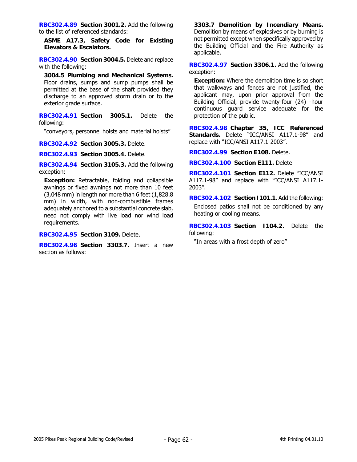**RBC302.4.89 Section 3001.2.** Add the following to the list of referenced standards:

**ASME A17.3, Safety Code for Existing Elevators & Escalators.** 

**RBC302.4.90 Section 3004.5.** Delete and replace with the following:

**3004.5 Plumbing and Mechanical Systems.** Floor drains, sumps and sump pumps shall be permitted at the base of the shaft provided they discharge to an approved storm drain or to the exterior grade surface.

**RBC302.4.91 Section 3005.1.** Delete the following:

"conveyors, personnel hoists and material hoists"

**RBC302.4.92 Section 3005.3.** Delete.

**RBC302.4.93 Section 3005.4.** Delete.

**RBC302.4.94 Section 3105.3.** Add the following exception:

**Exception:** Retractable, folding and collapsible awnings or fixed awnings not more than 10 feet (3,048 mm) in length nor more than 6 feet (1,828.8 mm) in width, with non-combustible frames adequately anchored to a substantial concrete slab, need not comply with live load nor wind load requirements.

## **RBC302.4.95 Section 3109.** Delete.

**RBC302.4.96 Section 3303.7.** Insert a new section as follows:

**3303.7 Demolition by Incendiary Means.** Demolition by means of explosives or by burning is not permitted except when specifically approved by the Building Official and the Fire Authority as applicable.

**RBC302.4.97 Section 3306.1.** Add the following exception:

**Exception:** Where the demolition time is so short that walkways and fences are not justified, the applicant may, upon prior approval from the Building Official, provide twenty-four (24) -hour continuous guard service adequate for the protection of the public.

**RBC302.4.98 Chapter 35, ICC Referenced Standards.** Delete "ICC/ANSI A117.1-98" and replace with "ICC/ANSI A117.1-2003".

**RBC302.4.99 Section E108.** Delete.

**RBC302.4.100 Section E111.** Delete

**RBC302.4.101 Section E112.** Delete "ICC/ANSI A117.1-98" and replace with "ICC/ANSI A117.1- 2003".

**RBC302.4.102 Section I101.1.** Add the following: Enclosed patios shall not be conditioned by any heating or cooling means.

**RBC302.4.103 Section I104.2.** Delete the following:

"In areas with a frost depth of zero"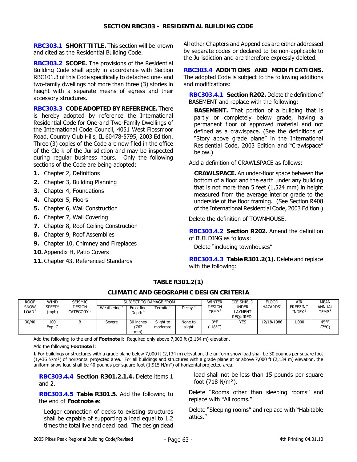**RBC303.1 SHORT TITLE.** This section will be known and cited as the Residential Building Code.

**RBC303.2 SCOPE.** The provisions of the Residential Building Code shall apply in accordance with Section RBC101.3 of this Code specifically to detached one- and two-family dwellings not more than three (3) stories in height with a separate means of egress and their accessory structures.

**RBC303.3 CODE ADOPTED BY REFERENCE.** There is hereby adopted by reference the International Residential Code for One-and Two-Family Dwellings of the International Code Council, 4051 West Flossmoor Road, Country Club Hills, IL 60478-5795, 2003 Edition. Three (3) copies of the Code are now filed in the office of the Clerk of the Jurisdiction and may be inspected during regular business hours. Only the following sections of the Code are being adopted:

- **1.** Chapter 2, Definitions
- **2.** Chapter 3, Building Planning
- **3.** Chapter 4, Foundations
- **4.** Chapter 5, Floors
- **5.** Chapter 6, Wall Construction
- **6.** Chapter 7, Wall Covering
- **7.** Chapter 8, Roof-Ceiling Construction
- **8.** Chapter 9, Roof Assemblies
- **9.** Chapter 10, Chimney and Fireplaces
- **10.** Appendix H, Patio Covers
- **11.** Chapter 43, Referenced Standards

All other Chapters and Appendices are either addressed by separate codes or declared to be non-applicable to the Jurisdiction and are therefore expressly deleted.

**RBC303.4 ADDITIONS AND MODIFICATIONS.**  The adopted Code is subject to the following additions and modifications:

**RBC303.4.1 Section R202.** Delete the definition of BASEMENT and replace with the following:

**BASEMENT.** That portion of a building that is partly or completely below grade, having a permanent floor of approved material and not defined as a crawlspace. (See the definitions of "Story above grade plane" in the International Residential Code, 2003 Edition and "Crawlspace" below.)

Add a definition of CRAWLSPACE as follows:

**CRAWLSPACE.** An under-floor space between the bottom of a floor and the earth under any building that is not more than 5 feet (1,524 mm) in height measured from the average interior grade to the underside of the floor framing. (See Section R408 of the International Residential Code, 2003 Edition.)

Delete the definition of TOWNHOUSE.

**RBC303.4.2 Section R202.** Amend the definition of BUILDING as follows:

Delete "including townhouses"

**RBC303.4.3 Table R301.2(1).** Delete and replace with the following:

# **TABLE R301.2(1)**

#### **CLIMATIC AND GEOGRAPHIC DESIGN CRITERIA**

| <b>ROOF</b>         | <b>WIND</b>                       | <b>SEISMIC</b>                         | SUBJECT TO DAMAGE FROM  |                                  |                       | WINTER            | <b>ICE SHIELD</b>     | <b>FLOOD</b>                  | AIR                         | <b>MEAN</b>                     |                                    |
|---------------------|-----------------------------------|----------------------------------------|-------------------------|----------------------------------|-----------------------|-------------------|-----------------------|-------------------------------|-----------------------------|---------------------------------|------------------------------------|
| <b>SNOW</b><br>_OAD | <b>SPEED<sup>e</sup></b><br>(mph) | <b>DESIGN</b><br>CATEGORY <sup>9</sup> | Weathering <sup>a</sup> | Frost line<br>Depth <sup>b</sup> | <b>Fermite</b>        | Decay             | DESIGN<br><b>TEMP</b> | UNDER-<br>LAYMENT<br>REOUIRED | <b>HAZARDS</b> <sup>h</sup> | <b>FREEZING</b><br><b>INDEX</b> | <b>ANNUAL</b><br>TEMP <sup>k</sup> |
| 30/40               | 100<br>Exp. C                     | в                                      | Severe                  | 30 inches<br>762<br>mm)          | Slight to<br>moderate | None to<br>slight | 0°F<br>(-18°C)        | YES                           | 12/18/1986                  | 1,000                           | 45°F<br>(7°C)                      |

Add the following to the end of **Footnote i**: Required only above 7,000 ft (2,134 m) elevation.

Add the following **Footnote l**:

**l.** For buildings or structures with a grade plane below 7,000 ft (2,134 m) elevation, the uniform snow load shall be 30 pounds per square foot  $(1,436 \text{ N/m}^2)$  of horizontal projected area. For all buildings and structures with a grade plane at or above 7,000 ft  $(2,134 \text{ m})$  elevation, the uniform snow load shall be 40 pounds per square foot  $(1,915 \text{ N/m}^2)$  of horizontal projected area.

**RBC303.4.4 Section R301.2.1.4.** Delete items 1 and 2.

**RBC303.4.5 Table R301.5.** Add the following to the end of **Footnote e**:

Ledger connection of decks to existing structures shall be capable of supporting a load equal to 1.2 times the total live and dead load. The design dead

load shall not be less than 15 pounds per square foot (718 N/m²).

Delete "Rooms other than sleeping rooms" and replace with "All rooms."

Delete "Sleeping rooms" and replace with "Habitable attics."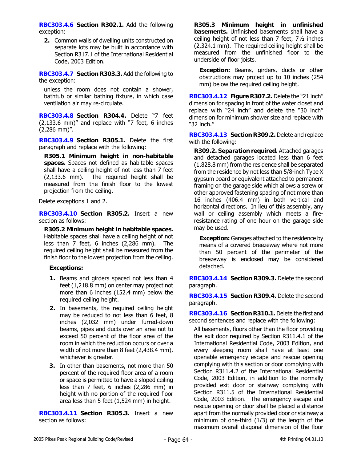**RBC303.4.6 Section R302.1.** Add the following exception:

**2.** Common walls of dwelling units constructed on separate lots may be built in accordance with Section R317.1 of the International Residential Code, 2003 Edition.

**RBC303.4.7 Section R303.3.** Add the following to the exception:

unless the room does not contain a shower, bathtub or similar bathing fixture, in which case ventilation air may re-circulate.

**RBC303.4.8 Section R304.4.** Delete "7 feet (2,133.6 mm)" and replace with "7 feet, 6 inches (2,286 mm)".

**RBC303.4.9 Section R305.1.** Delete the first paragraph and replace with the following:

**R305.1 Minimum height in non-habitable spaces.** Spaces not defined as habitable spaces shall have a ceiling height of not less than 7 feet (2,133.6 mm). The required height shall be measured from the finish floor to the lowest projection from the ceiling.

Delete exceptions 1 and 2.

**RBC303.4.10 Section R305.2.** Insert a new section as follows:

**R305.2 Minimum height in habitable spaces.** Habitable spaces shall have a ceiling height of not less than 7 feet, 6 inches (2,286 mm). The required ceiling height shall be measured from the finish floor to the lowest projection from the ceiling.

# **Exceptions:**

- **1.** Beams and girders spaced not less than 4 feet (1,218.8 mm) on center may project not more than 6 inches (152.4 mm) below the required ceiling height.
- **2.** In basements, the required ceiling height may be reduced to not less than 6 feet, 8 inches (2,032 mm) under furred-down beams, pipes and ducts over an area not to exceed 50 percent of the floor area of the room in which the reduction occurs or over a width of not more than 8 feet (2,438.4 mm), whichever is greater.
- **3.** In other than basements, not more than 50 percent of the required floor area of a room or space is permitted to have a sloped ceiling less than 7 feet, 6 inches (2,286 mm) in height with no portion of the required floor area less than 5 feet (1,524 mm) in height.

**RBC303.4.11 Section R305.3.** Insert a new section as follows:

**R305.3 Minimum height in unfinished basements.** Unfinished basements shall have a ceiling height of not less than 7 feet, 7½ inches (2,324.1 mm). The required ceiling height shall be measured from the unfinished floor to the underside of floor joists.

**Exception:** Beams, girders, ducts or other obstructions may project up to 10 inches (254 mm) below the required ceiling height.

**RBC303.4.12 Figure R307.2.** Delete the "21 inch" dimension for spacing in front of the water closet and replace with "24 inch" and delete the "30 inch" dimension for minimum shower size and replace with "32 inch."

**RBC303.4.13 Section R309.2.** Delete and replace with the following:

**R309.2. Separation required.** Attached garages and detached garages located less than 6 feet (1,828.8 mm) from the residence shall be separated from the residence by not less than 5/8-inch Type X gypsum board or equivalent attached to permanent framing on the garage side which allows a screw or other approved fastening spacing of not more than 16 inches (406.4 mm) in both vertical and horizontal directions. In lieu of this assembly, any wall or ceiling assembly which meets a fireresistance rating of one hour on the garage side may be used.

**Exception:** Garages attached to the residence by means of a covered breezeway where not more than 50 percent of the perimeter of the breezeway is enclosed may be considered detached.

**RBC303.4.14 Section R309.3.** Delete the second paragraph.

**RBC303.4.15 Section R309.4.** Delete the second paragraph.

**RBC303.4.16 Section R310.1.** Delete the first and second sentences and replace with the following:

All basements, floors other than the floor providing the exit door required by Section R311.4.1 of the International Residential Code, 2003 Edition, and every sleeping room shall have at least one openable emergency escape and rescue opening complying with this section or door complying with Section R311.4.2 of the International Residential Code, 2003 Edition, in addition to the normally provided exit door or stairway complying with Section R311.5 of the International Residential Code, 2003 Edition. The emergency escape and rescue opening or door shall be placed a distance apart from the normally provided door or stairway a minimum of one-third (1/3) of the length of the maximum overall diagonal dimension of the floor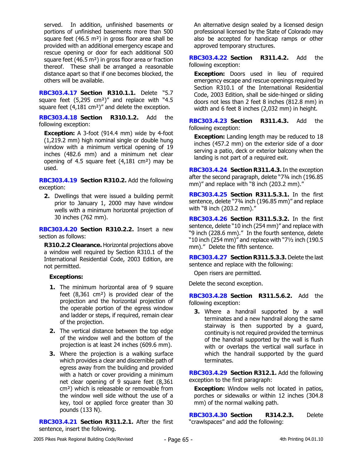served. In addition, unfinished basements or portions of unfinished basements more than 500 square feet (46.5  $m<sup>2</sup>$ ) in gross floor area shall be provided with an additional emergency escape and rescue opening or door for each additional 500 square feet (46.5 m²) in gross floor area or fraction thereof. These shall be arranged a reasonable distance apart so that if one becomes blocked, the others will be available.

**RBC303.4.17 Section R310.1.1.** Delete "5.7 square feet (5,295 cm<sup>2</sup>)" and replace with "4.5 square feet (4,181 cm²)" and delete the exception.

**RBC303.4.18 Section R310.1.2.** Add the following exception:

**Exception:** A 3-foot (914.4 mm) wide by 4-foot (1,219.2 mm) high nominal single or double hung window with a minimum vertical opening of 19 inches (482.6 mm) and a minimum net clear opening of 4.5 square feet (4,181 cm²) may be used.

**RBC303.4.19 Section R310.2.** Add the following exception:

**2.** Dwellings that were issued a building permit prior to January 1, 2000 may have window wells with a minimum horizontal projection of 30 inches (762 mm).

**RBC303.4.20 Section R310.2.2.** Insert a new section as follows:

**R310.2.2 Clearance.** Horizontal projections above a window well required by Section R310.1 of the International Residential Code, 2003 Edition, are not permitted.

# **Exceptions:**

- **1.** The minimum horizontal area of 9 square feet (8,361 cm²) is provided clear of the projection and the horizontal projection of the operable portion of the egress window and ladder or steps, if required, remain clear of the projection.
- **2.** The vertical distance between the top edge of the window well and the bottom of the projection is at least 24 inches (609.6 mm).
- **3.** Where the projection is a walking surface which provides a clear and discernible path of egress away from the building and provided with a hatch or cover providing a minimum net clear opening of 9 square feet (8,361 cm²) which is releasable or removable from the window well side without the use of a key, tool or applied force greater than 30 pounds (133 N).

**RBC303.4.21 Section R311.2.1.** After the first sentence, insert the following.

An alternative design sealed by a licensed design professional licensed by the State of Colorado may also be accepted for handicap ramps or other approved temporary structures.

**RBC303.4.22 Section R311.4.2.** Add the following exception:

**Exception:** Doors used in lieu of required emergency escape and rescue openings required by Section R310.1 of the International Residential Code, 2003 Edition, shall be side-hinged or sliding doors not less than 2 feet 8 inches (812.8 mm) in width and 6 feet 8 inches (2,032 mm) in height.

**RBC303.4.23 Section R311.4.3.** Add the following exception:

**Exception:** Landing length may be reduced to 18 inches (457.2 mm) on the exterior side of a door serving a patio, deck or exterior balcony when the landing is not part of a required exit.

**RBC303.4.24 Section R311.4.3.** In the exception after the second paragraph, delete "7¾ inch (196.85 mm)" and replace with "8 inch (203.2 mm)."

**RBC303.4.25 Section R311.5.3.1.** In the first sentence, delete "73/4 inch (196.85 mm)" and replace with "8 inch (203.2 mm)."

**RBC303.4.26 Section R311.5.3.2.** In the first sentence, delete "10 inch (254 mm)" and replace with "9 inch (228.6 mm)." In the fourth sentence, delete "10 inch (254 mm)" and replace with "7½ inch (190.5 mm)." Delete the fifth sentence.

**RBC303.4.27 Section R311.5.3.3.** Delete the last sentence and replace with the following:

Open risers are permitted.

Delete the second exception.

**RBC303.4.28 Section R311.5.6.2.** Add the following exception:

**3.** Where a handrail supported by a wall terminates and a new handrail along the same stairway is then supported by a guard, continuity is not required provided the terminus of the handrail supported by the wall is flush with or overlaps the vertical wall surface in which the handrail supported by the guard terminates.

**RBC303.4.29 Section R312.1.** Add the following exception to the first paragraph:

**Exception:** Window wells not located in patios, porches or sidewalks or within 12 inches (304.8 mm) of the normal walking path.

**RBC303.4.30 Section R314.2.3.** Delete "crawlspaces" and add the following: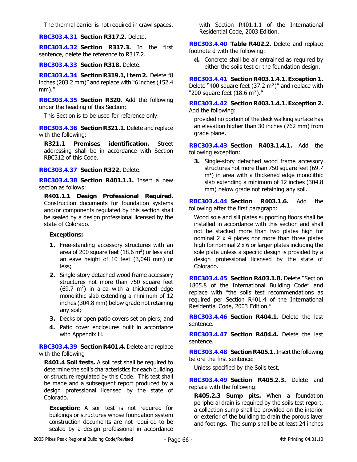The thermal barrier is not required in crawl spaces.

**RBC303.4.31 Section R317.2.** Delete.

**RBC303.4.32 Section R317.3.** In the first sentence, delete the reference to R317.2.

**RBC303.4.33 Section R318.** Delete.

**RBC303.4.34 Section R319.1, Item 2.** Delete "8 inches (203.2 mm)" and replace with "6 inches (152.4 mm)."

**RBC303.4.35 Section R320.** Add the following under the heading of this Section:

This Section is to be used for reference only.

**RBC303.4.36 Section R321.1.** Delete and replace with the following:

**R321.1 Premises identification.** Street addressing shall be in accordance with Section RBC312 of this Code.

**RBC303.4.37 Section R322.** Delete.

**RBC303.4.38 Section R401.1.1.** Insert a new section as follows:

**R401.1.1 Design Professional Required.** Construction documents for foundation systems and/or components regulated by this section shall be sealed by a design professional licensed by the state of Colorado.

#### **Exceptions:**

- **1.** Free-standing accessory structures with an area of 200 square feet  $(18.6 \text{ m}^2)$  or less and an eave height of 10 feet (3,048 mm) or less;
- **2.** Single-story detached wood frame accessory structures not more than 750 square feet (69.7  $m^2$ ) in area with a thickened edge monolithic slab extending a minimum of 12 inches (304.8 mm) below grade not retaining any soil;
- **3.** Decks or open patio covers set on piers; and
- **4.** Patio cover enclosures built in accordance with Appendix H.

**RBC303.4.39 Section R401.4.** Delete and replace with the following

**R401.4 Soil tests.** A soil test shall be required to determine the soil's characteristics for each building or structure regulated by this Code. This test shall be made and a subsequent report produced by a design professional licensed by the state of Colorado.

**Exception:** A soil test is not required for buildings or structures whose foundation system construction documents are not required to be sealed by a design professional in accordance with Section R401.1.1 of the International Residential Code, 2003 Edition.

**RBC303.4.40 Table R402.2.** Delete and replace footnote d with the following:

**d.** Concrete shall be air entrained as required by either the soils test or the foundation design.

**RBC303.4.41 Section R403.1.4.1. Exception 1.** Delete "400 square feet (37.2 m²)" and replace with "200 square feet (18.6 m²)."

**RBC303.4.42 Section R403.1.4.1. Exception 2.** Add the following:

provided no portion of the deck walking surface has an elevation higher than 30 inches (762 mm) from grade plane.

**RBC303.4.43 Section R403.1.4.1.** Add the following exception:

**3.** Single-story detached wood frame accessory structures not more than 750 square feet (69.7  $\text{m}^2$ ) in area with a thickened edge monolithic slab extending a minimum of 12 inches (304.8 mm) below grade not retaining any soil.

**RBC303.4.44 Section R403.1.6.** Add the following after the first paragraph:

Wood sole and sill plates supporting floors shall be installed in accordance with this section and shall not be stacked more than two plates high for nominal 2 x 4 plates nor more than three plates high for nominal 2 x 6 or larger plates including the sole plate unless a specific design is provided by a design professional licensed by the state of Colorado.

**RBC303.4.45 Section R403.1.8.** Delete "Section 1805.8 of the International Building Code" and replace with "the soils test recommendations as required per Section R401.4 of the International Residential Code, 2003 Edition."

**RBC303.4.46 Section R404.1.** Delete the last sentence.

**RBC303.4.47 Section R404.4.** Delete the last sentence.

**RBC303.4.48 Section R405.1.** Insert the following before the first sentence:

Unless specified by the Soils test,

**RBC303.4.49 Section R405.2.3.** Delete and replace with the following:

**R405.2.3 Sump pits.** When a foundation peripheral drain is required by the soils test report, a collection sump shall be provided on the interior or exterior of the building to drain the porous layer and footings. The sump shall be at least 24 inches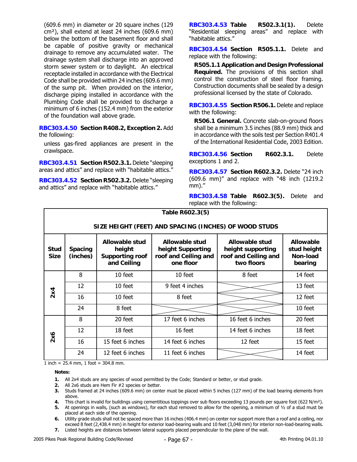(609.6 mm) in diameter or 20 square inches (129 cm²), shall extend at least 24 inches (609.6 mm) below the bottom of the basement floor and shall be capable of positive gravity or mechanical drainage to remove any accumulated water. The drainage system shall discharge into an approved storm sewer system or to daylight. An electrical receptacle installed in accordance with the Electrical Code shall be provided within 24 inches (609.6 mm) of the sump pit. When provided on the interior, discharge piping installed in accordance with the Plumbing Code shall be provided to discharge a minimum of 6 inches (152.4 mm) from the exterior of the foundation wall above grade.

**RBC303.4.50 Section R408.2, Exception 2.** Add the following:

unless gas-fired appliances are present in the crawlspace.

**RBC303.4.51 Section R502.3.1.** Delete "sleeping areas and attics" and replace with "habitable attics."

**RBC303.4.52 Section R502.3.2.** Delete "sleeping and attics" and replace with "habitable attics."

**RBC303.4.53 Table R502.3.1(1).** Delete "Residential sleeping areas" and replace with "habitable attics."

**RBC303.4.54 Section R505.1.1.** Delete and replace with the following:

**R505.1.1 Application and Design Professional Required.** The provisions of this section shall control the construction of steel floor framing. Construction documents shall be sealed by a design professional licensed by the state of Colorado.

**RBC303.4.55 Section R506.1.** Delete and replace with the following:

**R506.1 General.** Concrete slab-on-ground floors shall be a minimum 3.5 inches (88.9 mm) thick and in accordance with the soils test per Section R401.4 of the International Residential Code, 2003 Edition.

**RBC303.4.56 Section R602.3.1.** Delete exceptions 1 and 2.

**RBC303.4.57 Section R602.3.2.** Delete "24 inch (609.6 mm)" and replace with "48 inch (1219.2 mm)."

**RBC303.4.58 Table R602.3(5).** Delete and replace with the following:

| Table R602.3(5)                                       |                            |                                                                   |                                                                          |                                                                           |                                                        |  |  |  |
|-------------------------------------------------------|----------------------------|-------------------------------------------------------------------|--------------------------------------------------------------------------|---------------------------------------------------------------------------|--------------------------------------------------------|--|--|--|
| SIZE HEIGHT (FEET) AND SPACING (INCHES) OF WOOD STUDS |                            |                                                                   |                                                                          |                                                                           |                                                        |  |  |  |
| <b>Stud</b><br><b>Size</b>                            | <b>Spacing</b><br>(inches) | Allowable stud<br>height<br><b>Supporting roof</b><br>and Ceiling | Allowable stud<br>height Supporting<br>roof and Ceiling and<br>one floor | Allowable stud<br>height supporting<br>roof and Ceiling and<br>two floors | <b>Allowable</b><br>stud height<br>Non-load<br>bearing |  |  |  |
|                                                       | 8                          | 10 feet                                                           | 10 feet                                                                  | 8 feet                                                                    | 14 feet                                                |  |  |  |
|                                                       | 12                         | 10 feet                                                           | 9 feet 4 inches                                                          |                                                                           | 13 feet                                                |  |  |  |
| 2x4                                                   | 16                         | 10 feet                                                           | 8 feet                                                                   |                                                                           | 12 feet                                                |  |  |  |
|                                                       | 24                         | 8 feet                                                            |                                                                          |                                                                           | 10 feet                                                |  |  |  |
| 2x6                                                   | 8                          | 20 feet                                                           | 17 feet 6 inches                                                         | 16 feet 6 inches                                                          | 20 feet                                                |  |  |  |
|                                                       | 12                         | 18 feet                                                           | 16 feet                                                                  | 14 feet 6 inches                                                          | 18 feet                                                |  |  |  |
|                                                       | 16                         | 15 feet 6 inches                                                  | 14 feet 6 inches                                                         | 12 feet                                                                   | 15 feet                                                |  |  |  |
|                                                       | 24                         | 12 feet 6 inches                                                  | 11 feet 6 inches                                                         |                                                                           | 14 feet                                                |  |  |  |

1 inch = 25.4 mm, 1 foot = 304.8 mm.

**Notes:** 

- **1.** All 2x4 studs are any species of wood permitted by the Code; Standard or better, or stud grade.
- **2.** All 2x6 studs are Hem Fir #2 species or better.
- **3.** Studs framed at 24 inches (609.6 mm) on center must be placed within 5 inches (127 mm) of the load bearing elements from above.

**4.** This chart is invalid for buildings using cementitious toppings over sub floors exceeding 13 pounds per square foot (622 N/m²).

**5.** At openings in walls, (such as windows), for each stud removed to allow for the opening, a minimum of ½ of a stud must be placed at each side of the opening.

- **6.** Utility grade studs shall not be spaced more than 16 inches (406.4 mm) on center nor support more than a roof and a ceiling, nor exceed 8 feet (2,438.4 mm) in height for exterior load-bearing walls and 10 feet (3,048 mm) for interior non-load-bearing walls. **7.** Listed heights are distances between lateral supports placed perpendicular to the plane of the wall.
	-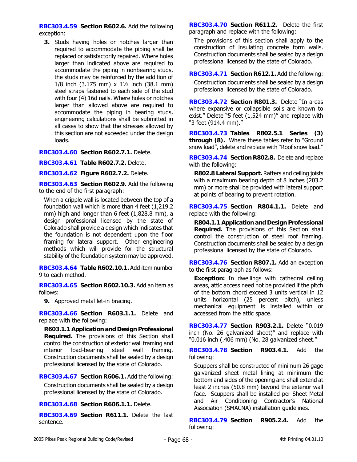**RBC303.4.59 Section R602.6.** Add the following exception:

**3.** Studs having holes or notches larger than required to accommodate the piping shall be replaced or satisfactorily repaired. Where holes larger than indicated above are required to accommodate the piping in nonbearing studs, the studs may be reinforced by the addition of 1/8 inch (3.175 mm) x 1½ inch (38.1 mm) steel straps fastened to each side of the stud with four (4) 16d nails. Where holes or notches larger than allowed above are required to accommodate the piping in bearing studs, engineering calculations shall be submitted in all cases to show that the stresses allowed by this section are not exceeded under the design loads.

**RBC303.4.60 Section R602.7.1.** Delete.

**RBC303.4.61 Table R602.7.2.** Delete.

**RBC303.4.62 Figure R602.7.2.** Delete.

**RBC303.4.63 Section R602.9.** Add the following to the end of the first paragraph:

When a cripple wall is located between the top of a foundation wall which is more than 4 feet (1,219.2 mm) high and longer than 6 feet (1,828.8 mm), a design professional licensed by the state of Colorado shall provide a design which indicates that the foundation is not dependent upon the floor framing for lateral support. Other engineering methods which will provide for the structural stability of the foundation system may be approved.

**RBC303.4.64 Table R602.10.1.** Add item number 9 to each method.

**RBC303.4.65 Section R602.10.3.** Add an item as follows:

**9.** Approved metal let-in bracing.

**RBC303.4.66 Section R603.1.1.** Delete and replace with the following:

**R603.1.1 Application and Design Professional Required.** The provisions of this Section shall control the construction of exterior wall framing and interior load-bearing steel wall framing. Construction documents shall be sealed by a design professional licensed by the state of Colorado.

**RBC303.4.67 Section R606.1.** Add the following: Construction documents shall be sealed by a design professional licensed by the state of Colorado.

**RBC303.4.68 Section R606.1.1.** Delete.

**RBC303.4.69 Section R611.1.** Delete the last sentence.

**RBC303.4.70 Section R611.2.** Delete the first paragraph and replace with the following:

The provisions of this section shall apply to the construction of insulating concrete form walls. Construction documents shall be sealed by a design professional licensed by the state of Colorado.

**RBC303.4.71 Section R612.1.** Add the following: Construction documents shall be sealed by a design professional licensed by the state of Colorado.

**RBC303.4.72 Section R801.3.** Delete "In areas where expansive or collapsible soils are known to exist." Delete "5 feet (1,524 mm)" and replace with "3 feet (914.4 mm)."

**RBC303.4.73 Tables R802.5.1 Series (3) through (8).** Where these tables refer to "Ground snow load", delete and replace with "Roof snow load."

**RBC303.4.74 Section R802.8.** Delete and replace with the following:

**R802.8 Lateral Support.** Rafters and ceiling joists with a maximum bearing depth of 8 inches (203.2 mm) or more shall be provided with lateral support at points of bearing to prevent rotation.

**RBC303.4.75 Section R804.1.1.** Delete and replace with the following:

**R804.1.1 Application and Design Professional Required.** The provisions of this Section shall control the construction of steel roof framing. Construction documents shall be sealed by a design professional licensed by the state of Colorado.

**RBC303.4.76 Section R807.1.** Add an exception to the first paragraph as follows:

**Exception:** In dwellings with cathedral ceiling areas, attic access need not be provided if the pitch of the bottom chord exceed 3 units vertical in 12 units horizontal (25 percent pitch), unless mechanical equipment is installed within or accessed from the attic space.

**RBC303.4.77 Section R903.2.1.** Delete "0.019 inch (No. 26 galvanized sheet)" and replace with "0.016 inch (.406 mm) (No. 28 galvanized sheet."

**RBC303.4.78 Section R903.4.1.** Add the following:

Scuppers shall be constructed of minimum 26 gage galvanized sheet metal lining at minimum the bottom and sides of the opening and shall extend at least 2 inches (50.8 mm) beyond the exterior wall face. Scuppers shall be installed per Sheet Metal and Air Conditioning Contractor's National Association (SMACNA) installation guidelines.

**RBC303.4.79 Section R905.2.4.** Add the following: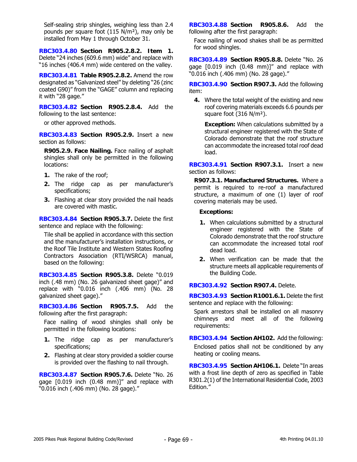Self-sealing strip shingles, weighing less than 2.4 pounds per square foot (115 N/m²), may only be installed from May 1 through October 31.

**RBC303.4.80 Section R905.2.8.2. Item 1.** Delete "24 inches (609.6 mm) wide" and replace with "16 inches (406.4 mm) wide centered on the valley.

**RBC303.4.81 Table R905.2.8.2.** Amend the row designated as "Galvanized steel" by deleting "26 (zinc coated G90)" from the "GAGE" column and replacing it with "28 gage."

**RBC303.4.82 Section R905.2.8.4.** Add the following to the last sentence:

or other approved methods.

**RBC303.4.83 Section R905.2.9.** Insert a new section as follows:

**R905.2.9. Face Nailing.** Face nailing of asphalt shingles shall only be permitted in the following locations:

- **1.** The rake of the roof;
- **2.** The ridge cap as per manufacturer's specifications;
- **3.** Flashing at clear story provided the nail heads are covered with mastic.

**RBC303.4.84 Section R905.3.7.** Delete the first sentence and replace with the following:

Tile shall be applied in accordance with this section and the manufacturer's installation instructions, or the Roof Tile Institute and Western States Roofing Contractors Association (RTI/WSRCA) manual, based on the following:

**RBC303.4.85 Section R905.3.8.** Delete "0.019 inch (.48 mm) (No. 26 galvanized sheet gage)" and replace with "0.016 inch (.406 mm) (No. 28 galvanized sheet gage)."

**RBC303.4.86 Section R905.7.5.** Add the following after the first paragraph:

Face nailing of wood shingles shall only be permitted in the following locations:

- **1.** The ridge cap as per manufacturer's specifications;
- **2.** Flashing at clear story provided a soldier course is provided over the flashing to nail through.

**RBC303.4.87 Section R905.7.6.** Delete "No. 26 gage [0.019 inch (0.48 mm)]" and replace with "0.016 inch (.406 mm) (No. 28 gage)."

**RBC303.4.88 Section R905.8.6.** Add the following after the first paragraph:

Face nailing of wood shakes shall be as permitted for wood shingles.

**RBC303.4.89 Section R905.8.8.** Delete "No. 26 gage [0.019 inch (0.48 mm)]" and replace with "0.016 inch (.406 mm) (No. 28 gage)."

**RBC303.4.90 Section R907.3.** Add the following item:

**4.** Where the total weight of the existing and new roof covering materials exceeds 6.6 pounds per square foot (316 N/m²).

**Exception:** When calculations submitted by a structural engineer registered with the State of Colorado demonstrate that the roof structure can accommodate the increased total roof dead load.

**RBC303.4.91 Section R907.3.1.** Insert a new section as follows:

**R907.3.1. Manufactured Structures.** Where a permit is required to re-roof a manufactured structure, a maximum of one (1) layer of roof covering materials may be used.

## **Exceptions:**

- **1.** When calculations submitted by a structural engineer registered with the State of Colorado demonstrate that the roof structure can accommodate the increased total roof dead load.
- **2.** When verification can be made that the structure meets all applicable requirements of the Building Code.

# **RBC303.4.92 Section R907.4.** Delete.

**RBC303.4.93 Section R1001.6.1.** Delete the first sentence and replace with the following:

Spark arrestors shall be installed on all masonry chimneys and meet all of the following requirements:

**RBC303.4.94 Section AH102.** Add the following: Enclosed patios shall not be conditioned by any heating or cooling means.

**RBC303.4.95 Section AH106.1.** Delete "In areas with a frost line depth of zero as specified in Table R301.2(1) of the International Residential Code, 2003 Edition."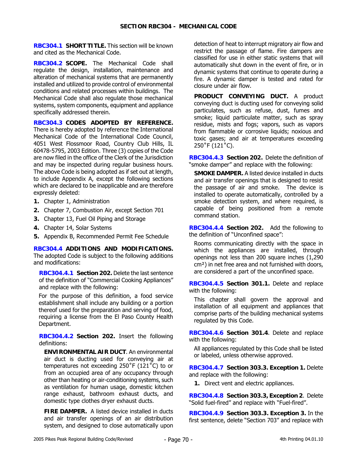**RBC304.1 SHORT TITLE.** This section will be known and cited as the Mechanical Code.

**RBC304.2 SCOPE.** The Mechanical Code shall regulate the design, installation, maintenance and alteration of mechanical systems that are permanently installed and utilized to provide control of environmental conditions and related processes within buildings. The Mechanical Code shall also regulate those mechanical systems, system components, equipment and appliance specifically addressed therein.

**RBC304.3 CODES ADOPTED BY REFERENCE.**  There is hereby adopted by reference the International Mechanical Code of the International Code Council, 4051 West Flossmoor Road, Country Club Hills, IL 60478-5795, 2003 Edition. Three (3) copies of the Code are now filed in the office of the Clerk of the Jurisdiction and may be inspected during regular business hours. The above Code is being adopted as if set out at length, to include Appendix A, except the following sections which are declared to be inapplicable and are therefore expressly deleted:

- **1.** Chapter 1, Administration
- **2.** Chapter 7, Combustion Air, except Section 701
- **3.** Chapter 13, Fuel Oil Piping and Storage
- **4.** Chapter 14, Solar Systems
- **5.** Appendix B, Recommended Permit Fee Schedule

**RBC304.4 ADDITIONS AND MODIFICATIONS.**  The adopted Code is subject to the following additions and modifications:

**RBC304.4.1 Section 202.** Delete the last sentence of the definition of "Commercial Cooking Appliances" and replace with the following:

For the purpose of this definition, a food service establishment shall include any building or a portion thereof used for the preparation and serving of food, requiring a license from the El Paso County Health Department.

**RBC304.4.2 Section 202.** Insert the following definitions:

**ENVIRONMENTAL AIR DUCT**. An environmental air duct is ducting used for conveying air at temperatures not exceeding 250˚F (121˚C) to or from an occupied area of any occupancy through other than heating or air-conditioning systems, such as ventilation for human usage, domestic kitchen range exhaust, bathroom exhaust ducts, and domestic type clothes dryer exhaust ducts.

**FIRE DAMPER.** A listed device installed in ducts and air transfer openings of an air distribution system, and designed to close automatically upon

detection of heat to interrupt migratory air flow and restrict the passage of flame. Fire dampers are classified for use in either static systems that will automatically shut down in the event of fire, or in dynamic systems that continue to operate during a fire. A dynamic damper is tested and rated for closure under air flow.

**PRODUCT CONVEYING DUCT.** A product conveying duct is ducting used for conveying solid particulates, such as refuse, dust, fumes and smoke; liquid particulate matter, such as spray residue, mists and fogs; vapors, such as vapors from flammable or corrosive liquids; noxious and toxic gases; and air at temperatures exceeding 250˚F (121˚C).

**RBC304.4.3 Section 202.** Delete the definition of "smoke damper" and replace with the following:

**SMOKE DAMPER.** A listed device installed in ducts and air transfer openings that is designed to resist the passage of air and smoke. The device is installed to operate automatically, controlled by a smoke detection system, and where required, is capable of being positioned from a remote command station.

**RBC304.4.4 Section 202.** Add the following to the definition of "Unconfined space":

Rooms communicating directly with the space in which the appliances are installed, through openings not less than 200 square inches (1,290 cm²) in net free area and not furnished with doors, are considered a part of the unconfined space.

**RBC304.4.5 Section 301.1.** Delete and replace with the following:

This chapter shall govern the approval and installation of all equipment and appliances that comprise parts of the building mechanical systems regulated by this Code.

**RBC304.4.6 Section 301.4**. Delete and replace with the following:

All appliances regulated by this Code shall be listed or labeled, unless otherwise approved.

**RBC304.4.7 Section 303.3. Exception 1.** Delete and replace with the following:

**1.** Direct vent and electric appliances.

**RBC304.4.8 Section 303.3, Exception 2**. Delete "Solid fuel-fired" and replace with "Fuel-fired".

**RBC304.4.9 Section 303.3. Exception 3.** In the first sentence, delete "Section 703" and replace with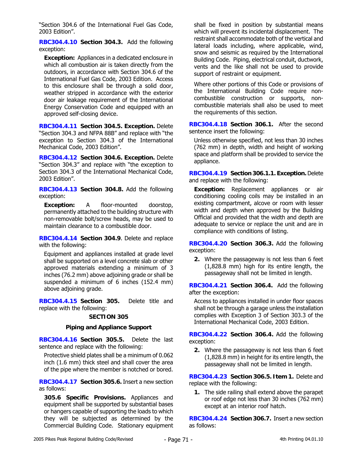"Section 304.6 of the International Fuel Gas Code, 2003 Edition".

**RBC304.4.10 Section 304.3.** Add the following exception:

**Exception:** Appliances in a dedicated enclosure in which all combustion air is taken directly from the outdoors, in accordance with Section 304.6 of the International Fuel Gas Code, 2003 Edition. Access to this enclosure shall be through a solid door, weather stripped in accordance with the exterior door air leakage requirement of the International Energy Conservation Code and equipped with an approved self-closing device.

**RBC304.4.11 Section 304.5. Exception.** Delete "Section 304.3 and NFPA 88B" and replace with "the exception to Section 304.3 of the International Mechanical Code, 2003 Edition".

**RBC304.4.12 Section 304.6. Exception.** Delete "Section 304.3" and replace with "the exception to Section 304.3 of the International Mechanical Code, 2003 Edition".

**RBC304.4.13 Section 304.8.** Add the following exception:

**Exception:** A floor-mounted doorstop, permanently attached to the building structure with non-removable bolt/screw heads, may be used to maintain clearance to a combustible door.

**RBC304.4.14 Section 304.9**. Delete and replace with the following:

Equipment and appliances installed at grade level shall be supported on a level concrete slab or other approved materials extending a minimum of 3 inches (76.2 mm) above adjoining grade or shall be suspended a minimum of 6 inches (152.4 mm) above adjoining grade.

**RBC304.4.15 Section 305.** Delete title and replace with the following:

# **SECTION 305**

# **Piping and Appliance Support**

**RBC304.4.16 Section 305.5.** Delete the last sentence and replace with the following:

Protective shield plates shall be a minimum of 0.062 inch (1.6 mm) thick steel and shall cover the area of the pipe where the member is notched or bored.

**RBC304.4.17 Section 305.6.** Insert a new section as follows:

**305.6 Specific Provisions.** Appliances and equipment shall be supported by substantial bases or hangers capable of supporting the loads to which they will be subjected as determined by the Commercial Building Code. Stationary equipment shall be fixed in position by substantial means which will prevent its incidental displacement. The restraint shall accommodate both of the vertical and lateral loads including, where applicable, wind, snow and seismic as required by the International Building Code. Piping, electrical conduit, ductwork, vents and the like shall not be used to provide support of restraint or equipment.

Where other portions of this Code or provisions of the International Building Code require noncombustible construction or supports, noncombustible materials shall also be used to meet the requirements of this section.

**RBC304.4.18 Section 306.1.** After the second sentence insert the following:

Unless otherwise specified, not less than 30 inches (762 mm) in depth, width and height of working space and platform shall be provided to service the appliance.

**RBC304.4.19 Section 306.1.1. Exception.** Delete and replace with the following:

**Exception:** Replacement appliances or air conditioning cooling coils may be installed in an existing compartment, alcove or room with lesser width and depth when approved by the Building Official and provided that the width and depth are adequate to service or replace the unit and are in compliance with conditions of listing.

**RBC304.4.20 Section 306.3.** Add the following exception:

**2.** Where the passageway is not less than 6 feet (1,828.8 mm) high for its entire length, the passageway shall not be limited in length.

**RBC304.4.21 Section 306.4.** Add the following after the exception:

Access to appliances installed in under floor spaces shall not be through a garage unless the installation complies with Exception 3 of Section 303.3 of the International Mechanical Code, 2003 Edition.

**RBC304.4.22 Section 306.4.** Add the following exception:

**2.** Where the passageway is not less than 6 feet (1,828.8 mm) in height for its entire length, the passageway shall not be limited in length.

**RBC304.4.23 Section 306.5. Item 1.** Delete and replace with the following:

**1.** The side railing shall extend above the parapet or roof edge not less than 30 inches (762 mm) except at an interior roof hatch.

**RBC304.4.24 Section 306.7.** Insert a new section as follows: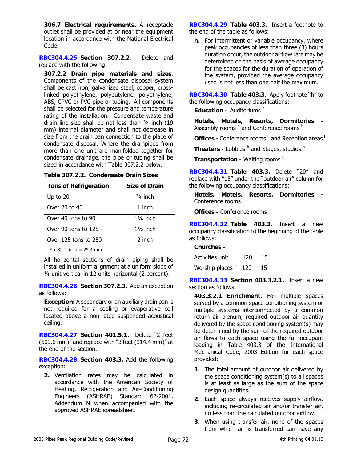**306.7 Electrical requirements.** A receptacle outlet shall be provided at or near the equipment location in accordance with the National Electrical Code.

**RBC304.4.25 Section 307.2.2**. Delete and replace with the following:

**307.2.2 Drain pipe materials and sizes**. Components of the condensate disposal system shall be cast iron, galvanized steel, copper, crosslinked polyethylene, polybutylene, polyethylene, ABS, CPVC or PVC pipe or tubing. All components shall be selected for the pressure and temperature rating of the installation. Condensate waste and drain line size shall be not less than ¾ inch (19 mm) internal diameter and shall not decrease in size from the drain pan connection to the place of condensate disposal. Where the drainpipes from more than one unit are manifolded together for condensate drainage, the pipe or tubing shall be sized in accordance with Table 307.2.2 below.

| <b>Tons of Refrigeration</b> | <b>Size of Drain</b> |
|------------------------------|----------------------|
| Up to 20                     | $3/4$ inch           |
| Over 20 to 40                | 1 inch               |
| Over 40 tons to 90           | $1\frac{1}{4}$ inch  |
| Over 90 tons to 125          | $1\frac{1}{2}$ inch  |
| Over 125 tons to 250         | 2 inch               |

**Table 307.2.2. Condensate Drain Sizes** 

For SI: 1 inch  $= 25.4$  mm

All horizontal sections of drain piping shall be installed in uniform alignment at a uniform slope of ¼ unit vertical in 12 units horizontal (2 percent).

**RBC304.4.26 Section 307.2.3.** Add an exception as follows:

**Exception:** A secondary or an auxiliary drain pan is not required for a cooling or evaporative coil located above a non-rated suspended acoustical ceiling.

**RBC304.4.27 Section 401.5.1.** Delete "2 feet (609.6 mm)" and replace with "3 feet (914.4 mm)" at the end of the section.

**RBC304.4.28 Section 403.3.** Add the following exception:

**2.** Ventilation rates may be calculated in accordance with the American Society of Heating, Refrigeration and Air-Conditioning Engineers (ASHRAE) Standard 62-2001, Addendum N when accompanied with the approved ASHRAE spreadsheet.

**RBC304.4.29 Table 403.3.** Insert a footnote to the end of the table as follows:

**h.** For intermittent or variable occupancy, where peak occupancies of less than three (3) hours duration occur, the outdoor airflow rate may be determined on the basis of average occupancy for the spaces for the duration of operation of the system, provided the average occupancy used is not less than one half the maximum.

**RBC304.4.30 Table 403.3**. Apply footnote "h" to the following occupancy classifications:

**Education – Auditoriums h** 

**Hotels, Motels, Resorts, Dormitories -** Assembly rooms <sup>h</sup> and Conference rooms <sup>h</sup>

**Offices -** Conference rooms h and Reception areas h

**Theaters - Lobbies**  $h$  and Stages, studios  $h$ 

**Transportation -** Waiting rooms h

**RBC304.4.31 Table 403.3.** Delete "20" and replace with "15" under the "outdoor air" column for the following occupancy classifications:

**Hotels, Motels, Resorts, Dormitories -**  Conference rooms

**Offices -** Conference rooms

**RBC304.4.32 Table 403.3.** Insert a new occupancy classification to the beginning of the table as follows:

# **Churches -**

Activities unit  $h = 120$  15 Worship places <sup>h</sup> 120 15

**RBC304.4.33 Section 403.3.2.1.** Insert a new section as follows:

**403.3.2.1 Enrichment.** For multiple spaces served by a common space conditioning system or multiple systems interconnected by a common return air plenum, required outdoor air quantity delivered by the space conditioning system(s) may be determined by the sum of the required outdoor air flows to each space using the full occupant loading in Table 403.3 of the International Mechanical Code, 2003 Edition for each space provided:

- **1.** The total amount of outdoor air delivered by the space conditioning system(s) to all spaces is at least as large as the sum of the space design quantities.
- **2.** Each space always receives supply airflow, including re-circulated air and/or transfer air, no less than the calculated outdoor airflow.
- **3.** When using transfer air, none of the spaces from which air is transferred can have any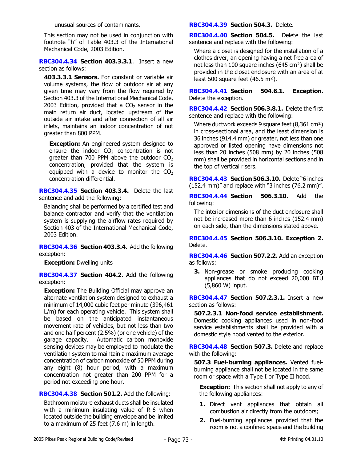unusual sources of contaminants.

This section may not be used in conjunction with footnote "h" of Table 403.3 of the International Mechanical Code, 2003 Edition.

**RBC304.4.34 Section 403.3.3.1**. Insert a new section as follows:

**403.3.3.1 Sensors.** For constant or variable air volume systems, the flow of outdoor air at any given time may vary from the flow required by Section 403.3 of the International Mechanical Code, 2003 Edition, provided that a  $CO<sub>2</sub>$  sensor in the main return air duct, located upstream of the outside air intake and after connection of all air inlets, maintains an indoor concentration of not greater than 800 PPM.

**Exception:** An engineered system designed to ensure the indoor  $CO<sub>2</sub>$  concentration is not greater than 700 PPM above the outdoor  $CO<sub>2</sub>$ concentration, provided that the system is equipped with a device to monitor the  $CO<sub>2</sub>$ concentration differential.

**RBC304.4.35 Section 403.3.4.** Delete the last sentence and add the following:

Balancing shall be performed by a certified test and balance contractor and verify that the ventilation system is supplying the airflow rates required by Section 403 of the International Mechanical Code, 2003 Edition.

**RBC304.4.36 Section 403.3.4.** Add the following exception:

**Exception:** Dwelling units

**RBC304.4.37 Section 404.2.** Add the following exception:

**Exception:** The Building Official may approve an alternate ventilation system designed to exhaust a minimum of 14,000 cubic feet per minute (396,461 L/m) for each operating vehicle. This system shall be based on the anticipated instantaneous movement rate of vehicles, but not less than two and one half percent (2.5%) (or one vehicle) of the garage capacity. Automatic carbon monoxide sensing devices may be employed to modulate the ventilation system to maintain a maximum average concentration of carbon monoxide of 50 PPM during any eight (8) hour period, with a maximum concentration not greater than 200 PPM for a period not exceeding one hour.

**RBC304.4.38 Section 501.2.** Add the following:

Bathroom moisture exhaust ducts shall be insulated with a minimum insulating value of R-6 when located outside the building envelope and be limited to a maximum of 25 feet (7.6 m) in length.

**RBC304.4.39 Section 504.3.** Delete.

**RBC304.4.40 Section 504.5.** Delete the last sentence and replace with the following:

Where a closet is designed for the installation of a clothes dryer, an opening having a net free area of not less than 100 square inches (645 cm²) shall be provided in the closet enclosure with an area of at least 500 square feet (46.5 m²).

**RBC304.4.41 Section 504.6.1. Exception.** Delete the exception.

**RBC304.4.42 Section 506.3.8.1.** Delete the first sentence and replace with the following:

Where ductwork exceeds 9 square feet (8,361 cm²) in cross-sectional area, and the least dimension is 36 inches (914.4 mm) or greater, not less than one approved or listed opening have dimensions not less than 20 inches (508 mm) by 20 inches (508 mm) shall be provided in horizontal sections and in the top of vertical risers.

**RBC304.4.43 Section 506.3.10.** Delete "6 inches (152.4 mm)" and replace with "3 inches (76.2 mm)".

**RBC304.4.44 Section 506.3.10.** Add the following:

The interior dimensions of the duct enclosure shall not be increased more than 6 inches (152.4 mm) on each side, than the dimensions stated above.

**RBC304.4.45 Section 506.3.10. Exception 2.**  Delete.

**RBC304.4.46 Section 507.2.2.** Add an exception as follows:

**3.** Non-grease or smoke producing cooking appliances that do not exceed 20,000 BTU (5,860 W) input.

**RBC304.4.47 Section 507.2.3.1.** Insert a new section as follows:

**507.2.3.1 Non-food service establishment.** Domestic cooking appliances used in non-food service establishments shall be provided with a domestic style hood vented to the exterior.

**RBC304.4.48 Section 507.3.** Delete and replace with the following:

**507.3 Fuel-burning appliances.** Vented fuelburning appliance shall not be located in the same room or space with a Type I or Type II hood.

**Exception:** This section shall not apply to any of the following appliances:

- **1.** Direct vent appliances that obtain all combustion air directly from the outdoors;
- **2.** Fuel-burning appliances provided that the room is not a confined space and the building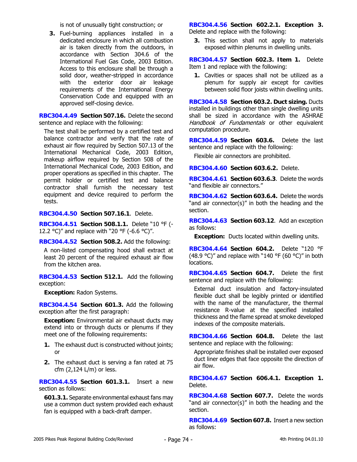is not of unusually tight construction; or

**3.** Fuel-burning appliances installed in a dedicated enclosure in which all combustion air is taken directly from the outdoors, in accordance with Section 304.6 of the International Fuel Gas Code, 2003 Edition. Access to this enclosure shall be through a solid door, weather-stripped in accordance with the exterior door air leakage requirements of the International Energy Conservation Code and equipped with an approved self-closing device.

**RBC304.4.49 Section 507.16.** Delete the second sentence and replace with the following:

The test shall be performed by a certified test and balance contractor and verify that the rate of exhaust air flow required by Section 507.13 of the International Mechanical Code, 2003 Edition, makeup airflow required by Section 508 of the International Mechanical Code, 2003 Edition, and proper operations as specified in this chapter. The permit holder or certified test and balance contractor shall furnish the necessary test equipment and device required to perform the tests.

**RBC304.4.50 Section 507.16.1**. Delete.

**RBC304.4.51 Section 508.1.1.** Delete "10 °F (- 12.2 °C)" and replace with "20 °F (-6.6 °C)".

**RBC304.4.52 Section 508.2.** Add the following:

A non-listed compensating hood shall extract at least 20 percent of the required exhaust air flow from the kitchen area.

**RBC304.4.53 Section 512.1.** Add the following exception:

**Exception:** Radon Systems.

**RBC304.4.54 Section 601.3.** Add the following exception after the first paragraph:

**Exception:** Environmental air exhaust ducts may extend into or through ducts or plenums if they meet one of the following requirements:

- **1.** The exhaust duct is constructed without joints; or
- **2.** The exhaust duct is serving a fan rated at 75 cfm (2,124 L/m) or less.

**RBC304.4.55 Section 601.3.1.** Insert a new section as follows:

**601.3.1.** Separate environmental exhaust fans may use a common duct system provided each exhaust fan is equipped with a back-draft damper.

**RBC304.4.56 Section 602.2.1. Exception 3.** Delete and replace with the following:

**3.** This section shall not apply to materials exposed within plenums in dwelling units.

**RBC304.4.57 Section 602.3. Item 1.** Delete Item 1 and replace with the following:

**1.** Cavities or spaces shall not be utilized as a plenum for supply air except for cavities between solid floor joists within dwelling units.

**RBC304.4.58 Section 603.2. Duct sizing.** Ducts installed in buildings other than single dwelling units shall be sized in accordance with the ASHRAE Handbook of Fundamentals or other equivalent computation procedure.

**RBC304.4.59 Section 603.6.** Delete the last sentence and replace with the following:

Flexible air connectors are prohibited.

**RBC304.4.60 Section 603.6.2.** Delete.

**RBC304.4.61 Section 603.6.3**. Delete the words "and flexible air connectors."

**RBC304.4.62 Section 603.6.4.** Delete the words "and air connector(s)" in both the heading and the section.

**RBC304.4.63 Section 603.12**. Add an exception as follows:

**Exception:** Ducts located within dwelling units.

**RBC304.4.64 Section 604.2.** Delete "120 °F (48.9 °C)" and replace with "140 °F (60 °C)" in both locations.

**RBC304.4.65 Section 604.7.** Delete the first sentence and replace with the following:

External duct insulation and factory-insulated flexible duct shall be legibly printed or identified with the name of the manufacturer, the thermal resistance R-value at the specified installed thickness and the flame spread at smoke developed indexes of the composite materials.

**RBC304.4.66 Section 604.8.** Delete the last sentence and replace with the following:

Appropriate finishes shall be installed over exposed duct liner edges that face opposite the direction of air flow.

**RBC304.4.67 Section 606.4.1. Exception 1.** Delete.

**RBC304.4.68 Section 607.7.** Delete the words "and air connector(s)" in both the heading and the section.

**RBC304.4.69 Section 607.8.** Insert a new section as follows: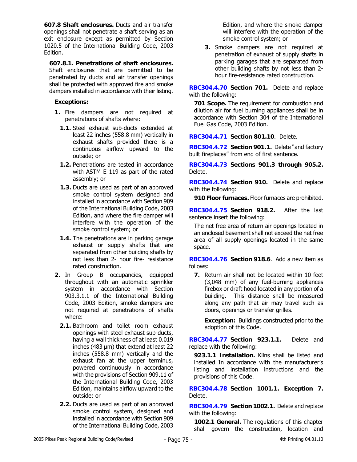**607.8 Shaft enclosures.** Ducts and air transfer openings shall not penetrate a shaft serving as an exit enclosure except as permitted by Section 1020.5 of the International Building Code, 2003 Edition.

**607.8.1. Penetrations of shaft enclosures.** Shaft enclosures that are permitted to be penetrated by ducts and air transfer openings shall be protected with approved fire and smoke dampers installed in accordance with their listing.

# **Exceptions:**

- **1.** Fire dampers are not required at penetrations of shafts where:
	- **1.1.** Steel exhaust sub-ducts extended at least 22 inches (558.8 mm) vertically in exhaust shafts provided there is a continuous airflow upward to the outside; or
	- **1.2.** Penetrations are tested in accordance with ASTM E 119 as part of the rated assembly; or
	- **1.3.** Ducts are used as part of an approved smoke control system designed and installed in accordance with Section 909 of the International Building Code, 2003 Edition, and where the fire damper will interfere with the operation of the smoke control system; or
	- **1.4.** The penetrations are in parking garage exhaust or supply shafts that are separated from other building shafts by not less than 2- hour fire- resistance rated construction.
- **2.** In Group B occupancies, equipped throughout with an automatic sprinkler system in accordance with Section 903.3.1.1 of the International Building Code, 2003 Edition, smoke dampers are not required at penetrations of shafts where:
	- **2.1.** Bathroom and toilet room exhaust openings with steel exhaust sub-ducts, having a wall thickness of at least 0.019 inches (483 μm) that extend at least 22 inches (558.8 mm) vertically and the exhaust fan at the upper terminus, powered continuously in accordance with the provisions of Section 909.11 of the International Building Code, 2003 Edition, maintains airflow upward to the outside; or
	- **2.2.** Ducts are used as part of an approved smoke control system, designed and installed in accordance with Section 909 of the International Building Code, 2003

Edition, and where the smoke damper will interfere with the operation of the smoke control system; or

**3.** Smoke dampers are not required at penetration of exhaust of supply shafts in parking garages that are separated from other building shafts by not less than 2 hour fire-resistance rated construction.

**RBC304.4.70 Section 701.** Delete and replace with the following:

**701 Scope.** The requirement for combustion and dilution air for fuel burning appliances shall be in accordance with Section 304 of the International Fuel Gas Code, 2003 Edition.

**RBC304.4.71 Section 801.10**. Delete.

**RBC304.4.72 Section 901.1.** Delete "and factory built fireplaces" from end of first sentence.

**RBC304.4.73 Sections 901.3 through 905.2.** Delete.

**RBC304.4.74 Section 910.** Delete and replace with the following:

**910 Floor furnaces.** Floor furnaces are prohibited.

**RBC304.4.75 Section 918.2.** After the last sentence insert the following:

The net free area of return air openings located in an enclosed basement shall not exceed the net free area of all supply openings located in the same space.

**RBC304.4.76 Section 918.6**. Add a new item as follows:

**7.** Return air shall not be located within 10 feet (3,048 mm) of any fuel-burning appliances firebox or draft hood located in any portion of a building. This distance shall be measured along any path that air may travel such as doors, openings or transfer grilles.

**Exception:** Buildings constructed prior to the adoption of this Code.

**RBC304.4.77 Section 923.1.1.** Delete and replace with the following:

**923.1.1 Installation.** Kilns shall be listed and installed In accordance with the manufacturer's listing and installation instructions and the provisions of this Code.

**RBC304.4.78 Section 1001.1. Exception 7.** Delete.

**RBC304.4.79 Section 1002.1.** Delete and replace with the following:

**1002.1 General.** The regulations of this chapter shall govern the construction, location and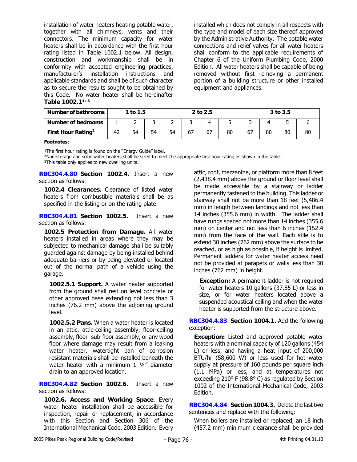installation of water heaters heating potable water, together with all chimneys, vents and their connectors. The minimum capacity for water heaters shall be in accordance with the first hour rating listed in Table 1002.1 below. All design, construction and workmanship shall be in conformity with accepted engineering practices, manufacturer's installation instructions and applicable standards and shall be of such character as to secure the results sought to be obtained by this Code. No water heater shall be hereinafter Table 1002.1<sup>1/3</sup>

installed which does not comply in all respects with the type and model of each size thereof approved by the Administrative Authority. The potable water connections and relief valves for all water heaters shall conform to the applicable requirements of Chapter 6 of the Uniform Plumbing Code, 2000 Edition. All water heaters shall be capable of being removed without first removing a permanent portion of a building structure or other installed equipment and appliances.

| Number of bathrooms            |    | 1 to 1.5 |    |    |    | 2 to 2.5 |    |    |    | 3 to 3.5 |    |
|--------------------------------|----|----------|----|----|----|----------|----|----|----|----------|----|
| <b>Number of bedrooms</b>      |    |          |    |    |    |          |    |    |    |          |    |
| First Hour Rating <sup>2</sup> | 42 | 54       | 54 | 54 | 67 | 67       | 80 | 67 | 80 | 80       | 80 |

**Footnotes:** 

<sup>1</sup>The first hour rating is found on the "Energy Guide" label.

²Non-storage and solar water heaters shall be sized to meet the appropriate first hour rating as shown in the table.

<sup>3</sup>This table only applies to new dwelling units.

**RBC304.4.80 Section 1002.4.** Insert a new section as follows:

**1002.4 Clearances.** Clearance of listed water heaters from combustible materials shall be as specified in the listing or on the rating plate.

**RBC304.4.81 Section 1002.5.** Insert a new section as follows:

**1002.5 Protection from Damage.** All water heaters installed in areas where they may be subjected to mechanical damage shall be suitably guarded against damage by being installed behind adequate barriers or by being elevated or located out of the normal path of a vehicle using the garage.

**1002.5.1 Support.** A water heater supported from the ground shall rest on level concrete or other approved base extending not less than 3 inches (76.2 mm) above the adjoining ground level.

**1002.5.2 Pans.** When a water heater is located in an attic, attic-ceiling assembly, floor-ceiling assembly, floor- sub-floor assembly, or any wood floor where damage may result from a leaking water heater, watertight pan of corrosion resistant materials shall be installed beneath the water heater with a minimum 1 1/4" diameter drain to an approved location.

**RBC304.4.82 Section 1002.6.** Insert a new section as follows:

**1002.6. Access and Working Space**. Every water heater installation shall be accessible for inspection, repair or replacement, in accordance with this Section and Section 306 of the International Mechanical Code, 2003 Edition. Every attic, roof, mezzanine, or platform more than 8 feet (2,438.4 mm) above the ground or floor level shall be made accessible by a stairway or ladder permanently fastened to the building. This ladder or stairway shall not be more than 18 feet (5,486.4 mm) in length between landings and not less than 14 inches (355.6 mm) in width. The ladder shall have rungs spaced not more than 14 inches (355.6 mm) on center and not less than 6 inches (152.4 mm) from the face of the wall. Each stile is to extend 30 inches (762 mm) above the surface to be reached, or as high as possible, if height is limited. Permanent ladders for water heater access need not be provided at parapets or walls less than 30 inches (762 mm) in height.

**Exception:** A permanent ladder is not required for water heaters 10 gallons (37.85 L) or less in size, or for water heaters located above a suspended acoustical ceiling and when the water heater is supported from the structure above.

**RBC304.4.83 Section 1004.1.** Add the following exception:

**Exception:** Listed and approved potable water heaters with a nominal capacity of 120 gallons (454 L) or less, and having a heat input of 200,000 BTU/hr (58,600 W) or less used for hot water supply at pressure of 160 pounds per square inch (1.1 MPa) or less, and at temperatures not exceeding 210° F (98.8° C) as regulated by Section 1002 of the International Mechanical Code, 2003 Edition.

**RBC304.4.84 Section 1004.3.** Delete the last two sentences and replace with the following:

When boilers are installed or replaced, an 18 inch (457.2 mm) minimum clearance shall be provided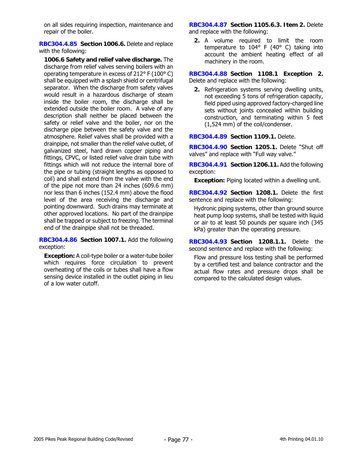on all sides requiring inspection, maintenance and repair of the boiler.

**RBC304.4.85 Section 1006.6.** Delete and replace with the following:

**1006.6 Safety and relief valve discharge.** The discharge from relief valves serving boilers with an operating temperature in excess of 212° F (100° C) shall be equipped with a splash shield or centrifugal separator. When the discharge from safety valves would result in a hazardous discharge of steam inside the boiler room, the discharge shall be extended outside the boiler room. A valve of any description shall neither be placed between the safety or relief valve and the boiler, nor on the discharge pipe between the safety valve and the atmosphere. Relief valves shall be provided with a drainpipe, not smaller than the relief valve outlet, of galvanized steel, hard drawn copper piping and fittings, CPVC, or listed relief valve drain tube with fittings which will not reduce the internal bore of the pipe or tubing (straight lengths as opposed to coil) and shall extend from the valve with the end of the pipe not more than 24 inches (609.6 mm) nor less than 6 inches (152.4 mm) above the flood level of the area receiving the discharge and pointing downward. Such drains may terminate at other approved locations. No part of the drainpipe shall be trapped or subject to freezing. The terminal end of the drainpipe shall not be threaded.

**RBC304.4.86 Section 1007.1.** Add the following exception:

**Exception:** A coil-type boiler or a water-tube boiler which requires force circulation to prevent overheating of the coils or tubes shall have a flow sensing device installed in the outlet piping in lieu of a low water cutoff.

**RBC304.4.87 Section 1105.6.3. Item 2.** Delete and replace with the following:

**2.** A volume required to limit the room temperature to  $104^{\circ}$  F (40° C) taking into account the ambient heating effect of all machinery in the room.

**RBC304.4.88 Section 1108.1 Exception 2.** Delete and replace with the following:

**2.** Refrigeration systems serving dwelling units, not exceeding 5 tons of refrigeration capacity, field piped using approved factory-charged line sets without joints concealed within building construction, and terminating within 5 feet (1,524 mm) of the coil/condenser.

**RBC304.4.89 Section 1109.1.** Delete.

**RBC304.4.90 Section 1205.1.** Delete "Shut off valves" and replace with "Full way valve."

**RBC304.4.91 Section 1206.11.** Add the following exception:

**Exception:** Piping located within a dwelling unit.

**RBC304.4.92 Section 1208.1.** Delete the first sentence and replace with the following:

Hydronic piping systems, other than ground source heat pump loop systems, shall be tested with liquid or air to at least 50 pounds per square inch (345 kPa) greater than the operating pressure.

**RBC304.4.93 Section 1208.1.1.** Delete the second sentence and replace with the following:

Flow and pressure loss testing shall be performed by a certified test and balance contractor and the actual flow rates and pressure drops shall be compared to the calculated design values.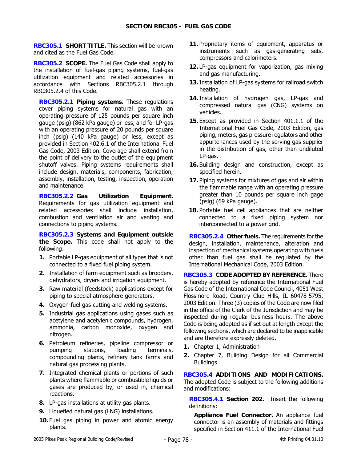**RBC305.1 SHORT TITLE.** This section will be known and cited as the Fuel Gas Code.

**RBC305.2 SCOPE.** The Fuel Gas Code shall apply to the installation of fuel-gas piping systems, fuel-gas utilization equipment and related accessories in accordance with Sections RBC305.2.1 through RBC305.2.4 of this Code.

**RBC305.2.1 Piping systems.** These regulations cover piping systems for natural gas with an operating pressure of 125 pounds per square inch gauge (psig) (862 kPa gauge) or less, and for LP-gas with an operating pressure of 20 pounds per square inch (psig) (140 kPa gauge) or less, except as provided in Section 402.6.1 of the International Fuel Gas Code, 2003 Edition. Coverage shall extend from the point of delivery to the outlet of the equipment shutoff valves. Piping systems requirements shall include design, materials, components, fabrication, assembly, installation, testing, inspection, operation and maintenance.

**RBC305.2.2 Gas Utilization Equipment.**  Requirements for gas utilization equipment and related accessories shall include installation, combustion and ventilation air and venting and connections to piping systems.

**RBC305.2.3 Systems and Equipment outside the Scope.** This code shall not apply to the following:

- **1.** Portable LP-gas equipment of all types that is not connected to a fixed fuel piping system.
- **2.** Installation of farm equipment such as brooders, dehydrators, dryers and irrigation equipment.
- **3.** Raw material (feedstock) applications except for piping to special atmosphere generators.
- **4.** Oxygen-fuel gas cutting and welding systems.
- **5.** Industrial gas applications using gases such as acetylene and acetylenic compounds, hydrogen, ammonia, carbon monoxide, oxygen and nitrogen.
- **6.** Petroleum refineries, pipeline compressor or pumping stations, loading terminals, compounding plants, refinery tank farms and natural gas processing plants.
- **7.** Integrated chemical plants or portions of such plants where flammable or combustible liquids or gases are produced by, or used in, chemical reactions.
- **8.** LP-gas installations at utility gas plants.
- **9.** Liquefied natural gas (LNG) installations.
- **10.** Fuel gas piping in power and atomic energy plants.
- **11.** Proprietary items of equipment, apparatus or instruments such as gas-generating sets, compressors and calorimeters.
- **12.** LP-gas equipment for vaporization, gas mixing and gas manufacturing.
- **13.**Installation of LP-gas systems for railroad switch heating.
- **14.**Installation of hydrogen gas, LP-gas and compressed natural gas (CNG) systems on vehicles.
- **15.** Except as provided in Section 401.1.1 of the International Fuel Gas Code, 2003 Edition, gas piping, meters, gas pressure regulators and other appurtenances used by the serving gas supplier in the distribution of gas, other than undiluted LP-gas.
- **16.** Building design and construction, except as specified herein.
- **17.** Piping systems for mixtures of gas and air within the flammable range with an operating pressure greater than 10 pounds per square inch gage (psig) (69 kPa gauge).
- **18.** Portable fuel cell appliances that are neither connected to a fixed piping system nor interconnected to a power grid.

**RBC305.2.4 Other fuels.** The requirements for the design, installation, maintenance, alteration and inspection of mechanical systems operating with fuels other than fuel gas shall be regulated by the International Mechanical Code, 2003 Edition.

**RBC305.3 CODE ADOPTED BY REFERENCE.** There is hereby adopted by reference the International Fuel Gas Code of the International Code Council, 4051 West Flossmore Road, Country Club Hills, IL 60478-5795, 2003 Edition. Three (3) copies of the Code are now filed in the office of the Clerk of the Jurisdiction and may be inspected during regular business hours. The above Code is being adopted as if set out at length except the following sections, which are declared to be inapplicable and are therefore expressly deleted.

- **1.** Chapter 1, Administration
- **2.** Chapter 7, Building Design for all Commercial **Buildings**

**RBC305.4 ADDITIONS AND MODIFICATIONS.**  The adopted Code is subject to the following additions and modifications:

**RBC305.4.1 Section 202.** Insert the following definitions:

**Appliance Fuel Connector.** An appliance fuel connector is an assembly of materials and fittings specified in Section 411.1 of the International Fuel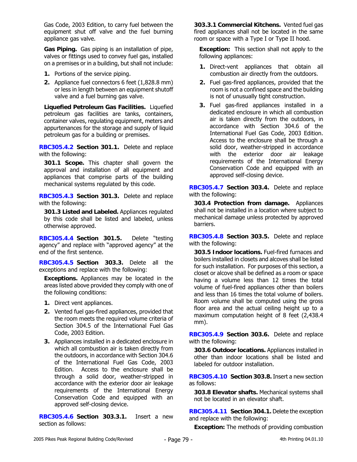Gas Code, 2003 Edition, to carry fuel between the equipment shut off valve and the fuel burning appliance gas valve.

**Gas Piping.** Gas piping is an installation of pipe, valves or fittings used to convey fuel gas, installed on a premises or in a building, but shall not include:

- **1.** Portions of the service piping.
- **2.** Appliance fuel connectors 6 feet (1,828.8 mm) or less in length between an equipment shutoff valve and a fuel burning gas valve.

**Liquefied Petroleum Gas Facilities.** Liquefied petroleum gas facilities are tanks, containers, container valves, regulating equipment, meters and appurtenances for the storage and supply of liquid petroleum gas for a building or premises.

**RBC305.4.2 Section 301.1.** Delete and replace with the following:

**301.1 Scope.** This chapter shall govern the approval and installation of all equipment and appliances that comprise parts of the building mechanical systems regulated by this code.

**RBC305.4.3 Section 301.3.** Delete and replace with the following:

**301.3 Listed and Labeled.** Appliances regulated by this code shall be listed and labeled, unless otherwise approved.

**RBC305.4.4 Section 301.5.** Delete "testing agency" and replace with "approved agency" at the end of the first sentence.

**RBC305.4.5 Section 303.3.** Delete all the exceptions and replace with the following:

**Exceptions.** Appliances may be located in the areas listed above provided they comply with one of the following conditions:

- **1.** Direct vent appliances.
- **2.** Vented fuel gas-fired appliances, provided that the room meets the required volume criteria of Section 304.5 of the International Fuel Gas Code, 2003 Edition.
- **3.** Appliances installed in a dedicated enclosure in which all combustion air is taken directly from the outdoors, in accordance with Section 304.6 of the International Fuel Gas Code, 2003 Edition. Access to the enclosure shall be through a solid door, weather-stripped in accordance with the exterior door air leakage requirements of the International Energy Conservation Code and equipped with an approved self-closing device.

**RBC305.4.6 Section 303.3.1.** Insert a new section as follows:

**303.3.1 Commercial Kitchens.** Vented fuel gas fired appliances shall not be located in the same room or space with a Type I or Type II hood.

**Exception:** This section shall not apply to the following appliances:

- **1.** Direct-vent appliances that obtain all combustion air directly from the outdoors.
- **2.** Fuel gas-fired appliances, provided that the room is not a confined space and the building is not of unusually tight construction.
- **3.** Fuel gas-fired appliances installed in a dedicated enclosure in which all combustion air is taken directly from the outdoors, in accordance with Section 304.6 of the International Fuel Gas Code, 2003 Edition. Access to the enclosure shall be through a solid door, weather-stripped in accordance with the exterior door air leakage requirements of the International Energy Conservation Code and equipped with an approved self-closing device.

**RBC305.4.7 Section 303.4.** Delete and replace with the following:

**303.4 Protection from damage.** Appliances shall not be installed in a location where subject to mechanical damage unless protected by approved barriers.

**RBC305.4.8 Section 303.5.** Delete and replace with the following:

**303.5 Indoor locations.** Fuel-fired furnaces and boilers installed in closets and alcoves shall be listed for such installation. For purposes of this section, a closet or alcove shall be defined as a room or space having a volume less than 12 times the total volume of fuel-fired appliances other than boilers and less than 16 times the total volume of boilers. Room volume shall be computed using the gross floor area and the actual ceiling height up to a maximum computation height of 8 feet (2,438.4 mm).

**RBC305.4.9 Section 303.6.** Delete and replace with the following:

**303.6 Outdoor locations.** Appliances installed in other than indoor locations shall be listed and labeled for outdoor installation.

**RBC305.4.10 Section 303.8.** Insert a new section as follows:

**303.8 Elevator shafts.** Mechanical systems shall not be located in an elevator shaft.

**RBC305.4.11 Section 304.1.** Delete the exception and replace with the following:

**Exception:** The methods of providing combustion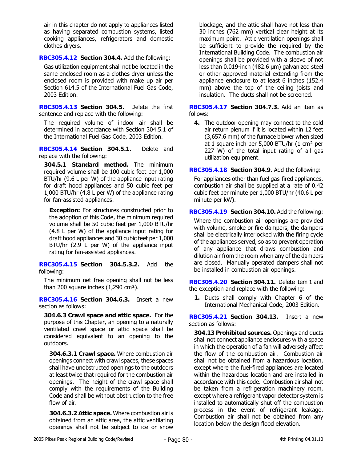air in this chapter do not apply to appliances listed as having separated combustion systems, listed cooking appliances, refrigerators and domestic clothes dryers.

**RBC305.4.12 Section 304.4.** Add the following:

Gas utilization equipment shall not be located in the same enclosed room as a clothes dryer unless the enclosed room is provided with make up air per Section 614.5 of the International Fuel Gas Code, 2003 Edition.

**RBC305.4.13 Section 304.5.** Delete the first sentence and replace with the following:

The required volume of indoor air shall be determined in accordance with Section 304.5.1 of the International Fuel Gas Code, 2003 Edition.

**RBC305.4.14 Section 304.5.1.** Delete and replace with the following:

**304.5.1 Standard method.** The minimum required volume shall be 100 cubic feet per 1,000 BTU/hr (9.6 L per W) of the appliance input rating for draft hood appliances and 50 cubic feet per 1,000 BTU/hr (4.8 L per W) of the appliance rating for fan-assisted appliances.

**Exception:** For structures constructed prior to the adoption of this Code, the minimum required volume shall be 50 cubic feet per 1,000 BTU/hr (4.8 L per W) of the appliance input rating for draft hood appliances and 30 cubic feet per 1,000 BTU/hr (2.9 L per W) of the appliance input rating for fan-assisted appliances.

**RBC305.4.15 Section 304.5.3.2.** Add the following:

The minimum net free opening shall not be less than 200 square inches  $(1,290 \text{ cm}^2)$ .

**RBC305.4.16 Section 304.6.3.** Insert a new section as follows:

**304.6.3 Crawl space and attic space.** For the purpose of this Chapter, an opening to a naturally ventilated crawl space or attic space shall be considered equivalent to an opening to the outdoors.

**304.6.3.1 Crawl space.** Where combustion air openings connect with crawl spaces, these spaces shall have unobstructed openings to the outdoors at least twice that required for the combustion air openings. The height of the crawl space shall comply with the requirements of the Building Code and shall be without obstruction to the free flow of air.

**304.6.3.2 Attic space.** Where combustion air is obtained from an attic area, the attic ventilating openings shall not be subject to ice or snow

blockage, and the attic shall have not less than 30 inches (762 mm) vertical clear height at its maximum point. Attic ventilation openings shall be sufficient to provide the required by the International Building Code. The combustion air openings shall be provided with a sleeve of not less than 0.019-inch (482.6 µm) galvanized steel or other approved material extending from the appliance enclosure to at least 6 inches (152.4 mm) above the top of the ceiling joists and insulation. The ducts shall not be screened.

**RBC305.4.17 Section 304.7.3.** Add an item as follows:

**4.** The outdoor opening may connect to the cold air return plenum if it is located within 12 feet (3,657.6 mm) of the furnace blower when sized at 1 square inch per 5,000 BTU/hr (1 cm² per 227 W) of the total input rating of all gas utilization equipment.

**RBC305.4.18 Section 304.9.** Add the following:

For appliances other than fuel gas-fired appliances, combustion air shall be supplied at a rate of 0.42 cubic feet per minute per 1,000 BTU/hr (40.6 L per minute per kW).

**RBC305.4.19 Section 304.10.** Add the following: Where the combustion air openings are provided with volume, smoke or fire dampers, the dampers shall be electrically interlocked with the firing cycle of the appliances served, so as to prevent operation of any appliance that draws combustion and dilution air from the room when any of the dampers are closed. Manually operated dampers shall not be installed in combustion air openings.

**RBC305.4.20 Section 304.11.** Delete item 1 and the exception and replace with the following:

**1.** Ducts shall comply with Chapter 6 of the International Mechanical Code, 2003 Edition.

**RBC305.4.21 Section 304.13.** Insert a new section as follows:

**304.13 Prohibited sources.** Openings and ducts shall not connect appliance enclosures with a space in which the operation of a fan will adversely affect the flow of the combustion air. Combustion air shall not be obtained from a hazardous location, except where the fuel-fired appliances are located within the hazardous location and are installed in accordance with this code. Combustion air shall not be taken from a refrigeration machinery room, except where a refrigerant vapor detector system is installed to automatically shut off the combustion process in the event of refrigerant leakage. Combustion air shall not be obtained from any location below the design flood elevation.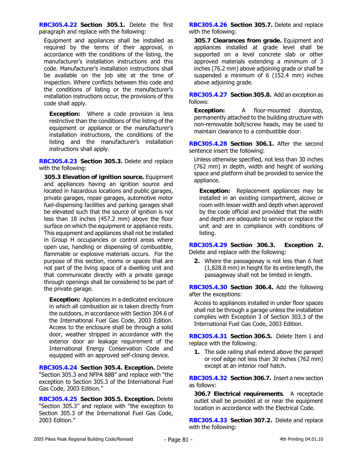**RBC305.4.22 Section 305.1.** Delete the first paragraph and replace with the following:

Equipment and appliances shall be installed as required by the terms of their approval, in accordance with the conditions of the listing, the manufacturer's installation instructions and this code. Manufacturer's installation instructions shall be available on the job site at the time of inspection. Where conflicts between this code and the conditions of listing or the manufacturer's installation instructions occur, the provisions of this code shall apply.

**Exception:** Where a code provision is less restrictive than the conditions of the listing of the equipment or appliance or the manufacturer's installation instructions, the conditions of the listing and the manufacturer's installation instructions shall apply.

**RBC305.4.23 Section 305.3.** Delete and replace with the following:

**305.3 Elevation of ignition source.** Equipment and appliances having an ignition source and located in hazardous locations and public garages, private garages, repair garages, automotive motor fuel-dispensing facilities and parking garages shall be elevated such that the source of ignition is not less than 18 inches (457.2 mm) above the floor surface on which the equipment or appliance rests. This equipment and appliances shall not be installed in Group H occupancies or control areas where open use, handling or dispensing of combustible, flammable or explosive materials occurs. For the purpose of this section, rooms or spaces that are not part of the living space of a dwelling unit and that communicate directly with a private garage through openings shall be considered to be part of the private garage.

**Exception:** Appliances in a dedicated enclosure in which all combustion air is taken directly from the outdoors, in accordance with Section 304.6 of the International Fuel Gas Code, 2003 Edition. Access to the enclosure shall be through a solid door, weather stripped in accordance with the exterior door air leakage requirement of the International Energy Conservation Code and equipped with an approved self-closing device.

**RBC305.4.24 Section 305.4. Exception.** Delete "Section 305.3 and NFPA 88B" and replace with "the exception to Section 305.3 of the International Fuel Gas Code, 2003 Edition."

**RBC305.4.25 Section 305.5. Exception.** Delete "Section 305.3" and replace with "the exception to Section 305.3 of the International Fuel Gas Code, 2003 Edition."

**RBC305.4.26 Section 305.7.** Delete and replace with the following:

**305.7 Clearances from grade.** Equipment and appliances installed at grade level shall be supported on a level concrete slab or other approved materials extending a minimum of 3 inches (76.2 mm) above adjoining grade or shall be suspended a minimum of 6 (152.4 mm) inches above adjoining grade.

**RBC305.4.27 Section 305.8.** Add an exception as follows:

**Exception:** A floor-mounted doorstop, permanently attached to the building structure with non-removable bolt/screw heads, may be used to maintain clearance to a combustible door.

**RBC305.4.28 Section 306.1.** After the second sentence insert the following:

Unless otherwise specified, not less than 30 inches (762 mm) in depth, width and height of working space and platform shall be provided to service the appliance.

**Exception:** Replacement appliances may be installed in an existing compartment, alcove or room with lesser width and depth when approved by the code official and provided that the width and depth are adequate to service or replace the unit and are in compliance with conditions of listing.

**RBC305.4.29 Section 306.3. Exception 2.**  Delete and replace with the following:

**2.** Where the passageway is not less than 6 feet (1,828.8 mm) in height for its entire length, the passageway shall not be limited in length.

**RBC305.4.30 Section 306.4.** Add the following after the exceptions:

Access to appliances installed in under floor spaces shall not be through a garage unless the installation complies with Exception 3 of Section 303.3 of the International Fuel Gas Code, 2003 Edition.

**RBC305.4.31 Section 306.5.** Delete Item 1 and replace with the following:

**1.** The side railing shall extend above the parapet or roof edge not less than 30 inches (762 mm) except at an interior roof hatch.

**RBC305.4.32 Section 306.7.** Insert a new section as follows:

**306.7 Electrical requirements**. A receptacle outlet shall be provided at or near the equipment location in accordance with the Electrical Code.

**RBC305.4.33 Section 307.2.** Delete and replace with the following: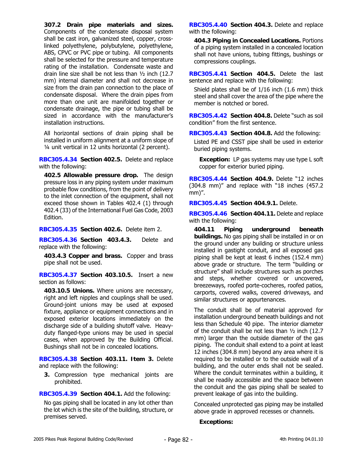**307.2 Drain pipe materials and sizes.** Components of the condensate disposal system shall be cast iron, galvanized steel, copper, crosslinked polyethylene, polybutylene, polyethylene, ABS, CPVC or PVC pipe or tubing. All components shall be selected for the pressure and temperature rating of the installation. Condensate waste and drain line size shall be not less than ½ inch (12.7 mm) internal diameter and shall not decrease in size from the drain pan connection to the place of condensate disposal. Where the drain pipes from more than one unit are manifolded together or condensate drainage, the pipe or tubing shall be sized in accordance with the manufacturer's installation instructions.

All horizontal sections of drain piping shall be installed in uniform alignment at a uniform slope of ¼ unit vertical in 12 units horizontal (2 percent).

**RBC305.4.34 Section 402.5.** Delete and replace with the following:

**402.5 Allowable pressure drop.** The design pressure loss in any piping system under maximum probable flow conditions, from the point of delivery to the inlet connection of the equipment, shall not exceed those shown in Tables 402.4 (1) through 402.4 (33) of the International Fuel Gas Code, 2003 Edition.

**RBC305.4.35 Section 402.6.** Delete item 2.

**RBC305.4.36 Section 403.4.3.** Delete and replace with the following:

**403.4.3 Copper and brass.** Copper and brass pipe shall not be used.

**RBC305.4.37 Section 403.10.5.** Insert a new section as follows:

**403.10.5 Unions.** Where unions are necessary, right and left nipples and couplings shall be used. Ground-joint unions may be used at exposed fixture, appliance or equipment connections and in exposed exterior locations immediately on the discharge side of a building shutoff valve. Heavyduty flanged-type unions may be used in special cases, when approved by the Building Official. Bushings shall not be in concealed locations.

**RBC305.4.38 Section 403.11. Item 3.** Delete and replace with the following:

**3.** Compression type mechanical joints are prohibited.

**RBC305.4.39 Section 404.1.** Add the following:

No gas piping shall be located in any lot other than the lot which is the site of the building, structure, or premises served.

**RBC305.4.40 Section 404.3.** Delete and replace with the following:

**404.3 Piping in Concealed Locations.** Portions of a piping system installed in a concealed location shall not have unions, tubing fittings, bushings or compressions couplings.

**RBC305.4.41 Section 404.5.** Delete the last sentence and replace with the following:

Shield plates shall be of 1/16 inch (1.6 mm) thick steel and shall cover the area of the pipe where the member is notched or bored.

**RBC305.4.42 Section 404.8.** Delete "such as soil condition" from the first sentence.

**RBC305.4.43 Section 404.8.** Add the following:

Listed PE and CSST pipe shall be used in exterior buried piping systems.

**Exception:** LP gas systems may use type L soft copper for exterior buried piping.

**RBC305.4.44 Section 404.9.** Delete "12 inches (304.8 mm)" and replace with "18 inches (457.2 mm)".

**RBC305.4.45 Section 404.9.1.** Delete.

**RBC305.4.46 Section 404.11.** Delete and replace with the following:

**404.11 Piping underground beneath buildings.** No gas piping shall be installed in or on the ground under any building or structure unless installed in gastight conduit, and all exposed gas piping shall be kept at least 6 inches (152.4 mm) above grade or structure. The term "building or structure" shall include structures such as porches and steps, whether covered or uncovered, breezeways, roofed porte-cocheres, roofed patios, carports, covered walks, covered driveways, and similar structures or appurtenances.

The conduit shall be of material approved for installation underground beneath buildings and not less than Schedule 40 pipe. The interior diameter of the conduit shall be not less than ½ inch (12.7 mm) larger than the outside diameter of the gas piping. The conduit shall extend to a point at least 12 inches (304.8 mm) beyond any area where it is required to be installed or to the outside wall of a building, and the outer ends shall not be sealed. Where the conduit terminates within a building, it shall be readily accessible and the space between the conduit and the gas piping shall be sealed to prevent leakage of gas into the building.

Concealed unprotected gas piping may be installed above grade in approved recesses or channels.

**Exceptions:**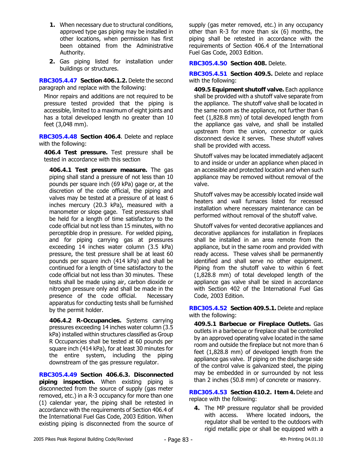- **1.** When necessary due to structural conditions, approved type gas piping may be installed in other locations, when permission has first been obtained from the Administrative Authority.
- **2.** Gas piping listed for installation under buildings or structures.

**RBC305.4.47 Section 406.1.2.** Delete the second paragraph and replace with the following:

Minor repairs and additions are not required to be pressure tested provided that the piping is accessible, limited to a maximum of eight joints and has a total developed length no greater than 10 feet (3,048 mm).

**RBC305.4.48 Section 406.4**. Delete and replace with the following:

**406.4 Test pressure.** Test pressure shall be tested in accordance with this section

**406.4.1 Test pressure measure.** The gas piping shall stand a pressure of not less than 10 pounds per square inch (69 kPa) gage or, at the discretion of the code official, the piping and valves may be tested at a pressure of at least 6 inches mercury (20.3 kPa), measured with a manometer or slope gage. Test pressures shall be held for a length of time satisfactory to the code official but not less than 15 minutes, with no perceptible drop in pressure. For welded piping, and for piping carrying gas at pressures exceeding 14 inches water column (3.5 kPa) pressure, the test pressure shall be at least 60 pounds per square inch (414 kPa) and shall be continued for a length of time satisfactory to the code official but not less than 30 minutes. These tests shall be made using air, carbon dioxide or nitrogen pressure only and shall be made in the presence of the code official. Necessary apparatus for conducting tests shall be furnished by the permit holder.

**406.4.2 R-Occupancies.** Systems carrying pressures exceeding 14 inches water column (3.5 kPa) installed within structures classified as Group R Occupancies shall be tested at 60 pounds per square inch (414 kPa), for at least 30 minutes for the entire system, including the piping downstream of the gas pressure regulator.

**RBC305.4.49 Section 406.6.3. Disconnected piping inspection.** When existing piping is disconnected from the source of supply (gas meter removed, etc.) in a R-3 occupancy for more than one (1) calendar year, the piping shall be retested in accordance with the requirements of Section 406.4 of the International Fuel Gas Code, 2003 Edition. When existing piping is disconnected from the source of supply (gas meter removed, etc.) in any occupancy other than R-3 for more than six (6) months, the piping shall be retested in accordance with the requirements of Section 406.4 of the International Fuel Gas Code, 2003 Edition.

**RBC305.4.50 Section 408.** Delete.

**RBC305.4.51 Section 409.5.** Delete and replace with the following:

**409.5 Equipment shutoff valve.** Each appliance shall be provided with a shutoff valve separate from the appliance. The shutoff valve shall be located in the same room as the appliance, not further than 6 feet (1,828.8 mm) of total developed length from the appliance gas valve, and shall be installed upstream from the union, connector or quick disconnect device it serves. These shutoff valves shall be provided with access.

Shutoff valves may be located immediately adjacent to and inside or under an appliance when placed in an accessible and protected location and when such appliance may be removed without removal of the valve.

Shutoff valves may be accessibly located inside wall heaters and wall furnaces listed for recessed installation where necessary maintenance can be performed without removal of the shutoff valve.

Shutoff valves for vented decorative appliances and decorative appliances for installation in fireplaces shall be installed in an area remote from the appliance, but in the same room and provided with ready access. These valves shall be permanently identified and shall serve no other equipment. Piping from the shutoff valve to within 6 feet (1,828.8 mm) of total developed length of the appliance gas valve shall be sized in accordance with Section 402 of the International Fuel Gas Code, 2003 Edition.

**RBC305.4.52 Section 409.5.1.** Delete and replace with the following:

**409.5.1 Barbecue or Fireplace Outlets.** Gas outlets in a barbecue or fireplace shall be controlled by an approved operating valve located in the same room and outside the fireplace but not more than 6 feet (1,828.8 mm) of developed length from the appliance gas valve. If piping on the discharge side of the control valve is galvanized steel, the piping may be embedded in or surrounded by not less than 2 inches (50.8 mm) of concrete or masonry.

**RBC305.4.53 Section 410.2. Item 4.** Delete and replace with the following:

**4.** The MP pressure regulator shall be provided with access. Where located indoors, the regulator shall be vented to the outdoors with rigid metallic pipe or shall be equipped with a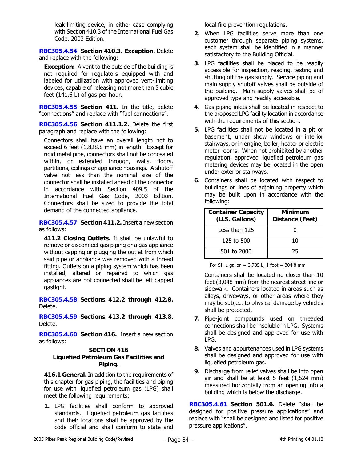leak-limiting-device, in either case complying with Section 410.3 of the International Fuel Gas Code, 2003 Edition.

**RBC305.4.54 Section 410.3. Exception.** Delete and replace with the following:

**Exception:** A vent to the outside of the building is not required for regulators equipped with and labeled for utilization with approved vent-limiting devices, capable of releasing not more than 5 cubic feet  $(141.6 \text{ L})$  of gas per hour.

**RBC305.4.55 Section 411.** In the title, delete "connections" and replace with "fuel connections".

**RBC305.4.56 Section 411.1.2.** Delete the first paragraph and replace with the following:

Connectors shall have an overall length not to exceed 6 feet (1,828.8 mm) in length. Except for rigid metal pipe, connectors shall not be concealed within, or extended through, walls, floors, partitions, ceilings or appliance housings. A shutoff valve not less than the nominal size of the connector shall be installed ahead of the connector in accordance with Section 409.5 of the International Fuel Gas Code, 2003 Edition. Connectors shall be sized to provide the total demand of the connected appliance.

**RBC305.4.57 Section 411.2.** Insert a new section as follows:

**411.2 Closing Outlets.** It shall be unlawful to remove or disconnect gas piping or a gas appliance without capping or plugging the outlet from which said pipe or appliance was removed with a thread fitting. Outlets on a piping system which has been installed, altered or repaired to which gas appliances are not connected shall be left capped gastight.

**RBC305.4.58 Sections 412.2 through 412.8.** Delete.

**RBC305.4.59 Sections 413.2 through 413.8.** Delete.

**RBC305.4.60 Section 416.** Insert a new section as follows:

### **SECTION 416**

# **Liquefied Petroleum Gas Facilities and Piping.**

**416.1 General.** In addition to the requirements of this chapter for gas piping, the facilities and piping for use with liquefied petroleum gas (LPG) shall meet the following requirements:

**1.** LPG facilities shall conform to approved standards. Liquefied petroleum gas facilities and their locations shall be approved by the code official and shall conform to state and

local fire prevention regulations.

- **2.** When LPG facilities serve more than one customer through separate piping systems, each system shall be identified in a manner satisfactory to the Building Official.
- **3.** LPG facilities shall be placed to be readily accessible for inspection, reading, testing and shutting off the gas supply. Service piping and main supply shutoff valves shall be outside of the building. Main supply valves shall be of approved type and readily accessible.
- **4.** Gas piping inlets shall be located in respect to the proposed LPG facility location in accordance with the requirements of this section.
- **5.** LPG facilities shall not be located in a pit or basement, under show windows or interior stairways, or in engine, boiler, heater or electric meter rooms. When not prohibited by another regulation, approved liquefied petroleum gas metering devices may be located in the open under exterior stairways.
- **6.** Containers shall be located with respect to buildings or lines of adjoining property which may be built upon in accordance with the following:

| <b>Container Capacity</b><br>(U.S. Gallons) | Minimum<br>Distance (Feet) |
|---------------------------------------------|----------------------------|
| Less than 125                               |                            |
| 125 to 500                                  | 10                         |
| 501 to 2000                                 | 25                         |

For SI: 1 gallon =  $3.785$  L, 1 foot =  $304.8$  mm

Containers shall be located no closer than 10 feet (3,048 mm) from the nearest street line or sidewalk. Containers located in areas such as alleys, driveways, or other areas where they may be subject to physical damage by vehicles shall be protected.

- **7.** Pipe-joint compounds used on threaded connections shall be insoluble in LPG. Systems shall be designed and approved for use with LPG.
- **8.** Valves and appurtenances used in LPG systems shall be designed and approved for use with liquefied petroleum gas.
- **9.** Discharge from relief valves shall be into open air and shall be at least 5 feet (1,524 mm) measured horizontally from an opening into a building which is below the discharge.

**RBC305.4.61 Section 501.6.** Delete "shall be designed for positive pressure applications" and replace with "shall be designed and listed for positive pressure applications".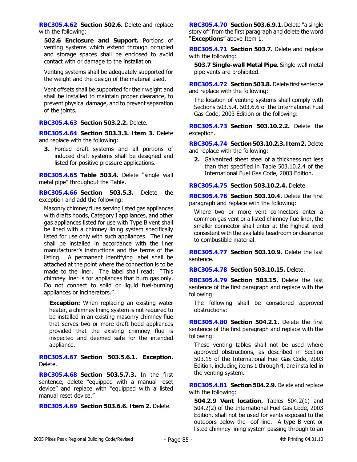**RBC305.4.62 Section 502.6.** Delete and replace with the following:

**502.6 Enclosure and Support.** Portions of venting systems which extend through occupied and storage spaces shall be enclosed to avoid contact with or damage to the installation.

Venting systems shall be adequately supported for the weight and the design of the material used.

Vent offsets shall be supported for their weight and shall be installed to maintain proper clearance, to prevent physical damage, and to prevent separation of the joints.

**RBC305.4.63 Section 503.2.2.** Delete.

**RBC305.4.64 Section 503.3.3. Item 3.** Delete and replace with the following:

**3.** Forced draft systems and all portions of induced draft systems shall be designed and listed for positive pressure applications.

**RBC305.4.65 Table 503.4.** Delete "single wall metal pipe" throughout the Table.

**RBC305.4.66 Section 503.5.3.** Delete the exception and add the following:

Masonry chimney flues serving listed gas appliances with drafts hoods, Category I appliances, and other gas appliances listed for use with Type B vent shall be lined with a chimney lining system specifically listed for use only with such appliances. The liner shall be installed in accordance with the liner manufacturer's instructions and the terms of the listing. A permanent identifying label shall be attached at the point where the connection is to be made to the liner. The label shall read: "This chimney liner is for appliances that burn gas only. Do not connect to solid or liquid fuel-burning appliances or incinerators."

**Exception:** When replacing an existing water heater, a chimney lining system is not required to be installed in an existing masonry chimney flue that serves two or more draft hood appliances provided that the existing chimney flue is inspected and deemed safe for the intended appliance.

**RBC305.4.67 Section 503.5.6.1. Exception.** Delete.

**RBC305.4.68 Section 503.5.7.3.** In the first sentence, delete "equipped with a manual reset device" and replace with "equipped with a listed manual reset device."

**RBC305.4.69 Section 503.6.6. Item 2.** Delete.

**RBC305.4.70 Section 503.6.9.1.** Delete "a single story of" from the first paragraph and delete the word "**Exceptions**" above Item 1.

**RBC305.4.71 Section 503.7.** Delete and replace with the following:

**503.7 Single-wall Metal Pipe.** Single-wall metal pipe vents are prohibited.

**RBC305.4.72 Section 503.8.** Delete first sentence and replace with the following:

The location of venting systems shall comply with Sections 503.5.4, 503.6.6 of the International Fuel Gas Code, 2003 Edition or the following:

**RBC305.4.73 Section 503.10.2.2.** Delete the exception.

**RBC305.4.74 Section 503.10.2.3. Item 2.** Delete and replace with the following:

**2.** Galvanized sheet steel of a thickness not less than that specified in Table 503.10.2.4 of the International Fuel Gas Code, 2003 Edition.

**RBC305.4.75 Section 503.10.2.4.** Delete.

**RBC305.4.76 Section 503.10.4.** Delete the first paragraph and replace with the following:

Where two or more vent connectors enter a common gas vent or a listed chimney flue liner, the smaller connector shall enter at the highest level consistent with the available headroom or clearance to combustible material.

**RBC305.4.77 Section 503.10.9.** Delete the last sentence.

**RBC305.4.78 Section 503.10.15.** Delete.

**RBC305.4.79 Section 503.15.** Delete the last sentence of the first paragraph and replace with the following:

The following shall be considered approved obstructions:

**RBC305.4.80 Section 504.2.1.** Delete the first sentence of the first paragraph and replace with the following:

These venting tables shall not be used where approved obstructions, as described in Section 503.15 of the International Fuel Gas Code, 2003 Edition, including items 1 through 4, are installed in the venting system.

**RBC305.4.81 Section 504.2.9.** Delete and replace with the following:

**504.2.9 Vent location.** Tables 504.2(1) and 504.2(2) of the International Fuel Gas Code, 2003 Edition, shall not be used for vents exposed to the outdoors below the roof line. A type B vent or listed chimney lining system passing through to an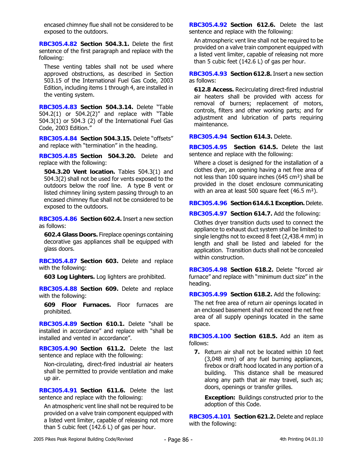encased chimney flue shall not be considered to be exposed to the outdoors.

**RBC305.4.82 Section 504.3.1.** Delete the first sentence of the first paragraph and replace with the following:

These venting tables shall not be used where approved obstructions, as described in Section 503.15 of the International Fuel Gas Code, 2003 Edition, including items 1 through 4, are installed in the venting system.

**RBC305.4.83 Section 504.3.14.** Delete "Table 504.2(1) or 504.2(2)" and replace with "Table 504.3(1) or 504.3 (2) of the International Fuel Gas Code, 2003 Edition."

**RBC305.4.84 Section 504.3.15.** Delete "offsets" and replace with "termination" in the heading.

**RBC305.4.85 Section 504.3.20.** Delete and replace with the following:

**504.3.20 Vent location.** Tables 504.3(1) and 504.3(2) shall not be used for vents exposed to the outdoors below the roof line. A type B vent or listed chimney lining system passing through to an encased chimney flue shall not be considered to be exposed to the outdoors.

**RBC305.4.86 Section 602.4.** Insert a new section as follows:

**602.4 Glass Doors.** Fireplace openings containing decorative gas appliances shall be equipped with glass doors.

**RBC305.4.87 Section 603.** Delete and replace with the following:

**603 Log Lighters.** Log lighters are prohibited.

**RBC305.4.88 Section 609.** Delete and replace with the following:

**609 Floor Furnaces.** Floor furnaces are prohibited.

**RBC305.4.89 Section 610.1.** Delete "shall be installed in accordance" and replace with "shall be installed and vented in accordance".

**RBC305.4.90 Section 611.2.** Delete the last sentence and replace with the following:

Non-circulating, direct-fired industrial air heaters shall be permitted to provide ventilation and make up air.

**RBC305.4.91 Section 611.6.** Delete the last sentence and replace with the following:

An atmospheric vent line shall not be required to be provided on a valve train component equipped with a listed vent limiter, capable of releasing not more than 5 cubic feet (142.6 L) of gas per hour.

**RBC305.4.92 Section 612.6.** Delete the last sentence and replace with the following:

An atmospheric vent line shall not be required to be provided on a valve train component equipped with a listed vent limiter, capable of releasing not more than 5 cubic feet (142.6 L) of gas per hour.

**RBC305.4.93 Section 612.8.** Insert a new section as follows:

**612.8 Access.** Recirculating direct-fired industrial air heaters shall be provided with access for removal of burners; replacement of motors, controls, filters and other working parts; and for adjustment and lubrication of parts requiring maintenance.

### **RBC305.4.94 Section 614.3.** Delete.

**RBC305.4.95 Section 614.5.** Delete the last sentence and replace with the following:

Where a closet is designed for the installation of a clothes dyer, an opening having a net free area of not less than 100 square inches (645 cm²) shall be provided in the closet enclosure communicating with an area at least 500 square feet (46.5 m<sup>2</sup>).

# **RBC305.4.96 Section 614.6.1 Exception.** Delete.

**RBC305.4.97 Section 614.7.** Add the following:

Clothes dryer transition ducts used to connect the appliance to exhaust duct system shall be limited to single lengths not to exceed 8 feet (2,438.4 mm) in length and shall be listed and labeled for the application. Transition ducts shall not be concealed within construction.

**RBC305.4.98 Section 618.2.** Delete "forced air furnace" and replace with "minimum duct size" in the heading.

**RBC305.4.99 Section 618.2.** Add the following:

The net free area of return air openings located in an enclosed basement shall not exceed the net free area of all supply openings located in the same space.

**RBC305.4.100 Section 618.5.** Add an item as follows:

**7.** Return air shall not be located within 10 feet (3,048 mm) of any fuel burning appliances, firebox or draft hood located in any portion of a building. This distance shall be measured along any path that air may travel, such as; doors, openings or transfer grilles.

**Exception:** Buildings constructed prior to the adoption of this Code.

**RBC305.4.101 Section 621.2.** Delete and replace with the following: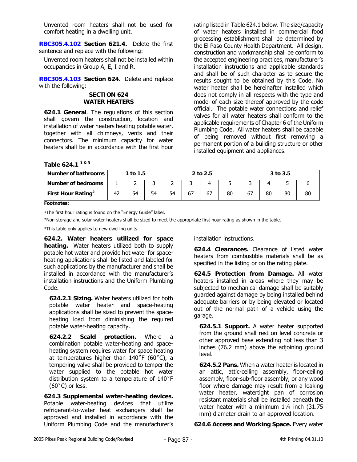Unvented room heaters shall not be used for comfort heating in a dwelling unit.

**RBC305.4.102 Section 621.4.** Delete the first sentence and replace with the following:

Unvented room heaters shall not be installed within occupancies in Group A, E, I and R.

**RBC305.4.103 Section 624.** Delete and replace with the following:

#### **SECTION 624 WATER HEATERS**

**624.1 General**. The regulations of this section shall govern the construction, location and installation of water heaters heating potable water, together with all chimneys, vents and their connectors. The minimum capacity for water heaters shall be in accordance with the first hour

rating listed in Table 624.1 below. The size/capacity of water heaters installed in commercial food processing establishment shall be determined by the El Paso County Health Department. All design, construction and workmanship shall be conform to the accepted engineering practices, manufacturer's installation instructions and applicable standards and shall be of such character as to secure the results sought to be obtained by this Code. No water heater shall be hereinafter installed which does not comply in all respects with the type and model of each size thereof approved by the code official. The potable water connections and relief valves for all water heaters shall conform to the applicable requirements of Chapter 6 of the Uniform Plumbing Code. All water heaters shall be capable of being removed without first removing a permanent portion of a building structure or other installed equipment and appliances.

**Table 624.1 1 & 3** 

| Number of bathrooms            |    | 1 to $1.5$ |    |    |    | 2 to 2.5 |    |    |    | 3 to 3.5 |    |
|--------------------------------|----|------------|----|----|----|----------|----|----|----|----------|----|
| <b>Number of bedrooms</b>      |    |            |    |    |    |          |    |    |    |          |    |
| First Hour Rating <sup>2</sup> | 42 | 54         | 54 | 54 | 67 | 67       | 80 | 67 | 80 | 80       | 80 |

**Footnotes:** 

<sup>1</sup>The first hour rating is found on the "Energy Guide" label.

²Non-storage and solar water heaters shall be sized to meet the appropriate first hour rating as shown in the table.

<sup>3</sup>This table only applies to new dwelling units.

**624.2. Water heaters utilized for space heating.** Water heaters utilized both to supply potable hot water and provide hot water for spaceheating applications shall be listed and labeled for such applications by the manufacturer and shall be installed in accordance with the manufacturer's installation instructions and the Uniform Plumbing Code.

**624.2.1 Sizing.** Water heaters utilized for both potable water heater and space-heating applications shall be sized to prevent the spaceheating load from diminishing the required potable water-heating capacity.

**624.2.2 Scald protection.** Where a combination potable water-heating and spaceheating system requires water for space heating at temperatures higher than 140˚F (60˚C), a tempering valve shall be provided to temper the water supplied to the potable hot water distribution system to a temperature of 140˚F (60˚C) or less.

**624.3 Supplemental water-heating devices.**  Potable water-heating devices that utilize refrigerant-to-water heat exchangers shall be approved and installed in accordance with the Uniform Plumbing Code and the manufacturer's installation instructions.

**624.4 Clearances.** Clearance of listed water heaters from combustible materials shall be as specified in the listing or on the rating plate.

**624.5 Protection from Damage.** All water heaters installed in areas where they may be subjected to mechanical damage shall be suitably guarded against damage by being installed behind adequate barriers or by being elevated or located out of the normal path of a vehicle using the garage.

**624.5.1 Support.** A water heater supported from the ground shall rest on level concrete or other approved base extending not less than 3 inches (76.2 mm) above the adjoining ground level.

**624.5.2 Pans.** When a water heater is located in an attic, attic-ceiling assembly, floor-ceiling assembly, floor-sub-floor assembly, or any wood floor where damage may result from a leaking water heater, watertight pan of corrosion resistant materials shall be installed beneath the water heater with a minimum 1¼ inch (31.75 mm) diameter drain to an approved location.

**624.6 Access and Working Space.** Every water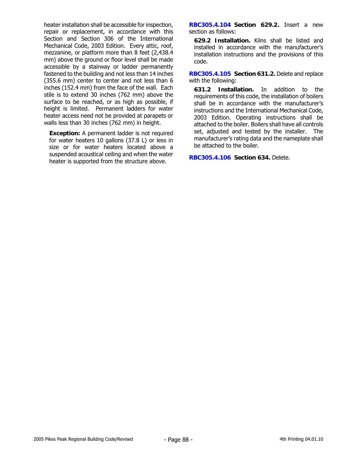heater installation shall be accessible for inspection, repair or replacement, in accordance with this Section and Section 306 of the International Mechanical Code, 2003 Edition. Every attic, roof, mezzanine, or platform more than 8 feet (2,438.4 mm) above the ground or floor level shall be made accessible by a stairway or ladder permanently fastened to the building and not less than 14 inches (355.6 mm) center to center and not less than 6 inches (152.4 mm) from the face of the wall. Each stile is to extend 30 inches (762 mm) above the surface to be reached, or as high as possible, if height is limited. Permanent ladders for water heater access need not be provided at parapets or walls less than 30 inches (762 mm) in height.

**Exception:** A permanent ladder is not required for water heaters 10 gallons (37.8 L) or less in size or for water heaters located above a suspended acoustical ceiling and when the water heater is supported from the structure above.

**RBC305.4.104 Section 629.2.** Insert a new section as follows:

**629.2 Installation.** Kilns shall be listed and installed in accordance with the manufacturer's installation instructions and the provisions of this code.

**RBC305.4.105 Section 631.2.** Delete and replace with the following:

**631.2 Installation.** In addition to the requirements of this code, the installation of boilers shall be in accordance with the manufacturer's instructions and the International Mechanical Code, 2003 Edition. Operating instructions shall be attached to the boiler. Boilers shall have all controls set, adjusted and tested by the installer. The manufacturer's rating data and the nameplate shall be attached to the boiler.

**RBC305.4.106 Section 634.** Delete.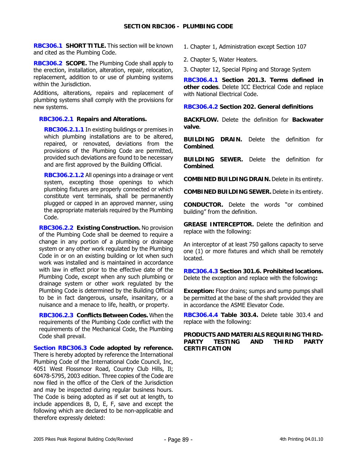**RBC306.1 SHORT TITLE.** This section will be known and cited as the Plumbing Code.

**RBC306.2 SCOPE.** The Plumbing Code shall apply to the erection, installation, alteration, repair, relocation, replacement, addition to or use of plumbing systems within the Jurisdiction.

Additions, alterations, repairs and replacement of plumbing systems shall comply with the provisions for new systems.

### **RBC306.2.1 Repairs and Alterations.**

**RBC306.2.1.1** In existing buildings or premises in which plumbing installations are to be altered, repaired, or renovated, deviations from the provisions of the Plumbing Code are permitted, provided such deviations are found to be necessary and are first approved by the Building Official.

**RBC306.2.1.2** All openings into a drainage or vent system, excepting those openings to which plumbing fixtures are properly connected or which constitute vent terminals, shall be permanently plugged or capped in an approved manner, using the appropriate materials required by the Plumbing Code.

**RBC306.2.2 Existing Construction.** No provision of the Plumbing Code shall be deemed to require a change in any portion of a plumbing or drainage system or any other work regulated by the Plumbing Code in or on an existing building or lot when such work was installed and is maintained in accordance with law in effect prior to the effective date of the Plumbing Code, except when any such plumbing or drainage system or other work regulated by the Plumbing Code is determined by the Building Official to be in fact dangerous, unsafe, insanitary, or a nuisance and a menace to life, health, or property.

**RBC306.2.3 Conflicts Between Codes.** When the requirements of the Plumbing Code conflict with the requirements of the Mechanical Code, the Plumbing Code shall prevail.

**Section RBC306.3 Code adopted by reference.**  There is hereby adopted by reference the International Plumbing Code of the International Code Council, Inc, 4051 West Flossmoor Road, Country Club Hills, Il; 60478-5795, 2003 edition. Three copies of the Code are now filed in the office of the Clerk of the Jurisdiction and may be inspected during regular business hours. The Code is being adopted as if set out at length, to include appendices B, D, E, F, save and except the following which are declared to be non-applicable and therefore expressly deleted:

1. Chapter 1, Administration except Section 107

2. Chapter 5, Water Heaters.

3. Chapter 12, Special Piping and Storage System

**RBC306.4.1 Section 201.3. Terms defined in other codes**. Delete ICC Electrical Code and replace with National Electrical Code.

#### **RBC306.4.2 Section 202. General definitions**

**BACKFLOW.** Delete the definition for **Backwater valve**.

**BUILDING DRAIN.** Delete the definition for **Combined**.

**BUILDING SEWER.** Delete the definition for **Combined**.

**COMBINED BUILDING DRAIN.** Delete in its entirety.

**COMBINED BUILDING SEWER.** Delete in its entirety.

**CONDUCTOR.** Delete the words "or combined building" from the definition.

**GREASE INTERCEPTOR.** Delete the definition and replace with the following:

An interceptor of at least 750 gallons capacity to serve one (1) or more fixtures and which shall be remotely located.

**RBC306.4.3 Section 301.6. Prohibited locations.**  Delete the exception and replace with the following**:**

**Exception:** Floor drains; sumps and sump pumps shall be permitted at the base of the shaft provided they are in accordance the ASME Elevator Code.

**RBC306.4.4 Table 303.4.** Delete table 303.4 and replace with the following:

### **PRODUCTS AND MATERIALS REQUIRING THIRD-PARTY TESTING AND THIRD PARTY CERTIFICATION**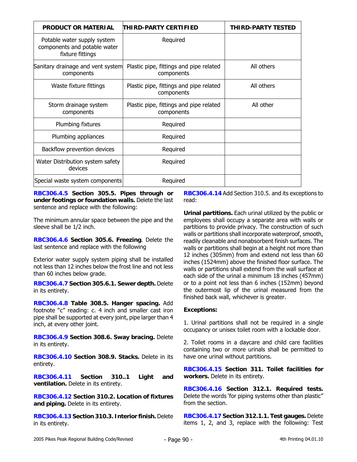| <b>PRODUCT OR MATERIAL</b>                                                      | THIRD-PARTY CERTIFIED                                 | <b>THIRD-PARTY TESTED</b> |
|---------------------------------------------------------------------------------|-------------------------------------------------------|---------------------------|
| Potable water supply system<br>components and potable water<br>fixture fittings | Required                                              |                           |
| Sanitary drainage and vent system<br>components                                 | Plastic pipe, fittings and pipe related<br>components | All others                |
| Waste fixture fittings                                                          | Plastic pipe, fittings and pipe related<br>components | All others                |
| Storm drainage system<br>components                                             | Plastic pipe, fittings and pipe related<br>components | All other                 |
| Plumbing fixtures                                                               | Required                                              |                           |
| Plumbing appliances                                                             | Required                                              |                           |
| Backflow prevention devices                                                     | Required                                              |                           |
| Water Distribution system safety<br>devices                                     | Required                                              |                           |
| Special waste system components                                                 | Required                                              |                           |

**RBC306.4.5 Section 305.5. Pipes through or under footings or foundation walls.** Delete the last sentence and replace with the following:

The minimum annular space between the pipe and the sleeve shall be 1/2 inch.

**RBC306.4.6 Section 305.6. Freezing**. Delete the last sentence and replace with the following

Exterior water supply system piping shall be installed not less than 12 inches below the frost line and not less than 60 inches below grade.

**RBC306.4.7 Section 305.6.1. Sewer depth.** Delete in its entirety.

**RBC306.4.8 Table 308.5. Hanger spacing.** Add footnote "c" reading: c. 4 inch and smaller cast iron pipe shall be supported at every joint, pipe larger than 4 inch, at every other joint.

**RBC306.4.9 Section 308.6. Sway bracing.** Delete in its entirety.

**RBC306.4.10 Section 308.9. Stacks.** Delete in its entirety.

**RBC306.4.11 Section 310..1 Light and ventilation.** Delete in its entirety.

**RBC306.4.12 Section 310.2. Location of fixtures and piping.** Delete in its entirety.

**RBC306.4.13 Section 310.3. Interior finish.** Delete in its entirety.

**RBC306.4.14** Add Section 310.5. and its exceptions to read:

**Urinal partitions.** Each urinal utilized by the public or employees shall occupy a separate area with walls or partitions to provide privacy. The construction of such walls or partitions shall incorporate waterproof, smooth, readily cleanable and nonabsorbent finish surfaces. The walls or partitions shall begin at a height not more than 12 inches (305mm) from and extend not less than 60 inches (1524mm) above the finished floor surface. The walls or partitions shall extend from the wall surface at each side of the urinal a minimum 18 inches (457mm) or to a point not less than 6 inches (152mm) beyond the outermost lip of the urinal measured from the finished back wall, whichever is greater.

### **Exceptions:**

1. Urinal partitions shall not be required in a single occupancy or unisex toilet room with a lockable door.

2. Toilet rooms in a daycare and child care facilities containing two or more urinals shall be permitted to have one urinal without partitions.

**RBC306.4.15 Section 311. Toilet facilities for workers.** Delete in its entirety.

**RBC306.4.16 Section 312.1. Required tests.**  Delete the words 'for piping systems other than plastic" from the section.

**RBC306.4.17 Section 312.1.1. Test gauges.** Delete items 1, 2, and 3, replace with the following: Test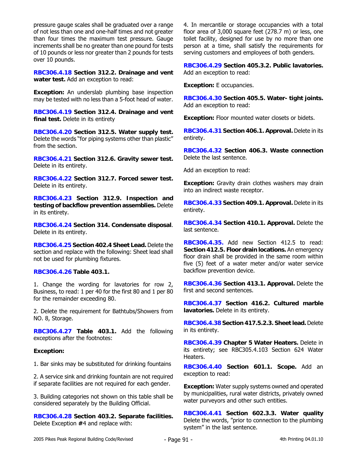pressure gauge scales shall be graduated over a range of not less than one and one-half times and not greater than four times the maximum test pressure. Gauge increments shall be no greater than one pound for tests of 10 pounds or less nor greater than 2 pounds for tests over 10 pounds.

**RBC306.4.18 Section 312.2. Drainage and vent water test.** Add an exception to read:

**Exception:** An underslab plumbing base inspection may be tested with no less than a 5-foot head of water.

**RBC306.4.19 Section 312.4. Drainage and vent final test.** Delete in its entirety

**RBC306.4.20 Section 312.5. Water supply test.**  Delete the words "for piping systems other than plastic" from the section.

**RBC306.4.21 Section 312.6. Gravity sewer test.** Delete in its entirety.

**RBC306.4.22 Section 312.7. Forced sewer test.** Delete in its entirety.

**RBC306.4.23 Section 312.9. Inspection and testing of backflow prevention assemblies.** Delete in its entirety.

**RBC306.4.24 Section 314. Condensate disposal**. Delete in its entirety.

**RBC306.4.25 Section 402.4 Sheet Lead.** Delete the section and replace with the following: Sheet lead shall not be used for plumbing fixtures.

### **RBC306.4.26 Table 403.1.**

1. Change the wording for lavatories for row 2, Business, to read: 1 per 40 for the first 80 and 1 per 80 for the remainder exceeding 80.

2. Delete the requirement for Bathtubs/Showers from NO. 8, Storage.

**RBC306.4.27 Table 403.1.** Add the following exceptions after the footnotes:

### **Exception:**

1. Bar sinks may be substituted for drinking fountains

2. A service sink and drinking fountain are not required if separate facilities are not required for each gender.

3. Building categories not shown on this table shall be considered separately by the Building Official.

**RBC306.4.28 Section 403.2. Separate facilities.**  Delete Exception **#**4 and replace with:

4. In mercantile or storage occupancies with a total floor area of 3,000 square feet (278.7 m) or less, one toilet facility, designed for use by no more than one person at a time, shall satisfy the requirements for serving customers and employees of both genders.

**RBC306.4.29 Section 405.3.2. Public lavatories.**  Add an exception to read:

**Exception:** E occupancies.

**RBC306.4.30 Section 405.5. Water- tight joints.**  Add an exception to read:

**Exception:** Floor mounted water closets or bidets.

**RBC306.4.31 Section 406.1. Approval.** Delete in its entirety.

**RBC306.4.32 Section 406.3. Waste connection**  Delete the last sentence.

Add an exception to read:

**Exception:** Gravity drain clothes washers may drain into an indirect waste receptor.

**RBC306.4.33 Section 409.1. Approval.** Delete in its entirety.

**RBC306.4.34 Section 410.1. Approval.** Delete the last sentence.

**RBC306.4.35.** Add new Section 412.5 to read: **Section 412.5. Floor drain locations.** An emergency floor drain shall be provided in the same room within five (5) feet of a water meter and/or water service backflow prevention device.

**RBC306.4.36 Section 413.1. Approval.** Delete the first and second sentences.

**RBC306.4.37 Section 416.2. Cultured marble lavatories.** Delete in its entirety.

**RBC306.4.38 Section 417.5.2.3. Sheet lead.** Delete in its entirety.

**RBC306.4.39 Chapter 5 Water Heaters.** Delete in its entirety; see RBC305.4.103 Section 624 Water Heaters.

**RBC306.4.40 Section 601.1. Scope.** Add an exception to read:

**Exception:** Water supply systems owned and operated by municipalities, rural water districts, privately owned water purveyors and other such entities.

**RBC306.4.41 Section 602.3.3. Water quality**  Delete the words, "prior to connection to the plumbing system" in the last sentence.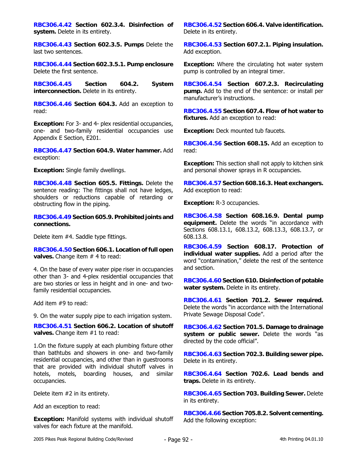**RBC306.4.42 Section 602.3.4. Disinfection of system.** Delete in its entirety.

**RBC306.4.43 Section 602.3.5. Pumps** Delete the last two sentences.

**RBC306.4.44 Section 602.3.5.1. Pump enclosure**  Delete the first sentence.

**RBC306.4.45 Section 604.2. System interconnection.** Delete in its entirety.

**RBC306.4.46 Section 604.3.** Add an exception to read:

**Exception:** For 3- and 4- plex residential occupancies, one- and two-family residential occupancies use Appendix E Section, E201.

**RBC306.4.47 Section 604.9. Water hammer.** Add exception:

**Exception:** Single family dwellings.

**RBC306.4.48 Section 605.5. Fittings.** Delete the sentence reading: The fittings shall not have ledges, shoulders or reductions capable of retarding or obstructing flow in the piping.

**RBC306.4.49 Section 605.9. Prohibited joints and connections.** 

Delete item #4. Saddle type fittings.

**RBC306.4.50 Section 606.1. Location of full open valves.** Change item # 4 to read:

4. On the base of every water pipe riser in occupancies other than 3- and 4-plex residential occupancies that are two stories or less in height and in one- and twofamily residential occupancies.

Add item #9 to read:

9. On the water supply pipe to each irrigation system.

**RBC306.4.51 Section 606.2. Location of shutoff valves.** Change item #1 to read:

1.On the fixture supply at each plumbing fixture other than bathtubs and showers in one- and two-family residential occupancies, and other than in guestrooms that are provided with individual shutoff valves in hotels, motels, boarding houses, and similar occupancies.

Delete item #2 in its entirety.

Add an exception to read:

**Exception:** Manifold systems with individual shutoff valves for each fixture at the manifold.

**RBC306.4.52 Section 606.4. Valve identification.**  Delete in its entirety.

**RBC306.4.53 Section 607.2.1. Piping insulation.**  Add exception.

**Exception:** Where the circulating hot water system pump is controlled by an integral timer.

**RBC306.4.54 Section 607.2.3. Recirculating pump.** Add to the end of the sentence: or install per manufacturer's instructions.

**RBC306.4.55 Section 607.4. Flow of hot water to fixtures.** Add an exception to read:

**Exception:** Deck mounted tub faucets.

**RBC306.4.56 Section 608.15.** Add an exception to read:

**Exception:** This section shall not apply to kitchen sink and personal shower sprays in R occupancies.

**RBC306.4.57 Section 608.16.3. Heat exchangers.**  Add exception to read:

**Exception:** R-3 occupancies.

**RBC306.4.58 Section 608.16.9. Dental pump equipment.** Delete the words "in accordance with Sections 608.13.1, 608.13.2, 608.13.3, 608.13.7, or 608.13.8.

**RBC306.4.59 Section 608.17. Protection of individual water supplies.** Add a period after the word "contamination," delete the rest of the sentence and section.

**RBC306.4.60 Section 610. Disinfection of potable water system.** Delete in its entirety.

**RBC306.4.61 Section 701.2. Sewer required.**  Delete the words "in accordance with the International Private Sewage Disposal Code".

**RBC306.4.62 Section 701.5. Damage to drainage system or public sewer.** Delete the words "as directed by the code official".

**RBC306.4.63 Section 702.3. Building sewer pipe.**  Delete in its entirety.

**RBC306.4.64 Section 702.6. Lead bends and traps.** Delete in its entirety.

**RBC306.4.65 Section 703. Building Sewer.** Delete in its entirety.

**RBC306.4.66 Section 705.8.2. Solvent cementing.**  Add the following exception: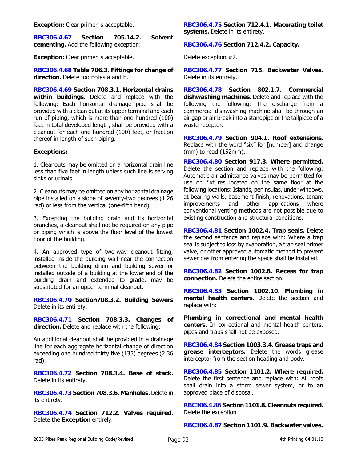**Exception:** Clear primer is acceptable.

**RBC306.4.67 Section 705.14.2. Solvent cementing.** Add the following exception:

**Exception:** Clear primer is acceptable.

**RBC306.4.68 Table 706.3. Fittings for change of direction.** Delete footnotes a and b.

**RBC306.4.69 Section 708.3.1. Horizontal drains within buildings.** Delete and replace with the following: Each horizontal drainage pipe shall be provided with a clean out at its upper terminal and each run of piping, which is more than one hundred (100) feet in total developed length, shall be provided with a cleanout for each one hundred (100) feet, or fraction thereof in length of such piping.

### **Exceptions:**

1. Cleanouts may be omitted on a horizontal drain line less than five feet in length unless such line is serving sinks or urinals.

2. Cleanouts may be omitted on any horizontal drainage pipe installed on a slope of seventy-two degrees (1.26 rad) or less from the vertical (one-fifth bend).

3. Excepting the building drain and its horizontal branches, a cleanout shall not be required on any pipe or piping which is above the floor level of the lowest floor of the building.

4. An approved type of two-way cleanout fitting, installed inside the building wall near the connection between the building drain and building sewer or installed outside of a building at the lower end of the building drain and extended to grade, may be substituted for an upper terminal cleanout.

**RBC306.4.70 Section708.3.2. Building Sewers**  Delete in its entirety.

**RBC306.4.71 Section 708.3.3. Changes of direction.** Delete and replace with the following:

An additional cleanout shall be provided in a drainage line for each aggregate horizontal change of direction exceeding one hundred thirty five (135) degrees (2.36 rad).

**RBC306.4.72 Section 708.3.4. Base of stack.**  Delete in its entirety.

**RBC306.4.73 Section 708.3.6. Manholes.** Delete in its entirety.

**RBC306.4.74 Section 712.2. Valves required.**  Delete the **Exception** entirely.

**RBC306.4.75 Section 712.4.1. Macerating toilet systems.** Delete in its entirety.

**RBC306.4.76 Section 712.4.2. Capacity.**

Delete exception #2.

**RBC306.4.77 Section 715. Backwater Valves.**  Delete in its entirety.

**RBC306.4.78 Section 802.1.7. Commercial dishwashing machines.** Delete and replace with the following the following: The discharge from a commercial dishwashing machine shall be through an air gap or air break into a standpipe or the tailpiece of a waste receptor.

**RBC306.4.79 Section 904.1. Roof extensions**. Replace with the word "six" for [number] and change (mm) to read (152mm).

**RBC306.4.80 Section 917.3. Where permitted.**  Delete the section and replace with the following: Automatic air admittance valves may be permitted for use on fixtures located on the same floor at the following locations: Islands, peninsulas, under windows, at bearing walls, basement finish, renovations, tenant improvements and other applications where conventional venting methods are not possible due to existing construction and structural conditions.

**RBC306.4.81 Section 1002.4. Trap seals.** Delete the second sentence and replace with: Where a trap seal is subject to loss by evaporation, a trap seal primer valve, or other approved automatic method to prevent sewer gas from entering the space shall be installed.

**RBC306.4.82 Section 1002.8. Recess for trap connection.** Delete the entire section.

**RBC306.4.83 Section 1002.10. Plumbing in mental health centers.** Delete the section and replace with:

**Plumbing in correctional and mental health centers.** In correctional and mental health centers, pipes and traps shall not be exposed.

**RBC306.4.84 Section 1003.3.4. Grease traps and grease interceptors.** Delete the words grease interceptor from the section heading and body.

**RBC306.4.85 Section 1101.2. Where required.**  Delete the first sentence and replace with: All roofs shall drain into a storm sewer system, or to an approved place of disposal.

**RBC306.4.86 Section 1101.8. Cleanouts required.**  Delete the exception

**RBC306.4.87 Section 1101.9. Backwater valves.**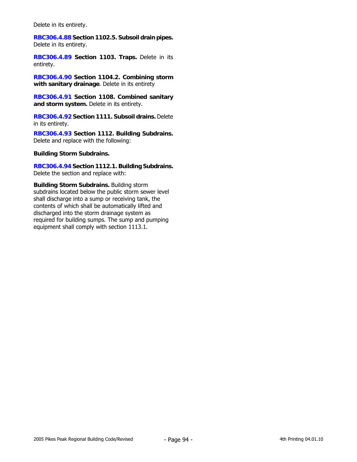Delete in its entirety.

**RBC306.4.88 Section 1102.5. Subsoil drain pipes.**  Delete in its entirety.

**RBC306.4.89 Section 1103. Traps.** Delete in its entirety.

**RBC306.4.90 Section 1104.2. Combining storm with sanitary drainage**. Delete in its entirety

**RBC306.4.91 Section 1108. Combined sanitary and storm system.** Delete in its entirety.

**RBC306.4.92 Section 1111. Subsoil drains.** Delete in its entirety.

**RBC306.4.93 Section 1112. Building Subdrains.** Delete and replace with the following:

**Building Storm Subdrains.**

**RBC306.4.94 Section 1112.1. Building Subdrains.** Delete the section and replace with:

**Building Storm Subdrains.** Building storm subdrains located below the public storm sewer level shall discharge into a sump or receiving tank, the contents of which shall be automatically lifted and discharged into the storm drainage system as required for building sumps. The sump and pumping equipment shall comply with section 1113.1.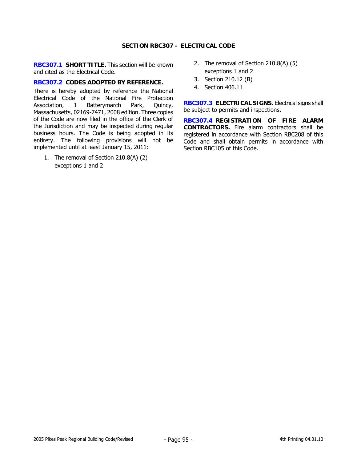### **SECTION RBC307 - ELECTRICAL CODE**

**RBC307.1 SHORT TITLE.** This section will be known and cited as the Electrical Code.

#### **RBC307.2 CODES ADOPTED BY REFERENCE.**

There is hereby adopted by reference the National Electrical Code of the National Fire Protection Association, 1 Batterymarch Park, Quincy, Massachusetts, 02169-7471, 2008 edition. Three copies of the Code are now filed in the office of the Clerk of the Jurisdiction and may be inspected during regular business hours. The Code is being adopted in its entirety. The following provisions will not be implemented until at least January 15, 2011:

1. The removal of Section 210.8(A) (2) exceptions 1 and 2

- 2. The removal of Section 210.8(A) (5) exceptions 1 and 2
- 3. Section 210.12 (B)
- 4. Section 406.11

**RBC307.3 ELECTRICAL SIGNS.** Electrical signs shall be subject to permits and inspections.

**RBC307.4 REGISTRATION OF FIRE ALARM CONTRACTORS.** Fire alarm contractors shall be registered in accordance with Section RBC208 of this Code and shall obtain permits in accordance with Section RBC105 of this Code.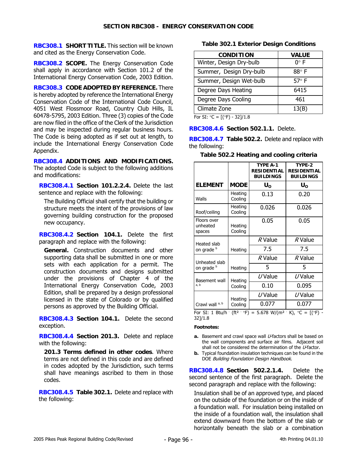**RBC308.1 SHORT TITLE.** This section will be known and cited as the Energy Conservation Code.

**RBC308.2 SCOPE.** The Energy Conservation Code shall apply in accordance with Section 101.2 of the International Energy Conservation Code, 2003 Edition.

**RBC308.3 CODE ADOPTED BY REFERENCE.** There is hereby adopted by reference the International Energy Conservation Code of the International Code Council, 4051 West Flossmoor Road, Country Club Hills, IL 60478-5795, 2003 Edition. Three (3) copies of the Code are now filed in the office of the Clerk of the Jurisdiction and may be inspected during regular business hours. The Code is being adopted as if set out at length, to include the International Energy Conservation Code Appendix.

**RBC308.4 ADDITIONS AND MODIFICATIONS.**  The adopted Code is subject to the following additions and modifications:

**RBC308.4.1 Section 101.2.2.4.** Delete the last sentence and replace with the following:

The Building Official shall certify that the building or structure meets the intent of the provisions of law governing building construction for the proposed new occupancy.

**RBC308.4.2 Section 104.1.** Delete the first paragraph and replace with the following:

**General.** Construction documents and other supporting data shall be submitted in one or more sets with each application for a permit. The construction documents and designs submitted under the provisions of Chapter 4 of the International Energy Conservation Code, 2003 Edition, shall be prepared by a design professional licensed in the state of Colorado or by qualified persons as approved by the Building Official.

**RBC308.4.3 Section 104.1.** Delete the second exception.

**RBC308.4.4 Section 201.3.** Delete and replace with the following:

**201.3 Terms defined in other codes**. Where terms are not defined in this code and are defined in codes adopted by the Jurisdiction, such terms shall have meanings ascribed to them in those codes.

**RBC308.4.5 Table 302.1.** Delete and replace with the following:

### **Table 302.1 Exterior Design Conditions**

| <b>VALUE</b> |
|--------------|
| $0^\circ$ F  |
| $88^\circ$ F |
| 57°F         |
| 6415         |
| 461          |
| 13(B)        |
|              |

For SI:  ${}^{\circ}C = [({}^{\circ}F) - 32]/1.8$ 

**RBC308.4.6 Section 502.1.1.** Delete.

**RBC308.4.7 Table 502.2.** Delete and replace with the following: **Table 502.2 Heating and cooling criteria** 

|  | Table 502.2 Heating and cooling criteria |                           |
|--|------------------------------------------|---------------------------|
|  | TYPE A-1                                 | TYPE-2                    |
|  |                                          | RESIDENTIAL   RESIDENTIAL |

|                                   |                    | <b>RESIDENTIAL</b><br><b>BUILDINGS</b>                                                                          | <b>RESIDENTIAL</b><br><b>BUILDINGS</b> |
|-----------------------------------|--------------------|-----------------------------------------------------------------------------------------------------------------|----------------------------------------|
| <b>ELEMENT</b>                    | <b>MODE</b>        | $U_{\rm o}$                                                                                                     | $U_{\rm o}$                            |
| Walls                             | Heating<br>Cooling | 0.13                                                                                                            | 0.20                                   |
| Roof/ceiling                      | Heating<br>Cooling | 0.026                                                                                                           | 0.026                                  |
| Floors over<br>unheated<br>spaces | Heating<br>Cooling | 0.05                                                                                                            | 0.05                                   |
| Heated slab                       |                    | R Value                                                                                                         | R Value                                |
| on grade b                        | Heating            | 7.5                                                                                                             | 7.5                                    |
| Unheated slab                     |                    | R Value                                                                                                         | R Value                                |
| on grade b                        | Heating            | 5                                                                                                               | 5                                      |
| Basement wall                     | Heating            | $U$ Value                                                                                                       | $U$ Value                              |
| a, b                              | Cooling            | 0.10                                                                                                            | 0.095                                  |
|                                   | Heating            | $U$ Value                                                                                                       | $U$ Value                              |
| Crawl wall a, b                   | Cooling            | 0.077                                                                                                           | 0.077                                  |
| 32]/1.8                           |                    | For SI: 1 Btu/h $({\rm ft}^2 \cdot {}^{\circ}F) = 5.678$ W/(m <sup>2</sup> K), ${}^{\circ}C = [({}^{\circ}F) -$ |                                        |

**Footnotes:** 

- a. Basement and crawl space wall *U*-factors shall be based on the wall components and surface air films. Adjacent soil shall not be considered the determination of the U-factor.
- **b.** Typical foundation insulation techniques can be found in the DOE Building Foundation Design Handbook.

**RBC308.4.8 Section 502.2.1.4.** Delete the second sentence of the first paragraph. Delete the second paragraph and replace with the following:

Insulation shall be of an approved type, and placed on the outside of the foundation or on the inside of a foundation wall. For insulation being installed on the inside of a foundation wall, the insulation shall extend downward from the bottom of the slab or horizontally beneath the slab or a combination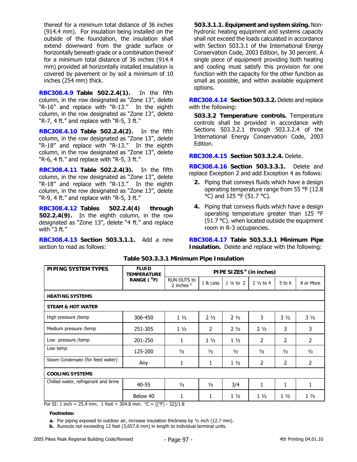thereof for a minimum total distance of 36 inches (914.4 mm). For insulation being installed on the outside of the foundation, the insulation shall extend downward from the grade surface or horizontally beneath grade or a combination thereof for a minimum total distance of 36 inches (914.4 mm) provided all horizontally installed insulation is covered by pavement or by soil a minimum of 10 inches (254 mm) thick.

**RBC308.4.9 Table 502.2.4(1).** In the fifth column, in the row designated as "Zone 13", delete "R-16" and replace with "R-13." In the eighth column, in the row designated as "Zone 13", delete "R-7, 4 ft." and replace with "R-5, 3 ft."

**RBC308.4.10 Table 502.2.4(2).** In the fifth column, in the row designated as "Zone 13", delete "R-18" and replace with "R-13." In the eighth column, in the row designated as "Zone 13", delete "R-6, 4 ft." and replace with "R-5, 3 ft."

**RBC308.4.11 Table 502.2.4(3).** In the fifth column, in the row designated as "Zone 13", delete "R-18" and replace with "R-13." In the eighth column, in the row designated as "Zone 13", delete "R-9, 4 ft." and replace with "R-5, 3 ft."

**RBC308.4.12 Tables 502.2.4(4) through 502.2.4(9).** In the eighth column, in the row designated as "Zone 13", delete "4 ft." and replace with "3 ft."

**RBC308.4.13 Section 503.3.1.1.** Add a new section to read as follows:

**503.3.1.1. Equipment and system sizing.** Nonhydronic heating equipment and systems capacity shall not exceed the loads calculated in accordance with Section 503.3.1 of the International Energy Conservation Code, 2003 Edition, by 30 percent. A single piece of equipment providing both heating and cooling must satisfy this provision for one function with the capacity for the other function as small as possible, and within available equipment options.

**RBC308.4.14 Section 503.3.2.** Delete and replace with the following:

**503.3.2 Temperature controls.** Temperature controls shall be provided in accordance with Sections 503.3.2.1 through 503.3.2.4 of the International Energy Conservation Code, 2003 Edition.

**RBC308.4.15 Section 503.3.2.4.** Delete.

**RBC308.4.16 Section 503.3.3.1.** Delete and replace Exception 2 and add Exception 4 as follows:

- **2.** Piping that conveys fluids which have a design operating temperature range from 55 °F (12.8 °C) and 125 °F (51.7 °C).
- **4.** Piping that conveys fluids which have a design operating temperature greater than 125 °F (51.7 °C). when located outside the equipment room in R-3 occupancies.

**RBC308.4.17 Table 503.3.3.1 Minimum Pipe Insulation.** Delete and replace with the following:

| <b>PIPING SYSTEM TYPES</b>                                                                                           | <b>FLUID</b><br><b>TEMPERATURE</b> |                                    |                | PIPE SIZES <sup>ª</sup> (in inches) |                     |                |                |
|----------------------------------------------------------------------------------------------------------------------|------------------------------------|------------------------------------|----------------|-------------------------------------|---------------------|----------------|----------------|
|                                                                                                                      | RANGE ( $^{\circ}$ F)              | <b>RUN OUTS to</b><br>2 inches $b$ | 1 & Less       | $1\frac{1}{4}$ to 2                 | $2\frac{1}{2}$ to 4 | $5$ to $6$     | 8 or More      |
| <b>HEATING SYSTEMS</b>                                                                                               |                                    |                                    |                |                                     |                     |                |                |
| <b>STEAM &amp; HOT WATER</b>                                                                                         |                                    |                                    |                |                                     |                     |                |                |
| High pressure /temp                                                                                                  | 306-450                            | $1\frac{1}{2}$                     | $2\frac{1}{2}$ | $2\frac{1}{2}$                      | 3                   | $3\frac{1}{2}$ | $3\frac{1}{2}$ |
| Medium pressure /temp                                                                                                | 251-305                            | $1\frac{1}{2}$                     | 2              | $2\frac{1}{2}$                      | $2\frac{1}{2}$      | 3              | 3              |
| Low pressure /temp                                                                                                   | 201-250                            | 1                                  | $1\frac{1}{2}$ | $1\frac{1}{2}$                      | 2                   | 2              | 2              |
| Low temp                                                                                                             | 125-200                            | $\frac{1}{2}$                      | $\frac{1}{2}$  | $\frac{1}{2}$                       | $\frac{1}{2}$       | $\frac{1}{2}$  | $\frac{1}{2}$  |
| Steam Condensate (for feed water)                                                                                    | Any                                | 1                                  | 1              | $1\frac{1}{2}$                      | 2                   | 2              | 2              |
| <b>COOLING SYSTEMS</b>                                                                                               |                                    |                                    |                |                                     |                     |                |                |
| Chilled water, refrigerant and brine                                                                                 | $40 - 55$                          | $\frac{1}{2}$                      | $\frac{1}{2}$  | 3/4                                 | 1                   | 1              | 1              |
| $For \, \text{Cl}_1 \, 1 \, \text{in} \, \text{ch} = 2E \, 1 \, \text{mm}$ 1 $foot = 204.9 \, \text{mm}$ $9C = 1/9E$ | Below 40                           | $\mathbf{1}$<br><b>CONTILE</b>     | 1              | $1\frac{1}{2}$                      | $1\frac{1}{2}$      | $1\frac{1}{2}$ | $1\frac{1}{2}$ |

**Table 503.3.3.1 Minimum Pipe Insulation** 

For SI: 1 inch = 25.4 mm. 1 foot = 304.8 mm.  $°C = [(°F) - 32]/1.8$ 

**Footnotes:** 

**a.** For piping exposed to outdoor air, increase insulation thickness by ½ inch (12.7 mm).

**b.** Runouts not exceeding 12 feet (3,657.6 mm) in length to individual terminal units.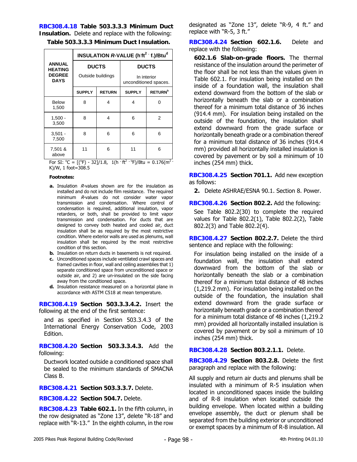**RBC308.4.18 Table 503.3.3.3 Minimum Duct Insulation.** Delete and replace with the following:

**Table 503.3.3.3 Minimum Duct Insulation.** 

|                                 | <b>INSULATION R-VALUE (h<sup>tt<sup>2</sup> f.)/Btu<sup>d</sup></sup></b> |                   |                     |                                      |  |  |  |
|---------------------------------|---------------------------------------------------------------------------|-------------------|---------------------|--------------------------------------|--|--|--|
| <b>ANNUAL</b><br><b>HEATING</b> |                                                                           | <b>DUCTS</b>      |                     | <b>DUCTS</b>                         |  |  |  |
| <b>DEGREE</b><br><b>DAYS</b>    |                                                                           | Outside buildings |                     | In interior<br>unconditioned spaces. |  |  |  |
|                                 | <b>SUPPLY</b>                                                             | <b>RETURN</b>     | <b>SUPPLY</b>       | <b>RETURN<sup>b</sup></b>            |  |  |  |
| <b>Below</b><br>1,500           | 8                                                                         | 4                 | 4                   | ი                                    |  |  |  |
| $1,500 -$<br>3,500              | 8                                                                         | 4                 | 6                   | 2                                    |  |  |  |
| $3,501 -$<br>7,500              | 8                                                                         | 6                 | 6                   | 6                                    |  |  |  |
| 7,501 &<br>above                | 11<br>6                                                                   |                   | 11<br>$\mathcal{L}$ | 6<br>n.                              |  |  |  |

For SI:  $^{\circ}$ C = [( $^{\circ}$ F) - 32]/1.8, 1(h  $^{\circ}$  ft<sup>2</sup>  $^{\circ}$  <sup>o</sup>F)/Btu = 0.176(m<sup>2</sup>  $^{\circ}$ K)/W, 1 foot=308.5

#### **Footnotes:**

- **a.** Insulation R-values shown are for the insulation as installed and do not include film resistance. The required minimum R-values do not consider water vapor transmission and condensation. Where control of condensation is required, additional insulation, vapor retarders, or both, shall be provided to limit vapor transmission and condensation. For ducts that are designed to convey both heated and cooled air, duct insulation shall be as required by the most restrictive condition. Where exterior walls are used as plenums, wall insulation shall be required by the most restrictive condition of this section.
- **b.** Insulation on return ducts in basements is not required.
- **c.** Unconditioned spaces include ventilated crawl spaces and framed cavities in floor, wall and ceiling assemblies that 1) separate conditioned space from unconditioned space or outside air, and 2) are un-insulated on the side facing away from the conditioned space.
- **d.** Insulation resistance measured on a horizontal plane in accordance with ASTM C518 at mean temperature.

**RBC308.4.19 Section 503.3.3.4.2.** Insert the following at the end of the first sentence:

and as specified in Section 503.3.4.3 of the International Energy Conservation Code, 2003 Edition.

**RBC308.4.20 Section 503.3.3.4.3.** Add the following:

Ductwork located outside a conditioned space shall be sealed to the minimum standards of SMACNA Class B.

**RBC308.4.21 Section 503.3.3.7.** Delete.

**RBC308.4.22 Section 504.7.** Delete.

**RBC308.4.23 Table 602.1.** In the fifth column, in the row designated as "Zone 13", delete "R-18" and replace with "R-13." In the eighth column, in the row designated as "Zone 13", delete "R-9, 4 ft." and replace with "R-5, 3 ft."

**RBC308.4.24 Section 602.1.6.** Delete and replace with the following:

**602.1.6 Slab-on-grade floors.** The thermal resistance of the insulation around the perimeter of the floor shall be not less than the values given in Table 602.1. For insulation being installed on the inside of a foundation wall, the insulation shall extend downward from the bottom of the slab or horizontally beneath the slab or a combination thereof for a minimum total distance of 36 inches (914.4 mm). For insulation being installed on the outside of the foundation, the insulation shall extend downward from the grade surface or horizontally beneath grade or a combination thereof for a minimum total distance of 36 inches (914.4 mm) provided all horizontally installed insulation is covered by pavement or by soil a minimum of 10 inches (254 mm) thick.

**RBC308.4.25 Section 701.1.** Add new exception as follows:

**2.** Delete ASHRAE/ESNA 90.1. Section 8. Power.

**RBC308.4.26 Section 802.2.** Add the following:

See Table 802.2(30) to complete the required values for Table 802.2(1), Table 802.2(2), Table 802.2(3) and Table 802.2(4).

**RBC308.4.27 Section 802.2.7.** Delete the third sentence and replace with the following:

For insulation being installed on the inside of a foundation wall, the insulation shall extend downward from the bottom of the slab or horizontally beneath the slab or a combination thereof for a minimum total distance of 48 inches (1,219.2 mm). For insulation being installed on the outside of the foundation, the insulation shall extend downward from the grade surface or horizontally beneath grade or a combination thereof for a minimum total distance of 48 inches (1,219.2 mm) provided all horizontally installed insulation is covered by pavement or by soil a minimum of 10 inches (254 mm) thick.

**RBC308.4.28 Section 803.2.1.1.** Delete.

**RBC308.4.29 Section 803.2.8.** Delete the first paragraph and replace with the following:

All supply and return air ducts and plenums shall be insulated with a minimum of R-5 insulation when located in unconditioned spaces inside the building and of R-8 insulation when located outside the building envelope. When located within a building envelope assembly, the duct or plenum shall be separated from the building exterior or unconditioned or exempt spaces by a minimum of R-8 insulation. All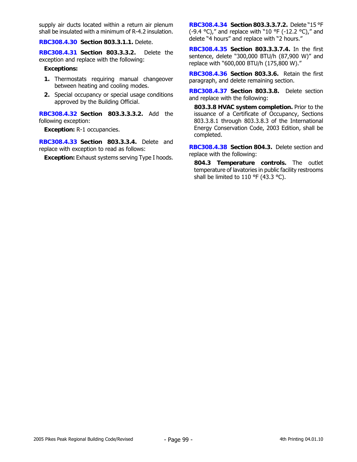supply air ducts located within a return air plenum shall be insulated with a minimum of R-4.2 insulation.

**RBC308.4.30 Section 803.3.1.1.** Delete.

**RBC308.4.31 Section 803.3.3.2.** Delete the exception and replace with the following:

#### **Exceptions:**

- **1.** Thermostats requiring manual changeover between heating and cooling modes.
- **2.** Special occupancy or special usage conditions approved by the Building Official.

**RBC308.4.32 Section 803.3.3.3.2.** Add the following exception:

**Exception:** R-1 occupancies.

**RBC308.4.33 Section 803.3.3.4.** Delete and replace with exception to read as follows:

**Exception:** Exhaust systems serving Type I hoods.

**RBC308.4.34 Section 803.3.3.7.2.** Delete "15 °F (-9.4 °C)," and replace with "10 °F (-12.2 °C)," and delete "4 hours" and replace with "2 hours."

**RBC308.4.35 Section 803.3.3.7.4.** In the first sentence, delete "300,000 BTU/h (87,900 W)" and replace with "600,000 BTU/h (175,800 W)."

**RBC308.4.36 Section 803.3.6.** Retain the first paragraph, and delete remaining section.

**RBC308.4.37 Section 803.3.8.** Delete section and replace with the following:

**803.3.8 HVAC system completion.** Prior to the issuance of a Certificate of Occupancy, Sections 803.3.8.1 through 803.3.8.3 of the International Energy Conservation Code, 2003 Edition, shall be completed.

**RBC308.4.38 Section 804.3.** Delete section and replace with the following:

**804.3 Temperature controls.** The outlet temperature of lavatories in public facility restrooms shall be limited to 110 °F (43.3 °C).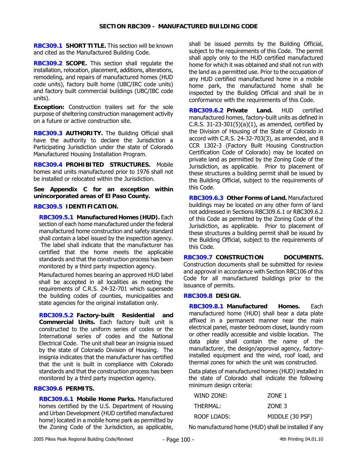**RBC309.1 SHORT TITLE.** This section will be known and cited as the Manufactured Building Code.

**RBC309.2 SCOPE.** This section shall regulate the installation, relocation, placement, additions, alterations, remodeling, and repairs of manufactured homes (HUD code units), factory built home (UBC/IRC code units) and factory built commercial buildings (UBC/IBC code units).

**Exception:** Construction trailers set for the sole purpose of sheltering construction management activity on a future or active construction site.

**RBC309.3 AUTHORITY.** The Building Official shall have the authority to declare the Jurisdiction a Participating Jurisdiction under the state of Colorado Manufactured Housing Installation Program.

**RBC309.4 PROHIBITED STRUCTURES.** Mobile homes and units manufactured prior to 1976 shall not be installed or relocated within the Jurisdiction.

**See Appendix C for an exception within unincorporated areas of El Paso County.** 

### **RBC309.5 IDENTIFICATION.**

**RBC309.5.1 Manufactured Homes (HUD).** Each section of each home manufactured under the federal manufactured home construction and safety standard shall contain a label issued by the inspection agency. The label shall indicate that the manufacturer has

certified that the home meets the applicable standards and that the construction process has been monitored by a third party inspection agency.

Manufactured homes bearing an approved HUD label shall be accepted in all localities as meeting the requirements of C.R.S. 24-32-701 which supersede the building codes of counties, municipalities and state agencies for the original installation only.

**RBC309.5.2 Factory-built Residential and Commercial Units.** Each factory built unit is constructed to the uniform series of codes or the International series of codes and the National Electrical Code. The unit shall bear an insignia issued by the state of Colorado Division of Housing. The insignia indicates that the manufacturer has certified that the unit is built in compliance with Colorado standards and that the construction process has been monitored by a third party inspection agency.

# **RBC309.6 PERMITS.**

**RBC309.6.1 Mobile Home Parks.** Manufactured homes certified by the U.S. Department of Housing and Urban Development (HUD certified manufactured home) located in a mobile home park as permitted by the Zoning Code of the Jurisdiction, as applicable, shall be issued permits by the Building Official, subject to the requirements of this Code. The permit shall apply only to the HUD certified manufactured home for which it was obtained and shall not run with the land as a permitted use. Prior to the occupation of any HUD certified manufactured home in a mobile home park, the manufactured home shall be inspected by the Building Official and shall be in conformance with the requirements of this Code.

**RBC309.6.2 Private Land.** HUD certified manufactured homes, factory-built units as defined in C.R.S. 31-23-301(5)(a)(1), as amended, certified by the Division of Housing of the State of Colorado in accord with C.R.S. 24-32-703(3), as amended, and 8 CCR 1302-3 (Factory Built Housing Construction Certification Code of Colorado) may be located on private land as permitted by the Zoning Code of the Jurisdiction, as applicable. Prior to placement of these structures a building permit shall be issued by the Building Official, subject to the requirements of this Code.

**RBC309.6.3 Other Forms of Land.** Manufactured buildings may be located on any other form of land not addressed in Sections RBC309.6.1 or RBC309.6.2 of this Code as permitted by the Zoning Code of the Jurisdiction, as applicable. Prior to placement of these structures a building permit shall be issued by the Building Official, subject to the requirements of this Code.

**RBC309.7 CONSTRUCTION DOCUMENTS.** Construction documents shall be submitted for review and approval in accordance with Section RBC106 of this Code for all manufactured buildings prior to the issuance of permits.

#### **RBC309.8 DESIGN.**

**RBC309.8.1 Manufactured Homes.** Each manufactured home (HUD) shall bear a data plate affixed in a permanent manner near the main electrical panel, master bedroom closet, laundry room or other readily accessible and visible location. The data plate shall contain the name of the manufacturer, the design/approval agency, factoryinstalled equipment and the wind, roof load, and thermal zones for which the unit was constructed.

Data plates of manufactured homes (HUD) installed in the state of Colorado shall indicate the following minimum design criteria:

| WIND ZONE:  | ZONE 1          |
|-------------|-----------------|
| THERMAL:    | ZONE 3          |
| ROOF LOADS: | MIDDLE (30 PSF) |

No manufactured home (HUD) shall be installed if any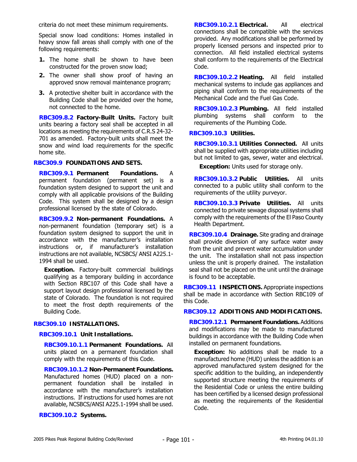criteria do not meet these minimum requirements.

Special snow load conditions: Homes installed in heavy snow fall areas shall comply with one of the following requirements:

- **1.** The home shall be shown to have been constructed for the proven snow load;
- **2.** The owner shall show proof of having an approved snow removal maintenance program;
- **3.** A protective shelter built in accordance with the Building Code shall be provided over the home, not connected to the home.

**RBC309.8.2 Factory-Built Units.** Factory built units bearing a factory seal shall be accepted in all locations as meeting the requirements of C.R.S 24-32- 701 as amended. Factory-built units shall meet the snow and wind load requirements for the specific home site.

#### **RBC309.9 FOUNDATIONS AND SETS.**

**RBC309.9.1 Permanent Foundations.** A permanent foundation (permanent set) is a foundation system designed to support the unit and comply with all applicable provisions of the Building Code. This system shall be designed by a design professional licensed by the state of Colorado.

**RBC309.9.2 Non-permanent Foundations.** A non-permanent foundation (temporary set) is a foundation system designed to support the unit in accordance with the manufacturer's installation instructions or, if manufacturer's installation instructions are not available, NCSBCS/ ANSI A225.1- 1994 shall be used.

**Exception.** Factory-built commercial buildings qualifying as a temporary building in accordance with Section RBC107 of this Code shall have a support layout design professional licensed by the state of Colorado. The foundation is not required to meet the frost depth requirements of the Building Code.

### **RBC309.10 INSTALLATIONS.**

**RBC309.10.1 Unit Installations.** 

**RBC309.10.1.1 Permanent Foundations.** All units placed on a permanent foundation shall comply with the requirements of this Code.

**RBC309.10.1.2 Non-Permanent Foundations.** Manufactured homes (HUD) placed on a nonpermanent foundation shall be installed in accordance with the manufacturer's installation instructions. If instructions for used homes are not available, NCSBCS/ANSI A225.1-1994 shall be used.

**RBC309.10.2 Systems.**

**RBC309.10.2.1 Electrical.** All electrical connections shall be compatible with the services provided. Any modifications shall be performed by properly licensed persons and inspected prior to connection. All field installed electrical systems shall conform to the requirements of the Electrical Code.

**RBC309.10.2.2 Heating.** All field installed mechanical systems to include gas appliances and piping shall conform to the requirements of the Mechanical Code and the Fuel Gas Code.

**RBC309.10.2.3 Plumbing.** All field installed plumbing systems shall conform to the requirements of the Plumbing Code.

# **RBC309.10.3 Utilities.**

**RBC309.10.3.1 Utilities Connected.** All units shall be supplied with appropriate utilities including but not limited to gas, sewer, water and electrical.

**Exception:** Units used for storage only.

**RBC309.10.3.2 Public Utilities.** All units connected to a public utility shall conform to the requirements of the utility purveyor.

**RBC309.10.3.3 Private Utilities.** All units connected to private sewage disposal systems shall comply with the requirements of the El Paso County Health Department.

**RBC309.10.4 Drainage.** Site grading and drainage shall provide diversion of any surface water away from the unit and prevent water accumulation under the unit. The installation shall not pass inspection unless the unit is properly drained. The installation seal shall not be placed on the unit until the drainage is found to be acceptable.

**RBC309.11 INSPECTIONS.** Appropriate inspections shall be made in accordance with Section RBC109 of this Code.

### **RBC309.12 ADDITIONS AND MODIFICATIONS.**

**RBC309.12.1 Permanent Foundations.** Additions and modifications may be made to manufactured buildings in accordance with the Building Code when installed on permanent foundations.

**Exception:** No additions shall be made to a manufactured home (HUD) unless the addition is an approved manufactured system designed for the specific addition to the building, an independently supported structure meeting the requirements of the Residential Code or unless the entire building has been certified by a licensed design professional as meeting the requirements of the Residential Code.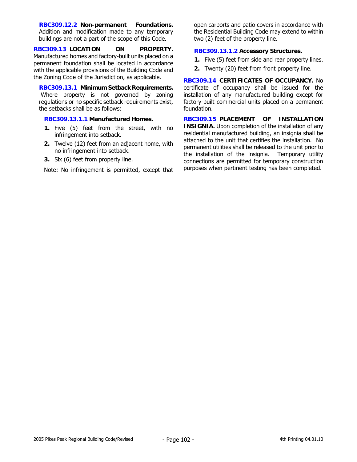**RBC309.12.2 Non-permanent Foundations.**  Addition and modification made to any temporary buildings are not a part of the scope of this Code.

**RBC309.13 LOCATION ON PROPERTY.** Manufactured homes and factory-built units placed on a permanent foundation shall be located in accordance with the applicable provisions of the Building Code and the Zoning Code of the Jurisdiction, as applicable.

**RBC309.13.1 Minimum Setback Requirements.** Where property is not governed by zoning regulations or no specific setback requirements exist, the setbacks shall be as follows:

### **RBC309.13.1.1 Manufactured Homes.**

- **1.** Five (5) feet from the street, with no infringement into setback.
- **2.** Twelve (12) feet from an adjacent home, with no infringement into setback.
- **3.** Six (6) feet from property line.

Note: No infringement is permitted, except that

open carports and patio covers in accordance with the Residential Building Code may extend to within two (2) feet of the property line.

### **RBC309.13.1.2 Accessory Structures.**

- **1.** Five (5) feet from side and rear property lines.
- **2.** Twenty (20) feet from front property line.

**RBC309.14 CERTIFICATES OF OCCUPANCY.** No certificate of occupancy shall be issued for the installation of any manufactured building except for factory-built commercial units placed on a permanent foundation.

**RBC309.15 PLACEMENT OF INSTALLATION INSIGNIA.** Upon completion of the installation of any residential manufactured building, an insignia shall be attached to the unit that certifies the installation. No permanent utilities shall be released to the unit prior to the installation of the insignia. Temporary utility connections are permitted for temporary construction purposes when pertinent testing has been completed.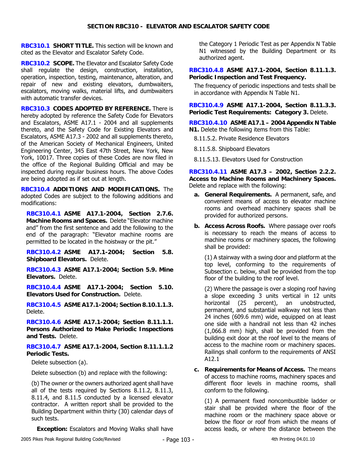**RBC310.1 SHORT TITLE.** This section will be known and cited as the Elevator and Escalator Safety Code.

**RBC310.2 SCOPE.** The Elevator and Escalator Safety Code shall regulate the design, construction, installation, operation, inspection, testing, maintenance, alteration, and repair of new and existing elevators, dumbwaiters, escalators, moving walks, material lifts, and dumbwaiters with automatic transfer devices.

**RBC310.3 CODES ADOPTED BY REFERENCE.** There is hereby adopted by reference the Safety Code for Elevators and Escalators, ASME A17.1 - 2004 and all supplements thereto, and the Safety Code for Existing Elevators and Escalators, ASME A17.3 - 2002 and all supplements thereto, of the American Society of Mechanical Engineers, United Engineering Center, 345 East 47th Street, New York, New York, 10017. Three copies of these Codes are now filed in the office of the Regional Building Official and may be inspected during regular business hours. The above Codes are being adopted as if set out at length.

**RBC310.4 ADDITIONS AND MODIFICATIONS.** The adopted Codes are subject to the following additions and modifications:

**RBC310.4.1 ASME A17.1-2004, Section 2.7.6. Machine Rooms and Spaces.** Delete "Elevator machine and" from the first sentence and add the following to the end of the paragraph: "Elevator machine rooms are permitted to be located in the hoistway or the pit."

**RBC310.4.2 ASME A17.1-2004; Section 5.8. Shipboard Elevators.** Delete.

**RBC310.4.3 ASME A17.1-2004; Section 5.9. Mine Elevators.** Delete.

**RBC310.4.4 ASME A17.1-2004; Section 5.10. Elevators Used for Construction.** Delete.

**RBC310.4.5 ASME A17.1-2004; Section 8.10.1.1.3.** Delete.

**RBC310.4.6 ASME A17.1-2004; Section 8.11.1.1. Persons Authorized to Make Periodic Inspections and Tests.** Delete.

**RBC310.4.7 ASME A17.1-2004, Section 8.11.1.1.2 Periodic Tests.** 

Delete subsection (a).

Delete subsection (b) and replace with the following:

(b) The owner or the owners authorized agent shall have all of the tests required by Sections 8.11.2, 8.11.3, 8.11.4, and 8.11.5 conducted by a licensed elevator contractor. A written report shall be provided to the Building Department within thirty (30) calendar days of such tests.

**Exception:** Escalators and Moving Walks shall have

the Category 1 Periodic Test as per Appendix N Table N1 witnessed by the Building Department or its authorized agent.

**RBC310.4.8 ASME A17.1-2004, Section 8.11.1.3. Periodic Inspection and Test Frequency.** 

The frequency of periodic inspections and tests shall be in accordance with Appendix N Table N1.

**RBC310.4.9 ASME A17.1-2004, Section 8.11.3.3. Periodic Test Requirements: Category 3.** Delete.

**RBC310.4.10 ASME A17.1 – 2004 Appendix N Table N1.** Delete the following items from this Table:

8.11.5.2. Private Residence Elevators

8.11.5.8. Shipboard Elevators

8.11.5.13. Elevators Used for Construction

**RBC310.4.11 ASME A17.3 – 2002, Section 2.2.2. Access to Machine Rooms and Machinery Spaces.** Delete and replace with the following:

- **a. General Requirements.** A permanent, safe, and convenient means of access to elevator machine rooms and overhead machinery spaces shall be provided for authorized persons.
- **b. Access Across Roofs.** Where passage over roofs is necessary to reach the means of access to machine rooms or machinery spaces, the following shall be provided:

(1) A stairway with a swing door and platform at the top level, conforming to the requirements of Subsection c. below, shall be provided from the top floor of the building to the roof level.

(2) Where the passage is over a sloping roof having a slope exceeding 3 units vertical in 12 units horizontal (25 percent), an unobstructed, permanent, and substantial walkway not less than 24 inches (609.6 mm) wide, equipped on at least one side with a handrail not less than 42 inches (1,066.8 mm) high, shall be provided from the building exit door at the roof level to the means of access to the machine room or machinery spaces. Railings shall conform to the requirements of ANSI A12.1

**c. Requirements for Means of Access.** The means of access to machine rooms, machinery spaces and different floor levels in machine rooms, shall conform to the following.

(1) A permanent fixed noncombustible ladder or stair shall be provided where the floor of the machine room or the machinery space above or below the floor or roof from which the means of access leads, or where the distance between the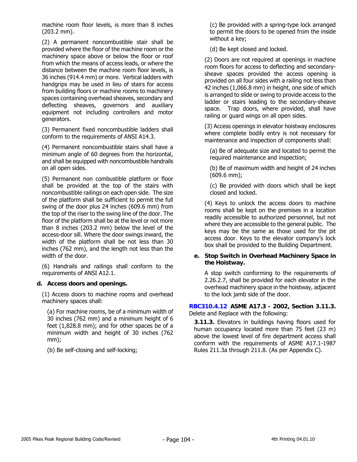machine room floor levels, is more than 8 inches (203.2 mm).

(2) A permanent noncombustible stair shall be provided where the floor of the machine room or the machinery space above or below the floor or roof from which the means of access leads, or where the distance between the machine room floor levels, is 36 inches (914.4 mm) or more. Vertical ladders with handgrips may be used in lieu of stairs for access from building floors or machine rooms to machinery spaces containing overhead sheaves, secondary and deflecting sheaves, governors and auxiliary equipment not including controllers and motor generators.

(3) Permanent fixed noncombustible ladders shall conform to the requirements of ANSI A14.3.

(4) Permanent noncombustible stairs shall have a minimum angle of 60 degrees from the horizontal, and shall be equipped with noncombustible handrails on all open sides.

(5) Permanent non combustible platform or floor shall be provided at the top of the stairs with noncombustible railings on each open side. The size of the platform shall be sufficient to permit the full swing of the door plus 24 inches (609.6 mm) from the top of the riser to the swing line of the door. The floor of the platform shall be at the level or not more than 8 inches (203.2 mm) below the level of the access-door sill. Where the door swings inward, the width of the platform shall be not less than 30 inches (762 mm), and the length not less than the width of the door.

(6) Handrails and railings shall conform to the requirements of ANSI A12.1.

# **d. Access doors and openings.**

(1) Access doors to machine rooms and overhead machinery spaces shall:

(a) For machine rooms, be of a minimum width of 30 inches (762 mm) and a minimum height of 6 feet (1,828.8 mm); and for other spaces be of a minimum width and height of 30 inches (762 mm);

(b) Be self-closing and self-locking;

(c) Be provided with a spring-type lock arranged to permit the doors to be opened from the inside without a key;

(d) Be kept closed and locked.

(2) Doors are not required at openings in machine room floors for access to deflecting and secondarysheave spaces provided the access opening is provided on all four sides with a railing not less than 42 inches (1,066.8 mm) in height, one side of which is arranged to slide or swing to provide access to the ladder or stairs leading to the secondary-sheave space. Trap doors, where provided, shall have railing or guard wings on all open sides.

(3) Access openings in elevator hoistway enclosures where complete bodily entry is not necessary for maintenance and inspection of components shall:

(a) Be of adequate size and located to permit the required maintenance and inspection;

(b) Be of maximum width and height of 24 inches (609.6 mm);

(c) Be provided with doors which shall be kept closed and locked.

(4) Keys to unlock the access doors to machine rooms shall be kept on the premises in a location readily accessible to authorized personnel, but not where they are accessible to the general public. The keys may be the same as those used for the pit access door. Keys to the elevator company's lock box shall be provided to the Building Department.

### **e. Stop Switch in Overhead Machinery Space in the Hoistway.**

A stop switch conforming to the requirements of 2.26.2.7, shall be provided for each elevator in the overhead machinery space in the hoistway, adjacent to the lock jamb side of the door.

**RBC310.4.12 ASME A17.3 - 2002, Section 3.11.3.** Delete and Replace with the following:

**3.11.3.** Elevators in buildings having floors used for human occupancy located more than 75 feet (23 m) above the lowest level of fire department access shall conform with the requirements of ASME A17.1-1987 Rules 211.3a through 211.8. (As per Appendix C).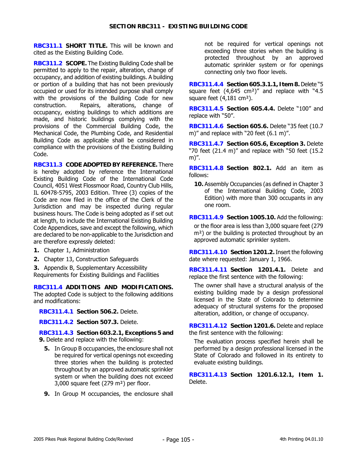**RBC311.1 SHORT TITLE.** This will be known and cited as the Existing Building Code.

**RBC311.2 SCOPE.** The Existing Building Code shall be permitted to apply to the repair, alteration, change of occupancy, and addition of existing buildings. A building or portion of a building that has not been previously occupied or used for its intended purpose shall comply with the provisions of the Building Code for new construction. Repairs, alterations, change of occupancy, existing buildings to which additions are made, and historic buildings complying with the provisions of the Commercial Building Code, the Mechanical Code, the Plumbing Code, and Residential Building Code as applicable shall be considered in compliance with the provisions of the Existing Building Code.

**RBC311.3 CODE ADOPTED BY REFERENCE.** There is hereby adopted by reference the International Existing Building Code of the International Code Council, 4051 West Flossmoor Road, Country Club Hills, IL 60478-5795, 2003 Edition. Three (3) copies of the Code are now filed in the office of the Clerk of the Jurisdiction and may be inspected during regular business hours. The Code is being adopted as if set out at length, to include the International Existing Building Code Appendices, save and except the following, which are declared to be non-applicable to the Jurisdiction and are therefore expressly deleted:

- **1.** Chapter 1, Administration
- **2.** Chapter 13, Construction Safeguards

**3.** Appendix B, Supplementary Accessibility Requirements for Existing Buildings and Facilities

**RBC311.4 ADDITIONS AND MODIFICATIONS.**  The adopted Code is subject to the following additions and modifications:

**RBC311.4.1 Section 506.2.** Delete.

**RBC311.4.2 Section 507.3.** Delete.

**RBC311.4.3 Section 603.2.1, Exceptions 5 and 9.** Delete and replace with the following:

- **5.** In Group B occupancies, the enclosure shall not be required for vertical openings not exceeding three stories when the building is protected throughout by an approved automatic sprinkler system or when the building does not exceed 3,000 square feet (279 m²) per floor.
- **9.** In Group M occupancies, the enclosure shall

not be required for vertical openings not exceeding three stories when the building is protected throughout by an approved automatic sprinkler system or for openings connecting only two floor levels.

**RBC311.4.4 Section 605.3.1.1, Item 8.** Delete "5 square feet (4,645 cm²)" and replace with "4.5 square feet (4,181 cm<sup>2</sup>).

**RBC311.4.5 Section 605.4.4.** Delete "100" and replace with "50".

**RBC311.4.6 Section 605.6.** Delete "35 feet (10.7 m)" and replace with "20 feet (6.1 m)".

**RBC311.4.7 Section 605.6, Exception 3.** Delete "70 feet (21.4 m)" and replace with "50 feet (15.2 m)".

**RBC311.4.8 Section 802.1.** Add an item as follows:

**10.** Assembly Occupancies (as defined in Chapter 3 of the International Building Code, 2003 Edition) with more than 300 occupants in any one room.

**RBC311.4.9 Section 1005.10.** Add the following:

or the floor area is less than 3,000 square feet (279 m<sup>2</sup>) or the building is protected throughout by an approved automatic sprinkler system.

**RBC311.4.10 Section 1201.2.** Insert the following date where requested: January 1, 1966.

**RBC311.4.11 Section 1201.4.1.** Delete and replace the first sentence with the following:

The owner shall have a structural analysis of the existing building made by a design professional licensed in the State of Colorado to determine adequacy of structural systems for the proposed alteration, addition, or change of occupancy.

**RBC311.4.12 Section 1201.6.** Delete and replace the first sentence with the following:

The evaluation process specified herein shall be performed by a design professional licensed in the State of Colorado and followed in its entirety to evaluate existing buildings.

**RBC311.4.13 Section 1201.6.12.1, Item 1.** Delete.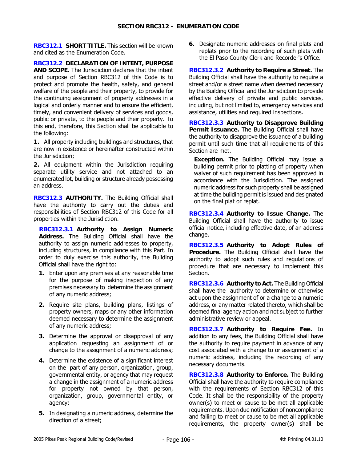**RBC312.1 SHORT TITLE.** This section will be known and cited as the Enumeration Code.

**RBC312.2 DECLARATION OF INTENT, PURPOSE AND SCOPE.** The Jurisdiction declares that the intent and purpose of Section RBC312 of this Code is to protect and promote the health, safety, and general welfare of the people and their property, to provide for the continuing assignment of property addresses in a logical and orderly manner and to ensure the efficient, timely, and convenient delivery of services and goods, public or private, to the people and their property. To this end, therefore, this Section shall be applicable to the following:

**1.** All property including buildings and structures, that are now in existence or hereinafter constructed within the Jurisdiction;

**2.** All equipment within the Jurisdiction requiring separate utility service and not attached to an enumerated lot, building or structure already possessing an address.

**RBC312.3 AUTHORITY.** The Building Official shall have the authority to carry out the duties and responsibilities of Section RBC312 of this Code for all properties within the Jurisdiction.

**RBC312.3.1 Authority to Assign Numeric Address.** The Building Official shall have the authority to assign numeric addresses to property, including structures, in compliance with this Part. In order to duly exercise this authority, the Building Official shall have the right to:

- **1.** Enter upon any premises at any reasonable time for the purpose of making inspection of any premises necessary to determine the assignment of any numeric address;
- **2.** Require site plans, building plans, listings of property owners, maps or any other information deemed necessary to determine the assignment of any numeric address;
- **3.** Determine the approval or disapproval of any application requesting an assignment of or change to the assignment of a numeric address;
- **4.** Determine the existence of a significant interest on the part of any person, organization, group, governmental entity, or agency that may request a change in the assignment of a numeric address for property not owned by that person, organization, group, governmental entity, or agency;
- **5.** In designating a numeric address, determine the direction of a street;

**6.** Designate numeric addresses on final plats and replats prior to the recording of such plats with the El Paso County Clerk and Recorder's Office.

**RBC312.3.2 Authority to Require a Street.** The Building Official shall have the authority to require a street and/or a street name when deemed necessary by the Building Official and the Jurisdiction to provide effective delivery of private and public services, including, but not limited to, emergency services and assistance, utilities and required inspections.

**RBC312.3.3 Authority to Disapprove Building Permit Issuance.** The Building Official shall have the authority to disapprove the issuance of a building permit until such time that all requirements of this Section are met.

**Exception.** The Building Official may issue a building permit prior to platting of property when waiver of such requirement has been approved in accordance with the Jurisdiction. The assigned numeric address for such property shall be assigned at time the building permit is issued and designated on the final plat or replat.

**RBC312.3.4 Authority to Issue Change.** The Building Official shall have the authority to issue official notice, including effective date, of an address change.

**RBC312.3.5 Authority to Adopt Rules of Procedure.** The Building Official shall have the authority to adopt such rules and regulations of procedure that are necessary to implement this Section.

**RBC312.3.6 Authority to Act.** The Building Official shall have the authority to determine or otherwise act upon the assignment of or a change to a numeric address, or any matter related thereto, which shall be deemed final agency action and not subject to further administrative review or appeal.

**RBC312.3.7 Authority to Require Fee.** In addition to any fees, the Building Official shall have the authority to require payment in advance of any cost associated with a change to or assignment of a numeric address, including the recording of any necessary documents.

**RBC312.3.8 Authority to Enforce.** The Building Official shall have the authority to require compliance with the requirements of Section RBC312 of this Code. It shall be the responsibility of the property owner(s) to meet or cause to be met all applicable requirements. Upon due notification of noncompliance and failing to meet or cause to be met all applicable requirements, the property owner(s) shall be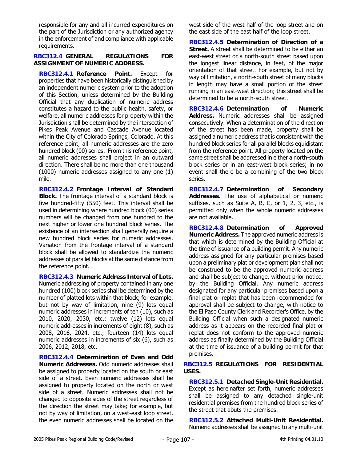responsible for any and all incurred expenditures on the part of the Jurisdiction or any authorized agency in the enforcement of and compliance with applicable requirements.

#### **RBC312.4 GENERAL REGULATIONS FOR ASSIGNMENT OF NUMERIC ADDRESS.**

**RBC312.4.1 Reference Point.** Except for properties that have been historically distinguished by an independent numeric system prior to the adoption of this Section, unless determined by the Building Official that any duplication of numeric address constitutes a hazard to the public health, safety, or welfare, all numeric addresses for property within the Jurisdiction shall be determined by the intersection of Pikes Peak Avenue and Cascade Avenue located within the City of Colorado Springs, Colorado. At this reference point, all numeric addresses are the zero hundred block (00) series. From this reference point, all numeric addresses shall project in an outward direction. There shall be no more than one thousand (1000) numeric addresses assigned to any one (1) mile.

**RBC312.4.2 Frontage Interval of Standard Block.** The frontage interval of a standard block is five hundred-fifty (550) feet. This interval shall be used in determining where hundred block (00) series numbers will be changed from one hundred to the next higher or lower one hundred block series. The existence of an intersection shall generally require a new hundred block series for numeric addresses. Variation from the frontage interval of a standard block shall be allowed to standardize the numeric addresses of parallel blocks at the same distance from the reference point.

**RBC312.4.3 Numeric Address Interval of Lots.** Numeric addressing of property contained in any one hundred (100) block series shall be determined by the number of platted lots within that block; for example, but not by way of limitation, nine (9) lots equal numeric addresses in increments of ten (10), such as 2010, 2020, 2030, etc.; twelve (12) lots equal numeric addresses in increments of eight (8), such as 2008, 2016, 2024, etc.; fourteen (14) lots equal numeric addresses in increments of six (6), such as 2006, 2012, 2018, etc.

**RBC312.4.4 Determination of Even and Odd Numeric Addresses.** Odd numeric addresses shall be assigned to property located on the south or east side of a street. Even numeric addresses shall be assigned to property located on the north or west side of a street. Numeric addresses shall not be changed to opposite sides of the street regardless of the direction the street may take; for example, but not by way of limitation, on a west-east loop street, the even numeric addresses shall be located on the

west side of the west half of the loop street and on the east side of the east half of the loop street.

**RBC312.4.5 Determination of Direction of a Street.** A street shall be determined to be either an east-west street or a north-south street based upon the longest linear distance, in feet, of the major orientation of that street. For example, but not by way of limitation, a north-south street of many blocks in length may have a small portion of the street running in an east-west direction; this street shall be determined to be a north-south street.

**RBC312.4.6 Determination of Numeric Address.** Numeric addresses shall be assigned consecutively. When a determination of the direction of the street has been made, property shall be assigned a numeric address that is consistent with the hundred block series for all parallel blocks equidistant from the reference point. All property located on the same street shall be addressed in either a north-south block series or in an east-west block series; in no event shall there be a combining of the two block series.

**RBC312.4.7 Determination of Secondary Addresses.** The use of alphabetical or numeric suffixes, such as Suite A, B, C, or 1, 2, 3, etc., is permitted only when the whole numeric addresses are not available.

**RBC312.4.8 Determination of Approved Numeric Address.** The approved numeric address is that which is determined by the Building Official at the time of issuance of a building permit. Any numeric address assigned for any particular premises based upon a preliminary plat or development plan shall not be construed to be the approved numeric address and shall be subject to change, without prior notice, by the Building Official. Any numeric address designated for any particular premises based upon a final plat or replat that has been recommended for approval shall be subject to change, with notice to the El Paso County Clerk and Recorder's Office, by the Building Official when such a designated numeric address as it appears on the recorded final plat or replat does not conform to the approved numeric address as finally determined by the Building Official at the time of issuance of a building permit for that premises.

### **RBC312.5 REGULATIONS FOR RESIDENTIAL USES.**

**RBC312.5.1 Detached Single-Unit Residential.**  Except as hereinafter set forth, numeric addresses shall be assigned to any detached single-unit residential premises from the hundred block series of the street that abuts the premises.

**RBC312.5.2 Attached Multi-Unit Residential.** Numeric addresses shall be assigned to any multi-unit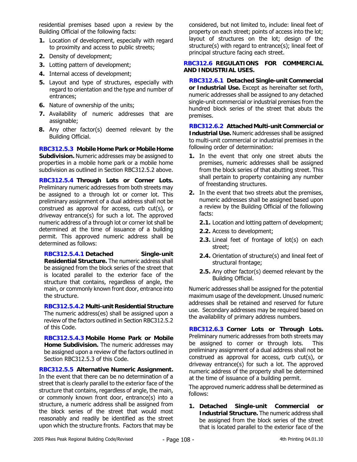residential premises based upon a review by the Building Official of the following facts:

- **1.** Location of development, especially with regard to proximity and access to public streets;
- **2.** Density of development;
- **3.** Lotting pattern of development;
- **4.** Internal access of development;
- **5.** Layout and type of structures, especially with regard to orientation and the type and number of entrances;
- **6.** Nature of ownership of the units;
- **7.** Availability of numeric addresses that are assignable;
- **8.** Any other factor(s) deemed relevant by the Building Official.

**RBC312.5.3 Mobile Home Park or Mobile Home Subdivision.** Numeric addresses may be assigned to properties in a mobile home park or a mobile home subdivision as outlined in Section RBC312.5.2 above.

**RBC312.5.4 Through Lots or Corner Lots.** Preliminary numeric addresses from both streets may be assigned to a through lot or corner lot. This preliminary assignment of a dual address shall not be construed as approval for access, curb cut(s), or driveway entrance(s) for such a lot. The approved numeric address of a through lot or corner lot shall be determined at the time of issuance of a building permit. This approved numeric address shall be determined as follows:

**RBC312.5.4.1 Detached Single-unit Residential Structure.** The numeric address shall be assigned from the block series of the street that is located parallel to the exterior face of the structure that contains, regardless of angle, the main, or commonly known front door, entrance into the structure.

**RBC312.5.4.2 Multi-unit Residential Structure** The numeric address(es) shall be assigned upon a review of the factors outlined in Section RBC312.5.2 of this Code.

**RBC312.5.4.3 Mobile Home Park or Mobile Home Subdivision.** The numeric addresses may be assigned upon a review of the factors outlined in Section RBC312.5.3 of this Code.

**RBC312.5.5 Alternative Numeric Assignment.**  In the event that there can be no determination of a street that is clearly parallel to the exterior face of the structure that contains, regardless of angle, the main, or commonly known front door, entrance(s) into a structure, a numeric address shall be assigned from the block series of the street that would most reasonably and readily be identified as the street upon which the structure fronts. Factors that may be considered, but not limited to, include: lineal feet of property on each street; points of access into the lot; layout of structures on the lot; design of the structure(s) with regard to entrance(s); lineal feet of principal structure facing each street.

## **RBC312.6 REGULATIONS FOR COMMERCIAL AND INDUSTRIAL USES.**

**RBC312.6.1 Detached Single-unit Commercial or Industrial Use.** Except as hereinafter set forth, numeric addresses shall be assigned to any detached single-unit commercial or industrial premises from the hundred block series of the street that abuts the premises.

**RBC312.6.2 Attached Multi-unit Commercial or Industrial Use.** Numeric addresses shall be assigned to multi-unit commercial or industrial premises in the following order of determination:

- **1.** In the event that only one street abuts the premises, numeric addresses shall be assigned from the block series of that abutting street. This shall pertain to property containing any number of freestanding structures.
- **2.** In the event that two streets abut the premises, numeric addresses shall be assigned based upon a review by the Building Official of the following facts:
	- **2.1.** Location and lotting pattern of development;
	- **2.2.** Access to development;
	- **2.3.** Lineal feet of frontage of lot(s) on each street;
	- **2.4.** Orientation of structure(s) and lineal feet of structural frontage;
	- **2.5.** Any other factor(s) deemed relevant by the Building Official.

Numeric addresses shall be assigned for the potential maximum usage of the development. Unused numeric addresses shall be retained and reserved for future use. Secondary addresses may be required based on the availability of primary address numbers.

**RBC312.6.3 Corner Lots or Through Lots.** Preliminary numeric addresses from both streets may be assigned to corner or through lots. This preliminary assignment of a dual address shall not be construed as approval for access, curb cut(s), or driveway entrance(s) for such a lot. The approved numeric address of the property shall be determined at the time of issuance of a building permit.

The approved numeric address shall be determined as follows:

**1. Detached Single-unit Commercial or Industrial Structure.** The numeric address shall be assigned from the block series of the street that is located parallel to the exterior face of the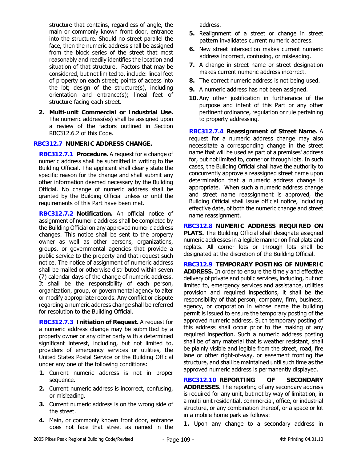structure that contains, regardless of angle, the main or commonly known front door, entrance into the structure. Should no street parallel the face, then the numeric address shall be assigned from the block series of the street that most reasonably and readily identifies the location and situation of that structure. Factors that may be considered, but not limited to, include: lineal feet of property on each street; points of access into the lot; design of the structure(s), including orientation and entrance(s); lineal feet of structure facing each street.

**2. Multi-unit Commercial or Industrial Use.** The numeric address(es) shall be assigned upon a review of the factors outlined in Section RBC312.6.2 of this Code.

### **RBC312.7 NUMERIC ADDRESS CHANGE.**

**RBC312.7.1 Procedure.** A request for a change of numeric address shall be submitted in writing to the Building Official. The applicant shall clearly state the specific reason for the change and shall submit any other information deemed necessary by the Building Official. No change of numeric address shall be granted by the Building Official unless or until the requirements of this Part have been met.

**RBC312.7.2 Notification.** An official notice of assignment of numeric address shall be completed by the Building Official on any approved numeric address changes. This notice shall be sent to the property owner as well as other persons, organizations, groups, or governmental agencies that provide a public service to the property and that request such notice. The notice of assignment of numeric address shall be mailed or otherwise distributed within seven (7) calendar days of the change of numeric address. It shall be the responsibility of each person, organization, group, or governmental agency to alter or modify appropriate records. Any conflict or dispute regarding a numeric address change shall be referred for resolution to the Building Official.

**RBC312.7.3 Initiation of Request.** A request for a numeric address change may be submitted by a property owner or any other party with a determined significant interest, including, but not limited to, providers of emergency services or utilities, the United States Postal Service or the Building Official under any one of the following conditions:

- **1.** Current numeric address is not in proper sequence.
- **2.** Current numeric address is incorrect, confusing, or misleading.
- **3.** Current numeric address is on the wrong side of the street.
- **4.** Main, or commonly known front door, entrance does not face that street as named in the

address.

- **5.** Realignment of a street or change in street pattern invalidates current numeric address.
- **6.** New street intersection makes current numeric address incorrect, confusing, or misleading.
- **7.** A change in street name or street designation makes current numeric address incorrect.
- **8.** The correct numeric address is not being used.
- **9.** A numeric address has not been assigned.
- **10.** Any other justification in furtherance of the purpose and intent of this Part or any other pertinent ordinance, regulation or rule pertaining to property addressing.

**RBC312.7.4 Reassignment of Street Name.** A request for a numeric address change may also necessitate a corresponding change in the street name that will be used as part of a premises' address for, but not limited to, corner or through lots. In such cases, the Building Official shall have the authority to concurrently approve a reassigned street name upon determination that a numeric address change is appropriate. When such a numeric address change and street name reassignment is approved, the Building Official shall issue official notice, including effective date, of both the numeric change and street name reassignment.

**RBC312.8 NUMERIC ADDRESS REQUIRED ON PLATS.** The Building Official shall designate assigned numeric addresses in a legible manner on final plats and replats. All corner lots or through lots shall be designated at the discretion of the Building Official.

**RBC312.9 TEMPORARY POSTING OF NUMERIC ADDRESS.** In order to ensure the timely and effective delivery of private and public services, including, but not limited to, emergency services and assistance, utilities provision and required inspections, it shall be the responsibility of that person, company, firm, business, agency, or corporation in whose name the building permit is issued to ensure the temporary posting of the approved numeric address. Such temporary posting of this address shall occur prior to the making of any required inspection. Such a numeric address posting shall be of any material that is weather resistant, shall be plainly visible and legible from the street, road, fire lane or other right-of-way, or easement fronting the structure, and shall be maintained until such time as the approved numeric address is permanently displayed.

**RBC312.10 REPORTING OF SECONDARY ADDRESSES.** The reporting of any secondary address is required for any unit, but not by way of limitation, in a multi-unit residential, commercial, office, or industrial structure, or any combination thereof, or a space or lot in a mobile home park as follows:

**1.** Upon any change to a secondary address in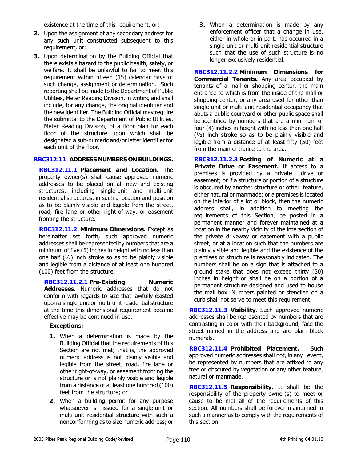existence at the time of this requirement, or:

- **2.** Upon the assignment of any secondary address for any such unit constructed subsequent to this requirement, or:
- **3.** Upon determination by the Building Official that there exists a hazard to the public health, safety, or welfare. It shall be unlawful to fail to meet this requirement within fifteen (15) calendar days of such change, assignment or determination. Such reporting shall be made to the Department of Public Utilities, Meter Reading Division, in writing and shall include, for any change, the original identifier and the new identifier. The Building Official may require the submittal to the Department of Public Utilities, Meter Reading Division, of a floor plan for each floor of the structure upon which shall be designated a sub-numeric and/or letter identifier for each unit of the floor.

### **RBC312.11 ADDRESS NUMBERS ON BUILDINGS.**

**RBC312.11.1 Placement and Location.** The property owner(s) shall cause approved numeric addresses to be placed on all new and existing structures, including single-unit and multi-unit residential structures, in such a location and position as to be plainly visible and legible from the street, road, fire lane or other right-of-way, or easement fronting the structure.

**RBC312.11.2 Minimum Dimensions.** Except as hereinafter set forth, such approved numeric addresses shall be represented by numbers that are a minimum of five (5) inches in height with no less than one half  $(1/2)$  inch stroke so as to be plainly visible and legible from a distance of at least one hundred (100) feet from the structure.

**RBC312.11.2.1 Pre-Existing Numeric Addresses.** Numeric addresses that do not conform with regards to size that lawfully existed upon a single-unit or multi-unit residential structure at the time this dimensional requirement became effective may be continued in use.

## **Exceptions:**

- **1.** When a determination is made by the Building Official that the requirements of this Section are not met; that is, the approved numeric address is not plainly visible and legible from the street, road, fire lane or other right-of-way, or easement fronting the structure or is not plainly visible and legible from a distance of at least one hundred (100) feet from the structure; or
- **2.** When a building permit for any purpose whatsoever is issued for a single-unit or multi-unit residential structure with such a nonconforming as to size numeric address; or

**3.** When a determination is made by any enforcement officer that a change in use, either in whole or in part, has occurred in a single-unit or multi-unit residential structure such that the use of such structure is no longer exclusively residential.

**RBC312.11.2.2 Minimum Dimensions for Commercial Tenants.** Any area occupied by tenants of a mall or shopping center, the main entrance to which is from the inside of the mall or shopping center, or any area used for other than single-unit or multi-unit residential occupancy that abuts a public courtyard or other public space shall be identified by numbers that are a minimum of four (4) inches in height with no less than one half (½) inch stroke so as to be plainly visible and legible from a distance of at least fifty (50) feet from the main entrance to the area.

**RBC312.11.2.3 Posting of Numeric at a Private Drive or Easement.** If access to a premises is provided by a private drive or easement; or if a structure or portion of a structure is obscured by another structure or other feature, either natural or manmade; or a premises is located on the interior of a lot or block, then the numeric address shall, in addition to meeting the requirements of this Section, be posted in a permanent manner and forever maintained at a location in the nearby vicinity of the intersection of the private driveway or easement with a public street, or at a location such that the numbers are plainly visible and legible and the existence of the premises or structure is reasonably indicated. The numbers shall be on a sign that is attached to a ground stake that does not exceed thirty (30) inches in height or shall be on a portion of a permanent structure designed and used to house the mail box. Numbers painted or stenciled on a curb shall not serve to meet this requirement.

**RBC312.11.3 Visibility.** Such approved numeric addresses shall be represented by numbers that are contrasting in color with their background, face the street named in the address and are plain block numerals.

**RBC312.11.4 Prohibited Placement.** Such approved numeric addresses shall not, in any event, be represented by numbers that are affixed to any tree or obscured by vegetation or any other feature, natural or manmade.

**RBC312.11.5 Responsibility.** It shall be the responsibility of the property owner(s) to meet or cause to be met all of the requirements of this section. All numbers shall be forever maintained in such a manner as to comply with the requirements of this section.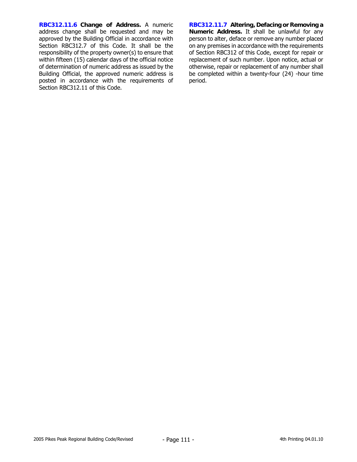**RBC312.11.6 Change of Address.** A numeric address change shall be requested and may be approved by the Building Official in accordance with Section RBC312.7 of this Code. It shall be the responsibility of the property owner(s) to ensure that within fifteen (15) calendar days of the official notice of determination of numeric address as issued by the Building Official, the approved numeric address is posted in accordance with the requirements of Section RBC312.11 of this Code.

**RBC312.11.7 Altering, Defacing or Removing a Numeric Address.** It shall be unlawful for any person to alter, deface or remove any number placed on any premises in accordance with the requirements of Section RBC312 of this Code, except for repair or replacement of such number. Upon notice, actual or otherwise, repair or replacement of any number shall be completed within a twenty-four (24) -hour time period.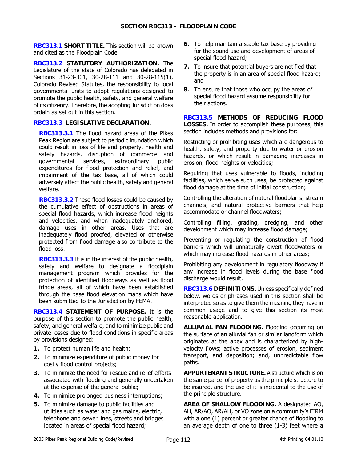**RBC313.1 SHORT TITLE.** This section will be known and cited as the Floodplain Code.

**RBC313.2 STATUTORY AUTHORIZATION.** The Legislature of the state of Colorado has delegated in Sections 31-23-301, 30-28-111 and 30-28-115(1), Colorado Revised Statutes, the responsibility to local governmental units to adopt regulations designed to promote the public health, safety, and general welfare of its citizenry. Therefore, the adopting Jurisdiction does ordain as set out in this section.

## **RBC313.3 LEGISLATIVE DECLARATION.**

**RBC313.3.1** The flood hazard areas of the Pikes Peak Region are subject to periodic inundation which could result in loss of life and property, health and safety hazards, disruption of commerce and governmental services, extraordinary public expenditures for flood protection and relief, and impairment of the tax base, all of which could adversely affect the public health, safety and general welfare.

**RBC313.3.2** These flood losses could be caused by the cumulative effect of obstructions in areas of special flood hazards, which increase flood heights and velocities, and when inadequately anchored, damage uses in other areas. Uses that are inadequately flood proofed, elevated or otherwise protected from flood damage also contribute to the flood loss.

**RBC313.3.3** It is in the interest of the public health, safety and welfare to designate a floodplain management program which provides for the protection of identified floodways as well as flood fringe areas, all of which have been established through the base flood elevation maps which have been submitted to the Jurisdiction by FEMA.

**RBC313.4 STATEMENT OF PURPOSE.** It is the purpose of this section to promote the public health, safety, and general welfare, and to minimize public and private losses due to flood conditions in specific areas by provisions designed:

- **1.** To protect human life and health;
- **2.** To minimize expenditure of public money for costly flood control projects;
- **3.** To minimize the need for rescue and relief efforts associated with flooding and generally undertaken at the expense of the general public;
- **4.** To minimize prolonged business interruptions;
- **5.** To minimize damage to public facilities and utilities such as water and gas mains, electric, telephone and sewer lines, streets and bridges located in areas of special flood hazard;
- **6.** To help maintain a stable tax base by providing for the sound use and development of areas of special flood hazard;
- **7.** To insure that potential buyers are notified that the property is in an area of special flood hazard; and
- **8.** To ensure that those who occupy the areas of special flood hazard assume responsibility for their actions.

**RBC313.5 METHODS OF REDUCING FLOOD LOSSES.** In order to accomplish these purposes, this section includes methods and provisions for:

Restricting or prohibiting uses which are dangerous to health, safety, and property due to water or erosion hazards, or which result in damaging increases in erosion, flood heights or velocities;

Requiring that uses vulnerable to floods, including facilities, which serve such uses, be protected against flood damage at the time of initial construction;

Controlling the alteration of natural floodplains, stream channels, and natural protective barriers that help accommodate or channel floodwaters;

Controlling filling, grading, dredging, and other development which may increase flood damage;

Preventing or regulating the construction of flood barriers which will unnaturally divert floodwaters or which may increase flood hazards in other areas;

Prohibiting any development in regulatory floodway if any increase in flood levels during the base flood discharge would result.

**RBC313.6 DEFINITIONS.** Unless specifically defined below, words or phrases used in this section shall be interpreted so as to give them the meaning they have in common usage and to give this section its most reasonable application.

**ALLUVIAL FAN FLOODING.** Flooding occurring on the surface of an alluvial fan or similar landform which originates at the apex and is characterized by highvelocity flows; active processes of erosion, sediment transport, and deposition; and, unpredictable flow paths.

**APPURTENANT STRUCTURE.** A structure which is on the same parcel of property as the principle structure to be insured, and the use of it is incidental to the use of the principle structure.

**AREA OF SHALLOW FLOODING.** A designated AO, AH, AR/AO, AR/AH, or VO zone on a community's FIRM with a one (1) percent or greater chance of flooding to an average depth of one to three (1-3) feet where a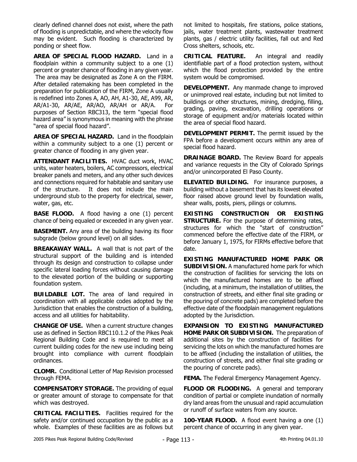clearly defined channel does not exist, where the path of flooding is unpredictable, and where the velocity flow may be evident. Such flooding is characterized by ponding or sheet flow.

**AREA OF SPECIAL FLOOD HAZARD.** Land in a floodplain within a community subject to a one (1) percent or greater chance of flooding in any given year. The area may be designated as Zone A on the FIRM. After detailed ratemaking has been completed in the preparation for publication of the FIRM, Zone A usually is redefined into Zones A, AO, AH, A1-30, AE, A99, AR, AR/A1-30, AR/AE, AR/AO, AR/AH or AR/A. For purposes of Section RBC313, the term "special flood hazard area" is synonymous in meaning with the phrase "area of special flood hazard".

**AREA OF SPECIAL HAZARD.** Land in the floodplain within a community subject to a one (1) percent or greater chance of flooding in any given year.

**ATTENDANT FACILITIES.** HVAC duct work, HVAC units, water heaters, boilers, AC compressors, electrical breaker panels and meters, and any other such devices and connections required for habitable and sanitary use of the structure. It does not include the main underground stub to the property for electrical, sewer, water, gas, etc.

**BASE FLOOD.** A flood having a one (1) percent chance of being equaled or exceeded in any given year.

**BASEMENT.** Any area of the building having its floor subgrade (below ground level) on all sides.

**BREAKAWAY WALL.** A wall that is not part of the structural support of the building and is intended through its design and construction to collapse under specific lateral loading forces without causing damage to the elevated portion of the building or supporting foundation system.

**BUILDABLE LOT.** The area of land required in coordination with all applicable codes adopted by the Jurisdiction that enables the construction of a building, access and all utilities for habitability.

**CHANGE OF USE.** When a current structure changes use as defined in Section RBC110.1.2 of the Pikes Peak Regional Building Code and is required to meet all current building codes for the new use including being brought into compliance with current floodplain ordinances.

**CLOMR.** Conditional Letter of Map Revision processed through FEMA.

**COMPENSATORY STORAGE.** The providing of equal or greater amount of storage to compensate for that which was destroyed.

**CRITICAL FACILITIES.** Facilities required for the safety and/or continued occupation by the public as a whole. Examples of these facilities are as follows but not limited to hospitals, fire stations, police stations, jails, water treatment plants, wastewater treatment plants, gas / electric utility facilities, fall out and Red Cross shelters, schools, etc.

**CRITICAL FEATURE.** An integral and readily identifiable part of a flood protection system, without which the flood protection provided by the entire system would be compromised.

**DEVELOPMENT.** Any manmade change to improved or unimproved real estate, including but not limited to buildings or other structures, mining, dredging, filling, grading, paving, excavation, drilling operations or storage of equipment and/or materials located within the area of special flood hazard.

**DEVELOPMENT PERMIT.** The permit issued by the FPA before a development occurs within any area of special flood hazard.

**DRAINAGE BOARD.** The Review Board for appeals and variance requests in the City of Colorado Springs and/or unincorporated El Paso County.

**ELEVATED BUILDING.** For insurance purposes, a building without a basement that has its lowest elevated floor raised above ground level by foundation walls, shear walls, posts, piers, pilings or columns.

**EXISTING CONSTRUCTION OR EXISTING STRUCTURE.** For the purpose of determining rates, structures for which the "start of construction" commenced before the effective date of the FIRM, or before January 1, 1975, for FIRMs effective before that date.

**EXISTING MANUFACTURED HOME PARK OR SUBDIVISION.** A manufactured home park for which the construction of facilities for servicing the lots on which the manufactured homes are to be affixed (including, at a minimum, the installation of utilities, the construction of streets, and either final site grading or the pouring of concrete pads) are completed before the effective date of the floodplain management regulations adopted by the Jurisdiction.

**EXPANSION TO EXISTING MANUFACTURED HOME PARK OR SUBDIVISION.** The preparation of additional sites by the construction of facilities for servicing the lots on which the manufactured homes are to be affixed (including the installation of utilities, the construction of streets, and either final site grading or the pouring of concrete pads).

**FEMA.** The Federal Emergency Management Agency.

**FLOOD OR FLOODING.** A general and temporary condition of partial or complete inundation of normally dry land areas from the unusual and rapid accumulation or runoff of surface waters from any source.

**100-YEAR FLOOD.** A flood event having a one (1) percent chance of occurring in any given year.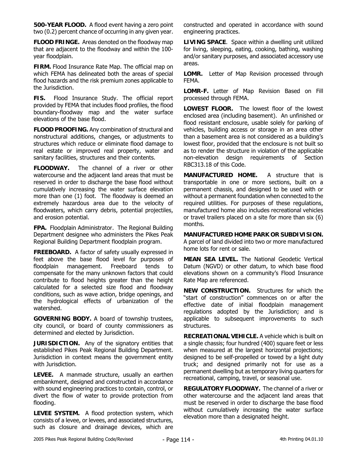**500-YEAR FLOOD.** A flood event having a zero point two (0.2) percent chance of occurring in any given year.

**FLOOD FRINGE.** Areas denoted on the floodway map that are adjacent to the floodway and within the 100 year floodplain.

**FIRM.** Flood Insurance Rate Map. The official map on which FEMA has delineated both the areas of special flood hazards and the risk premium zones applicable to the Jurisdiction.

**FIS.** Flood Insurance Study. The official report provided by FEMA that includes flood profiles, the flood boundary-floodway map and the water surface elevations of the base flood.

**FLOOD PROOFING.** Any combination of structural and nonstructural additions, changes, or adjustments to structures which reduce or eliminate flood damage to real estate or improved real property, water and sanitary facilities, structures and their contents.

**FLOODWAY.** The channel of a river or other watercourse and the adjacent land areas that must be reserved in order to discharge the base flood without cumulatively increasing the water surface elevation more than one (1) foot. The floodway is deemed an extremely hazardous area due to the velocity of floodwaters, which carry debris, potential projectiles, and erosion potential.

**FPA.** Floodplain Administrator. The Regional Building Department designee who administers the Pikes Peak Regional Building Department floodplain program.

**FREEBOARD.** A factor of safety usually expressed in feet above the base flood level for purposes of floodplain management. Freeboard tends to compensate for the many unknown factors that could contribute to flood heights greater than the height calculated for a selected size flood and floodway conditions, such as wave action, bridge openings, and the hydrological effects of urbanization of the watershed.

**GOVERNING BODY.** A board of township trustees, city council, or board of county commissioners as determined and elected by Jurisdiction.

**JURISDICTION.** Any of the signatory entities that established Pikes Peak Regional Building Department. Jurisdiction in context means the government entity with Jurisdiction.

**LEVEE.** A manmade structure, usually an earthen embankment, designed and constructed in accordance with sound engineering practices to contain, control, or divert the flow of water to provide protection from flooding.

**LEVEE SYSTEM.** A flood protection system, which consists of a levee, or levees, and associated structures, such as closure and drainage devices, which are constructed and operated in accordance with sound engineering practices.

**LIVING SPACE**. Space within a dwelling unit utilized for living, sleeping, eating, cooking, bathing, washing and/or sanitary purposes, and associated accessory use areas.

**LOMR.** Letter of Map Revision processed through FEMA.

**LOMR-F.** Letter of Map Revision Based on Fill processed through FEMA.

**LOWEST FLOOR.** The lowest floor of the lowest enclosed area (including basement). An unfinished or flood resistant enclosure, usable solely for parking of vehicles, building access or storage in an area other than a basement area is not considered as a building's lowest floor, provided that the enclosure is not built so as to render the structure in violation of the applicable non-elevation design requirements of Section RBC313.18 of this Code.

**MANUFACTURED HOME.** A structure that is transportable in one or more sections, built on a permanent chassis, and designed to be used with or without a permanent foundation when connected to the required utilities. For purposes of these regulations, manufactured home also includes recreational vehicles or travel trailers placed on a site for more than six (6) months.

**MANUFACTURED HOME PARK OR SUBDIVISION.** A parcel of land divided into two or more manufactured home lots for rent or sale.

**MEAN SEA LEVEL.** The National Geodetic Vertical Datum (NGVD) or other datum, to which base flood elevations shown on a community's Flood Insurance Rate Map are referenced.

**NEW CONSTRUCTION.** Structures for which the "start of construction" commences on or after the effective date of initial floodplain management regulations adopted by the Jurisdiction; and is applicable to subsequent improvements to such structures.

**RECREATIONAL VEHICLE.** A vehicle which is built on a single chassis; four hundred (400) square feet or less when measured at the largest horizontal projections; designed to be self-propelled or towed by a light duty truck; and designed primarily not for use as a permanent dwelling but as temporary living quarters for recreational, camping, travel, or seasonal use.

**REGULATORY FLOODWAY.** The channel of a river or other watercourse and the adjacent land areas that must be reserved in order to discharge the base flood without cumulatively increasing the water surface elevation more than a designated height.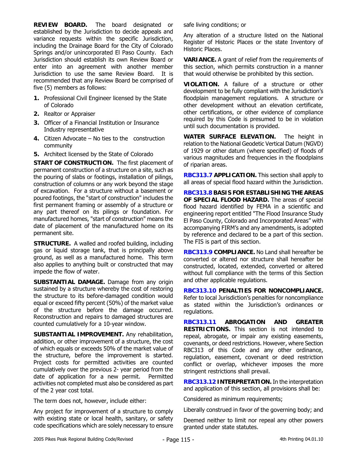**REVIEW BOARD.** The board designated or established by the Jurisdiction to decide appeals and variance requests within the specific Jurisdiction, including the Drainage Board for the City of Colorado Springs and/or unincorporated El Paso County. Each Jurisdiction should establish its own Review Board or enter into an agreement with another member Jurisdiction to use the same Review Board. It is recommended that any Review Board be comprised of five (5) members as follows:

- **1.** Professional Civil Engineer licensed by the State of Colorado
- **2.** Realtor or Appraiser
- **3.** Officer of a Financial Institution or Insurance Industry representative
- **4.** Citizen Advocate No ties to the construction community
- **5.** Architect licensed by the State of Colorado

**START OF CONSTRUCTION.** The first placement of permanent construction of a structure on a site, such as the pouring of slabs or footings, installation of pilings, construction of columns or any work beyond the stage of excavation. For a structure without a basement or poured footings, the "start of construction" includes the first permanent framing or assembly of a structure or any part thereof on its pilings or foundation. For manufactured homes, "start of construction" means the date of placement of the manufactured home on its permanent site.

**STRUCTURE.** A walled and roofed building, including gas or liquid storage tank, that is principally above ground, as well as a manufactured home. This term also applies to anything built or constructed that may impede the flow of water.

**SUBSTANTIAL DAMAGE.** Damage from any origin sustained by a structure whereby the cost of restoring the structure to its before-damaged condition would equal or exceed fifty percent (50%) of the market value of the structure before the damage occurred. Reconstruction and repairs to damaged structures are counted cumulatively for a 10-year window.

**SUBSTANTIAL IMPROVEMENT.** Any rehabilitation, addition, or other improvement of a structure, the cost of which equals or exceeds 50% of the market value of the structure, before the improvement is started. Project costs for permitted activities are counted cumulatively over the previous 2- year period from the date of application for a new permit. Permitted activities not completed must also be considered as part of the 2 year cost total.

The term does not, however, include either:

Any project for improvement of a structure to comply with existing state or local health, sanitary, or safety code specifications which are solely necessary to ensure safe living conditions; or

Any alteration of a structure listed on the National Register of Historic Places or the state Inventory of Historic Places.

**VARIANCE.** A grant of relief from the requirements of this section, which permits construction in a manner that would otherwise be prohibited by this section.

**VIOLATION.** A failure of a structure or other development to be fully compliant with the Jurisdiction's floodplain management regulations. A structure or other development without an elevation certificate, other certifications, or other evidence of compliance required by this Code is presumed to be in violation until such documentation is provided.

**WATER SURFACE ELEVATION.** The height in relation to the National Geodetic Vertical Datum (NGVD) of 1929 or other datum (where specified) of floods of various magnitudes and frequencies in the floodplains of riparian areas.

**RBC313.7 APPLICATION.** This section shall apply to all areas of special flood hazard within the Jurisdiction.

**RBC313.8 BASIS FOR ESTABLISHING THE AREAS OF SPECIAL FLOOD HAZARD.** The areas of special flood hazard identified by FEMA in a scientific and engineering report entitled "The Flood Insurance Study El Paso County, Colorado and Incorporated Areas" with accompanying FIRM's and any amendments, is adopted by reference and declared to be a part of this section. The FIS is part of this section.

**RBC313.9 COMPLIANCE.** No Land shall hereafter be converted or altered nor structure shall hereafter be constructed, located, extended, converted or altered without full compliance with the terms of this Section and other applicable regulations.

**RBC313.10 PENALTIES FOR NONCOMPLIANCE.**  Refer to local Jurisdiction's penalties for noncompliance as stated within the Jurisdiction's ordinances or regulations.

**RBC313.11 ABROGATION AND GREATER RESTRICTIONS.** This section is not intended to repeal, abrogate, or impair any existing easements, covenants, or deed restrictions. However, where Section RBC313 of this Code and any other ordinance, regulation, easement, covenant or deed restriction conflict or overlap, whichever imposes the more stringent restrictions shall prevail.

**RBC313.12 INTERPRETATION.** In the interpretation and application of this section, all provisions shall be:

Considered as minimum requirements;

Liberally construed in favor of the governing body; and

Deemed neither to limit nor repeal any other powers granted under state statutes.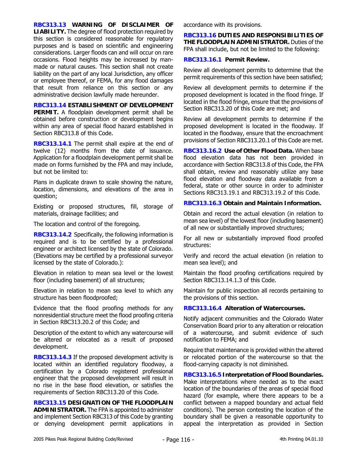**RBC313.13 WARNING OF DISCLAIMER OF LIABILITY.** The degree of flood protection required by this section is considered reasonable for regulatory purposes and is based on scientific and engineering considerations. Larger floods can and will occur on rare occasions. Flood heights may be increased by manmade or natural causes. This section shall not create liability on the part of any local Jurisdiction, any officer or employee thereof, or FEMA, for any flood damages that result from reliance on this section or any administrative decision lawfully made hereunder.

**RBC313.14 ESTABLISHMENT OF DEVELOPMENT PERMIT.** A floodplain development permit shall be obtained before construction or development begins within any area of special flood hazard established in Section RBC313.8 of this Code.

**RBC313.14.1** The permit shall expire at the end of twelve (12) months from the date of issuance. Application for a floodplain development permit shall be made on forms furnished by the FPA and may include, but not be limited to:

Plans in duplicate drawn to scale showing the nature, location, dimensions, and elevations of the area in question;

Existing or proposed structures, fill, storage of materials, drainage facilities; and

The location and control of the foregoing.

**RBC313.14.2** Specifically, the following information is required and is to be certified by a professional engineer or architect licensed by the state of Colorado. (Elevations may be certified by a professional surveyor licensed by the state of Colorado.):

Elevation in relation to mean sea level or the lowest floor (including basement) of all structures;

Elevation in relation to mean sea level to which any structure has been floodproofed;

Evidence that the flood proofing methods for any nonresidential structure meet the flood proofing criteria in Section RBC313.20.2 of this Code; and

Description of the extent to which any watercourse will be altered or relocated as a result of proposed development.

**RBC313.14.3** If the proposed development activity is located within an identified regulatory floodway, a certification by a Colorado registered professional engineer that the proposed development will result in no rise in the base flood elevation, or satisfies the requirements of Section RBC313.20 of this Code.

**RBC313.15 DESIGNATION OF THE FLOODPLAIN ADMINISTRATOR.** The FPA is appointed to administer and implement Section RBC313 of this Code by granting or denying development permit applications in accordance with its provisions.

**RBC313.16 DUTIES AND RESPONSIBILITIES OF THE FLOODPLAIN ADMINISTRATOR.** Duties of the FPA shall include, but not be limited to the following:

#### **RBC313.16.1 Permit Review.**

Review all development permits to determine that the permit requirements of this section have been satisfied;

Review all development permits to determine if the proposed development is located in the flood fringe. If located in the flood fringe, ensure that the provisions of Section RBC313.20 of this Code are met; and

Review all development permits to determine if the proposed development is located in the floodway. If located in the floodway, ensure that the encroachment provisions of Section RBC313.20.1 of this Code are met.

**RBC313.16.2 Use of Other Flood Data.** When base flood elevation data has not been provided in accordance with Section RBC313.8 of this Code, the FPA shall obtain, review and reasonably utilize any base flood elevation and floodway data available from a federal, state or other source in order to administer Sections RBC313.19.1 and RBC313.19.2 of this Code.

### **RBC313.16.3 Obtain and Maintain Information.**

Obtain and record the actual elevation (in relation to mean sea level) of the lowest floor (including basement) of all new or substantially improved structures;

For all new or substantially improved flood proofed structures:

Verify and record the actual elevation (in relation to mean sea level); and

Maintain the flood proofing certifications required by Section RBC313.14.1.3 of this Code.

Maintain for public inspection all records pertaining to the provisions of this section.

#### **RBC313.16.4 Alteration of Watercourses.**

Notify adjacent communities and the Colorado Water Conservation Board prior to any alteration or relocation of a watercourse, and submit evidence of such notification to FEMA; and

Require that maintenance is provided within the altered or relocated portion of the watercourse so that the flood-carrying capacity is not diminished.

**RBC313.16.5 Interpretation of Flood Boundaries.**  Make interpretations where needed as to the exact location of the boundaries of the areas of special flood hazard (for example, where there appears to be a conflict between a mapped boundary and actual field conditions). The person contesting the location of the boundary shall be given a reasonable opportunity to appeal the interpretation as provided in Section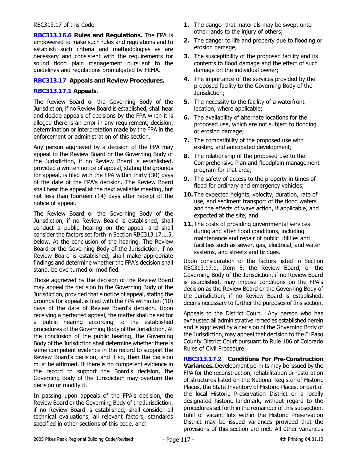#### RBC313.17 of this Code.

**RBC313.16.6 Rules and Regulations.** The FPA is empowered to make such rules and regulations and to establish such criteria and methodologies as are necessary and consistent with the requirements for sound flood plain management pursuant to the guidelines and regulations promulgated by FEMA.

## **RBC313.17 Appeals and Review Procedures.**

## **RBC313.17.1 Appeals.**

The Review Board or the Governing Body of the Jurisdiction, if no Review Board is established, shall hear and decide appeals of decisions by the FPA when it is alleged there is an error in any requirement, decision, determination or interpretation made by the FPA in the enforcement or administration of this section.

Any person aggrieved by a decision of the FPA may appeal to the Review Board or the Governing Body of the Jurisdiction, if no Review Board is established, provided a written notice of appeal, stating the grounds for appeal, is filed with the FPA within thirty (30) days of the date of the FPA's decision. The Review Board shall hear the appeal at the next available meeting, but not less than fourteen (14) days after receipt of the notice of appeal.

The Review Board or the Governing Body of the Jurisdiction, if no Review Board is established, shall conduct a public hearing on the appeal and shall consider the factors set forth in Section RBC313.17.1.5, below. At the conclusion of the hearing, The Review Board or the Governing Body of the Jurisdiction, if no Review Board is established, shall make appropriate findings and determine whether the FPA's decision shall stand, be overturned or modified.

Those aggrieved by the decision of the Review Board may appeal the decision to the Governing Body of the Jurisdiction, provided that a notice of appeal, stating the grounds for appeal, is filed with the FPA within ten (10) days of the date of Review Board's decision. Upon receiving a perfected appeal, the matter shall be set for a public hearing according to the established procedures of the Governing Body of the Jurisdiction. At the conclusion of the public hearing, the Governing Body of the Jurisdiction shall determine whether there is some competent evidence in the record to support the Review Board's decision, and if so, then the decision must be affirmed. If there is no competent evidence in the record to support the Board's decision, the Governing Body of the Jurisdiction may overturn the decision or modify it.

In passing upon appeals of the FPA's decision, the Review Board or the Governing Body of the Jurisdiction, if no Review Board is established, shall consider all technical evaluations, all relevant factors, standards specified in other sections of this code, and:

- **1.** The danger that materials may be swept onto other lands to the injury of others;
- **2.** The danger to life and property due to flooding or erosion damage;
- **3.** The susceptibility of the proposed facility and its contents to flood damage and the effect of such damage on the individual owner;
- **4.** The importance of the services provided by the proposed facility to the Governing Body of the Jurisdiction;
- **5.** The necessity to the facility of a waterfront location, where applicable;
- **6.** The availability of alternate locations for the proposed use, which are not subject to flooding or erosion damage;
- **7.** The compatibility of the proposed use with existing and anticipated development;
- **8.** The relationship of the proposed use to the Comprehensive Plan and floodplain management program for that area;
- **9.** The safety of access to the property in times of flood for ordinary and emergency vehicles;
- **10.** The expected heights, velocity, duration, rate of use, and sediment transport of the flood waters and the effects of wave action, if applicable, and expected at the site; and
- **11.** The costs of providing governmental services during and after flood conditions, including maintenance and repair of public utilities and facilities such as sewer, gas, electrical, and water systems, and streets and bridges.

Upon consideration of the factors listed in Section RBC313.17.1, Item 5, the Review Board, or the Governing Body of the Jurisdiction, if no Review Board is established, may impose conditions on the FPA's decision as the Review Board or the Governing Body of the Jurisdiction, if no Review Board is established, deems necessary to further the purposes of this section.

Appeals to the District Court. Any person who has exhausted all administrative remedies established herein and is aggrieved by a decision of the Governing Body of the Jurisdiction, may appeal that decision to the El Paso County District Court pursuant to Rule 106 of Colorado Rules of Civil Procedure.

**RBC313.17.2 Conditions For Pre-Construction Variances.** Development permits may be issued by the FPA for the reconstruction, rehabilitation or restoration of structures listed on the National Register of Historic Places, the State Inventory of Historic Places, or part of the local Historic Preservation District or a locally designated historic landmark, without regard to the procedures set forth in the remainder of this subsection. Infill of vacant lots within the Historic Preservation District may be issued variances provided that the provisions of this section are met. All other variances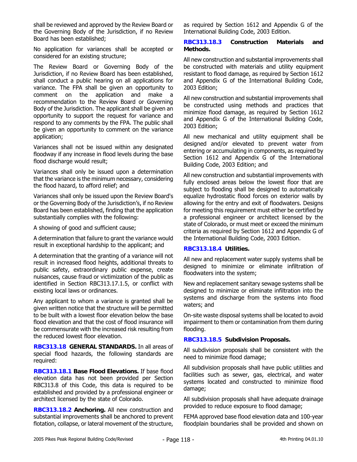shall be reviewed and approved by the Review Board or the Governing Body of the Jurisdiction, if no Review Board has been established;

No application for variances shall be accepted or considered for an existing structure;

The Review Board or Governing Body of the Jurisdiction, if no Review Board has been established, shall conduct a public hearing on all applications for variance. The FPA shall be given an opportunity to comment on the application and make a recommendation to the Review Board or Governing Body of the Jurisdiction. The applicant shall be given an opportunity to support the request for variance and respond to any comments by the FPA. The public shall be given an opportunity to comment on the variance application;

Variances shall not be issued within any designated floodway if any increase in flood levels during the base flood discharge would result;

Variances shall only be issued upon a determination that the variance is the minimum necessary, considering the flood hazard, to afford relief; and

Variances shall only be issued upon the Review Board's or the Governing Body of the Jurisdiction's, if no Review Board has been established, finding that the application substantially complies with the following:

A showing of good and sufficient cause;

A determination that failure to grant the variance would result in exceptional hardship to the applicant; and

A determination that the granting of a variance will not result in increased flood heights, additional threats to public safety, extraordinary public expense, create nuisances, cause fraud or victimization of the public as identified in Section RBC313.17.1.5, or conflict with existing local laws or ordinances.

Any applicant to whom a variance is granted shall be given written notice that the structure will be permitted to be built with a lowest floor elevation below the base flood elevation and that the cost of flood insurance will be commensurate with the increased risk resulting from the reduced lowest floor elevation.

**RBC313.18 GENERAL STANDARDS.** In all areas of special flood hazards, the following standards are required:

**RBC313.18.1 Base Flood Elevations.** If base flood elevation data has not been provided per Section RBC313.8 of this Code, this data is required to be established and provided by a professional engineer or architect licensed by the state of Colorado.

**RBC313.18.2 Anchoring.** All new construction and substantial improvements shall be anchored to prevent flotation, collapse, or lateral movement of the structure,

as required by Section 1612 and Appendix G of the International Building Code, 2003 Edition.

## **RBC313.18.3 Construction Materials and Methods.**

All new construction and substantial improvements shall be constructed with materials and utility equipment resistant to flood damage, as required by Section 1612 and Appendix G of the International Building Code, 2003 Edition;

All new construction and substantial improvements shall be constructed using methods and practices that minimize flood damage, as required by Section 1612 and Appendix G of the International Building Code, 2003 Edition;

All new mechanical and utility equipment shall be designed and/or elevated to prevent water from entering or accumulating in components, as required by Section 1612 and Appendix G of the International Building Code, 2003 Edition; and

All new construction and substantial improvements with fully enclosed areas below the lowest floor that are subject to flooding shall be designed to automatically equalize hydrostatic flood forces on exterior walls by allowing for the entry and exit of floodwaters. Designs for meeting this requirement must either be certified by a professional engineer or architect licensed by the state of Colorado, or must meet or exceed the minimum criteria as required by Section 1612 and Appendix G of the International Building Code, 2003 Edition.

## **RBC313.18.4 Utilities.**

All new and replacement water supply systems shall be designed to minimize or eliminate infiltration of floodwaters into the system;

New and replacement sanitary sewage systems shall be designed to minimize or eliminate infiltration into the systems and discharge from the systems into flood waters; and

On-site waste disposal systems shall be located to avoid impairment to them or contamination from them during flooding.

## **RBC313.18.5 Subdivision Proposals.**

All subdivision proposals shall be consistent with the need to minimize flood damage;

All subdivision proposals shall have public utilities and facilities such as sewer, gas, electrical, and water systems located and constructed to minimize flood damage;

All subdivision proposals shall have adequate drainage provided to reduce exposure to flood damage;

FEMA approved base flood elevation data and 100-year floodplain boundaries shall be provided and shown on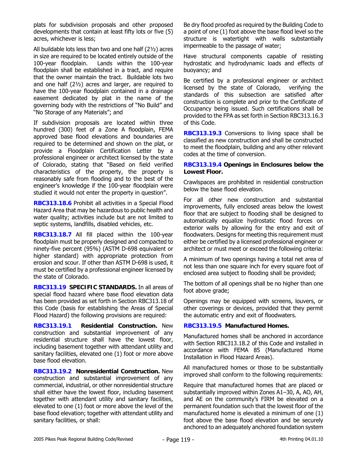plats for subdivision proposals and other proposed developments that contain at least fifty lots or five (5) acres, whichever is less;

All buildable lots less than two and one half (2½) acres in size are required to be located entirely outside of the 100-year floodplain. Lands within the 100-year floodplain shall be established in a tract, and require that the owner maintain the tract. Buildable lots two and one half (2½) acres and larger, are required to have the 100-year floodplain contained in a drainage easement dedicated by plat in the name of the governing body with the restrictions of "No Build" and "No Storage of any Materials"; and

If subdivision proposals are located within three hundred (300) feet of a Zone A floodplain, FEMA approved base flood elevations and boundaries are required to be determined and shown on the plat, or provide a Floodplain Certification Letter by a professional engineer or architect licensed by the state of Colorado, stating that "Based on field verified characteristics of the property, the property is reasonably safe from flooding and to the best of the engineer's knowledge if the 100-year floodplain were studied it would not enter the property in question".

**RBC313.18.6** Prohibit all activities in a Special Flood Hazard Area that may be hazardous to public health and water quality; activities include but are not limited to septic systems, landfills, disabled vehicles, etc.

**RBC313.18.7** All fill placed within the 100-year floodplain must be properly designed and compacted to ninety-five percent (95%) (ASTM D-698 equivalent or higher standard) with appropriate protection from erosion and scour. If other than ASTM D-698 is used, it must be certified by a professional engineer licensed by the state of Colorado.

**RBC313.19 SPECIFIC STANDARDS.** In all areas of special flood hazard where base flood elevation data has been provided as set forth in Section RBC313.18 of this Code (basis for establishing the Areas of Special Flood Hazard) the following provisions are required:

**RBC313.19.1 Residential Construction.** New construction and substantial improvement of any residential structure shall have the lowest floor, including basement together with attendant utility and sanitary facilities, elevated one (1) foot or more above base flood elevation.

**RBC313.19.2 Nonresidential Construction.** New construction and substantial improvement of any commercial, industrial, or other nonresidential structure shall either have the lowest floor, including basement together with attendant utility and sanitary facilities, elevated to one (1) foot or more above the level of the base flood elevation; together with attendant utility and sanitary facilities, or shall:

Be dry flood proofed as required by the Building Code to a point of one (1) foot above the base flood level so the structure is watertight with walls substantially impermeable to the passage of water;

Have structural components capable of resisting hydrostatic and hydrodynamic loads and effects of buoyancy; and

Be certified by a professional engineer or architect licensed by the state of Colorado, verifying the standards of this subsection are satisfied after construction is complete and prior to the Certificate of Occupancy being issued. Such certifications shall be provided to the FPA as set forth in Section RBC313.16.3 of this Code.

**RBC313.19.3** Conversions to living space shall be classified as new construction and shall be constructed to meet the floodplain, building and any other relevant codes at the time of conversion.

### **RBC313.19.4 Openings in Enclosures below the Lowest Floor.**

Crawlspaces are prohibited in residential construction below the base flood elevation.

For all other new construction and substantial improvements, fully enclosed areas below the lowest floor that are subject to flooding shall be designed to automatically equalize hydrostatic flood forces on exterior walls by allowing for the entry and exit of floodwaters. Designs for meeting this requirement must either be certified by a licensed professional engineer or architect or must meet or exceed the following criteria:

A minimum of two openings having a total net area of not less than one square inch for every square foot of enclosed area subject to flooding shall be provided;

The bottom of all openings shall be no higher than one foot above grade;

Openings may be equipped with screens, louvers, or other coverings or devices, provided that they permit the automatic entry and exit of floodwaters.

## **RBC313.19.5 Manufactured Homes.**

Manufactured homes shall be anchored in accordance with Section RBC313.18.2 of this Code and installed in accordance with FEMA 85 (Manufactured Home Installation in Flood Hazard Areas).

All manufactured homes or those to be substantially improved shall conform to the following requirements:

Require that manufactured homes that are placed or substantially improved within Zones A1–30, A, AO, AH, and AE on the community's FIRM be elevated on a permanent foundation such that the lowest floor of the manufactured home is elevated a minimum of one (1) foot above the base flood elevation and be securely anchored to an adequately anchored foundation system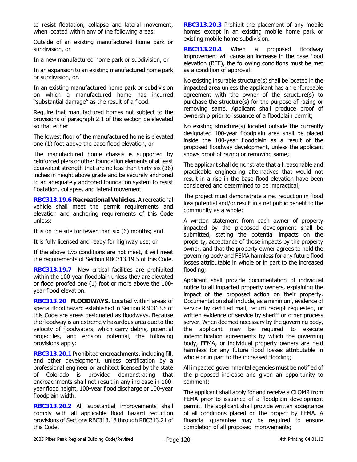to resist floatation, collapse and lateral movement, when located within any of the following areas:

Outside of an existing manufactured home park or subdivision, or

In a new manufactured home park or subdivision, or

In an expansion to an existing manufactured home park or subdivision, or,

In an existing manufactured home park or subdivision on which a manufactured home has incurred ''substantial damage'' as the result of a flood.

Require that manufactured homes not subject to the provisions of paragraph 2.1 of this section be elevated so that either

The lowest floor of the manufactured home is elevated one (1) foot above the base flood elevation, or

The manufactured home chassis is supported by reinforced piers or other foundation elements of at least equivalent strength that are no less than thirty-six (36) inches in height above grade and be securely anchored to an adequately anchored foundation system to resist floatation, collapse, and lateral movement.

**RBC313.19.6 Recreational Vehicles.** A recreational vehicle shall meet the permit requirements and elevation and anchoring requirements of this Code unless:

It is on the site for fewer than six (6) months; and

It is fully licensed and ready for highway use; or

If the above two conditions are not meet, it will meet the requirements of Section RBC313.19.5 of this Code.

**RBC313.19.7** New critical facilities are prohibited within the 100-year floodplain unless they are elevated or flood proofed one (1) foot or more above the 100 year flood elevation.

**RBC313.20 FLOODWAYS.** Located within areas of special flood hazard established in Section RBC313.8 of this Code are areas designated as floodways. Because the floodway is an extremely hazardous area due to the velocity of floodwaters, which carry debris, potential projectiles, and erosion potential, the following provisions apply:

**RBC313.20.1** Prohibited encroachments, including fill, and other development, unless certification by a professional engineer or architect licensed by the state of Colorado is provided demonstrating that encroachments shall not result in any increase in 100 year flood height, 100-year flood discharge or 100-year floodplain width.

**RBC313.20.2** All substantial improvements shall comply with all applicable flood hazard reduction provisions of Sections RBC313.18 through RBC313.21 of this Code.

**RBC313.20.3** Prohibit the placement of any mobile homes except in an existing mobile home park or existing mobile home subdivision.

**RBC313.20.4** When a proposed floodway improvement will cause an increase in the base flood elevation (BFE), the following conditions must be met as a condition of approval:

No existing insurable structure(s) shall be located in the impacted area unless the applicant has an enforceable agreement with the owner of the structure(s) to purchase the structure(s) for the purpose of razing or removing same. Applicant shall produce proof of ownership prior to issuance of a floodplain permit;

No existing structure(s) located outside the currently designated 100-year floodplain area shall be placed inside the 100-year floodplain as a result of the proposed floodway development, unless the applicant shows proof of razing or removing same;

The applicant shall demonstrate that all reasonable and practicable engineering alternatives that would not result in a rise in the base flood elevation have been considered and determined to be impractical;

The project must demonstrate a net reduction in flood loss potential and/or result in a net public benefit to the community as a whole;

A written statement from each owner of property impacted by the proposed development shall be submitted, stating the potential impacts on the property, acceptance of those impacts by the property owner, and that the property owner agrees to hold the governing body and FEMA harmless for any future flood losses attributable in whole or in part to the increased flooding;

Applicant shall provide documentation of individual notice to all impacted property owners, explaining the impact of the proposed action on their property. Documentation shall include, as a minimum, evidence of service by certified mail, return receipt requested, or written evidence of service by sheriff or other process server. When deemed necessary by the governing body, the applicant may be required to execute indemnification agreements by which the governing body, FEMA, or individual property owners are held harmless for any future flood losses attributable in whole or in part to the increased flooding;

All impacted governmental agencies must be notified of the proposed increase and given an opportunity to comment;

The applicant shall apply for and receive a CLOMR from FEMA prior to issuance of a floodplain development permit. The applicant shall provide written acceptance of all conditions placed on the project by FEMA. A financial guarantee may be required to ensure completion of all proposed improvements;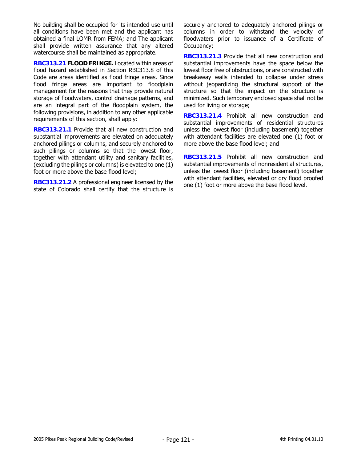No building shall be occupied for its intended use until all conditions have been met and the applicant has obtained a final LOMR from FEMA; and The applicant shall provide written assurance that any altered watercourse shall be maintained as appropriate.

**RBC313.21 FLOOD FRINGE.** Located within areas of flood hazard established in Section RBC313.8 of this Code are areas identified as flood fringe areas. Since flood fringe areas are important to floodplain management for the reasons that they provide natural storage of floodwaters, control drainage patterns, and are an integral part of the floodplain system, the following provisions, in addition to any other applicable requirements of this section, shall apply:

**RBC313.21.1** Provide that all new construction and substantial improvements are elevated on adequately anchored pilings or columns, and securely anchored to such pilings or columns so that the lowest floor, together with attendant utility and sanitary facilities, (excluding the pilings or columns) is elevated to one (1) foot or more above the base flood level;

**RBC313.21.2** A professional engineer licensed by the state of Colorado shall certify that the structure is securely anchored to adequately anchored pilings or columns in order to withstand the velocity of floodwaters prior to issuance of a Certificate of Occupancy;

**RBC313.21.3** Provide that all new construction and substantial improvements have the space below the lowest floor free of obstructions, or are constructed with breakaway walls intended to collapse under stress without jeopardizing the structural support of the structure so that the impact on the structure is minimized. Such temporary enclosed space shall not be used for living or storage;

**RBC313.21.4** Prohibit all new construction and substantial improvements of residential structures unless the lowest floor (including basement) together with attendant facilities are elevated one (1) foot or more above the base flood level; and

**RBC313.21.5** Prohibit all new construction and substantial improvements of nonresidential structures, unless the lowest floor (including basement) together with attendant facilities, elevated or dry flood proofed one (1) foot or more above the base flood level.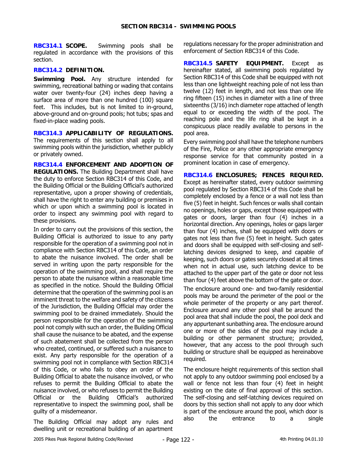**RBC314.1 SCOPE.** Swimming pools shall be regulated in accordance with the provisions of this section.

## **RBC314.2 DEFINITION.**

**Swimming Pool.** Any structure intended for swimming, recreational bathing or wading that contains water over twenty-four (24) inches deep having a surface area of more than one hundred (100) square feet. This includes, but is not limited to in-ground, above-ground and on-ground pools; hot tubs; spas and fixed-in-place wading pools.

**RBC314.3 APPLICABILITY OF REGULATIONS.** The requirements of this section shall apply to all swimming pools within the jurisdiction, whether publicly or privately owned.

**RBC314.4 ENFORCEMENT AND ADOPTION OF REGULATIONS.** The Building Department shall have the duty to enforce Section RBC314 of this Code, and the Building Official or the Building Official's authorized representative, upon a proper showing of credentials, shall have the right to enter any building or premises in which or upon which a swimming pool is located in order to inspect any swimming pool with regard to these provisions.

In order to carry out the provisions of this section, the Building Official is authorized to issue to any party responsible for the operation of a swimming pool not in compliance with Section RBC314 of this Code, an order to abate the nuisance involved. The order shall be served in writing upon the party responsible for the operation of the swimming pool, and shall require the person to abate the nuisance within a reasonable time as specified in the notice. Should the Building Official determine that the operation of the swimming pool is an imminent threat to the welfare and safety of the citizens of the Jurisdiction, the Building Official may order the swimming pool to be drained immediately. Should the person responsible for the operation of the swimming pool not comply with such an order, the Building Official shall cause the nuisance to be abated, and the expense of such abatement shall be collected from the person who created, continued, or suffered such a nuisance to exist. Any party responsible for the operation of a swimming pool not in compliance with Section RBC314 of this Code, or who fails to obey an order of the Building Official to abate the nuisance involved, or who refuses to permit the Building Official to abate the nuisance involved, or who refuses to permit the Building Official or the Building Official's authorized representative to inspect the swimming pool, shall be guilty of a misdemeanor.

The Building Official may adopt any rules and dwelling unit or recreational building of an apartment regulations necessary for the proper administration and enforcement of Section RBC314 of this Code.

**RBC314.5 SAFETY EQUIPMENT.** Except as hereinafter stated, all swimming pools regulated by Section RBC314 of this Code shall be equipped with not less than one lightweight reaching pole of not less than twelve (12) feet in length, and not less than one life ring fifteen (15) inches in diameter with a line of three sixteenths (3/16) inch diameter rope attached of length equal to or exceeding the width of the pool. The reaching pole and the life ring shall be kept in a conspicuous place readily available to persons in the pool area.

Every swimming pool shall have the telephone numbers of the Fire, Police or any other appropriate emergency response service for that community posted in a prominent location in case of emergency.

**RBC314.6 ENCLOSURES; FENCES REQUIRED.** Except as hereinafter stated, every outdoor swimming pool regulated by Section RBC314 of this Code shall be completely enclosed by a fence or a wall not less than five (5) feet in height. Such fences or walls shall contain no openings, holes or gaps, except those equipped with gates or doors, larger than four (4) inches in a horizontal direction. Any openings, holes or gaps larger than four (4) inches, shall be equipped with doors or gates not less than five (5) feet in height. Such gates and doors shall be equipped with self-closing and selflatching devices designed to keep, and capable of keeping, such doors or gates securely closed at all times when not in actual use, such latching device to be attached to the upper part of the gate or door not less than four (4) feet above the bottom of the gate or door.

The enclosure around one- and two-family residential pools may be around the perimeter of the pool or the whole perimeter of the property or any part thereof. Enclosure around any other pool shall be around the pool area that shall include the pool, the pool deck and any appurtenant sunbathing area. The enclosure around one or more of the sides of the pool may include a building or other permanent structure; provided, however, that any access to the pool through such building or structure shall be equipped as hereinabove required.

The enclosure height requirements of this section shall not apply to any outdoor swimming pool enclosed by a wall or fence not less than four (4) feet in height existing on the date of final approval of this section. The self-closing and self-latching devices required on doors by this section shall not apply to any door which is part of the enclosure around the pool, which door is also the entrance to a single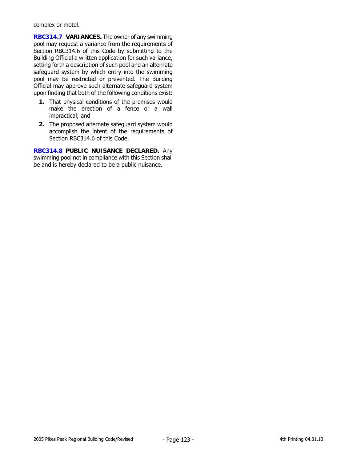complex or motel.

**RBC314.7 VARIANCES.** The owner of any swimming pool may request a variance from the requirements of Section RBC314.6 of this Code by submitting to the Building Official a written application for such variance, setting forth a description of such pool and an alternate safeguard system by which entry into the swimming pool may be restricted or prevented. The Building Official may approve such alternate safeguard system upon finding that both of the following conditions exist:

- **1.** That physical conditions of the premises would make the erection of a fence or a wall impractical; and
- **2.** The proposed alternate safeguard system would accomplish the intent of the requirements of Section RBC314.6 of this Code.

**RBC314.8 PUBLIC NUISANCE DECLARED.** Any swimming pool not in compliance with this Section shall be and is hereby declared to be a public nuisance.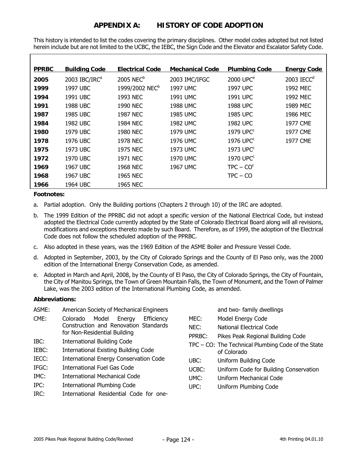# **APPENDIX A: HISTORY OF CODE ADOPTION**

This history is intended to list the codes covering the primary disciplines. Other model codes adopted but not listed herein include but are not limited to the UCBC, the IEBC, the Sign Code and the Elevator and Escalator Safety Code.

| <b>PPRBC</b> | <b>Building Code</b>      | <b>Electrical Code</b>     | <b>Mechanical Code</b> | <b>Plumbing Code</b>  | <b>Energy Code</b>       |
|--------------|---------------------------|----------------------------|------------------------|-----------------------|--------------------------|
| 2005         | 2003 IBC/IRC <sup>a</sup> | 2005 NEC <sup>b</sup>      | 2003 IMC/IFGC          | 2000 UPC <sup>e</sup> | $2003$ IECC <sup>d</sup> |
| 1999         | 1997 UBC                  | 1999/2002 NEC <sup>b</sup> | 1997 UMC               | 1997 UPC              | 1992 MEC                 |
| 1994         | 1991 UBC                  | 1993 NEC                   | 1991 UMC               | 1991 UPC              | 1992 MEC                 |
| 1991         | 1988 UBC                  | 1990 NEC                   | 1988 UMC               | 1988 UPC              | 1989 MEC                 |
| 1987         | 1985 UBC                  | 1987 NEC                   | 1985 UMC               | 1985 UPC              | 1986 MEC                 |
| 1984         | 1982 UBC                  | 1984 NEC                   | 1982 UMC               | 1982 UPC              | 1977 CME                 |
| 1980         | 1979 UBC                  | 1980 NEC                   | 1979 UMC               | $1979$ UPC $c$        | 1977 CME                 |
| 1978         | 1976 UBC                  | 1978 NEC                   | 1976 UMC               | 1976 UPC <sup>c</sup> | 1977 CME                 |
| 1975         | 1973 UBC                  | 1975 NEC                   | 1973 UMC               | 1973 UPC <sup>c</sup> |                          |
| 1972         | 1970 UBC                  | 1971 NEC                   | 1970 UMC               | 1970 UPC <sup>c</sup> |                          |
| 1969         | 1967 UBC                  | 1968 NEC                   | 1967 UMC               | $TPC - COc$           |                          |
| 1968         | 1967 UBC                  | <b>1965 NEC</b>            |                        | $TPC - CO$            |                          |
| 1966         | 1964 UBC                  | <b>1965 NEC</b>            |                        |                       |                          |

#### **Footnotes:**

- a. Partial adoption. Only the Building portions (Chapters 2 through 10) of the IRC are adopted.
- b. The 1999 Edition of the PPRBC did not adopt a specific version of the National Electrical Code, but instead adopted the Electrical Code currently adopted by the State of Colorado Electrical Board along will all revisions, modifications and exceptions thereto made by such Board. Therefore, as of 1999, the adoption of the Electrical Code does not follow the scheduled adoption of the PPRBC.
- c. Also adopted in these years, was the 1969 Edition of the ASME Boiler and Pressure Vessel Code.
- d. Adopted in September, 2003, by the City of Colorado Springs and the County of El Paso only, was the 2000 edition of the International Energy Conservation Code, as amended.
- e. Adopted in March and April, 2008, by the County of El Paso, the City of Colorado Springs, the City of Fountain, the City of Manitou Springs, the Town of Green Mountain Falls, the Town of Monument, and the Town of Palmer Lake, was the 2003 edition of the International Plumbing Code, as amended.

#### **Abbreviations:**

- ASME: American Society of Mechanical Engineers CME: Colorado Model Energy Efficiency Construction and Renovation Standards for Non-Residential Building
- IBC: International Building Code
- IEBC: International Existing Building Code
- IECC: International Energy Conservation Code
- IFGC: International Fuel Gas Code
- IMC: International Mechanical Code
- IPC: International Plumbing Code
- IRC: International Residential Code for one-

|        | and two- family dwellings                                         |
|--------|-------------------------------------------------------------------|
| MEC:   | Model Energy Code                                                 |
| NEC:   | National Flectrical Code                                          |
| PPRBC: | Pikes Peak Regional Building Code                                 |
|        | TPC – CO: The Technical Plumbing Code of the State<br>of Colorado |
| UBC:   | Uniform Building Code                                             |
| UCBC:  | Uniform Code for Building Conservation                            |
| UMC:   | Uniform Mechanical Code                                           |
| UPC:   | Uniform Plumbing Code                                             |
|        |                                                                   |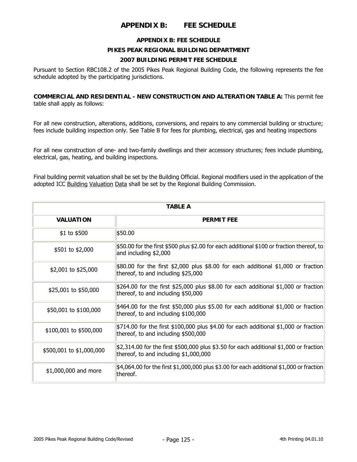# **APPENDIX B: FEE SCHEDULE**

### **APPENDIX B: FEE SCHEDULE**

## **PIKES PEAK REGIONAL BUILDING DEPARTMENT**

## **2007 BUILDING PERMIT FEE SCHEDULE**

Pursuant to Section RBC108.2 of the 2005 Pikes Peak Regional Building Code, the following represents the fee schedule adopted by the participating jurisdictions.

**COMMERCIAL AND RESIDENTIAL - NEW CONSTRUCTION AND ALTERATION TABLE A:** This permit fee table shall apply as follows:

For all new construction, alterations, additions, conversions, and repairs to any commercial building or structure; fees include building inspection only. See Table B for fees for plumbing, electrical, gas and heating inspections

For all new construction of one- and two-family dwellings and their accessory structures; fees include plumbing, electrical, gas, heating, and building inspections.

Final building permit valuation shall be set by the Building Official. Regional modifiers used in the application of the adopted ICC Building Valuation Data shall be set by the Regional Building Commission.

| <b>TABLE A</b>           |                                                                                                                                     |  |
|--------------------------|-------------------------------------------------------------------------------------------------------------------------------------|--|
| <b>VALUATION</b>         | <b>PERMIT FEE</b>                                                                                                                   |  |
| \$1 to \$500             | \$50.00                                                                                                                             |  |
| \$501 to \$2,000         | \$50.00 for the first \$500 plus \$2.00 for each additional \$100 or fraction thereof, to<br>and including \$2,000                  |  |
| \$2,001 to \$25,000      | $$80.00$ for the first $$2,000$ plus $$8.00$ for each additional $$1,000$ or fraction<br>thereof, to and including \$25,000         |  |
| \$25,001 to \$50,000     | \$264.00 for the first \$25,000 plus \$8.00 for each additional \$1,000 or fraction<br>thereof, to and including \$50,000           |  |
| \$50,001 to \$100,000    | $$464.00$ for the first $$50,000$ plus $$5.00$ for each additional $$1,000$ or fraction<br>thereof, to and including \$100,000      |  |
| \$100,001 to \$500,000   | $$714.00$ for the first \$100,000 plus \$4.00 for each additional \$1,000 or fraction<br>thereof, to and including \$500,000        |  |
| \$500,001 to \$1,000,000 | $$2,314.00$ for the first $$500,000$ plus $$3.50$ for each additional $$1,000$ or fraction<br>thereof, to and including \$1,000,000 |  |
| \$1,000,000 and more     | $$4,064.00$ for the first $$1,000,000$ plus \$3.00 for each additional \$1,000 or fraction<br>thereof.                              |  |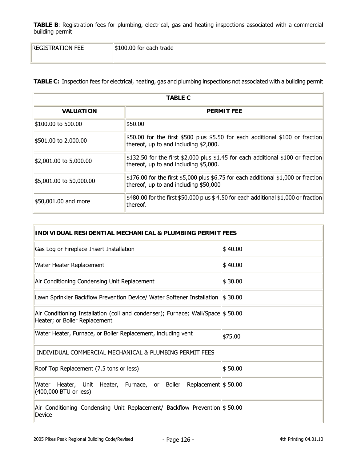| <b>REGISTRATION FEE</b> | $\parallel$ \$100.00 for each trade |
|-------------------------|-------------------------------------|
|                         |                                     |

**TABLE C:** Inspection fees for electrical, heating, gas and plumbing inspections not associated with a building permit

| <b>TABLE C</b>                        |                                                                                                                                        |  |
|---------------------------------------|----------------------------------------------------------------------------------------------------------------------------------------|--|
| <b>VALUATION</b><br><b>PERMIT FEE</b> |                                                                                                                                        |  |
| $$100.00$ to 500.00                   | \$50.00                                                                                                                                |  |
| \$501.00 to 2,000.00                  | $$50.00$ for the first \$500 plus \$5.50 for each additional \$100 or fraction<br>thereof, up to and including \$2,000.                |  |
| $ $2,001.00$ to 5,000.00              | $$132.50$ for the first \$2,000 plus \$1.45 for each additional \$100 or fraction<br>thereof, up to and including \$5,000.             |  |
| \$5,001.00 to 50,000.00               | $\frac{1}{2}176.00$ for the first \$5,000 plus \$6.75 for each additional \$1,000 or fraction<br>thereof, up to and including \$50,000 |  |
| \$50,001.00 and more                  | $\frac{1}{2}480.00$ for the first \$50,000 plus \$4.50 for each additional \$1,000 or fraction<br>thereof.                             |  |

| INDIVIDUAL RESIDENTIAL MECHANICAL & PLUMBING PERMIT FEES                                                          |                     |  |
|-------------------------------------------------------------------------------------------------------------------|---------------------|--|
| Gas Log or Fireplace Insert Installation                                                                          | \$40.00             |  |
| Water Heater Replacement                                                                                          | \$40.00             |  |
| Air Conditioning Condensing Unit Replacement                                                                      | \$30.00             |  |
| Lawn Sprinkler Backflow Prevention Device/ Water Softener Installation                                            | $\frac{1}{2}$ 30.00 |  |
| Air Conditioning Installation (coil and condenser); Furnace; Wall/Space \$ 50.00<br>Heater; or Boiler Replacement |                     |  |
| Water Heater, Furnace, or Boiler Replacement, including vent                                                      | \$75.00             |  |
| INDIVIDUAL COMMERCIAL MECHANICAL & PLUMBING PERMIT FEES                                                           |                     |  |
| Roof Top Replacement (7.5 tons or less)                                                                           | \$50.00             |  |
| Water<br>Heater, Unit Heater, Furnace, or Boiler Replacement \$50.00<br>(400,000 BTU or less)                     |                     |  |
| Air Conditioning Condensing Unit Replacement/ Backflow Prevention \$50.00<br>Device                               |                     |  |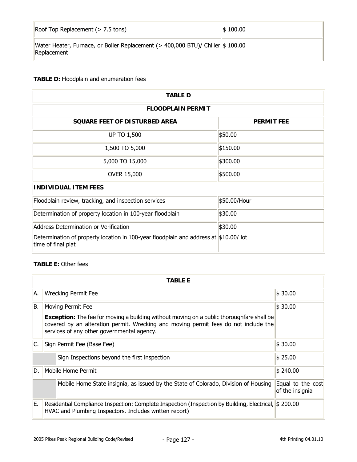| Roof Top Replacement $(> 7.5$ tons)                                                            | $\frac{1}{2}$ 100.00 |
|------------------------------------------------------------------------------------------------|----------------------|
| Water Heater, Furnace, or Boiler Replacement (> 400,000 BTU)/ Chiller \$ 100.00<br>Replacement |                      |

# **TABLE D:** Floodplain and enumeration fees

| <b>TABLE D</b>                                                                                                |                   |  |
|---------------------------------------------------------------------------------------------------------------|-------------------|--|
| <b>FLOODPLAIN PERMIT</b>                                                                                      |                   |  |
| SQUARE FEET OF DISTURBED AREA                                                                                 | <b>PERMIT FEE</b> |  |
| <b>UP TO 1,500</b>                                                                                            | \$50.00           |  |
| 1,500 TO 5,000                                                                                                | \$150.00          |  |
| 5,000 TO 15,000                                                                                               | \$300.00          |  |
| <b>OVER 15,000</b>                                                                                            | \$500.00          |  |
| <b>INDIVIDUAL ITEM FEES</b>                                                                                   |                   |  |
| Floodplain review, tracking, and inspection services                                                          | \$50.00/Hour      |  |
| Determination of property location in 100-year floodplain                                                     | \$30.00           |  |
| Address Determination or Verification                                                                         | \$30.00           |  |
| Determination of property location in 100-year floodplain and address at $ $10.00/$ lot<br>time of final plat |                   |  |

## **TABLE E:** Other fees

|     | <b>TABLE E</b>                                                                                                                                                                                                                     |                                      |
|-----|------------------------------------------------------------------------------------------------------------------------------------------------------------------------------------------------------------------------------------|--------------------------------------|
| A.  | <b>Wrecking Permit Fee</b>                                                                                                                                                                                                         | \$30.00                              |
| B.  | $\frac{1}{2}30.00$<br>Moving Permit Fee<br><b>Exception:</b> The fee for moving a building without moving on a public thoroughfare shall be<br>covered by an alteration permit. Wrecking and moving permit fees do not include the |                                      |
|     | services of any other governmental agency.                                                                                                                                                                                         |                                      |
| IC. | Sign Permit Fee (Base Fee)                                                                                                                                                                                                         | \$30.00                              |
|     | Sign Inspections beyond the first inspection                                                                                                                                                                                       | \$25.00                              |
| ID. | Mobile Home Permit                                                                                                                                                                                                                 | $\frac{1}{2}$ 240.00                 |
|     | Mobile Home State insignia, as issued by the State of Colorado, Division of Housing                                                                                                                                                | Equal to the cost<br>of the insignia |
| E.  | Residential Compliance Inspection: Complete Inspection (Inspection by Building, Electrical, \$200.00<br>HVAC and Plumbing Inspectors. Includes written report)                                                                     |                                      |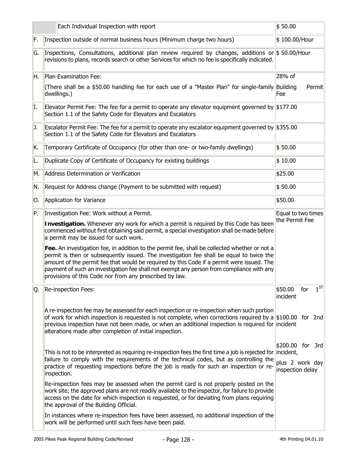|     | Each Individual Inspection with report                                                                                                                                                                                                                                                                                                                                                                                                                                                                                                                                                                                                                                                                                       | \$50.00                                                 |
|-----|------------------------------------------------------------------------------------------------------------------------------------------------------------------------------------------------------------------------------------------------------------------------------------------------------------------------------------------------------------------------------------------------------------------------------------------------------------------------------------------------------------------------------------------------------------------------------------------------------------------------------------------------------------------------------------------------------------------------------|---------------------------------------------------------|
| F.  | Inspection outside of normal business hours (Minimum charge two hours)                                                                                                                                                                                                                                                                                                                                                                                                                                                                                                                                                                                                                                                       | \$100.00/Hour                                           |
| G.  | Inspections, Consultations, additional plan review required by changes, additions or \$50.00/Hour<br>revisions to plans, records search or other Services for which no fee is specifically indicated.                                                                                                                                                                                                                                                                                                                                                                                                                                                                                                                        |                                                         |
| H.  | Plan Examination Fee:                                                                                                                                                                                                                                                                                                                                                                                                                                                                                                                                                                                                                                                                                                        | 28% of                                                  |
|     | (There shall be a \$50.00 handling fee for each use of a "Master Plan" for single-family Building<br>dwellings.)                                                                                                                                                                                                                                                                                                                                                                                                                                                                                                                                                                                                             | Permit<br>Fee                                           |
| I.  | Elevator Permit Fee: The fee for a permit to operate any elevator equipment governed by \$177.00<br>Section 1.1 of the Safety Code for Elevators and Escalators                                                                                                                                                                                                                                                                                                                                                                                                                                                                                                                                                              |                                                         |
| IJ. | Escalator Permit Fee: The fee for a permit to operate any escalator equipment governed by \$355.00<br>Section 1.1 of the Safety Code for Elevators and Escalators                                                                                                                                                                                                                                                                                                                                                                                                                                                                                                                                                            |                                                         |
| K.  | Temporary Certificate of Occupancy (for other than one- or two-family dwellings)                                                                                                                                                                                                                                                                                                                                                                                                                                                                                                                                                                                                                                             | \$50.00                                                 |
| L.  | Duplicate Copy of Certificate of Occupancy for existing buildings                                                                                                                                                                                                                                                                                                                                                                                                                                                                                                                                                                                                                                                            | \$10.00                                                 |
| M.  | Address Determination or Verification                                                                                                                                                                                                                                                                                                                                                                                                                                                                                                                                                                                                                                                                                        | \$25.00                                                 |
| N.  | Request for Address change (Payment to be submitted with request)                                                                                                                                                                                                                                                                                                                                                                                                                                                                                                                                                                                                                                                            | \$50.00                                                 |
| Ю.  | Application for Variance                                                                                                                                                                                                                                                                                                                                                                                                                                                                                                                                                                                                                                                                                                     | \$50.00                                                 |
| P.  | Investigation Fee: Work without a Permit.<br>Investigation. Whenever any work for which a permit is required by this Code has been<br>commenced without first obtaining said permit, a special investigation shall be made before<br>a permit may be issued for such work.<br>Fee. An investigation fee, in addition to the permit fee, shall be collected whether or not a<br>permit is then or subsequently issued. The investigation fee shall be equal to twice the<br>amount of the permit fee that would be required by this Code if a permit were issued. The<br>payment of such an investigation fee shall not exempt any person from compliance with any<br>provisions of this Code nor from any prescribed by law. | Equal to two times<br>the Permit Fee                    |
| Q.  | Re-inspection Fees:                                                                                                                                                                                                                                                                                                                                                                                                                                                                                                                                                                                                                                                                                                          | $1^{ST}$<br>\$50.00<br>for<br>incident                  |
|     | A re-inspection fee may be assessed for each inspection or re-inspection when such portion<br>of work for which inspection is requested is not complete, when corrections required by $a \approx 100.00$ for 2nd<br>previous inspection have not been made, or when an additional inspection is required for incident<br>alterations made after completion of initial inspection.                                                                                                                                                                                                                                                                                                                                            |                                                         |
|     | This is not to be interpreted as requiring re-inspection fees the first time a job is rejected for incident,<br>failure to comply with the requirements of the technical codes, but as controlling the<br>practice of requesting inspections before the job is ready for such an inspection or re-<br>inspection.                                                                                                                                                                                                                                                                                                                                                                                                            | \$200.00 for 3rd<br>plus 2 work day<br>inspection delay |
|     | Re-inspection fees may be assessed when the permit card is not properly posted on the<br>work site; the approved plans are not readily available to the inspector, for failure to provide<br>access on the date for which inspection is requested, or for deviating from plans requiring<br>the approval of the Building Official.                                                                                                                                                                                                                                                                                                                                                                                           |                                                         |
|     | In instances where re-inspection fees have been assessed, no additional inspection of the<br>work will be performed until such fees have been paid.                                                                                                                                                                                                                                                                                                                                                                                                                                                                                                                                                                          |                                                         |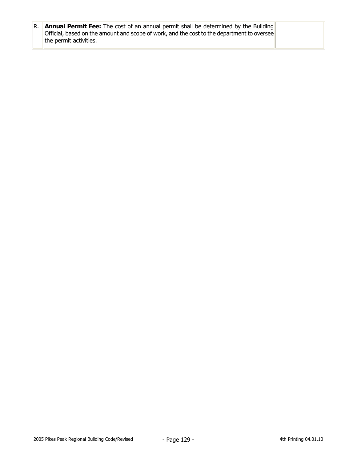| $\mathbb R$ . <b>Annual Permit Fee:</b> The cost of an annual permit shall be determined by the Building<br>  Official, based on the amount and scope of work, and the cost to the department to oversee |  |
|----------------------------------------------------------------------------------------------------------------------------------------------------------------------------------------------------------|--|
| the permit activities.                                                                                                                                                                                   |  |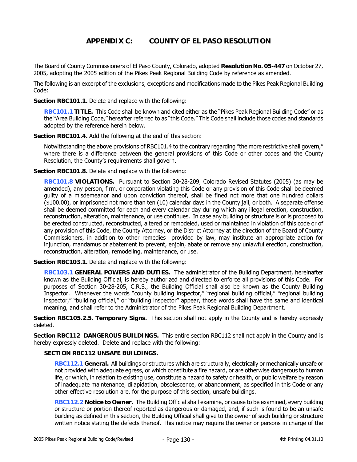# **APPENDIX C: COUNTY OF EL PASO RESOLUTION**

The Board of County Commissioners of El Paso County, Colorado, adopted **Resolution No. 05-447** on October 27, 2005, adopting the 2005 edition of the Pikes Peak Regional Building Code by reference as amended.

The following is an excerpt of the exclusions, exceptions and modifications made to the Pikes Peak Regional Building Code:

**Section RBC101.1.** Delete and replace with the following:

**RBC101.1 TITLE.** This Code shall be known and cited either as the "Pikes Peak Regional Building Code" or as the "Area Building Code," hereafter referred to as "this Code." This Code shall include those codes and standards adopted by the reference herein below.

**Section RBC101.4.** Add the following at the end of this section:

Notwithstanding the above provisions of RBC101.4 to the contrary regarding "the more restrictive shall govern," where there is a difference between the general provisions of this Code or other codes and the County Resolution, the County's requirements shall govern.

**Section RBC101.8.** Delete and replace with the following:

**RBC101.8 VIOLATIONS.** Pursuant to Section 30-28-209, Colorado Revised Statutes (2005) (as may be amended), any person, firm, or corporation violating this Code or any provision of this Code shall be deemed guilty of a misdemeanor and upon conviction thereof, shall be fined not more that one hundred dollars (\$100.00), or imprisoned not more than ten (10) calendar days in the County jail, or both. A separate offense shall be deemed committed for each and every calendar day during which any illegal erection, construction, reconstruction, alteration, maintenance, or use continues. In case any building or structure is or is proposed to be erected constructed, reconstructed, altered or remodeled, used or maintained in violation of this code or of any provision of this Code, the County Attorney, or the District Attorney at the direction of the Board of County Commissioners, in addition to other remedies provided by law, may institute an appropriate action for injunction, mandamus or abatement to prevent, enjoin, abate or remove any unlawful erection, construction, reconstruction, alteration, remodeling, maintenance, or use.

**Section RBC103.1.** Delete and replace with the following:

**RBC103.1 GENERAL POWERS AND DUTIES.** The administrator of the Building Department, hereinafter known as the Building Official, is hereby authorized and directed to enforce all provisions of this Code. For purposes of Section 30-28-205, C.R.S., the Building Official shall also be known as the County Building Inspector. Whenever the words "county building inspector," "regional building official," "regional building inspector," "building official," or "building inspector" appear, those words shall have the same and identical meaning, and shall refer to the Administrator of the Pikes Peak Regional Building Department.

**Section RBC105.2.5. Temporary Signs.** This section shall not apply in the County and is hereby expressly deleted.

**Section RBC112 DANGEROUS BUILDINGS.** This entire section RBC112 shall not apply in the County and is hereby expressly deleted. Delete and replace with the following:

## **SECTION RBC112 UNSAFE BUILDINGS.**

**RBC112.1 General.** All buildings or structures which are structurally, electrically or mechanically unsafe or not provided with adequate egress, or which constitute a fire hazard, or are otherwise dangerous to human life, or which, in relation to existing use, constitute a hazard to safety or health, or public welfare by reason of inadequate maintenance, dilapidation, obsolescence, or abandonment, as specified in this Code or any other effective resolution are, for the purpose of this section, unsafe buildings.

**RBC112.2 Notice to Owner.** The Building Official shall examine, or cause to be examined, every building or structure or portion thereof reported as dangerous or damaged, and, if such is found to be an unsafe building as defined in this section, the Building Official shall give to the owner of such building or structure written notice stating the defects thereof. This notice may require the owner or persons in charge of the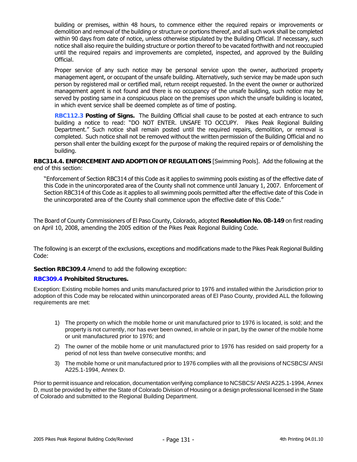building or premises, within 48 hours, to commence either the required repairs or improvements or demolition and removal of the building or structure or portions thereof, and all such work shall be completed within 90 days from date of notice, unless otherwise stipulated by the Building Official. If necessary, such notice shall also require the building structure or portion thereof to be vacated forthwith and not reoccupied until the required repairs and improvements are completed, inspected, and approved by the Building Official.

Proper service of any such notice may be personal service upon the owner, authorized property management agent, or occupant of the unsafe building. Alternatively, such service may be made upon such person by registered mail or certified mail, return receipt requested. In the event the owner or authorized management agent is not found and there is no occupancy of the unsafe building, such notice may be served by posting same in a conspicuous place on the premises upon which the unsafe building is located, in which event service shall be deemed complete as of time of posting.

**RBC112.3 Posting of Signs.** The Building Official shall cause to be posted at each entrance to such building a notice to read: "DO NOT ENTER. UNSAFE TO OCCUPY. Pikes Peak Regional Building Department." Such notice shall remain posted until the required repairs, demolition, or removal is completed. Such notice shall not be removed without the written permission of the Building Official and no person shall enter the building except for the purpose of making the required repairs or of demolishing the building.

**RBC314.4. ENFORCEMENT AND ADOPTION OF REGULATIONS** [Swimming Pools]. Add the following at the end of this section:

"Enforcement of Section RBC314 of this Code as it applies to swimming pools existing as of the effective date of this Code in the unincorporated area of the County shall not commence until January 1, 2007. Enforcement of Section RBC314 of this Code as it applies to all swimming pools permitted after the effective date of this Code in the unincorporated area of the County shall commence upon the effective date of this Code."

The Board of County Commissioners of El Paso County, Colorado, adopted **Resolution No. 08-149** on first reading on April 10, 2008, amending the 2005 edition of the Pikes Peak Regional Building Code.

The following is an excerpt of the exclusions, exceptions and modifications made to the Pikes Peak Regional Building Code:

**Section RBC309.4** Amend to add the following exception:

#### **RBC309.4 Prohibited Structures.**

Exception: Existing mobile homes and units manufactured prior to 1976 and installed within the Jurisdiction prior to adoption of this Code may be relocated within unincorporated areas of El Paso County, provided ALL the following requirements are met:

- 1) The property on which the mobile home or unit manufactured prior to 1976 is located, is sold; and the property is not currently, nor has ever been owned, in whole or in part, by the owner of the mobile home or unit manufactured prior to 1976; and
- 2) The owner of the mobile home or unit manufactured prior to 1976 has resided on said property for a period of not less than twelve consecutive months; and
- 3) The mobile home or unit manufactured prior to 1976 complies with all the provisions of NCSBCS/ ANSI A225.1-1994, Annex D.

Prior to permit issuance and relocation, documentation verifying compliance to NCSBCS/ ANSI A225.1-1994, Annex D, must be provided by either the State of Colorado Division of Housing or a design professional licensed in the State of Colorado and submitted to the Regional Building Department.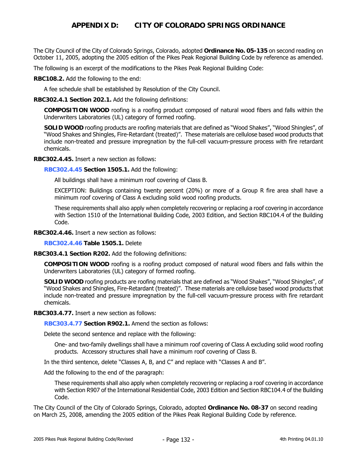## **APPENDIX D: CITY OF COLORADO SPRINGS ORDINANCE**

The City Council of the City of Colorado Springs, Colorado, adopted **Ordinance No. 05-135** on second reading on October 11, 2005, adopting the 2005 edition of the Pikes Peak Regional Building Code by reference as amended.

The following is an excerpt of the modifications to the Pikes Peak Regional Building Code:

**RBC108.2.** Add the following to the end:

A fee schedule shall be established by Resolution of the City Council.

**RBC302.4.1 Section 202.1.** Add the following definitions:

**COMPOSITION WOOD** roofing is a roofing product composed of natural wood fibers and falls within the Underwriters Laboratories (UL) category of formed roofing.

**SOLID WOOD** roofing products are roofing materials that are defined as "Wood Shakes", "Wood Shingles", of "Wood Shakes and Shingles, Fire-Retardant (treated)". These materials are cellulose based wood products that include non-treated and pressure impregnation by the full-cell vacuum-pressure process with fire retardant chemicals.

**RBC302.4.45.** Insert a new section as follows:

**RBC302.4.45 Section 1505.1.** Add the following:

All buildings shall have a minimum roof covering of Class B.

EXCEPTION: Buildings containing twenty percent (20%) or more of a Group R fire area shall have a minimum roof covering of Class A excluding solid wood roofing products.

These requirements shall also apply when completely recovering or replacing a roof covering in accordance with Section 1510 of the International Building Code, 2003 Edition, and Section RBC104.4 of the Building Code.

**RBC302.4.46.** Insert a new section as follows:

**RBC302.4.46 Table 1505.1.** Delete

**RBC303.4.1 Section R202.** Add the following definitions:

**COMPOSITION WOOD** roofing is a roofing product composed of natural wood fibers and falls within the Underwriters Laboratories (UL) category of formed roofing.

**SOLID WOOD** roofing products are roofing materials that are defined as "Wood Shakes", "Wood Shingles", of "Wood Shakes and Shingles, Fire-Retardant (treated)". These materials are cellulose based wood products that include non-treated and pressure impregnation by the full-cell vacuum-pressure process with fire retardant chemicals.

**RBC303.4.77.** Insert a new section as follows:

**RBC303.4.77 Section R902.1.** Amend the section as follows:

Delete the second sentence and replace with the following:

One- and two-family dwellings shall have a minimum roof covering of Class A excluding solid wood roofing products. Accessory structures shall have a minimum roof covering of Class B.

In the third sentence, delete "Classes A, B, and C" and replace with "Classes A and B".

Add the following to the end of the paragraph:

These requirements shall also apply when completely recovering or replacing a roof covering in accordance with Section R907 of the International Residential Code, 2003 Edition and Section RBC104.4 of the Building Code.

The City Council of the City of Colorado Springs, Colorado, adopted **Ordinance No. 08-37** on second reading on March 25, 2008, amending the 2005 edition of the Pikes Peak Regional Building Code by reference.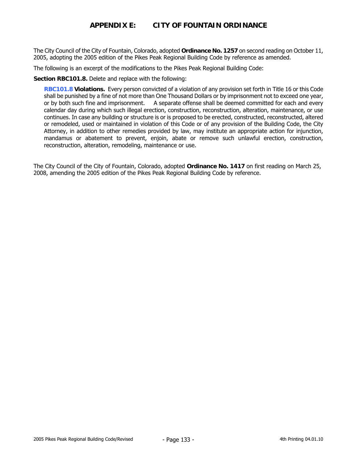# **APPENDIX E: CITY OF FOUNTAIN ORDINANCE**

The City Council of the City of Fountain, Colorado, adopted **Ordinance No. 1257** on second reading on October 11, 2005, adopting the 2005 edition of the Pikes Peak Regional Building Code by reference as amended.

The following is an excerpt of the modifications to the Pikes Peak Regional Building Code:

**Section RBC101.8.** Delete and replace with the following:

**RBC101.8 Violations.** Every person convicted of a violation of any provision set forth in Title 16 or this Code shall be punished by a fine of not more than One Thousand Dollars or by imprisonment not to exceed one year, or by both such fine and imprisonment. A separate offense shall be deemed committed for each and every calendar day during which such illegal erection, construction, reconstruction, alteration, maintenance, or use continues. In case any building or structure is or is proposed to be erected, constructed, reconstructed, altered or remodeled, used or maintained in violation of this Code or of any provision of the Building Code, the City Attorney, in addition to other remedies provided by law, may institute an appropriate action for injunction, mandamus or abatement to prevent, enjoin, abate or remove such unlawful erection, construction, reconstruction, alteration, remodeling, maintenance or use.

The City Council of the City of Fountain, Colorado, adopted **Ordinance No. 1417** on first reading on March 25, 2008, amending the 2005 edition of the Pikes Peak Regional Building Code by reference.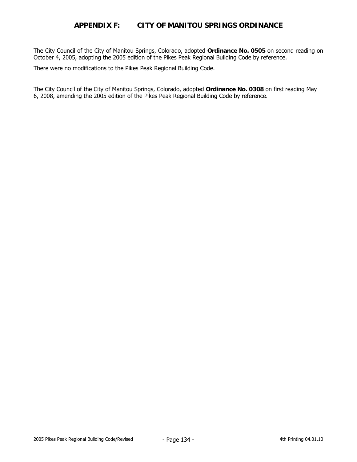## **APPENDIX F: CITY OF MANITOU SPRINGS ORDINANCE**

The City Council of the City of Manitou Springs, Colorado, adopted **Ordinance No. 0505** on second reading on October 4, 2005, adopting the 2005 edition of the Pikes Peak Regional Building Code by reference.

There were no modifications to the Pikes Peak Regional Building Code.

The City Council of the City of Manitou Springs, Colorado, adopted **Ordinance No. 0308** on first reading May 6, 2008, amending the 2005 edition of the Pikes Peak Regional Building Code by reference.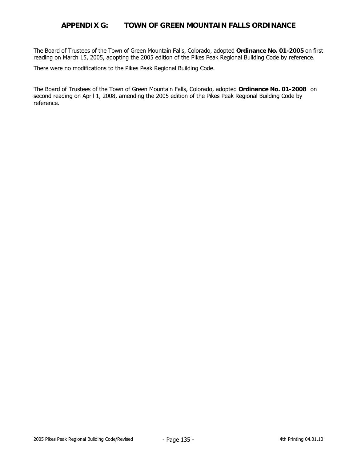## **APPENDIX G: TOWN OF GREEN MOUNTAIN FALLS ORDINANCE**

The Board of Trustees of the Town of Green Mountain Falls, Colorado, adopted **Ordinance No. 01-2005** on first reading on March 15, 2005, adopting the 2005 edition of the Pikes Peak Regional Building Code by reference.

There were no modifications to the Pikes Peak Regional Building Code.

The Board of Trustees of the Town of Green Mountain Falls, Colorado, adopted **Ordinance No. 01-2008** on second reading on April 1, 2008, amending the 2005 edition of the Pikes Peak Regional Building Code by reference.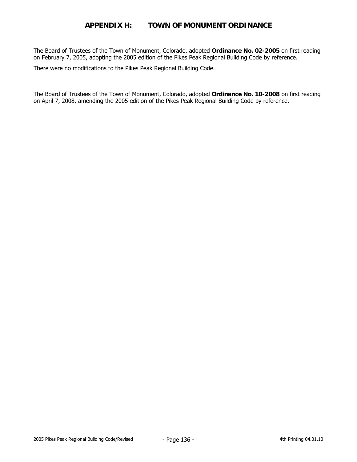## **APPENDIX H: TOWN OF MONUMENT ORDINANCE**

The Board of Trustees of the Town of Monument, Colorado, adopted **Ordinance No. 02-2005** on first reading on February 7, 2005, adopting the 2005 edition of the Pikes Peak Regional Building Code by reference.

There were no modifications to the Pikes Peak Regional Building Code.

The Board of Trustees of the Town of Monument, Colorado, adopted **Ordinance No. 10-2008** on first reading on April 7, 2008, amending the 2005 edition of the Pikes Peak Regional Building Code by reference.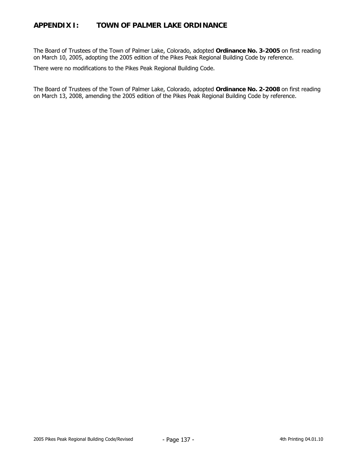# **APPENDIX I: TOWN OF PALMER LAKE ORDINANCE**

The Board of Trustees of the Town of Palmer Lake, Colorado, adopted **Ordinance No. 3-2005** on first reading on March 10, 2005, adopting the 2005 edition of the Pikes Peak Regional Building Code by reference.

There were no modifications to the Pikes Peak Regional Building Code.

The Board of Trustees of the Town of Palmer Lake, Colorado, adopted **Ordinance No. 2-2008** on first reading on March 13, 2008, amending the 2005 edition of the Pikes Peak Regional Building Code by reference.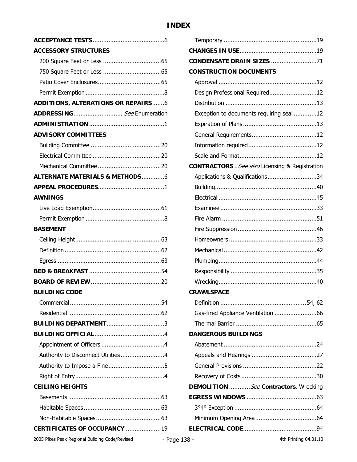# **INDEX**

| <b>ACCESSORY STRUCTURES</b>               |
|-------------------------------------------|
|                                           |
|                                           |
|                                           |
|                                           |
| <b>ADDITIONS, ALTERATIONS OR REPAIRS6</b> |
| ADDRESSING See Enumeration                |
|                                           |
| <b>ADVISORY COMMITTEES</b>                |
|                                           |
|                                           |
|                                           |
| <b>ALTERNATE MATERIALS &amp; METHODS6</b> |
|                                           |
| <b>AWNINGS</b>                            |
|                                           |
|                                           |
| <b>BASEMENT</b>                           |
|                                           |
|                                           |
|                                           |
|                                           |
|                                           |
| <b>BUILDING CODE</b>                      |
|                                           |
|                                           |
| <b>BUILDING DEPARTMENT3</b>               |
|                                           |
|                                           |
| Authority to Disconnect Utilities4        |
|                                           |
|                                           |
| <b>CEILING HEIGHTS</b>                    |
|                                           |
|                                           |
|                                           |
| CERTIFICATES OF OCCUPANCY 19              |

| <b>CONDENSATE DRAIN SIZES 71</b>               |
|------------------------------------------------|
| <b>CONSTRUCTION DOCUMENTS</b>                  |
|                                                |
| Design Professional Required12                 |
|                                                |
| Exception to documents requiring seal 12       |
|                                                |
|                                                |
|                                                |
|                                                |
| CONTRACTORS  See also Licensing & Registration |
| Applications & Qualifications34                |
|                                                |
|                                                |
|                                                |
|                                                |
|                                                |
|                                                |
|                                                |
|                                                |
|                                                |
|                                                |
| <b>CRAWLSPACE</b>                              |
|                                                |
| Gas-fired Appliance Ventilation 66             |
|                                                |
| <b>DANGEROUS BUILDINGS</b>                     |
|                                                |
|                                                |
|                                                |
|                                                |
| DEMOLITION See Contractors, Wrecking           |
|                                                |
|                                                |
|                                                |
|                                                |
|                                                |

2005 Pikes Peak Regional Building Code/Revised **4th Printing 04.01.10** - Page 138 - 4th Printing 04.01.10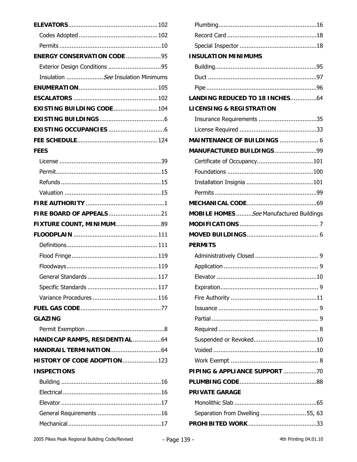| <b>ENERGY CONSERVATION CODE 95</b><br>Exterior Design Conditions 95<br>Insulation See Insulation Minimums<br><b>EXISTING BUILDING CODE  104</b> |
|-------------------------------------------------------------------------------------------------------------------------------------------------|
|                                                                                                                                                 |
|                                                                                                                                                 |
|                                                                                                                                                 |
|                                                                                                                                                 |
|                                                                                                                                                 |
|                                                                                                                                                 |
|                                                                                                                                                 |
|                                                                                                                                                 |
|                                                                                                                                                 |
|                                                                                                                                                 |
|                                                                                                                                                 |
|                                                                                                                                                 |
| <b>FEES</b>                                                                                                                                     |
|                                                                                                                                                 |
|                                                                                                                                                 |
|                                                                                                                                                 |
|                                                                                                                                                 |
|                                                                                                                                                 |
| FIRE BOARD OF APPEALS21                                                                                                                         |
| FIXTURE COUNT, MINIMUM89                                                                                                                        |
|                                                                                                                                                 |
|                                                                                                                                                 |
|                                                                                                                                                 |
|                                                                                                                                                 |
|                                                                                                                                                 |
|                                                                                                                                                 |
|                                                                                                                                                 |
|                                                                                                                                                 |
| <b>GLAZING</b>                                                                                                                                  |
|                                                                                                                                                 |
| HANDICAP RAMPS, RESIDENTIAL 64                                                                                                                  |
|                                                                                                                                                 |
| HISTORY OF CODE ADOPTION 123                                                                                                                    |
| <b>INSPECTIONS</b>                                                                                                                              |
|                                                                                                                                                 |
|                                                                                                                                                 |
|                                                                                                                                                 |
|                                                                                                                                                 |
|                                                                                                                                                 |

| <b>INSULATION MINIMUMS</b>              |  |
|-----------------------------------------|--|
|                                         |  |
|                                         |  |
|                                         |  |
| LANDING REDUCED TO 18 INCHES64          |  |
| <b>LICENSING &amp; REGISTRATION</b>     |  |
| Insurance Requirements 35               |  |
|                                         |  |
| MAINTENANCE OF BUILDINGS  6             |  |
| MANUFACTURED BUILDINGS99                |  |
|                                         |  |
|                                         |  |
|                                         |  |
|                                         |  |
|                                         |  |
| MOBILE HOMES See Manufactured Buildings |  |
|                                         |  |
|                                         |  |
|                                         |  |
| <b>PERMITS</b>                          |  |
|                                         |  |
|                                         |  |
|                                         |  |
|                                         |  |
|                                         |  |
|                                         |  |
|                                         |  |
|                                         |  |
|                                         |  |
|                                         |  |
|                                         |  |
| PIPING & APPLIANCE SUPPORT 70           |  |
|                                         |  |
| <b>PRIVATE GARAGE</b>                   |  |
|                                         |  |
| Separation from Dwelling 55, 63         |  |
|                                         |  |